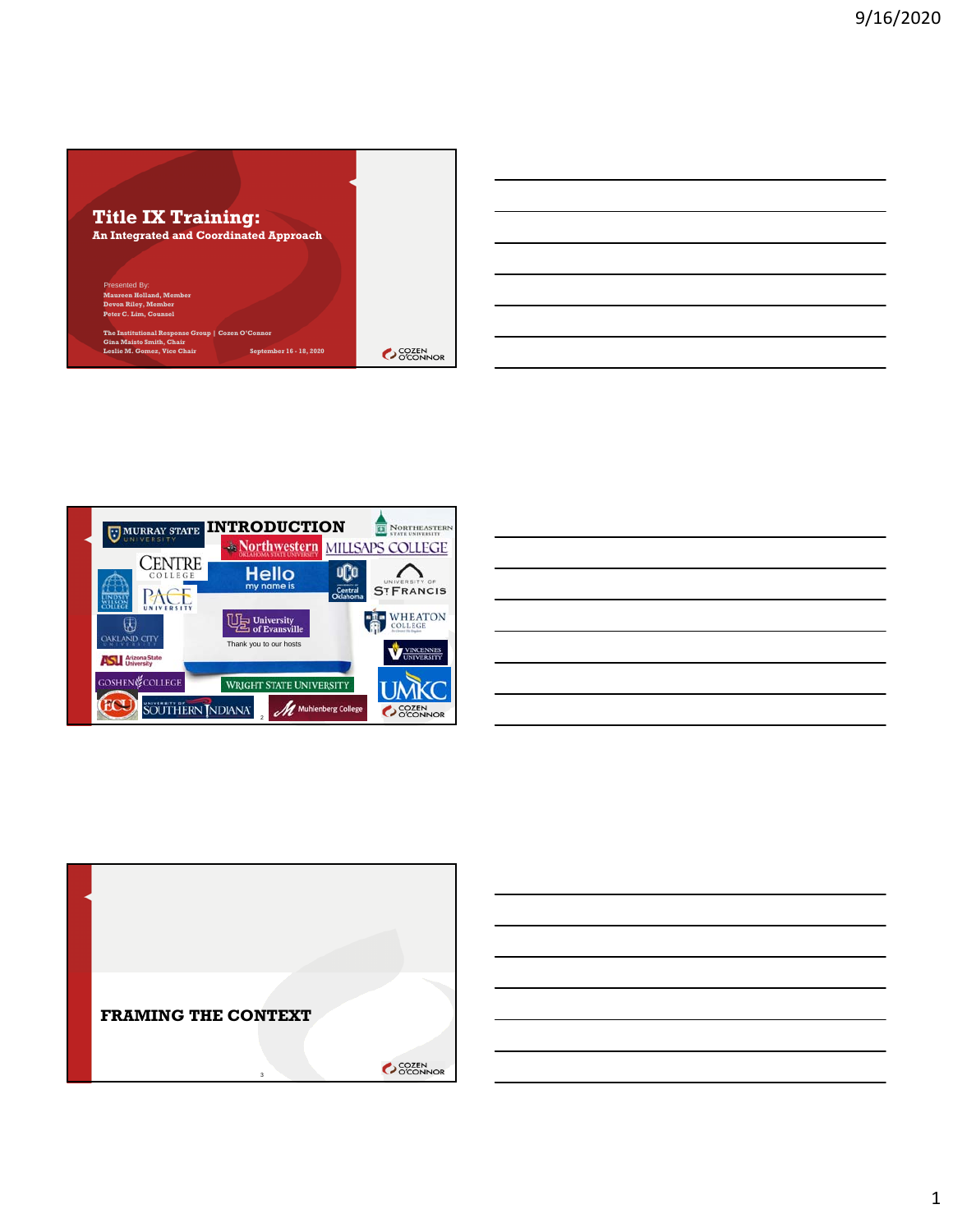





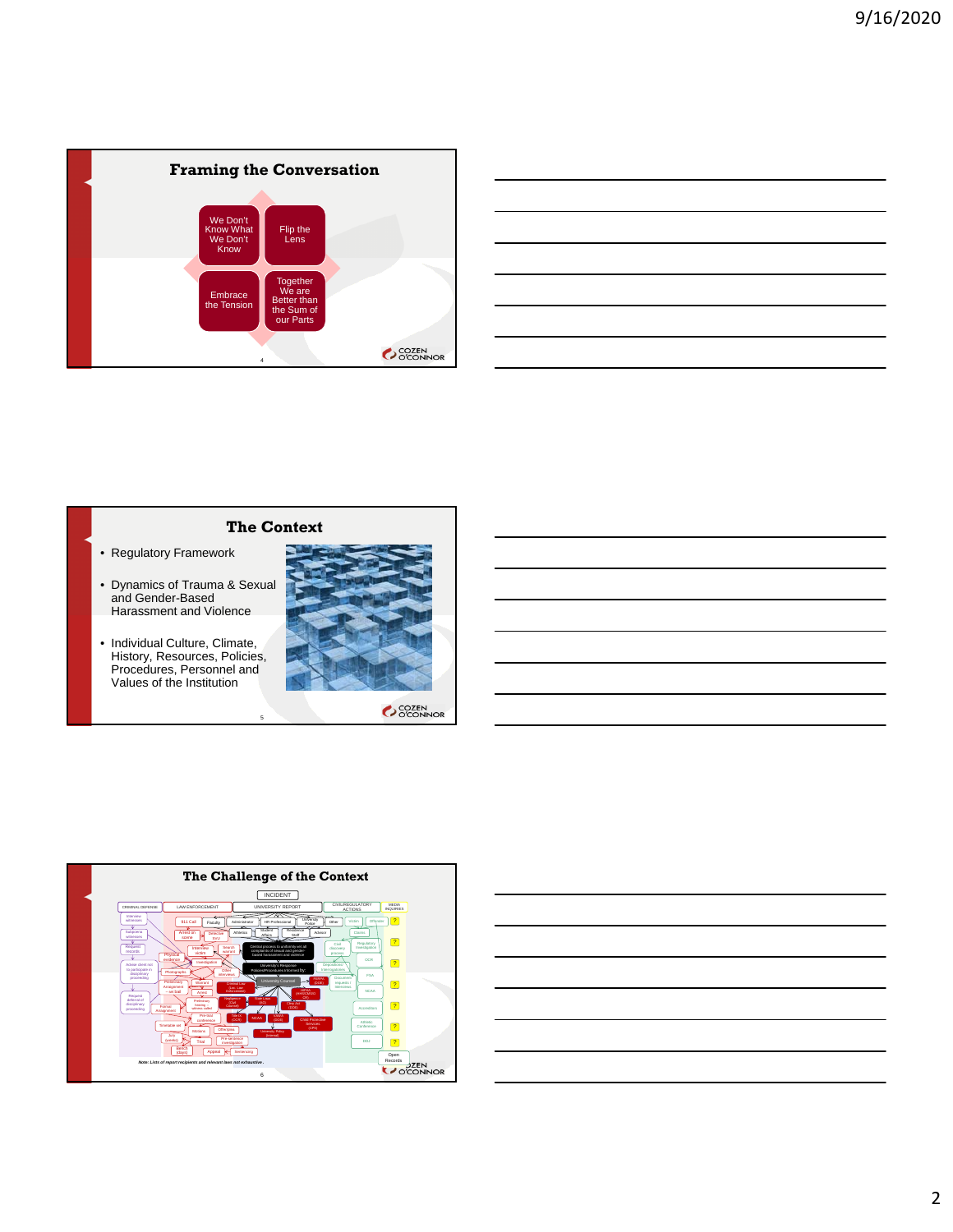

| <u> Andreas Andreas Andreas Andreas Andreas Andreas Andreas Andreas Andreas Andreas Andreas Andreas Andreas Andr</u> |  |  |
|----------------------------------------------------------------------------------------------------------------------|--|--|
|                                                                                                                      |  |  |
|                                                                                                                      |  |  |
|                                                                                                                      |  |  |
|                                                                                                                      |  |  |

# **The Context**

5

- Regulatory Framework
- Dynamics of Trauma & Sexual and Gender-Based Harassment and Violence
- Individual Culture, Climate, History, Resources, Policies, Procedures, Personnel and Values of the Institution





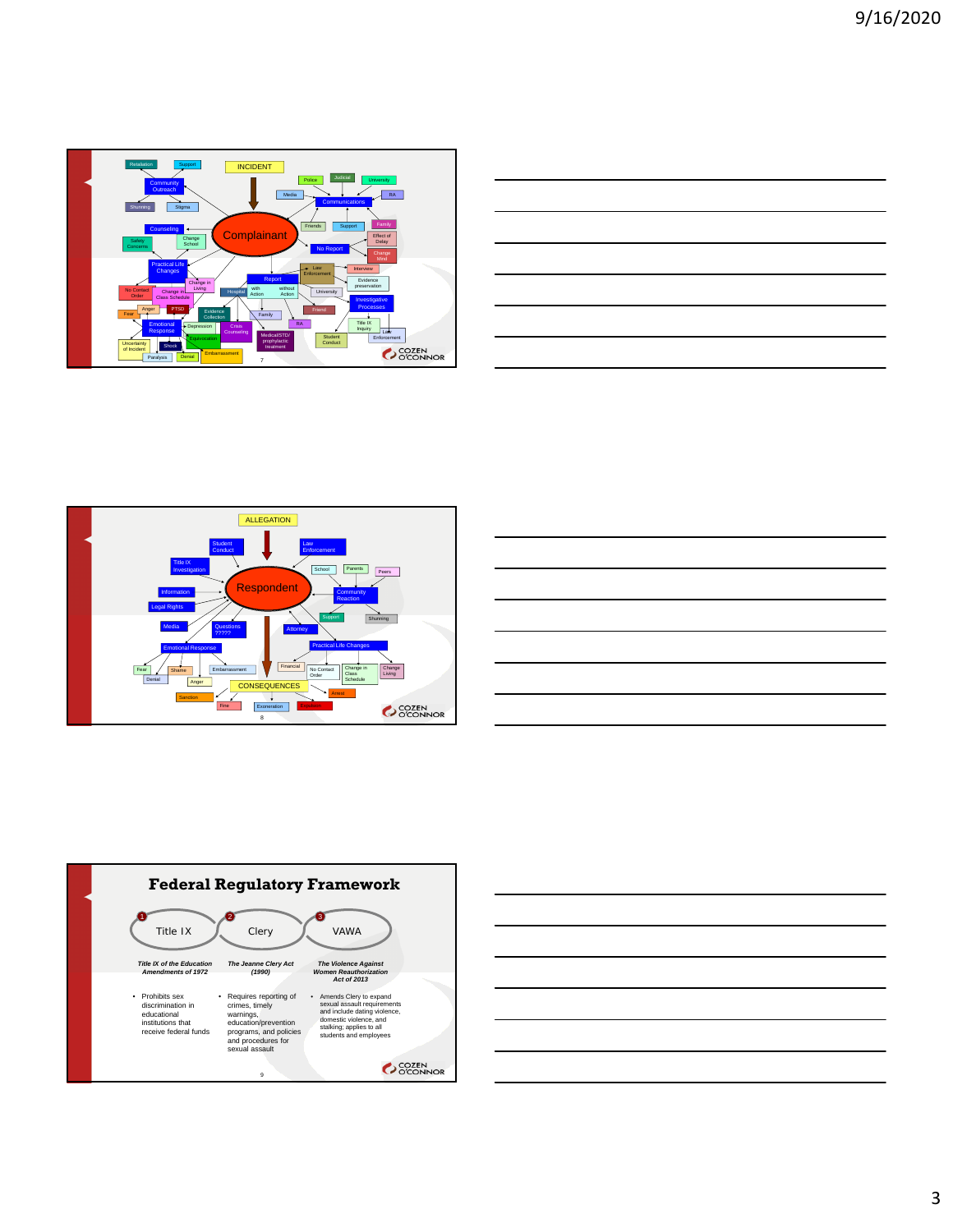

| $\sim$ $\sim$ $\sim$ $\sim$ $\sim$                                                  | ________                                                                                                             |
|-------------------------------------------------------------------------------------|----------------------------------------------------------------------------------------------------------------------|
| $\overline{\phantom{a}}$                                                            |                                                                                                                      |
| and the contract of the contract of the contract of the contract of the contract of | _______                                                                                                              |
|                                                                                     | ________                                                                                                             |
|                                                                                     | <u> Alexandro de la contrada de la contrada de la contrada de la contrada de la contrada de la contrada de la co</u> |
|                                                                                     |                                                                                                                      |







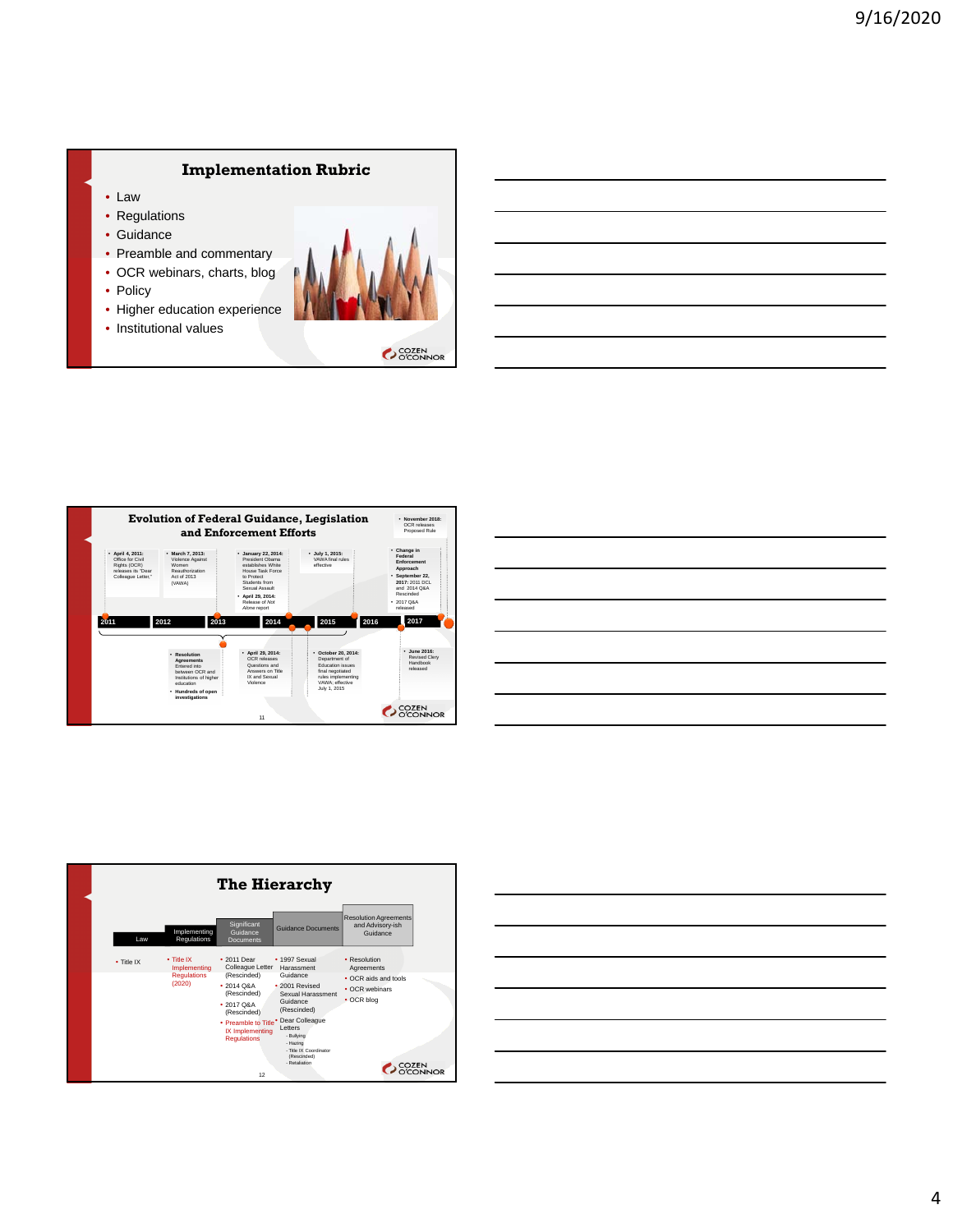# **Implementation Rubric**

- Law
- Regulations
- Guidance
- Preamble and commentary
- OCR webinars, charts, blog
- Policy
- Higher education experience
- Institutional values



OCCEN CONDI



| <u> 1989 - Johann Stoff, deutscher Stoff, der Stoff, der Stoff, der Stoff, der Stoff, der Stoff, der Stoff, der S</u> |  |  |
|-----------------------------------------------------------------------------------------------------------------------|--|--|
| ,我们也不会有什么?""我们的人,我们也不会有什么?""我们的人,我们也不会有什么?""我们的人,我们也不会有什么?""我们的人,我们也不会有什么?""我们的人                                      |  |  |
| <u> 1989 - Johann Stoff, amerikansk politiker (d. 1989)</u>                                                           |  |  |
| ,我们也不会有什么。""我们的人,我们也不会有什么?""我们的人,我们也不会有什么?""我们的人,我们也不会有什么?""我们的人,我们也不会有什么?""我们的人                                      |  |  |
|                                                                                                                       |  |  |
| and the control of the control of the control of the control of the control of the control of the control of the      |  |  |
|                                                                                                                       |  |  |

|            |                                                            | <b>The Hierarchy</b>                                                                                                                                                                 |                                                                                                                                                                                                                                   |                                                                                                                             |
|------------|------------------------------------------------------------|--------------------------------------------------------------------------------------------------------------------------------------------------------------------------------------|-----------------------------------------------------------------------------------------------------------------------------------------------------------------------------------------------------------------------------------|-----------------------------------------------------------------------------------------------------------------------------|
| Law        | Implementing<br><b>Regulations</b>                         | Significant<br>Guidance<br><b>Documents</b>                                                                                                                                          | <b>Guidance Documents</b>                                                                                                                                                                                                         | <b>Resolution Agreements</b><br>and Advisory-ish<br>Guidance                                                                |
| • Title IX | · Title IX<br>Implementing<br><b>Regulations</b><br>(2020) | $\cdot$ 2011 Dear<br>Colleague Letter<br>(Rescinded)<br>$+201408A$<br>(Rescinded)<br>$+201708A$<br>(Rescinded)<br>• Preamble to Title<br>IX Implementing<br><b>Regulations</b><br>12 | • 1997 Sexual<br>Harassment<br>Guidance<br>· 2001 Revised<br>Sexual Harassment<br>Guidance<br>(Rescinded)<br>Dear Colleague<br><b>Letters</b><br>- Bullying<br>- Hazing<br>- Title IX Coordinator<br>(Rescinded)<br>- Retaliation | • Resolution<br>Agreements<br>• OCR aids and tools<br>• OCR webinars<br>$\cdot$ OCR blog<br><b>COZEN</b><br><b>D'CONNOR</b> |

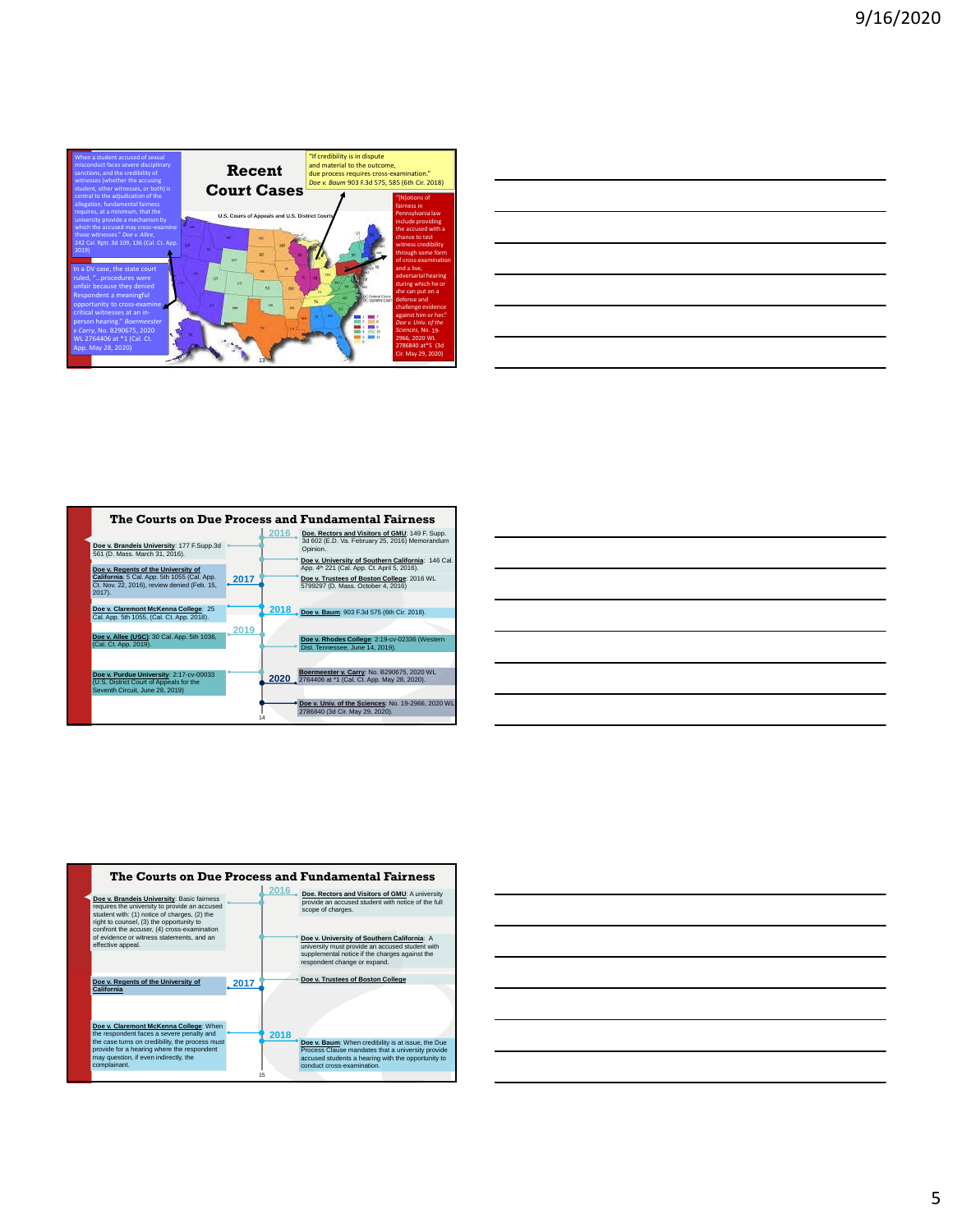

| <u> 1989 - Johann Harry Harry Harry Harry Harry Harry Harry Harry Harry Harry Harry Harry Harry Harry Harry Harry H</u>    |  | <u> London Communication and the communication of the communication of the communication of the communication of the communication of the communication of the communication of the communication of the communication of the co</u> |
|----------------------------------------------------------------------------------------------------------------------------|--|--------------------------------------------------------------------------------------------------------------------------------------------------------------------------------------------------------------------------------------|
|                                                                                                                            |  |                                                                                                                                                                                                                                      |
| <u>.</u><br>1980 - Paul Barbara, politikar eta biztanleria eta biztanleria eta biztanleria eta biztanleria eta biztanleria |  |                                                                                                                                                                                                                                      |
|                                                                                                                            |  |                                                                                                                                                                                                                                      |
| <u> 1988 - Andrea San Andrea San Andrea San Andrea San Andrea San Andrea San Andrea San Andrea San Andrea San A</u>        |  |                                                                                                                                                                                                                                      |
|                                                                                                                            |  |                                                                                                                                                                                                                                      |
| <u> 1989 - Johann Stoff, amerikansk politiker (d. 1989)</u>                                                                |  |                                                                                                                                                                                                                                      |
|                                                                                                                            |  |                                                                                                                                                                                                                                      |
| <u> Alexandro de la contrada de la contrada de la contrada de la contrada de la contrada de la contrada de la co</u>       |  |                                                                                                                                                                                                                                      |
|                                                                                                                            |  |                                                                                                                                                                                                                                      |
|                                                                                                                            |  |                                                                                                                                                                                                                                      |
|                                                                                                                            |  |                                                                                                                                                                                                                                      |
|                                                                                                                            |  |                                                                                                                                                                                                                                      |



|                                                                                                                       |  | <u> 2000 - Andrea Andrew Maria (h. 1888).</u>                                                                        |
|-----------------------------------------------------------------------------------------------------------------------|--|----------------------------------------------------------------------------------------------------------------------|
|                                                                                                                       |  | <u> 2008 - Andrea Andrew Maria (h. 1888).</u>                                                                        |
|                                                                                                                       |  | <u> Alexandro de la contrada de la contrada de la contrada de la contrada de la contrada de la contrada de la co</u> |
|                                                                                                                       |  | <u> 2002 - Jan Barat de Barat de la contrada de la contrada de la contrada de la contrada de la contrada de la c</u> |
| <u> 1989 - Johann Stoff, deutscher Stoff, der Stoff, der Stoff, der Stoff, der Stoff, der Stoff, der Stoff, der S</u> |  |                                                                                                                      |
|                                                                                                                       |  |                                                                                                                      |
|                                                                                                                       |  |                                                                                                                      |
|                                                                                                                       |  |                                                                                                                      |



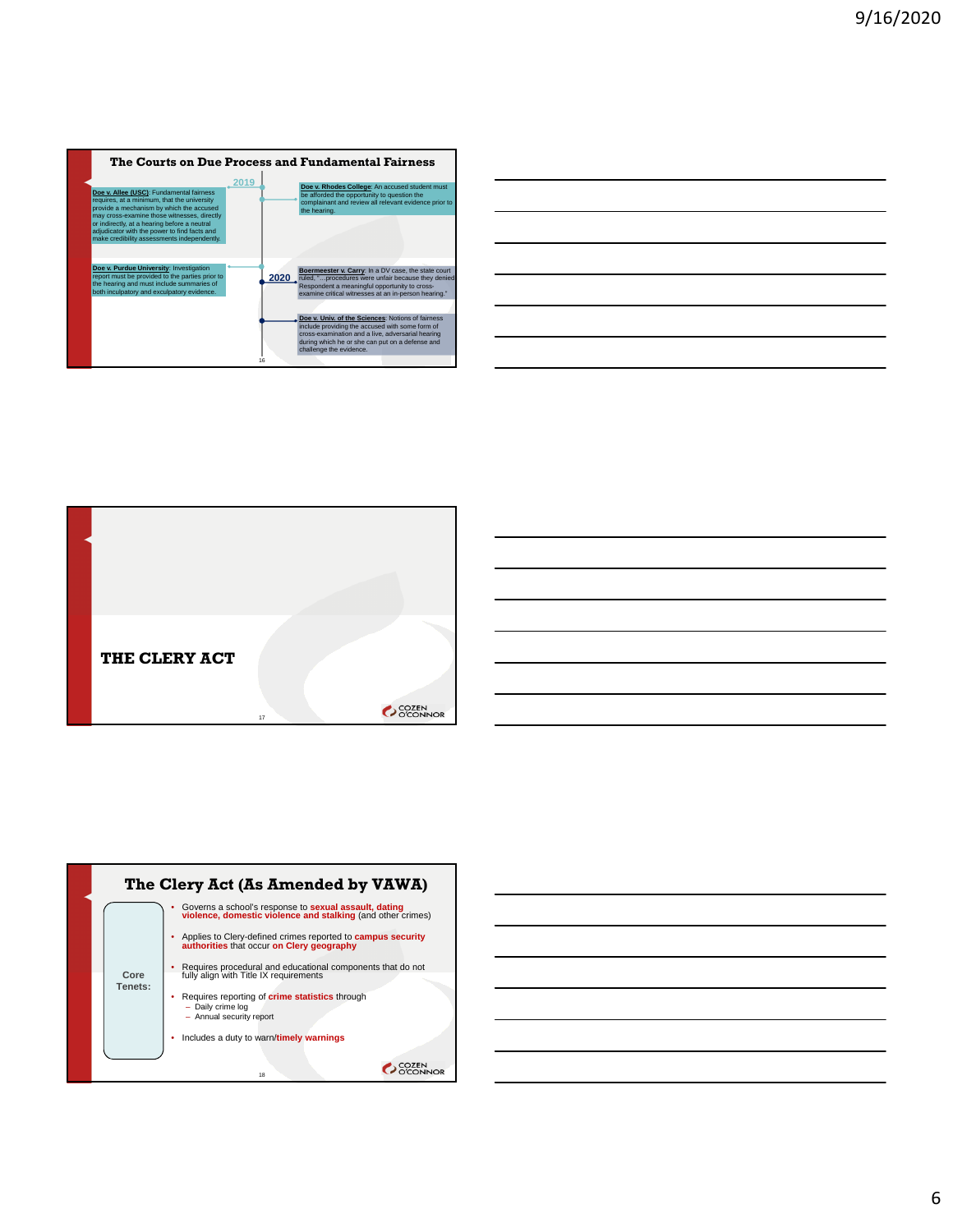|                                                                                                                                                                                                                                                                                                                                   |      |            | The Courts on Due Process and Fundamental Fairness                                                                                                                                                                                                                                                                                                                                                                                                            |
|-----------------------------------------------------------------------------------------------------------------------------------------------------------------------------------------------------------------------------------------------------------------------------------------------------------------------------------|------|------------|---------------------------------------------------------------------------------------------------------------------------------------------------------------------------------------------------------------------------------------------------------------------------------------------------------------------------------------------------------------------------------------------------------------------------------------------------------------|
| Doe v. Allee (USC): Fundamental fairness<br>requires, at a minimum, that the university<br>provide a mechanism by which the accused<br>may cross-examine those witnesses, directly<br>or indirectly, at a hearing before a neutral<br>adjudicator with the power to find facts and<br>make credibility assessments independently. | 2019 |            | Doe v. Rhodes College: An accused student must<br>be afforded the opportunity to question the<br>complainant and review all relevant evidence prior to<br>the hearing.                                                                                                                                                                                                                                                                                        |
| Doe v. Purdue University: Investigation<br>report must be provided to the parties prior to<br>the hearing and must include summaries of<br>both inculpatory and exculpatory evidence.                                                                                                                                             |      | 2020<br>16 | Boermeester v. Carry: In a DV case, the state court<br>ruled, "procedures were unfair because they denied<br>Respondent a meaningful opportunity to cross-<br>examine critical witnesses at an in-person hearing."<br>Doe v. Univ. of the Sciences: Notions of fairness<br>include providing the accused with some form of<br>cross-examination and a live, adversarial hearing<br>during which he or she can put on a defense and<br>challenge the evidence. |

| <u> 1989 - Johann Barn, mars ann an t-Amhainn an t-Amhainn an t-Amhainn an t-Amhainn an t-Amhainn an t-Amhainn an</u> |  |                                                                                                                        |
|-----------------------------------------------------------------------------------------------------------------------|--|------------------------------------------------------------------------------------------------------------------------|
| <u> 1989 - Andrea Andrew Maria (h. 1989).</u>                                                                         |  |                                                                                                                        |
| <u> 1989 - Andrea Andrew Maria (h. 1989).</u>                                                                         |  |                                                                                                                        |
| <u> 1989 - Johann Stoff, deutscher Stoffen und der Stoffen und der Stoffen und der Stoffen und der Stoffen und de</u> |  |                                                                                                                        |
| <u> 1989 - Andrea Andrew Maria (h. 1989).</u>                                                                         |  |                                                                                                                        |
| <u> 1989 - Johann Stoff, amerikansk politiker (d. 1989)</u>                                                           |  | <u> London a long a long and a long a long and a long and a long and a long and a long and a long and a long and a</u> |
|                                                                                                                       |  |                                                                                                                        |



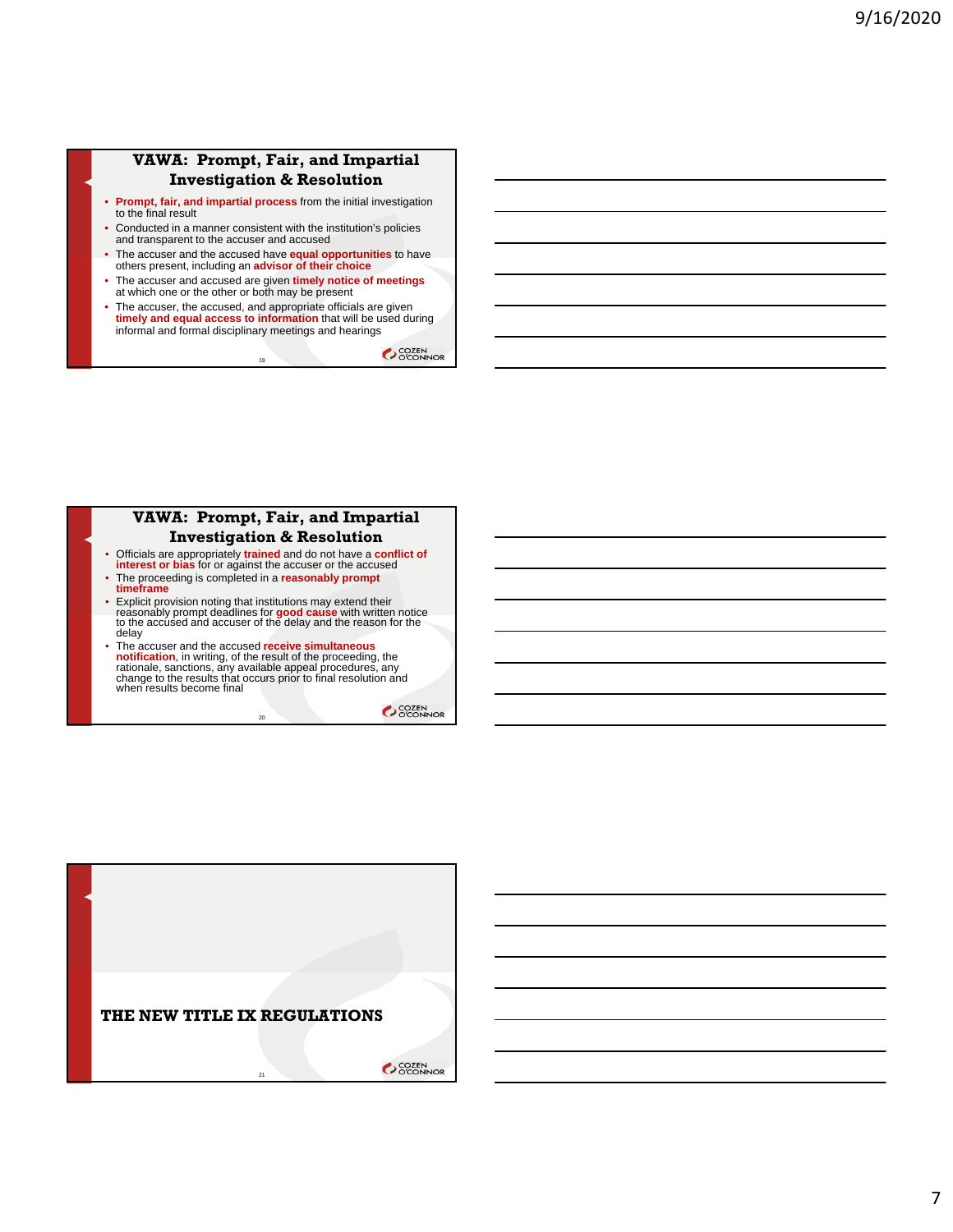#### **VAWA: Prompt, Fair, and Impartial Investigation & Resolution**

- **Prompt, fair, and impartial process** from the initial investigation to the final result
- Conducted in a manner consistent with the institution's policies and transparent to the accuser and accused
- The accuser and the accused have **equal opportunities** to have others present, including an **advisor of their choice**
- The accuser and accused are given **timely notice of meetings** at which one or the other or both may be present
- The accuser, the accused, and appropriate officials are given **timely and equal access to information** that will be used during informal and formal disciplinary meetings and hearings

19

**COZEN** 

# **VAWA: Prompt, Fair, and Impartial**

# **Investigation & Resolution**

- Officials are appropriately **trained** and do not have a **conflict of**
- **interest or bias** for or against the accuser or the accused • The proceeding is completed in a **reasonably prompt timeframe**
- Explicit provision noting that institutions may extend their reasonably prompt deadlines for **good cause** with written notice to the accused and accuser of the delay and the reason for the delay
- The accuser and the accused receive simultaneous<br>notification, in writing, of the result of the proceeding, the<br>rationale, sanctions, any available appeal procedures, any<br>change to the results that occurs prior to final when results become final

 $\overline{20}$ 

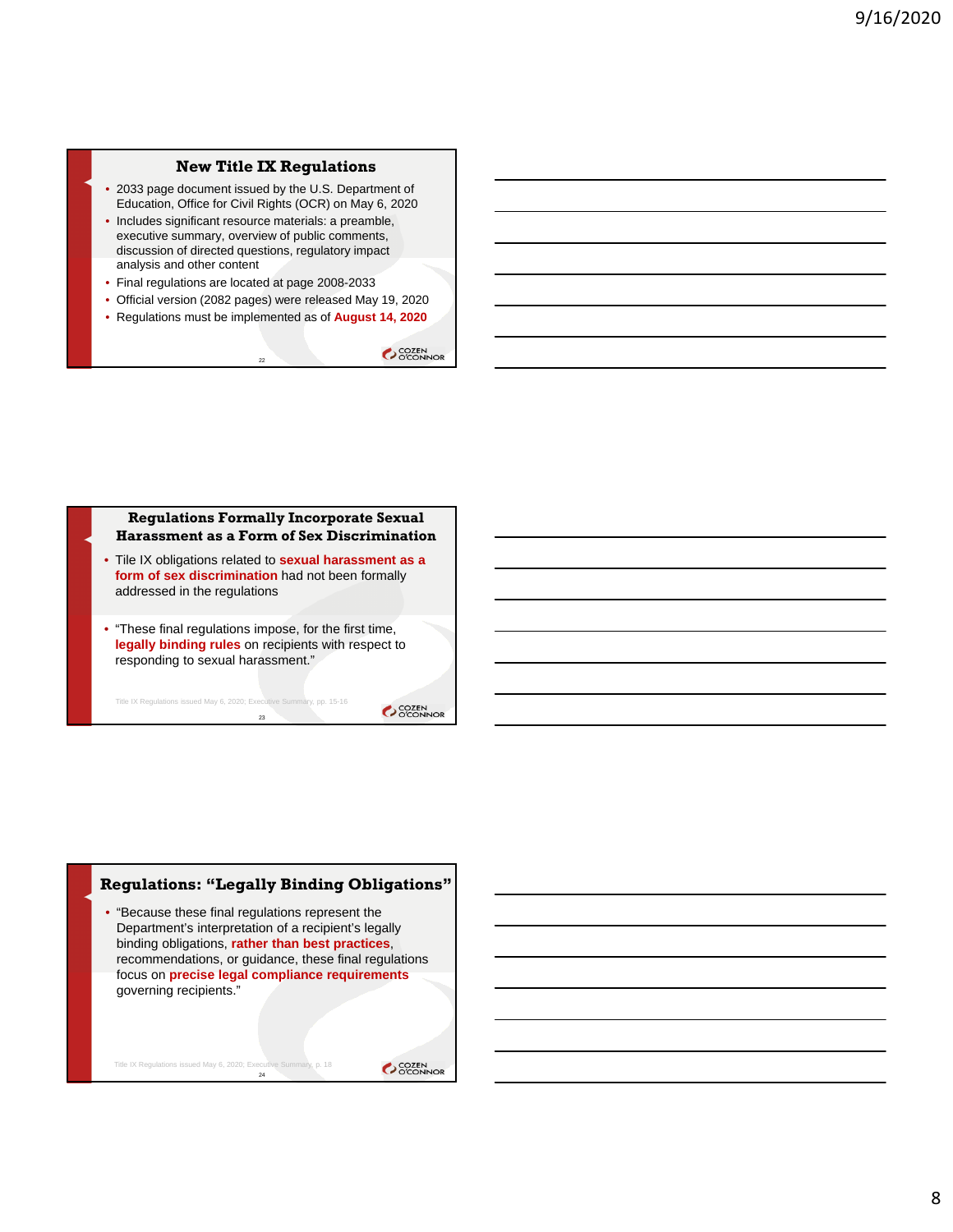#### **New Title IX Regulations**

- 2033 page document issued by the U.S. Department of Education, Office for Civil Rights (OCR) on May 6, 2020
- Includes significant resource materials: a preamble, executive summary, overview of public comments, discussion of directed questions, regulatory impact analysis and other content
- Final regulations are located at page 2008-2033
- Official version (2082 pages) were released May 19, 2020
- Regulations must be implemented as of **August 14, 2020**

22

**COZEN** 

# **Regulations Formally Incorporate Sexual Harassment as a Form of Sex Discrimination** • Tile IX obligations related to **sexual harassment as a form of sex discrimination** had not been formally addressed in the regulations

• "These final regulations impose, for the first time, **legally binding rules** on recipients with respect to responding to sexual harassment."

23 Title IX Regulations issued May 6, 2020; Executive Summary, pp. 15-16

SCOZEN<br>COCONNOR

#### **Regulations: "Legally Binding Obligations"**

• "Because these final regulations represent the Department's interpretation of a recipient's legally binding obligations, **rather than best practices**, recommendations, or guidance, these final regulations focus on **precise legal compliance requirements** governing recipients."

 $^{24}$ 

Title IX Regulations issued May 6, 2020; Executive Summary, p. 18

**COZEN**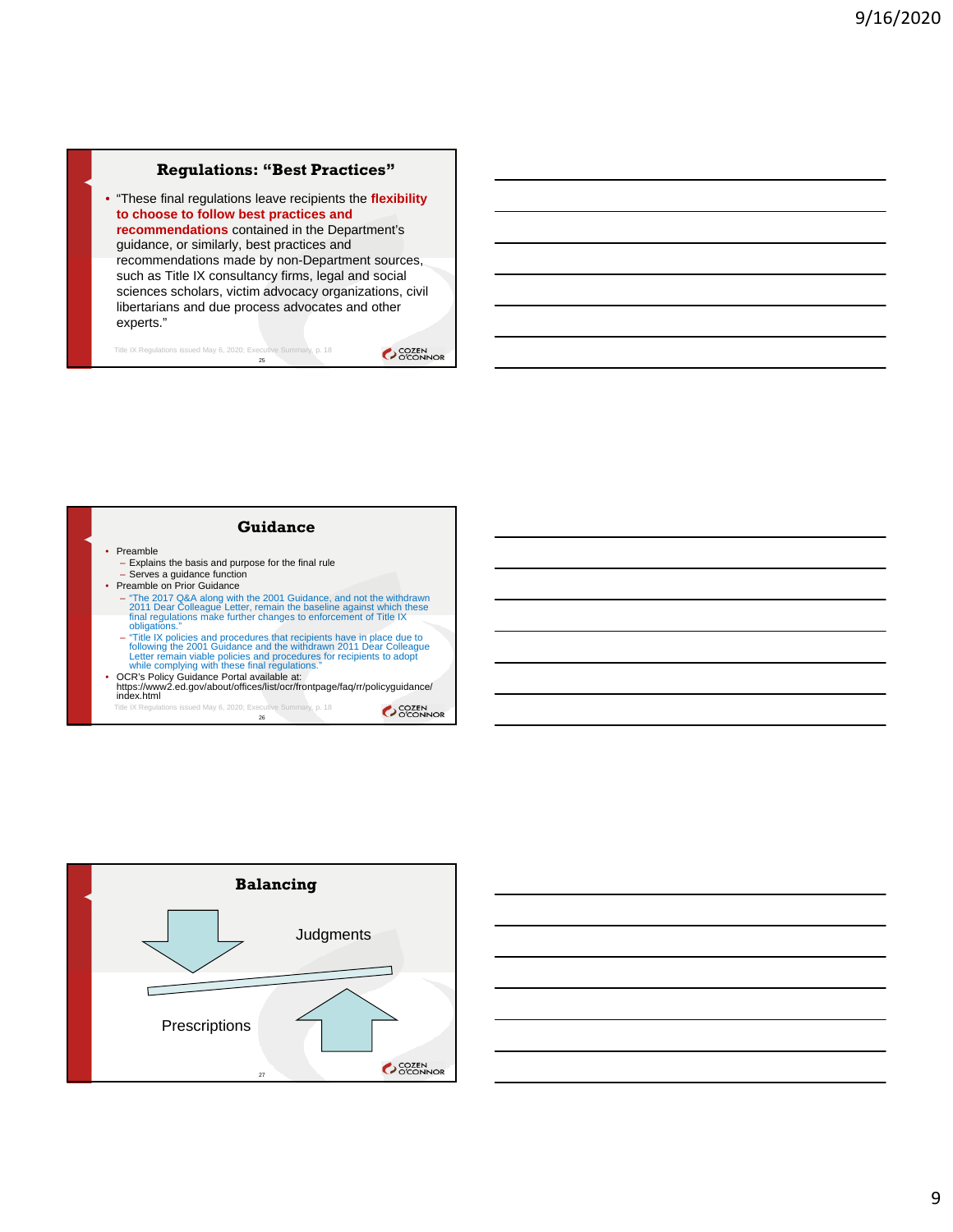#### **Regulations: "Best Practices"**

• "These final regulations leave recipients the **flexibility to choose to follow best practices and recommendations** contained in the Department's guidance, or similarly, best practices and recommendations made by non-Department sources, such as Title IX consultancy firms, legal and social sciences scholars, victim advocacy organizations, civil libertarians and due process advocates and other experts."

25 Title IX Regulations issued May 6, 2020; Executive Summary, p. 18

OCCEN<br>OCCONNOR





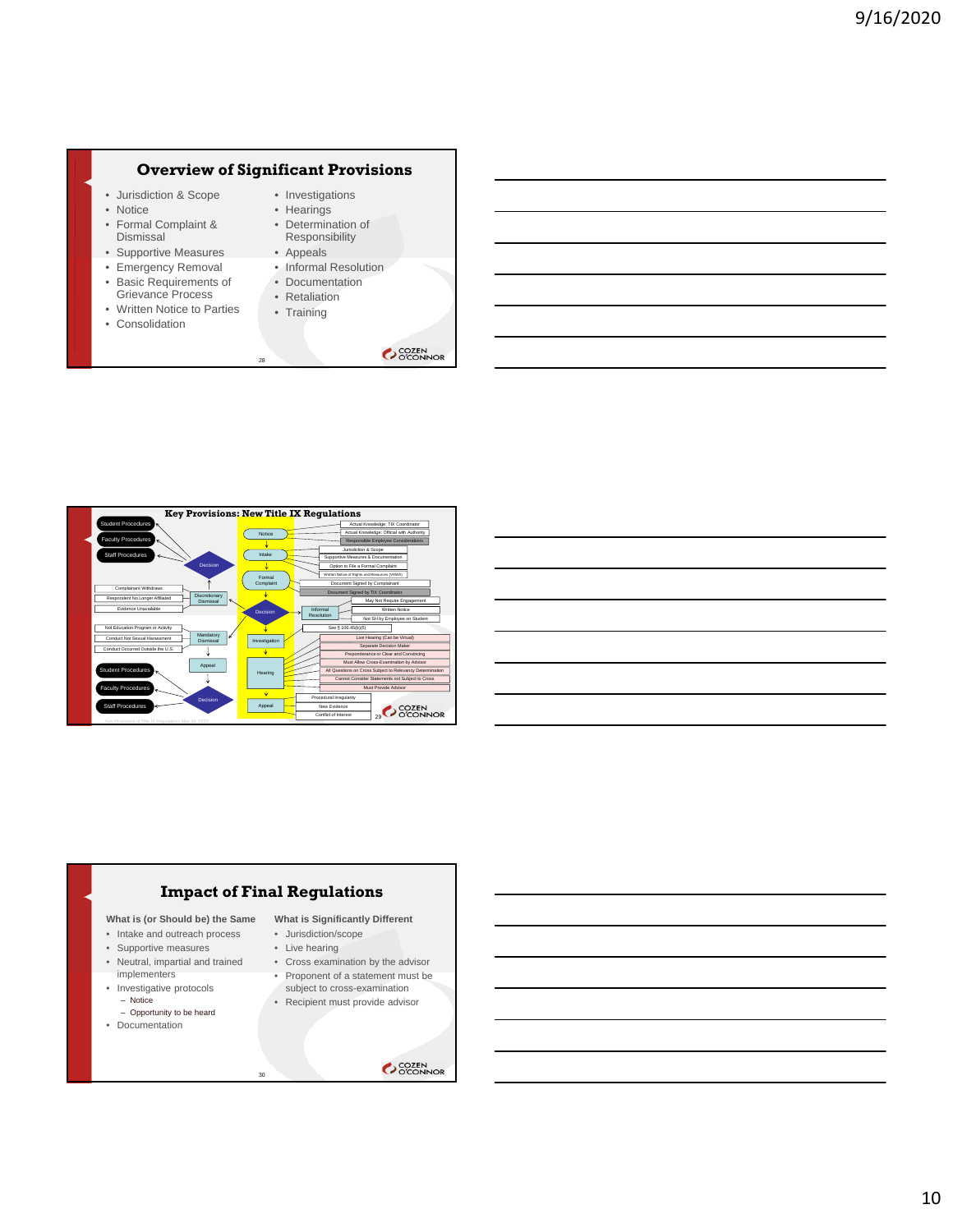#### **Overview of Significant Provisions**

- Jurisdiction & Scope
- Notice
- Formal Complaint & Dismissal
- Supportive Measures
- Emergency Removal
- Basic Requirements of Grievance Process
- Written Notice to Parties
- 
- Investigations • Hearings • Determination of
- Responsibility • Appeals
- Informal Resolution
- Documentation • Retaliation
- Training
- Consolidation
- 
- SCOZEN<br>OCONNOR



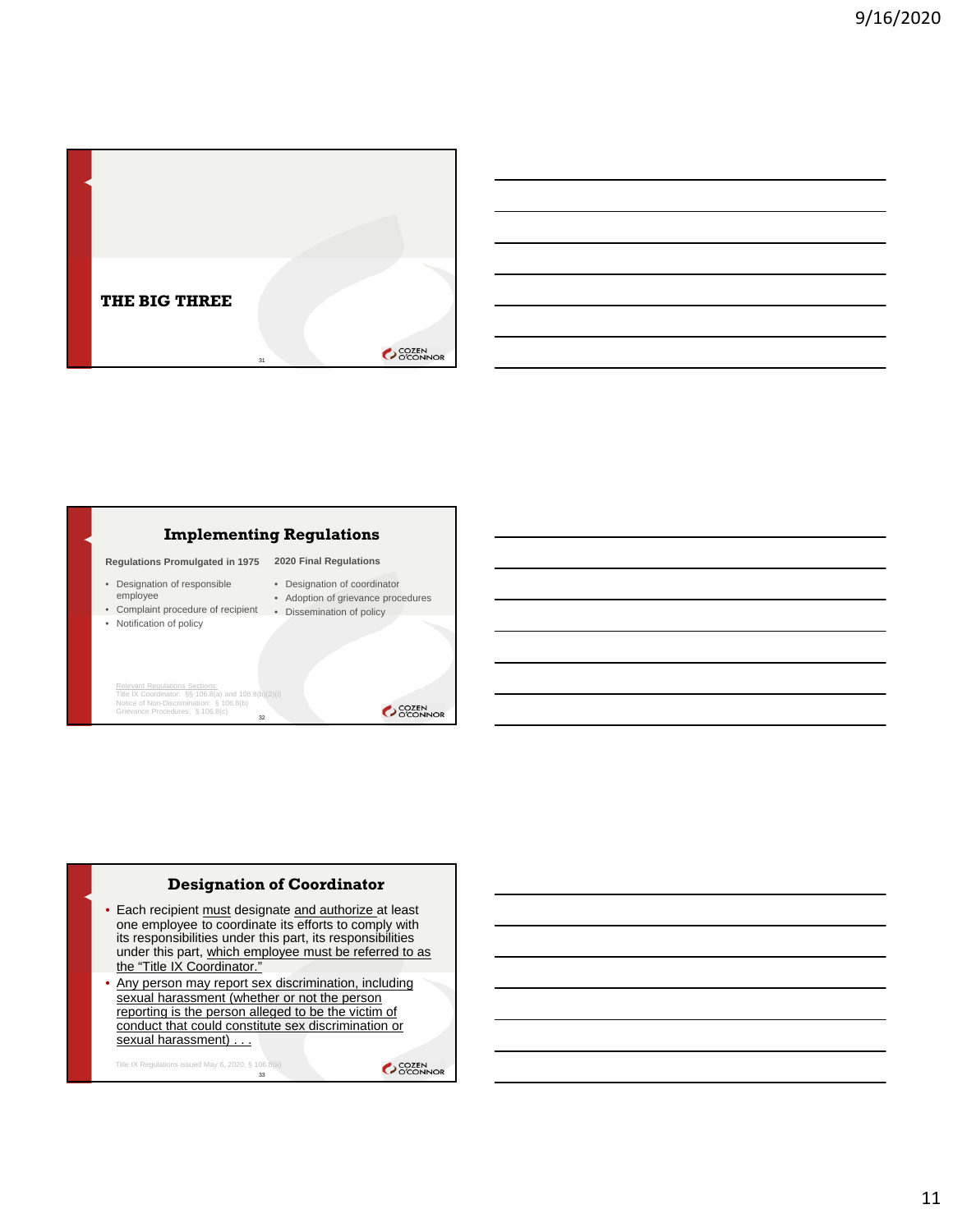



#### **Designation of Coordinator**

- Each recipient must designate and authorize at least one employee to coordinate its efforts to comply with its responsibilities under this part, its responsibilities under this part, which employee must be referred to as the "Title IX Coordinator."
- Any person may report sex discrimination, including sexual harassment (whether or not the person reporting is the person alleged to be the victim of conduct that could constitute sex discrimination or sexual harassment)

Title IX Regulations issued May 6, 2020; § 106.8(a)<br>33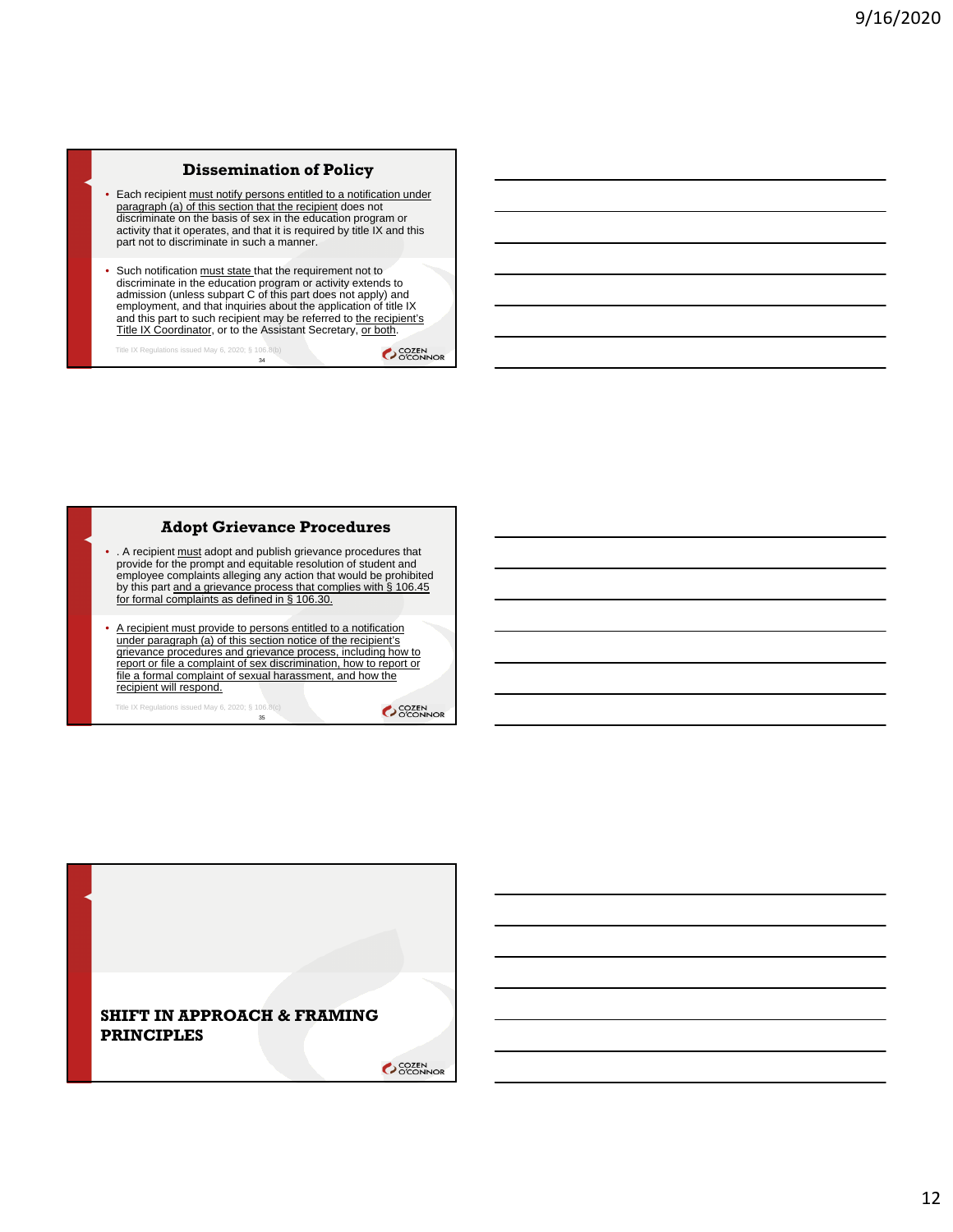### **Dissemination of Policy**

- Each recipient must notify persons entitled to a notification under paragraph (a) of this section that the recipient does not discriminate on the basis of sex in the education program or activity that it operates, and that it is required by title IX and this part not to discriminate in such a manner.
- Such notification must state that the requirement not to discriminate in the education program or activity extends to admission (unless subpart C of this part does not apply) and employment, and that inquiries about the application of title IX and this part to such recipient may be referred to <u>the recipient's</u><br>Title IX Coordinator, or to the Assistant Secretary, <u>or both</u>.

34 Title IX Regulations issued May 6, 2020; § 106.8(b)

**COZEN** 

#### **Adopt Grievance Procedures**

- . A recipient must adopt and publish grievance procedures that provide for the prompt and equitable resolution of student and employee complaints alleging any action that would be prohibited by this part and a grievance process that complies with § 106.45 for formal complaints as defined in § 106.30.
- A recipient must provide to persons entitled to a notification under paragraph (a) of this section notice of the recipient's grievance procedures and grievance process, including how to report or file a complaint of sex discrimination, how to report or file a formal complaint of sexual harassment, and how the recipient will respond.

35 Title IX Regulations issued May 6, 2020; § 106.8(c)

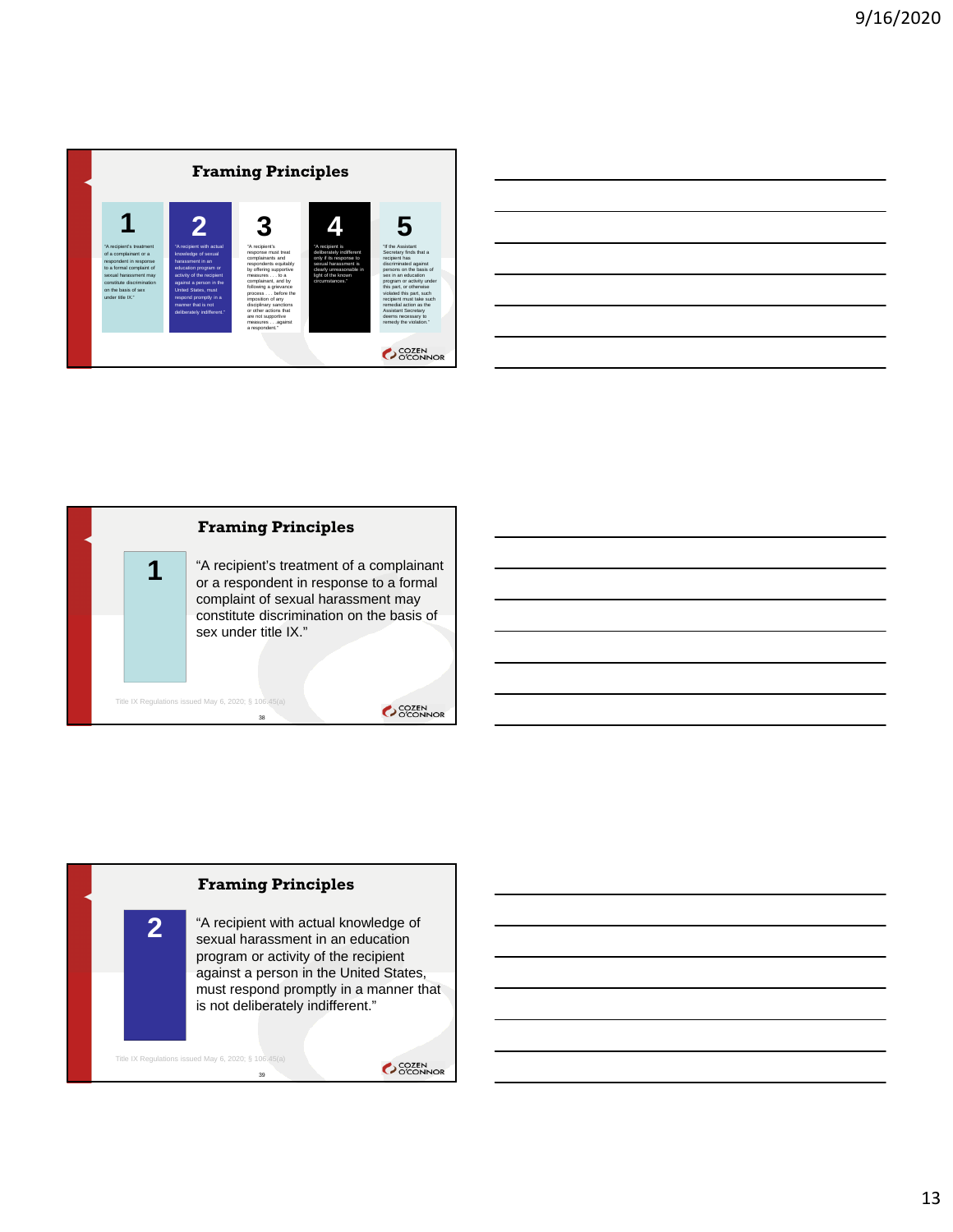

| ,我们也不会有什么?""我们的人,我们也不会有什么?""我们的人,我们也不会有什么?""我们的人,我们也不会有什么?""我们的人,我们也不会有什么?""我们的人                                     |  |  |
|----------------------------------------------------------------------------------------------------------------------|--|--|
| <u> 1989 - Andrea Andrew Maria (h. 1989).</u>                                                                        |  |  |
| <u> 1989 - Andrea Santa Andrea Andrea Andrea Andrea Andrea Andrea Andrea Andrea Andrea Andrea Andrea Andrea Andr</u> |  |  |
| ,我们也不会有什么。""我们的人,我们也不会有什么?""我们的人,我们也不会有什么?""我们的人,我们也不会有什么?""我们的人,我们也不会有什么?""我们的人                                     |  |  |
| <u> 1989 - Andrea Santa Andrea Andrea Andrea Andrea Andrea Andrea Andrea Andrea Andrea Andrea Andrea Andrea Andr</u> |  |  |
|                                                                                                                      |  |  |



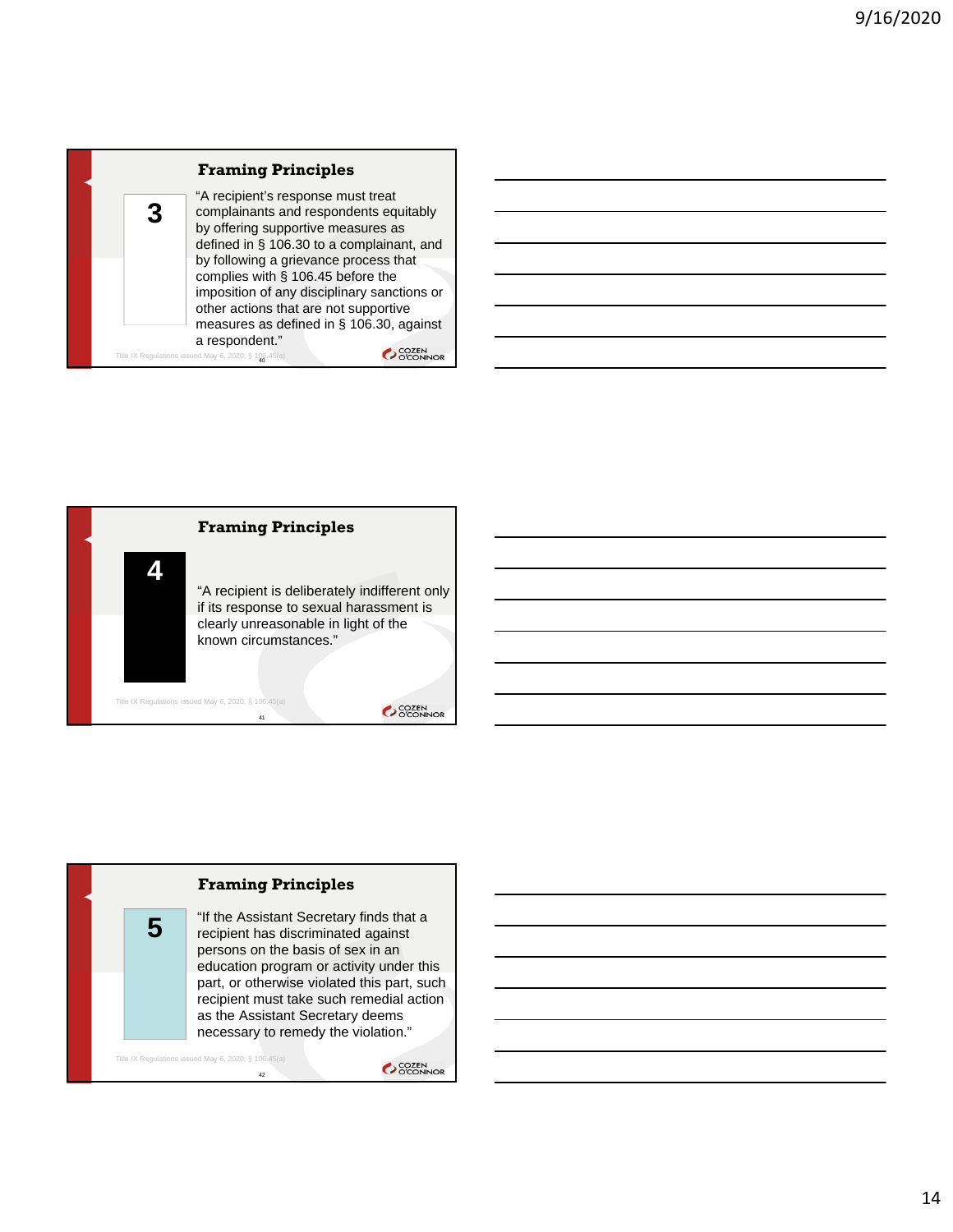





"If the Assistant Secretary finds that a recipient has discriminated against persons on the basis of sex in an education program or activity under this part, or otherwise violated this part, such recipient must take such remedial action as the Assistant Secretary deems necessary to remedy the violation."

```
Title IX Regulations issued May 6, 2020; § 106.45(a)
                             42
```
**5**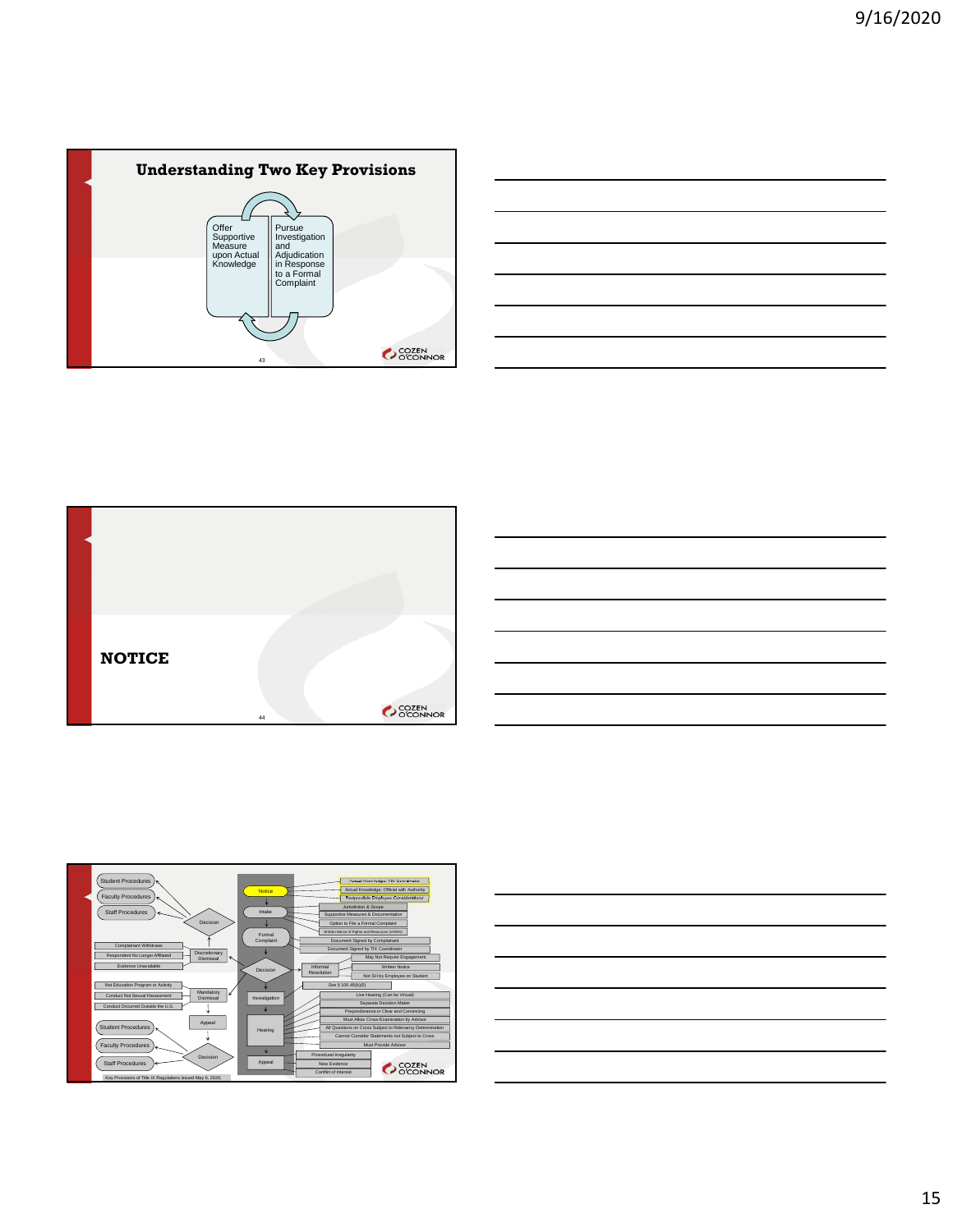









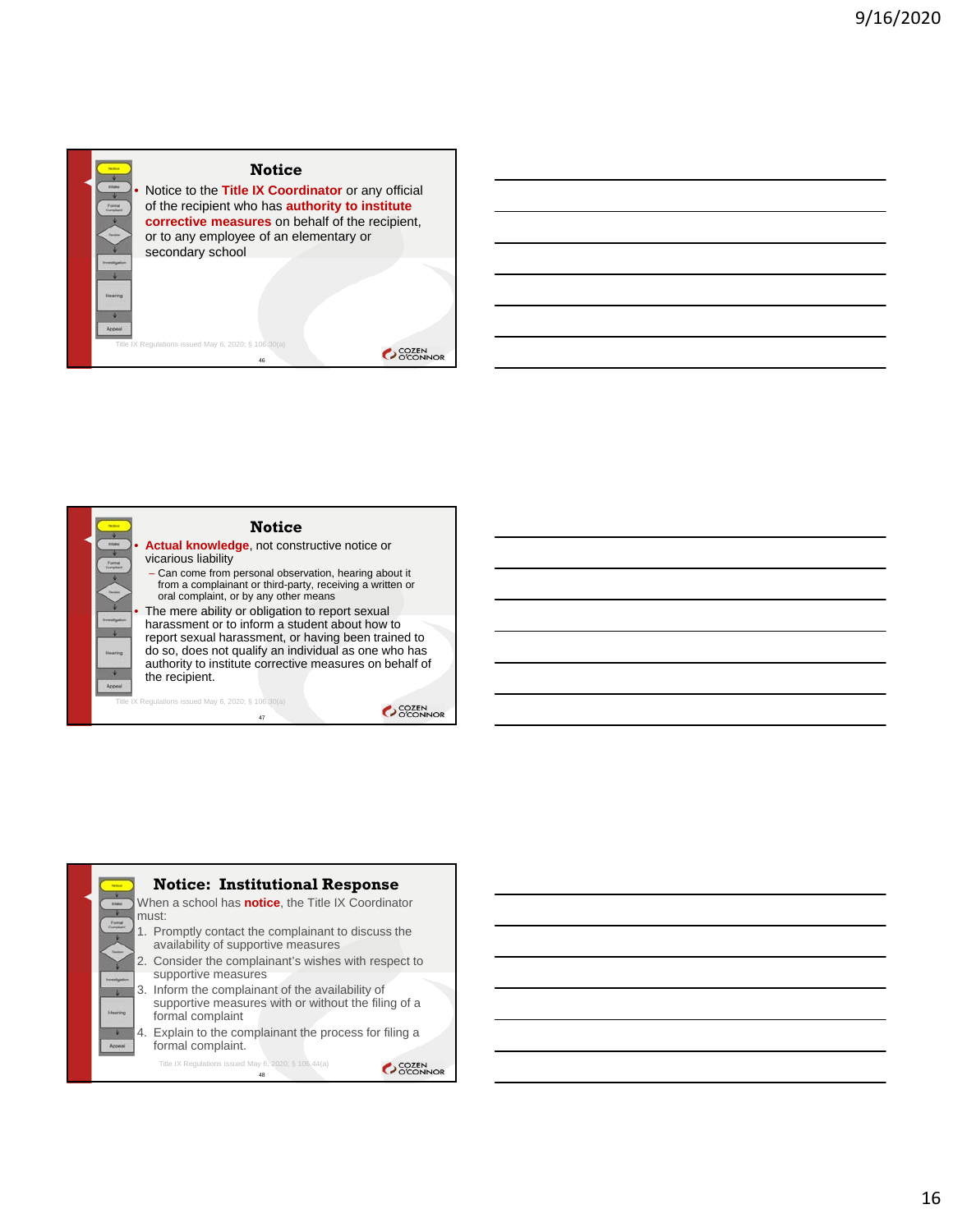



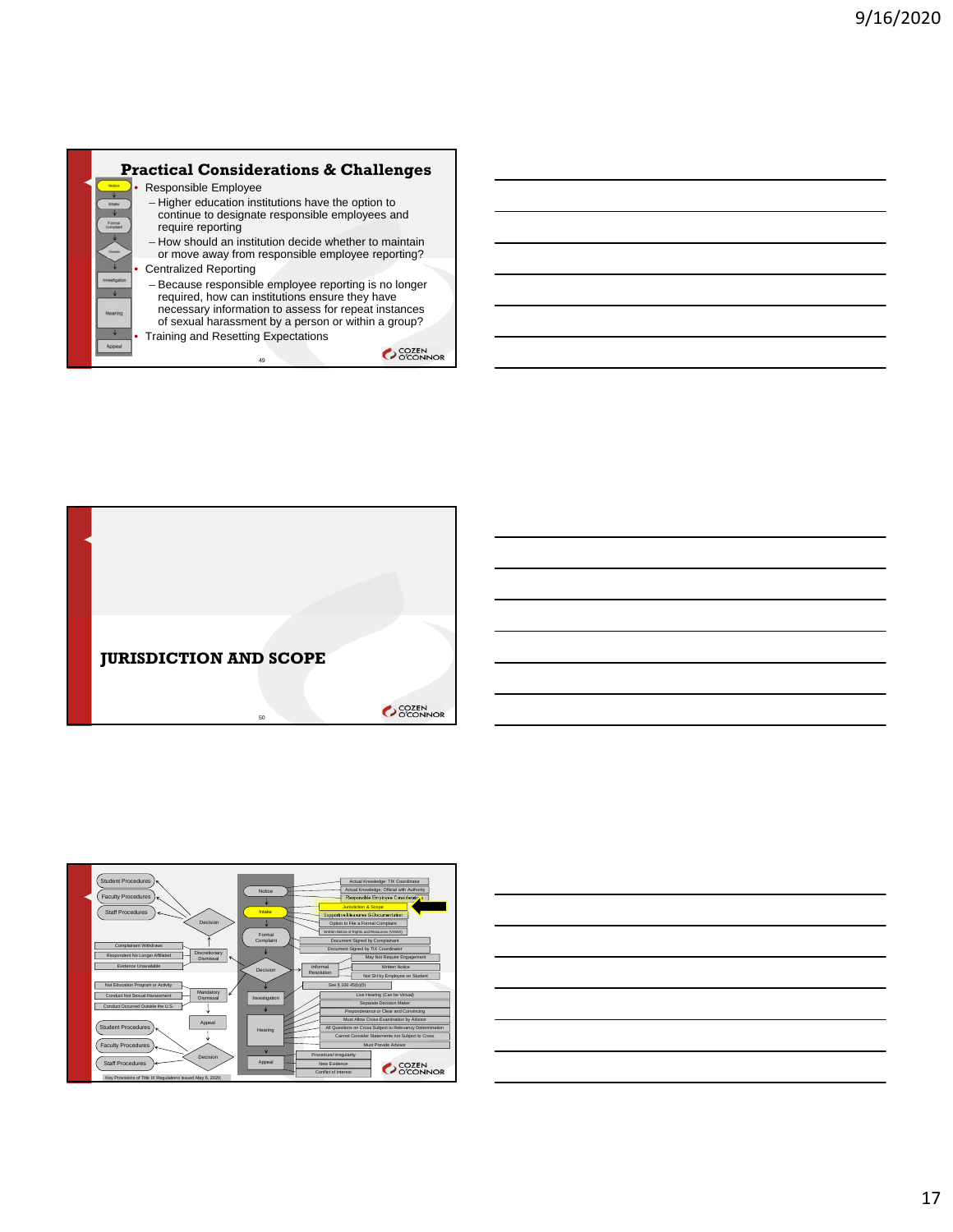





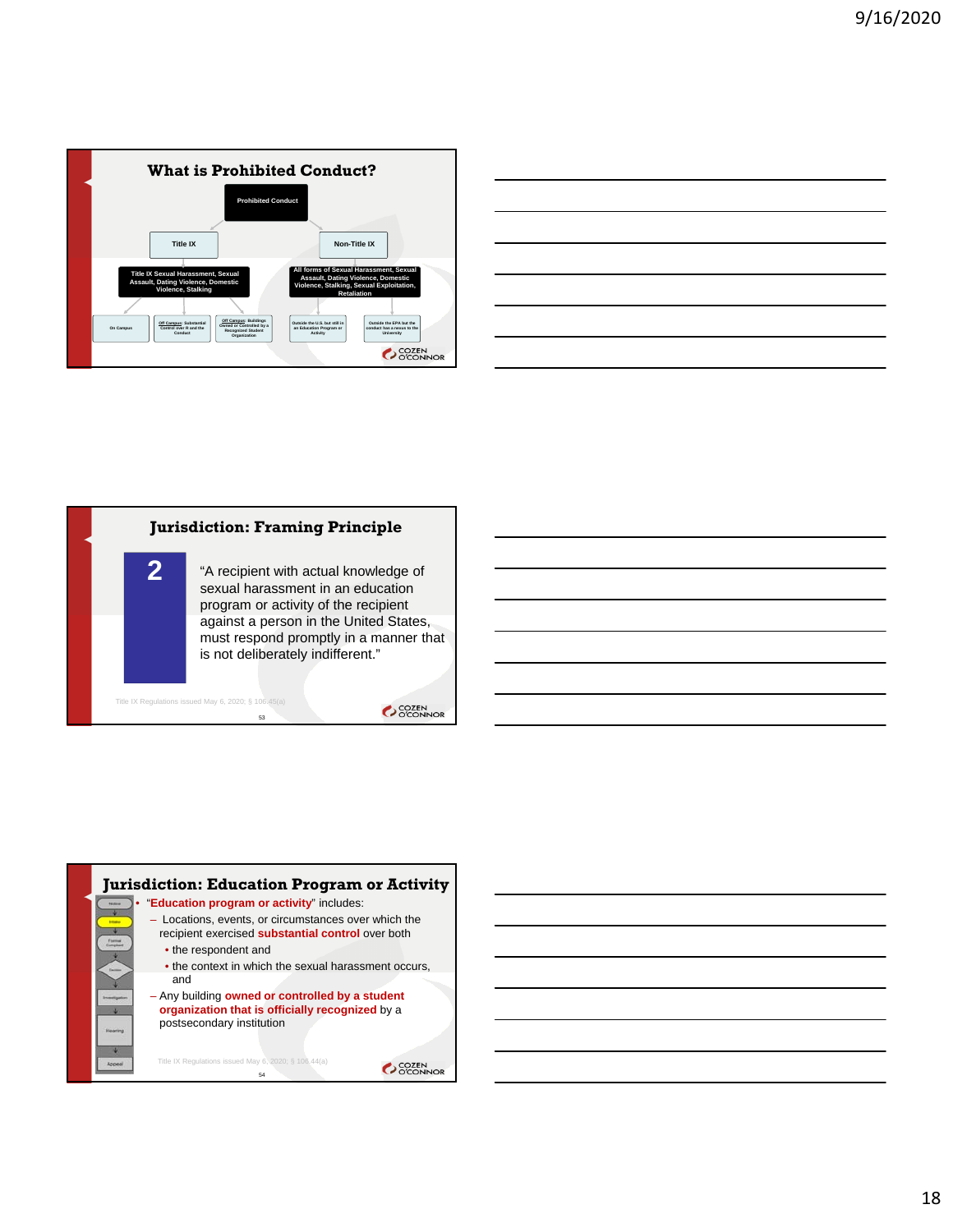

| <u> 1989 - Johann Stoff, amerikansk politiker (d. 1989)</u> |  |  |
|-------------------------------------------------------------|--|--|
|                                                             |  |  |
|                                                             |  |  |
|                                                             |  |  |



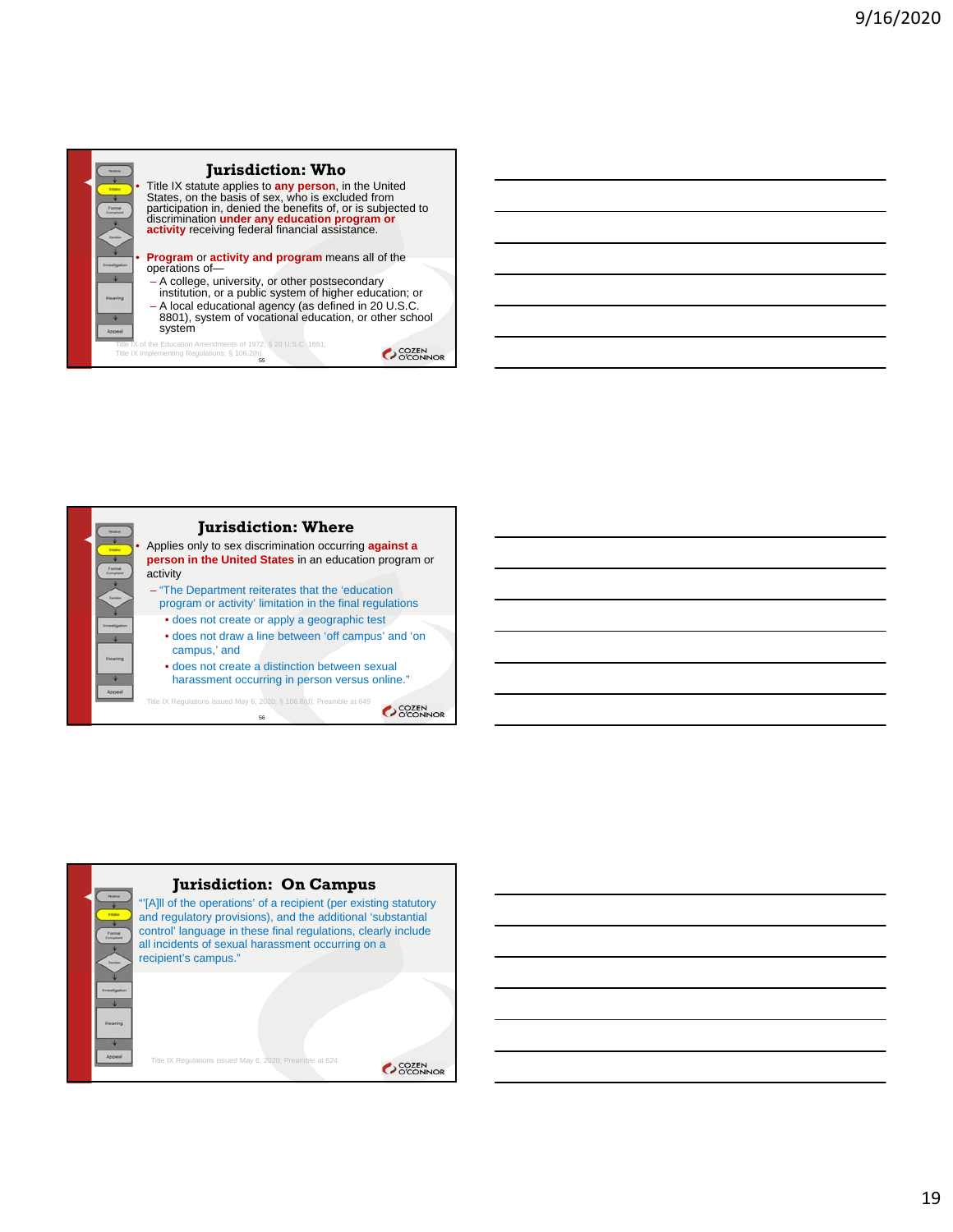



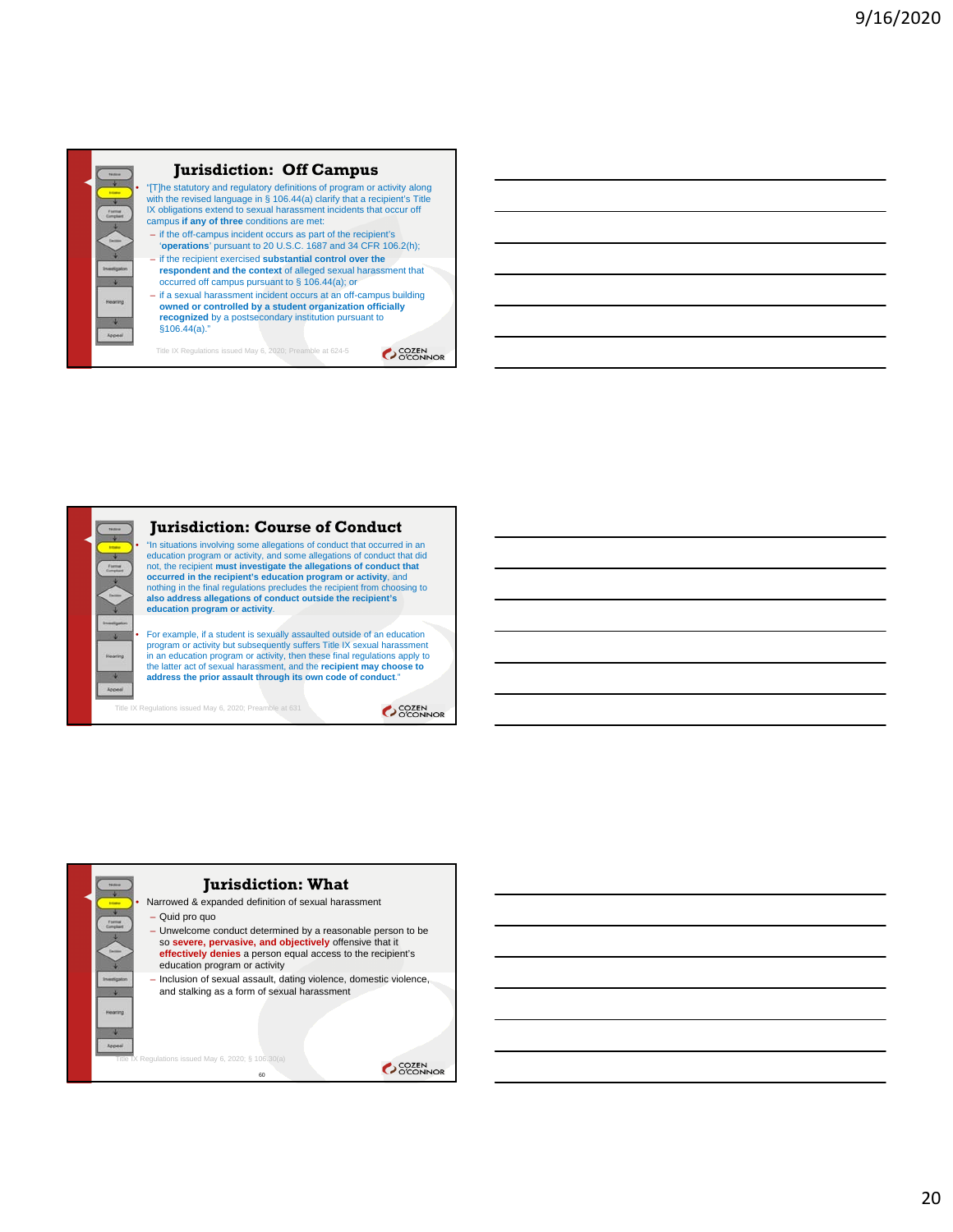

# **Jurisdiction: Off Campus**

• "[T]he statutory and regulatory definitions of program or activity along with the revised language in § 106.44(a) clarify that a recipient's Title IX obligations extend to sexual harassment incidents that occur off campus **if any of three** conditions are met:

- if the off-campus incident occurs as part of the recipient's '**operations**' pursuant to 20 U.S.C. 1687 and 34 CFR 106.2(h);
- if the recipient exercised **substantial control over the respondent and the context** of alleged sexual harassment that occurred off campus pursuant to § 106.44(a); or
- if a sexual harassment incident occurs at an off-campus building **owned or controlled by a student organization officially**
- **recognized** by a postsecondary institution pursuant to §106.44(a)."

Title IX Regulations issued May 6, 2020; Preamble at 624-5

**COZEN** 



**COZEN** 

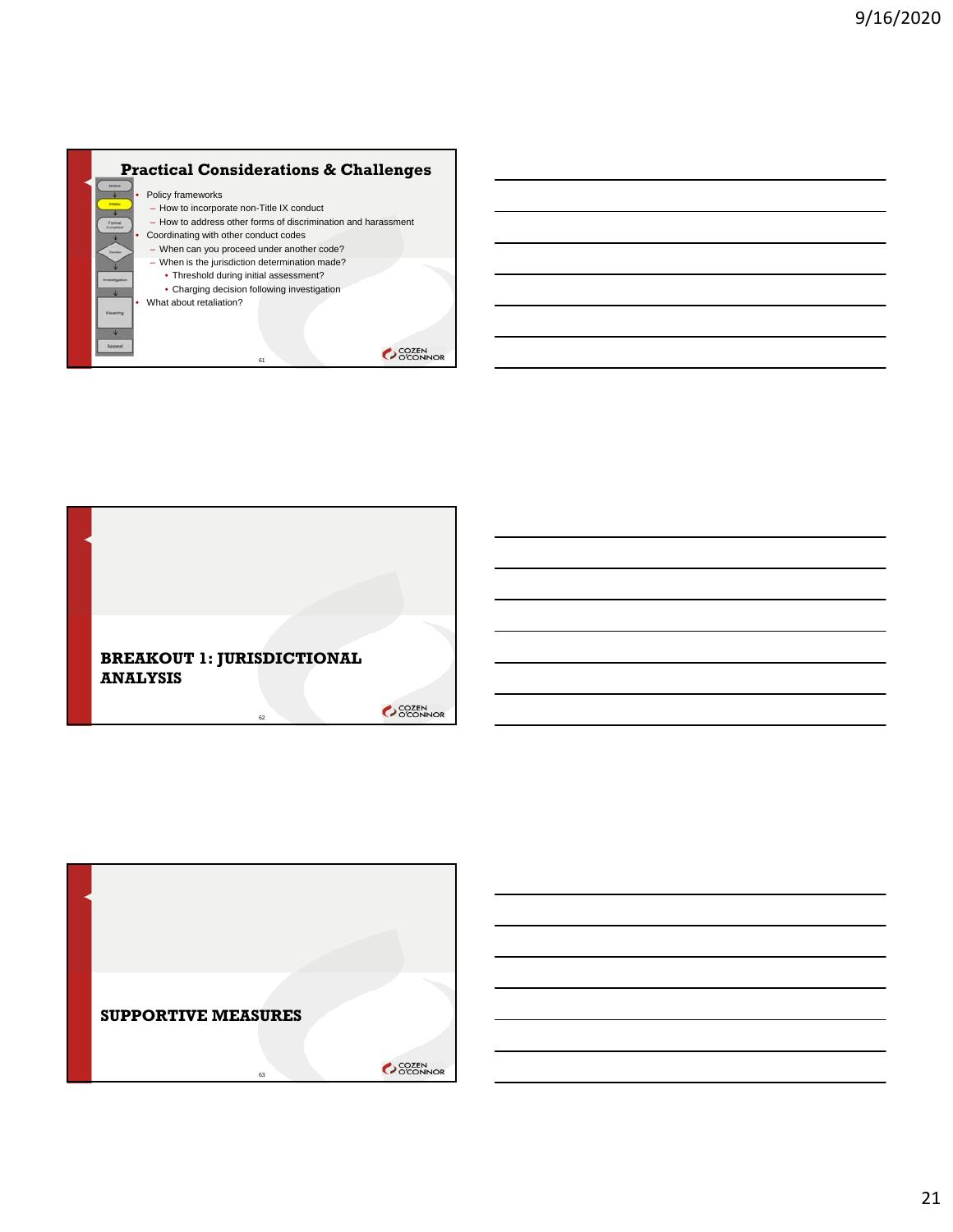



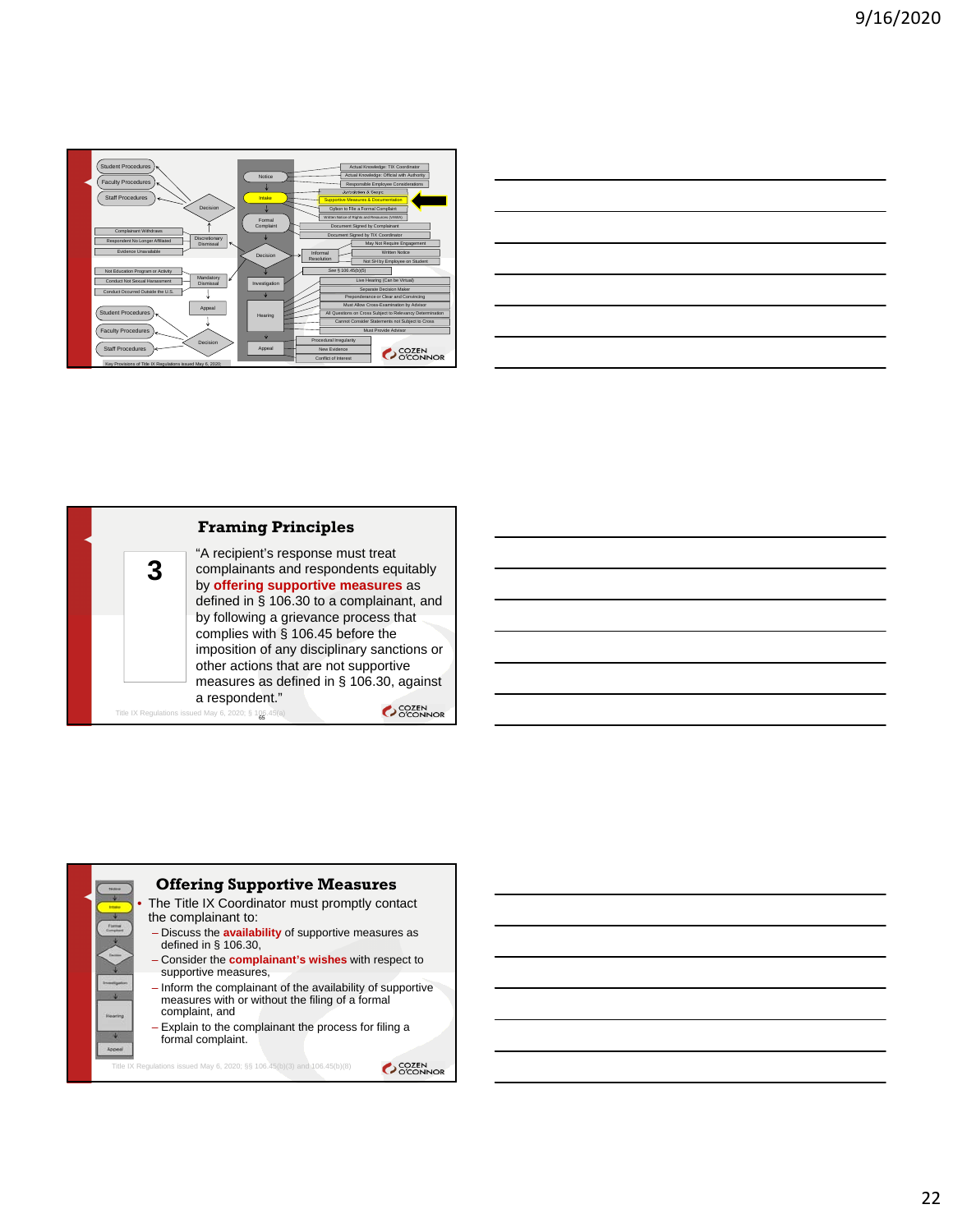

| the control of the control of the control of the control of the control of the control of the control of the control of the control of the control of the control of the control of the control of the control of the control | and the control of the con- |
|-------------------------------------------------------------------------------------------------------------------------------------------------------------------------------------------------------------------------------|-----------------------------|
| <u> Andreas and the second control of the second control of the second control of the second control of the second</u>                                                                                                        | ____                        |
|                                                                                                                                                                                                                               |                             |
| <u>a sa salawan sa kasara sa sana sa sana sa sana sa sana sa sana sa sana sa sana sa sana sa sa sa sa sa sa sa sa</u>                                                                                                         |                             |
|                                                                                                                                                                                                                               |                             |
| and the contract of the contract of the contract of the contract of the contract of the contract of the contract of                                                                                                           |                             |
| and the contract of the contract of the contract of the contract of the contract of the contract of the contract of                                                                                                           |                             |



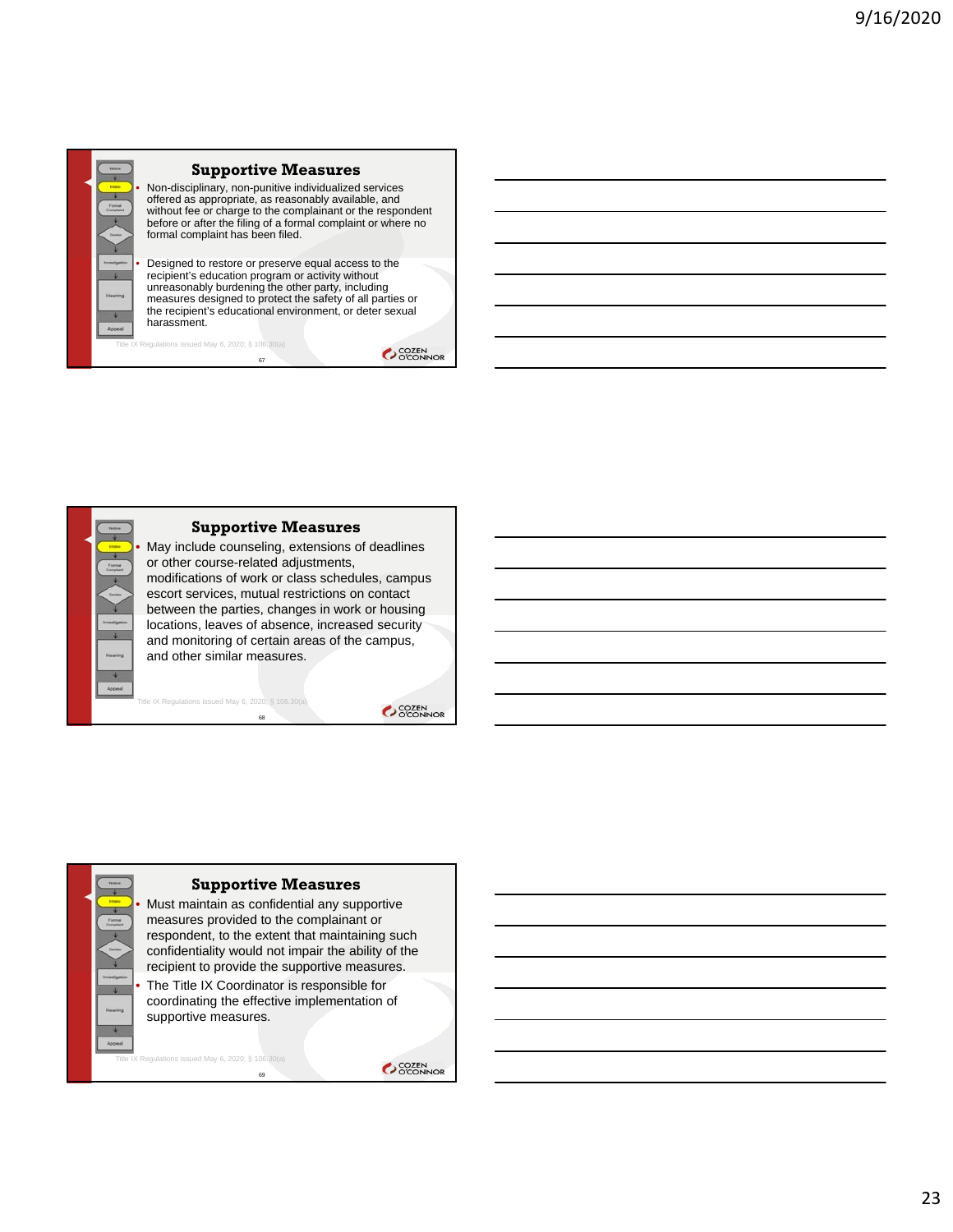

#### **Supportive Measures**

• Non-disciplinary, non-punitive individualized services offered as appropriate, as reasonably available, and without fee or charge to the complainant or the respondent before or after the filing of a formal complaint or where no formal complaint has been filed.

• Designed to restore or preserve equal access to the recipient's education program or activity without unreasonably burdening the other party, including measures designed to protect the safety of all parties or the recipient's educational environment, or deter sexual harassment.

67

 $\text{ns}$  issued May 6, 2020; § 106.30(a)

**COZEN** 



SCOZEN<br>COCONNOR

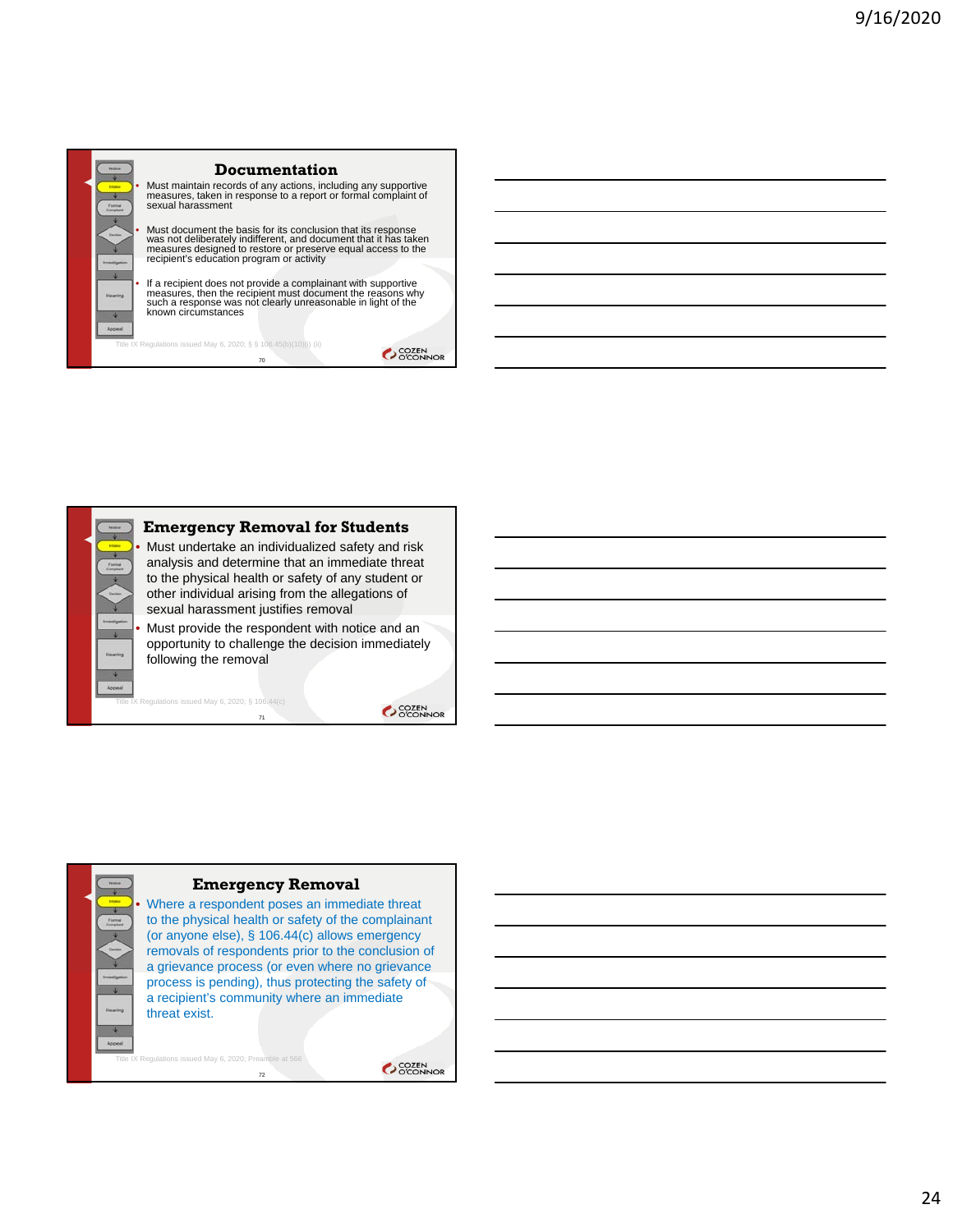



gulations issued May 6, 2020;  $\S$  106.44(c)

SCOZEN<br>COCONNOR



Where a respondent poses an immediate threat to the physical health or safety of the complainant (or anyone else), § 106.44(c) allows emergency removals of respondents prior to the conclusion of a grievance process (or even where no grievance process is pending), thus protecting the safety of a recipient's community where an immediate threat exist.

72 X Regulations issued May 6, 2020; Pr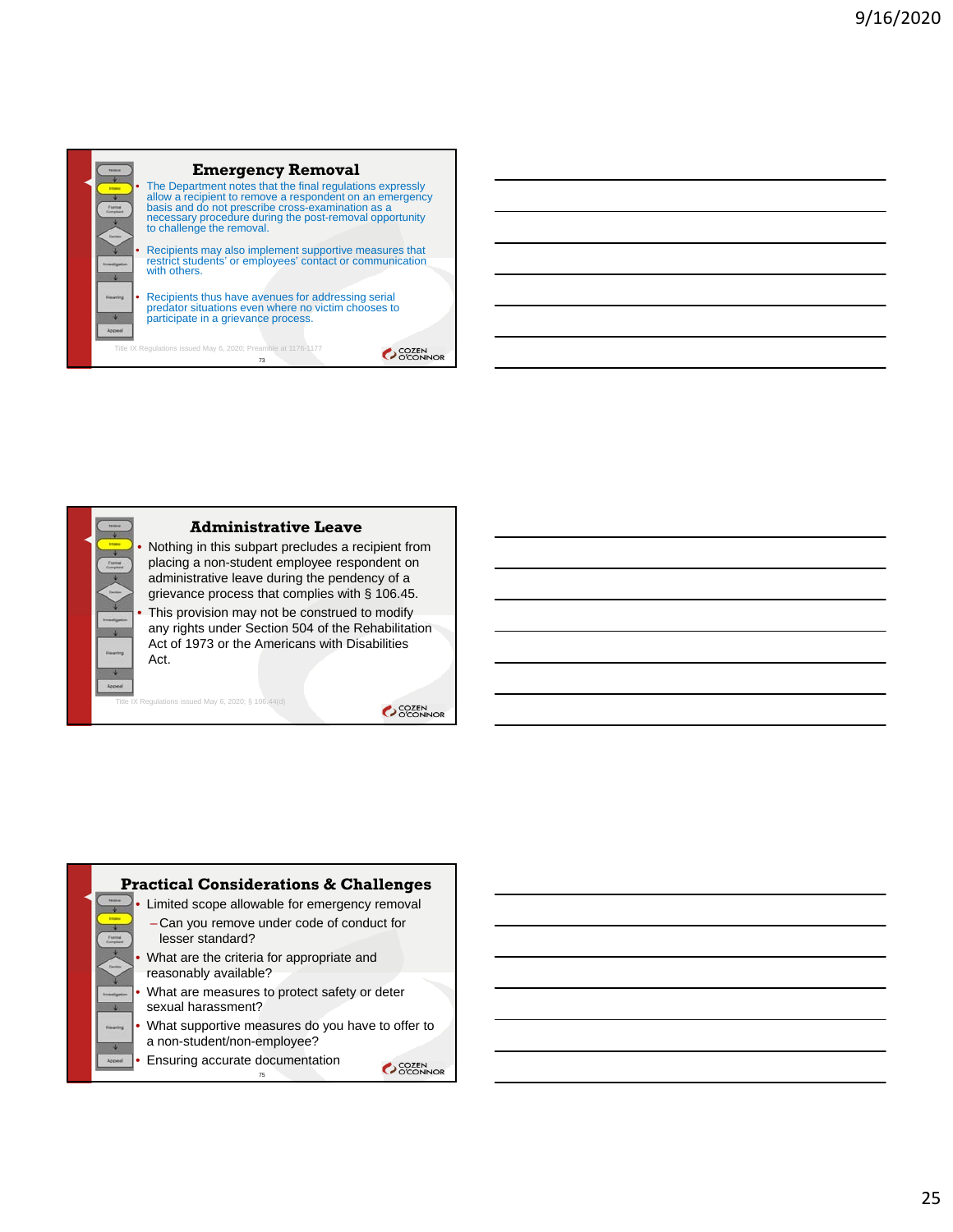

OCCEN<br>OCCONNOR



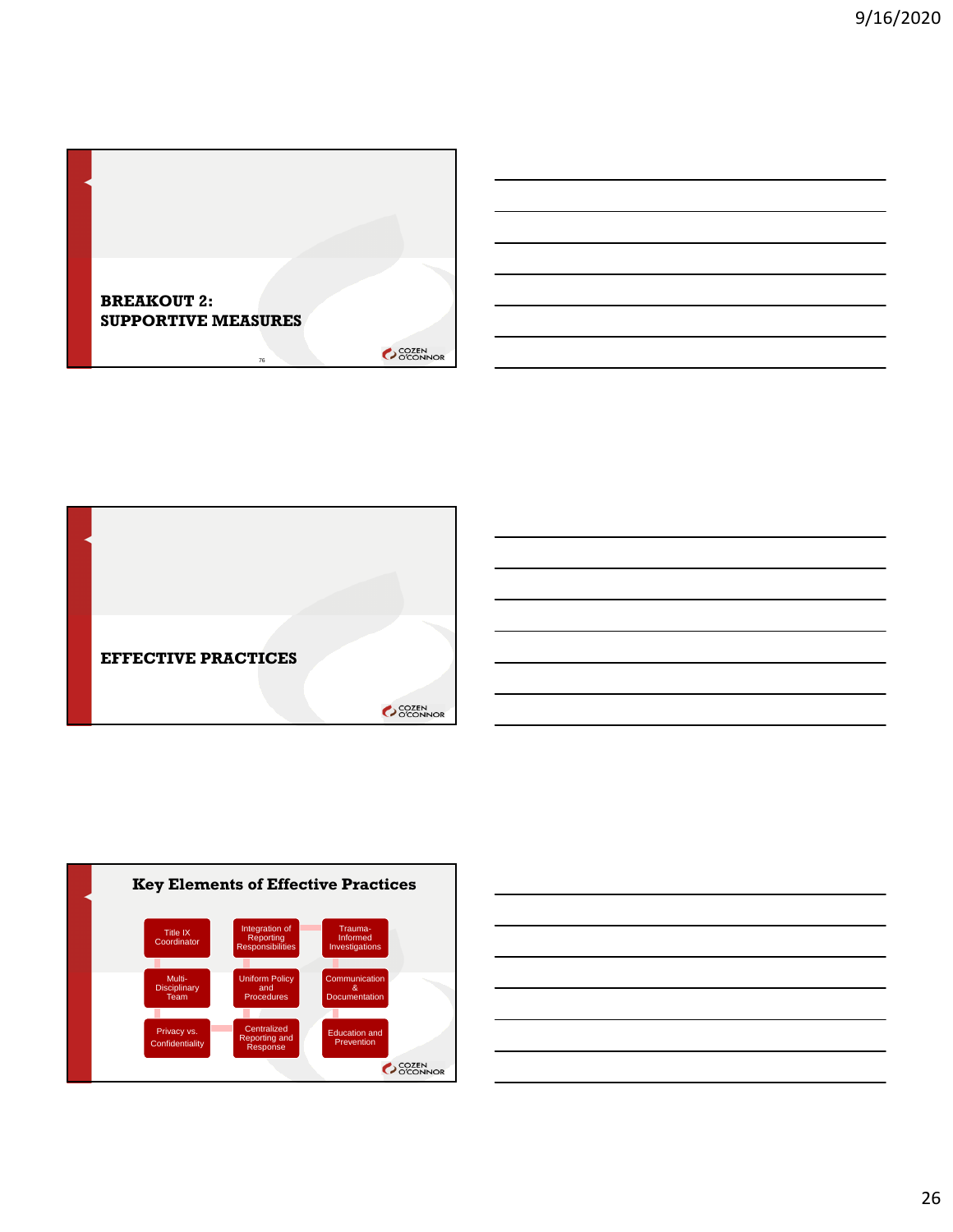





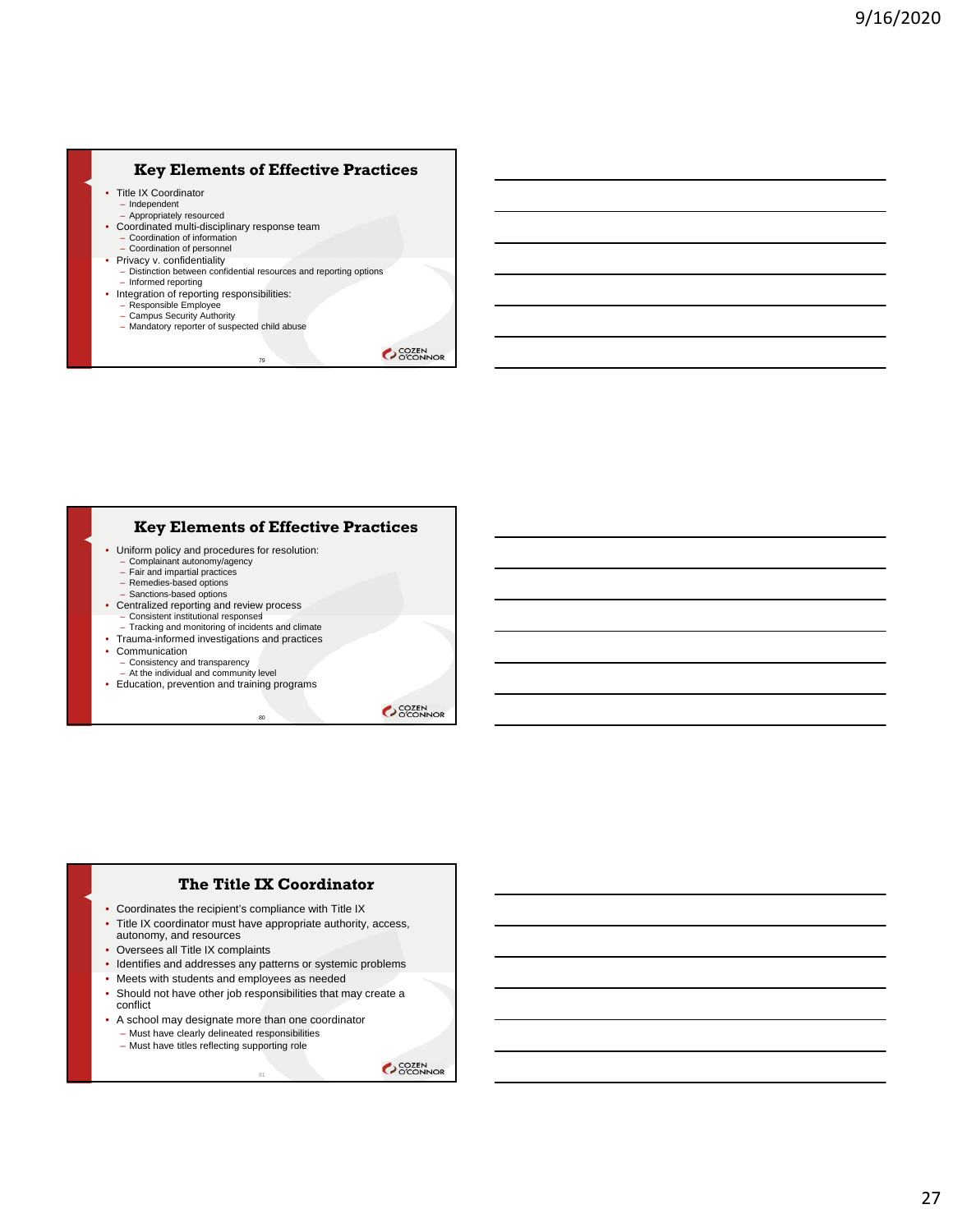### **Key Elements of Effective Practices**

- Title IX Coordinator
	- Independent Appropriately resourced
- Coordinated multi-disciplinary response team
	- Coordination of information
	-
- Coordination of personnel Privacy v. confidentiality
	- Distinction between confidential resources and reporting options – Informed reporting

79

- Integration of reporting responsibilities: Responsible Employee
	- Campus Security Authority
	- Mandatory reporter of suspected child abuse

**COZEN** 

#### **Key Elements of Effective Practices**

 $\overline{80}$ 

- Uniform policy and procedures for resolution:
	- Complainant autonomy/agency Fair and impartial practices
	- Remedies-based options
	- Sanctions-based options
- Centralized reporting and review process Consistent institutional responses |
	-
	- Tracking and monitoring of incidents and climate
- Trauma-informed investigations and practices
- Communication
	- Consistency and transparency At the individual and community level
	-
- Education, prevention and training programs

SCOZEN<br>COCONNOR

#### **The Title IX Coordinator**

- Coordinates the recipient's compliance with Title IX
- Title IX coordinator must have appropriate authority, access, autonomy, and resources
- Oversees all Title IX complaints
- Identifies and addresses any patterns or systemic problems
- Meets with students and employees as needed
- Should not have other job responsibilities that may create a conflict

81

- A school may designate more than one coordinator
	- Must have clearly delineated responsibilities
	- Must have titles reflecting supporting role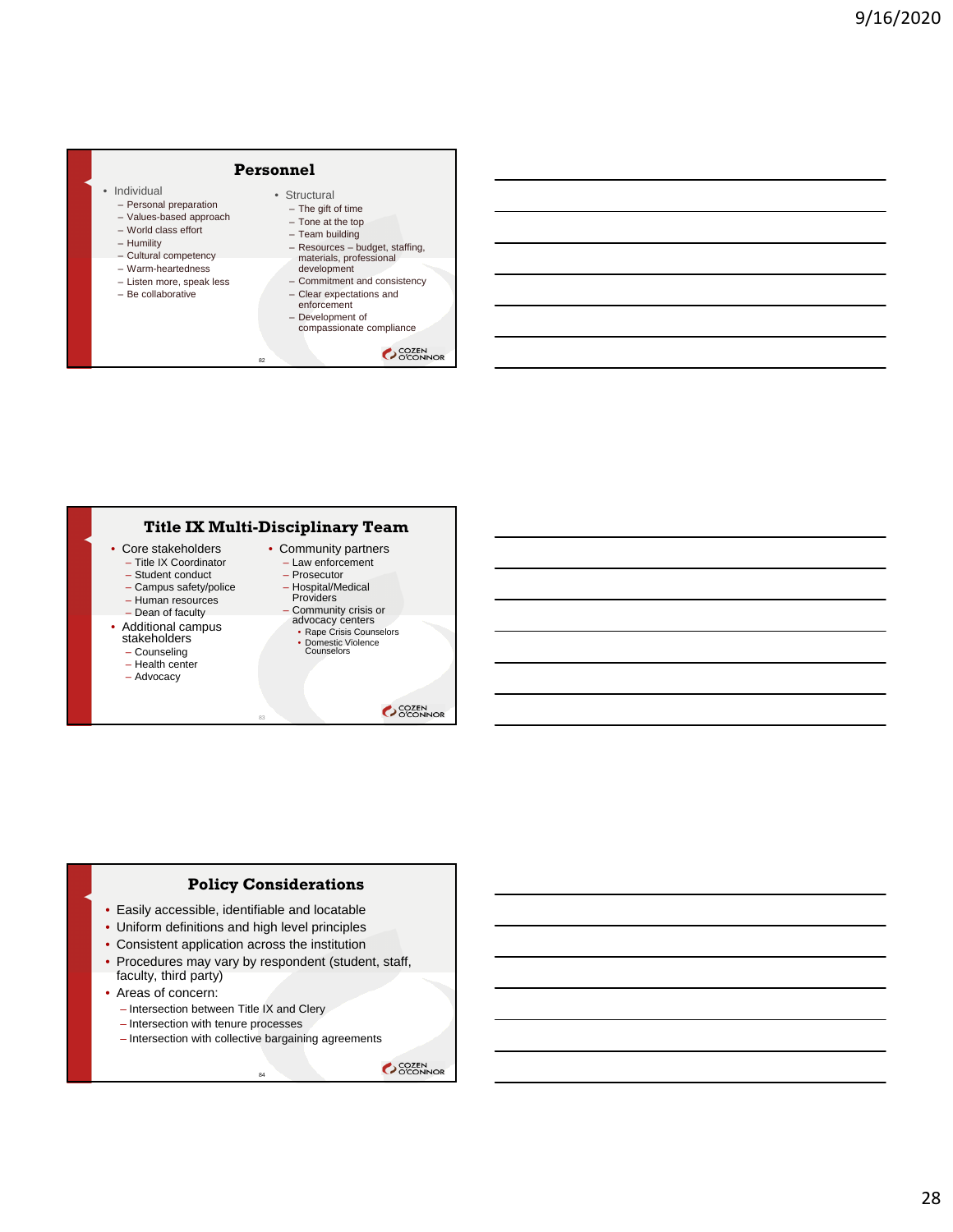# **Personnel**

- Individual
	- Personal preparation
	- Values-based approach – World class effort
	- Humility
	-
	- Cultural competency – Warm-heartedness
	- Listen more, speak less
	- Be collaborative
- The gift of time – Tone at the top – Team building

• Structural

- Resources budget, staffing, materials, professional
- development
- Commitment and consistency
- Clear expectations and enforcement
- Development of compassionate compliance

**COZEN** 

# **Title IX Multi-Disciplinary Team**

82

- Core stakeholders
	- Title IX Coordinator
	- Student conduct
	- Campus safety/police – Human resources
	-
	- Dean of faculty
- Additional campus stakeholders
- Counseling
- Health center
- Advocacy
- Community partners – Law enforcement
	- Prosecutor
	- Hospital/Medical
	- Providers
	- Community crisis or advocacy centers
		- Rape Crisis Counselors • Domestic Violence Counselors

SCOZEN<br>COCONNOR

#### **Policy Considerations**

83

- Easily accessible, identifiable and locatable
- Uniform definitions and high level principles
- Consistent application across the institution
- Procedures may vary by respondent (student, staff, faculty, third party)
- Areas of concern:
	- Intersection between Title IX and Clery
	- Intersection with tenure processes
	- Intersection with collective bargaining agreements

<sub>84</sub>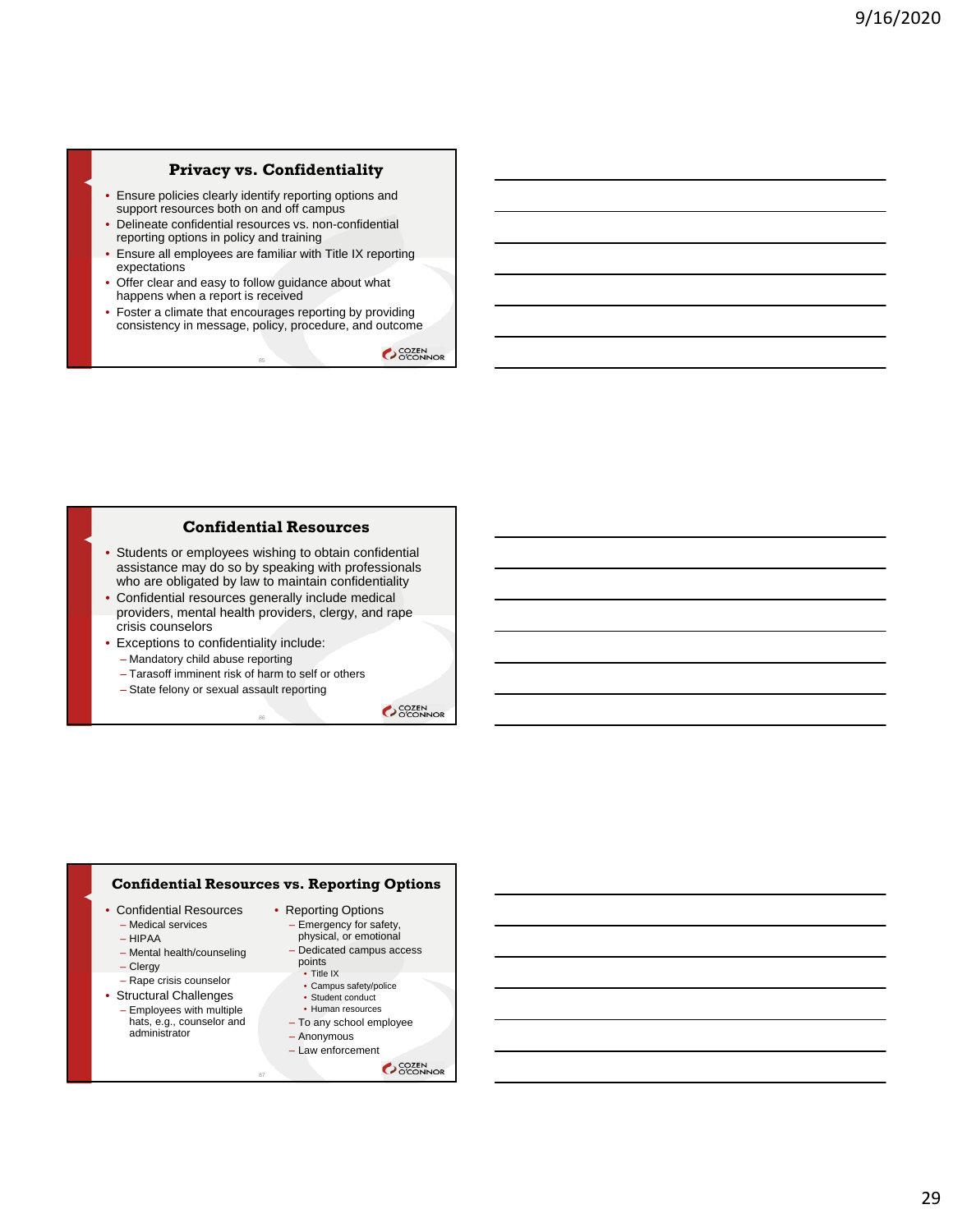#### **Privacy vs. Confidentiality**

- Ensure policies clearly identify reporting options and support resources both on and off campus
- Delineate confidential resources vs. non-confidential reporting options in policy and training
- Ensure all employees are familiar with Title IX reporting expectations
- Offer clear and easy to follow guidance about what happens when a report is received
- Foster a climate that encourages reporting by providing consistency in message, policy, procedure, and outcome

85

**COZEN** 

#### **Confidential Resources**

- Students or employees wishing to obtain confidential assistance may do so by speaking with professionals who are obligated by law to maintain confidentiality
- Confidential resources generally include medical providers, mental health providers, clergy, and rape crisis counselors

86

- Exceptions to confidentiality include:
	- Mandatory child abuse reporting
	- Tarasoff imminent risk of harm to self or others
	- State felony or sexual assault reporting

SCOZEN<br>COCONNOR

#### **Confidential Resources vs. Reporting Options**

87

- Confidential Resources – Medical services
	-
	- HIPAA
	- Mental health/counseling
	- Clergy
- Rape crisis counselor • Structural Challenges
- Employees with multiple hats, e.g., counselor and administrator
- Reporting Options
	- Emergency for safety, physical, or emotional
	- Dedicated campus access points
		- Title IX • Campus safety/police
		- Student conduct
		- Human resources
	- To any school employee
	- Anonymous
	- Law enforcement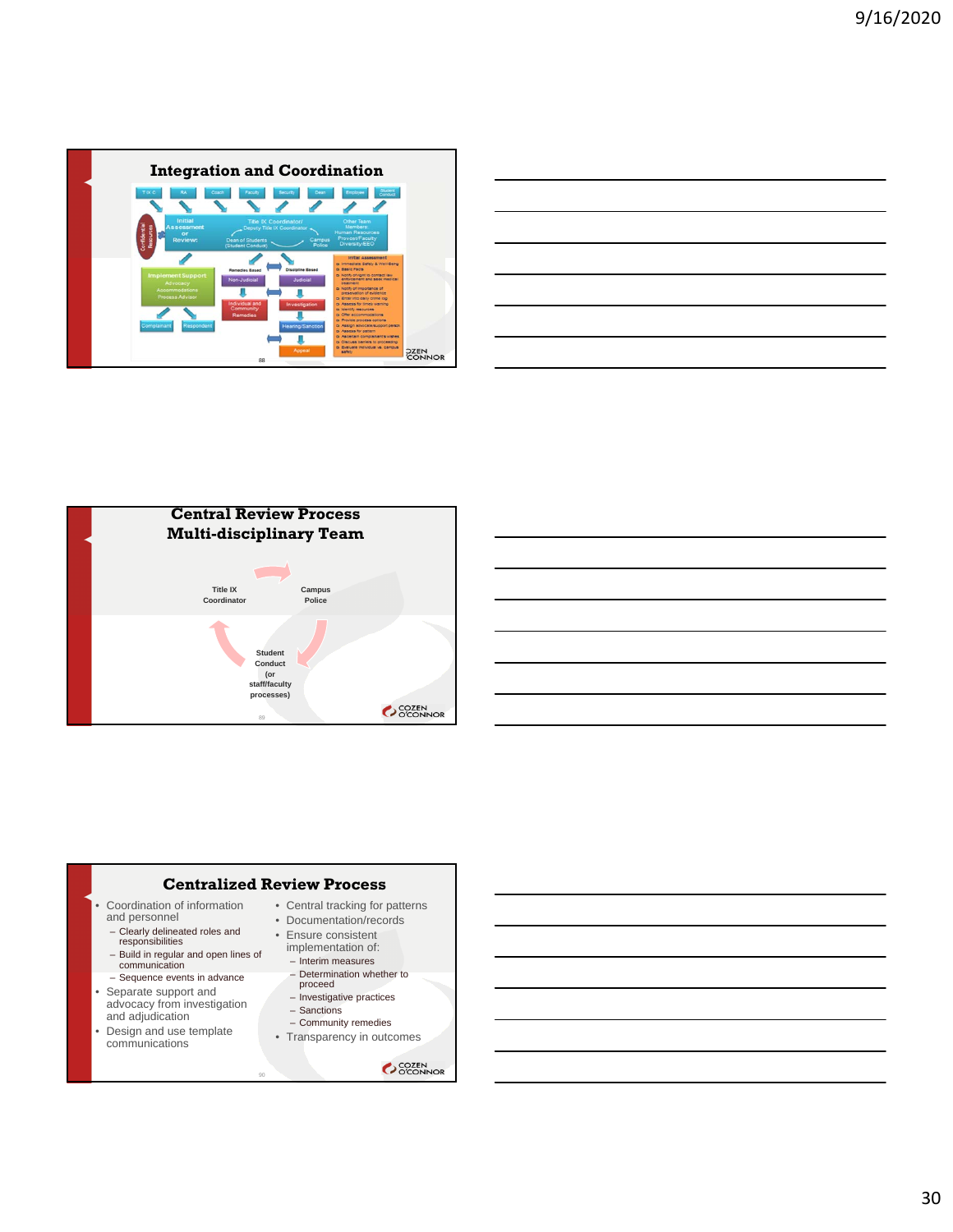

|  |  | ______ |
|--|--|--------|
|  |  |        |
|  |  |        |
|  |  |        |
|  |  |        |





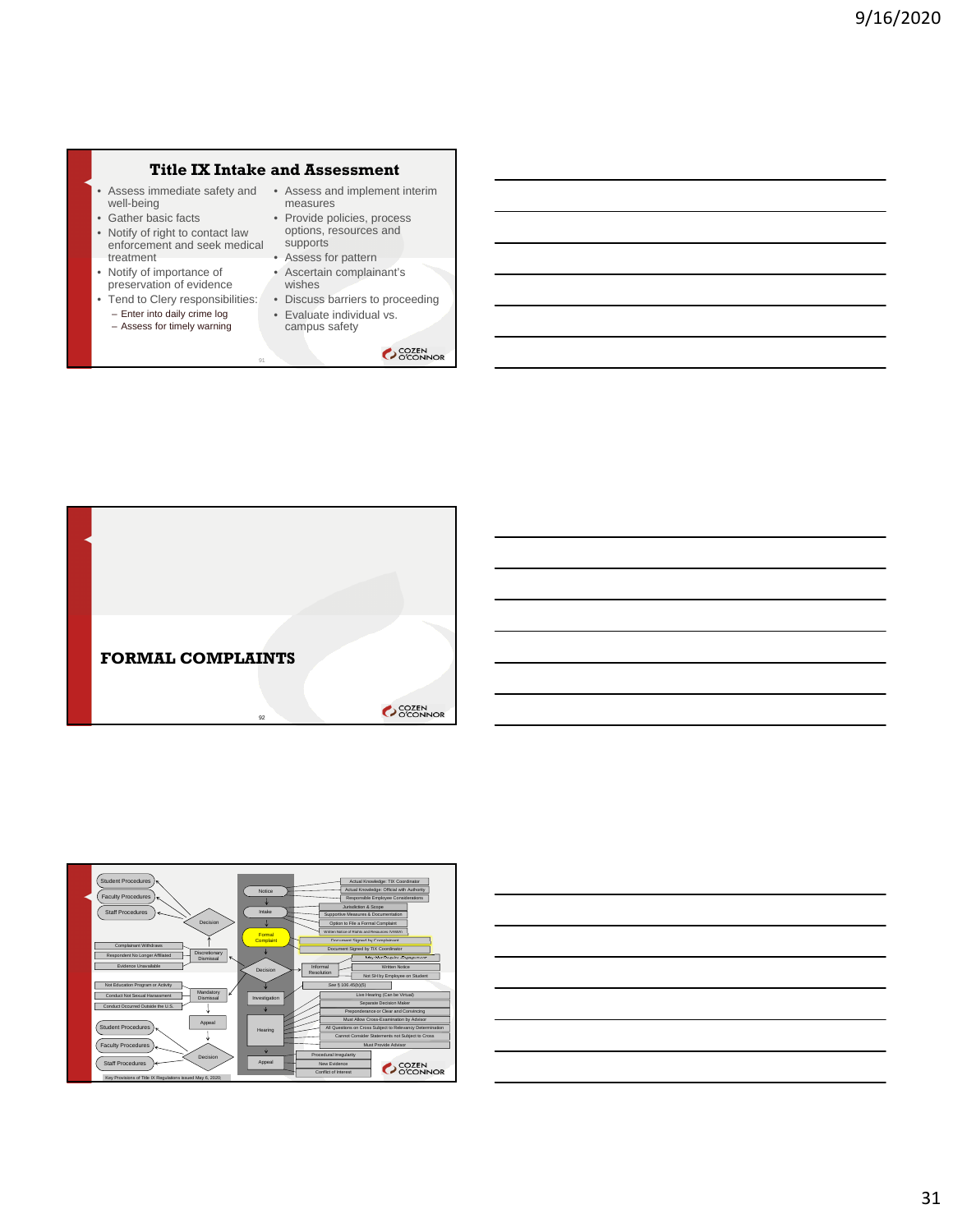#### **Title IX Intake and Assessment**

91

- Assess immediate safety and Assess and implement interim well-being
- Gather basic facts • Notify of right to contact law
- enforcement and seek medical treatment • Notify of importance of
- preservation of evidence
- Enter into daily crime log
- Assess for timely warning
- measures • Provide policies, process options, resources and
- supports • Assess for pattern
- Ascertain complainant's wishes
- Tend to Clery responsibilities: Discuss barriers to proceeding
	- Evaluate individual vs. campus safety





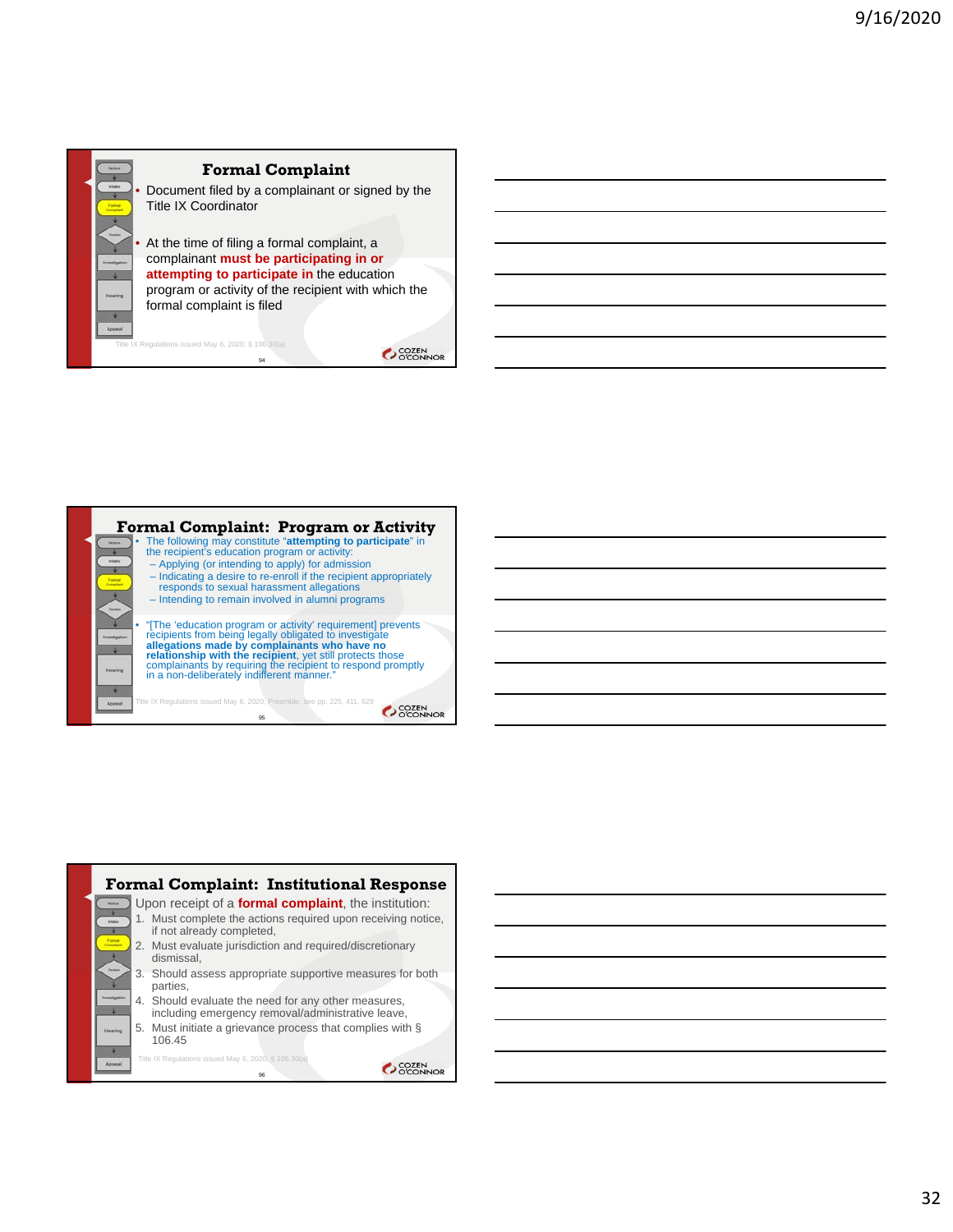

### **Formal Complaint**

• Document filed by a complainant or signed by the Title IX Coordinator

• At the time of filing a formal complaint, a complainant **must be participating in or attempting to participate in** the education program or activity of the recipient with which the formal complaint is filed

94  $X$  Regulations issued May 6, 2020; § 106.30(a)

OCCEN COZEN



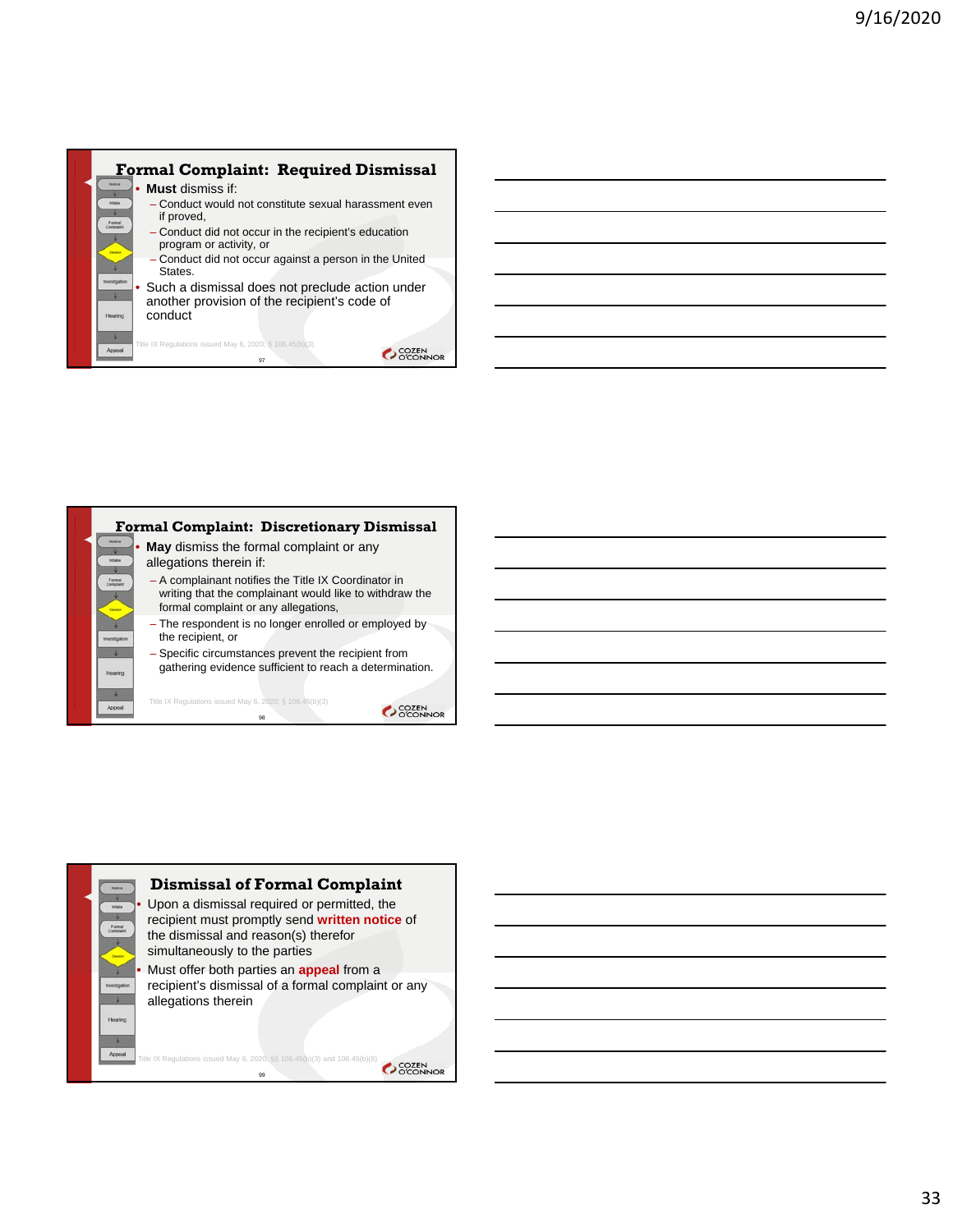



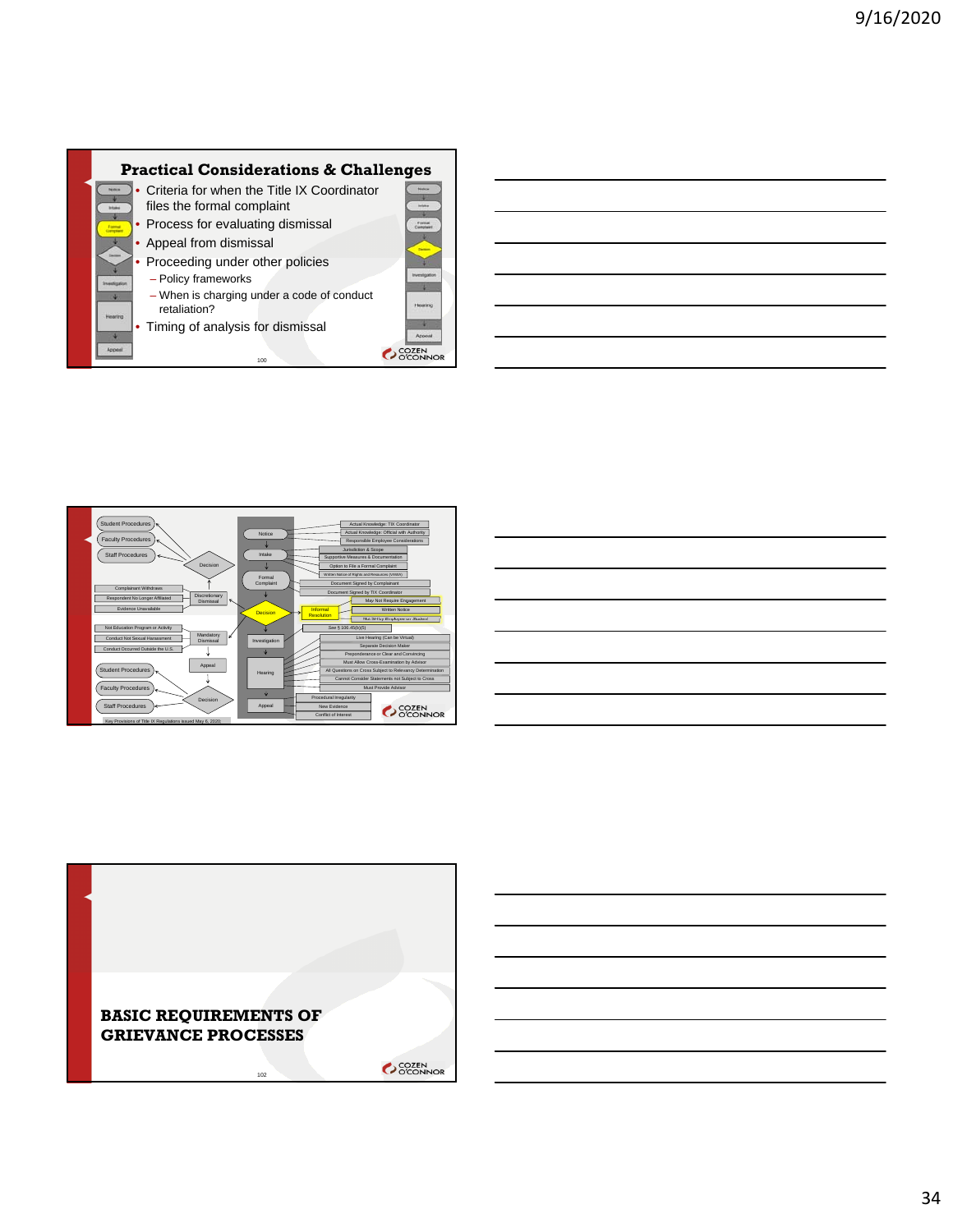



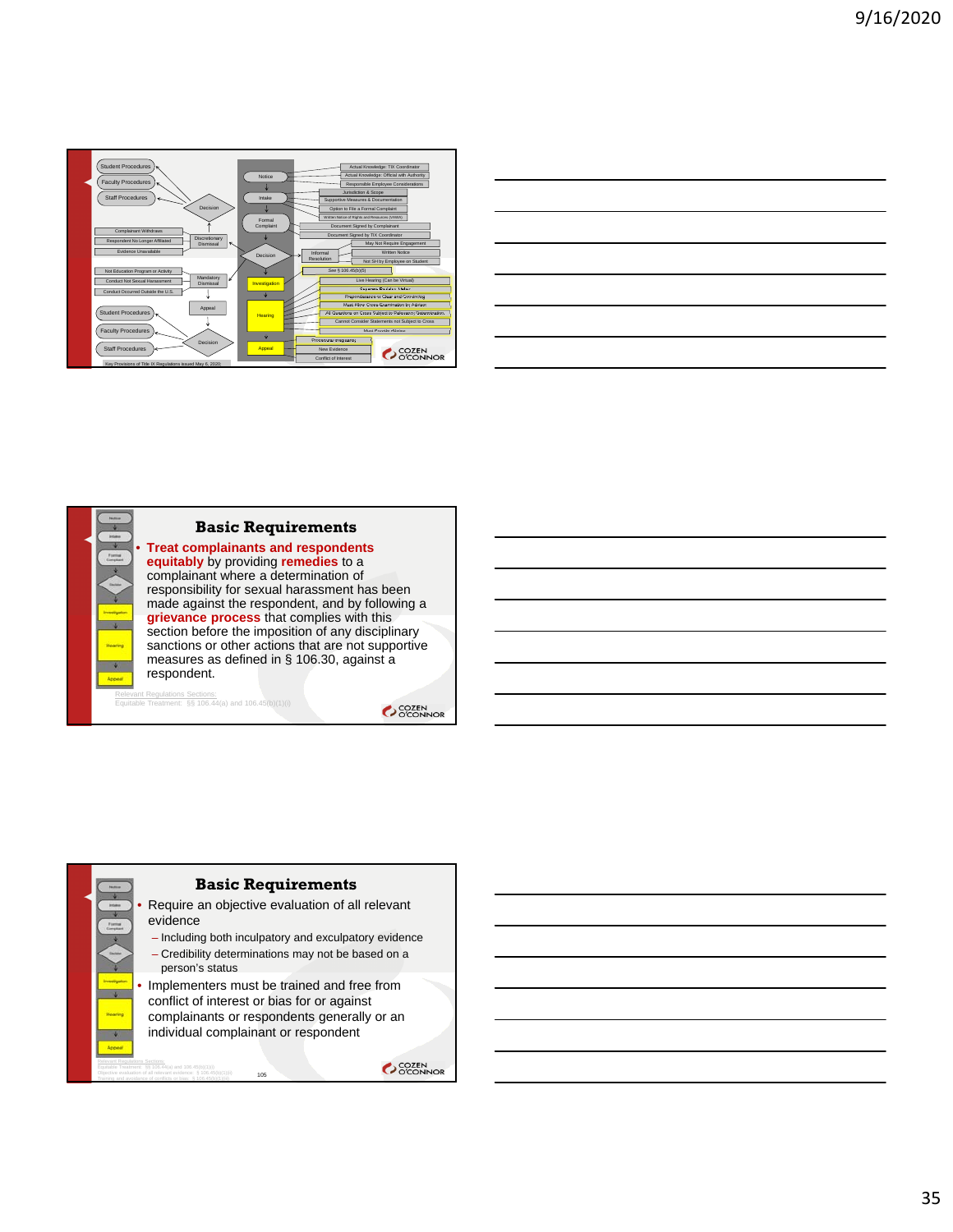

| and the control of the control of the control of the control of the control of the control of the control of the      |  |  |
|-----------------------------------------------------------------------------------------------------------------------|--|--|
|                                                                                                                       |  |  |
| <u> 1989 - Johann Stoff, deutscher Stoffen und der Stoffen und der Stoffen und der Stoffen und der Stoffen und de</u> |  |  |
|                                                                                                                       |  |  |
|                                                                                                                       |  |  |



Relevant Regulations Sections: Equitable Treatment: §§ 106.44(a) and 106.45(b)(1)(i)

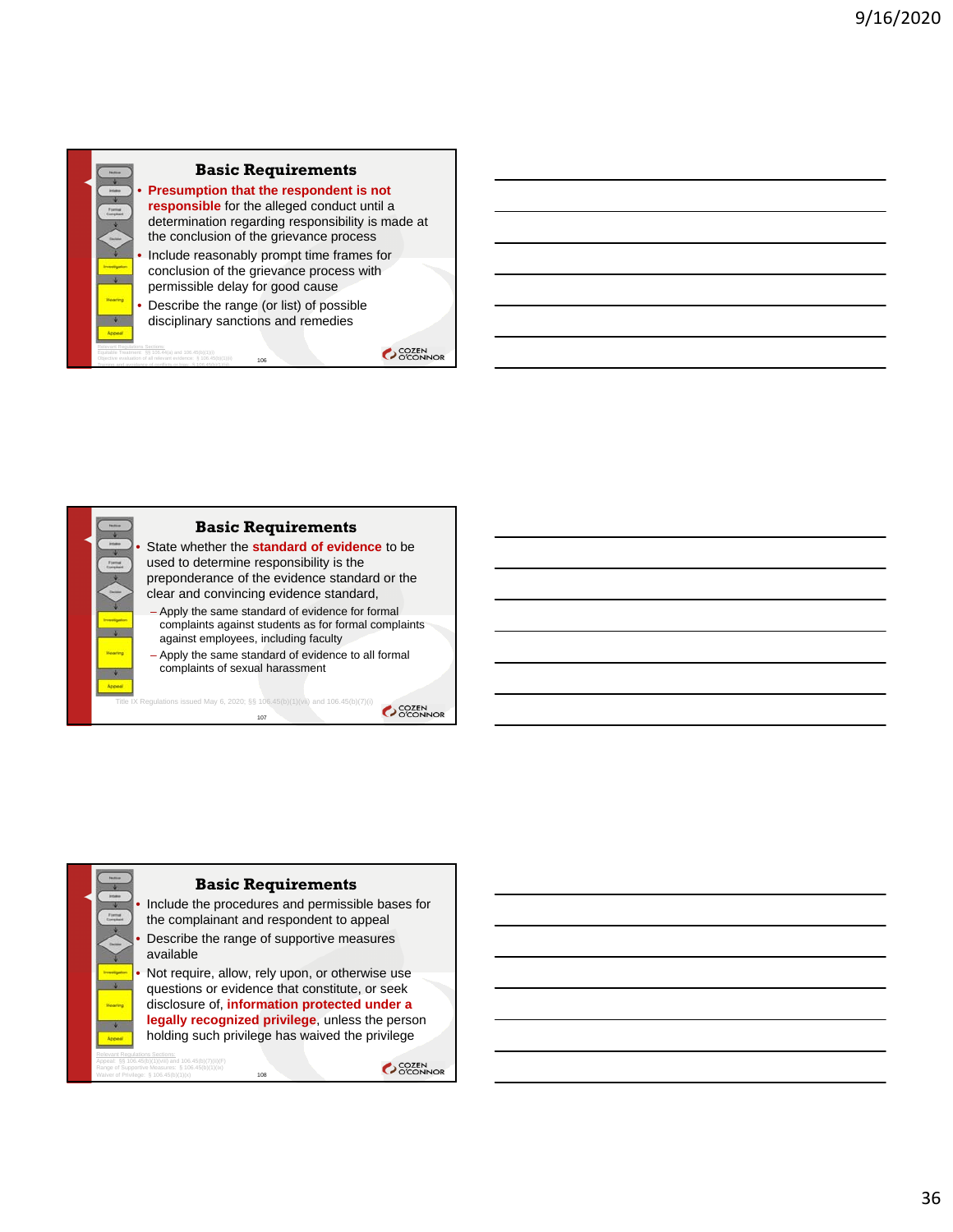

Training and avoidance of conflicts or bias: § 106.45(b)(1)(iii)



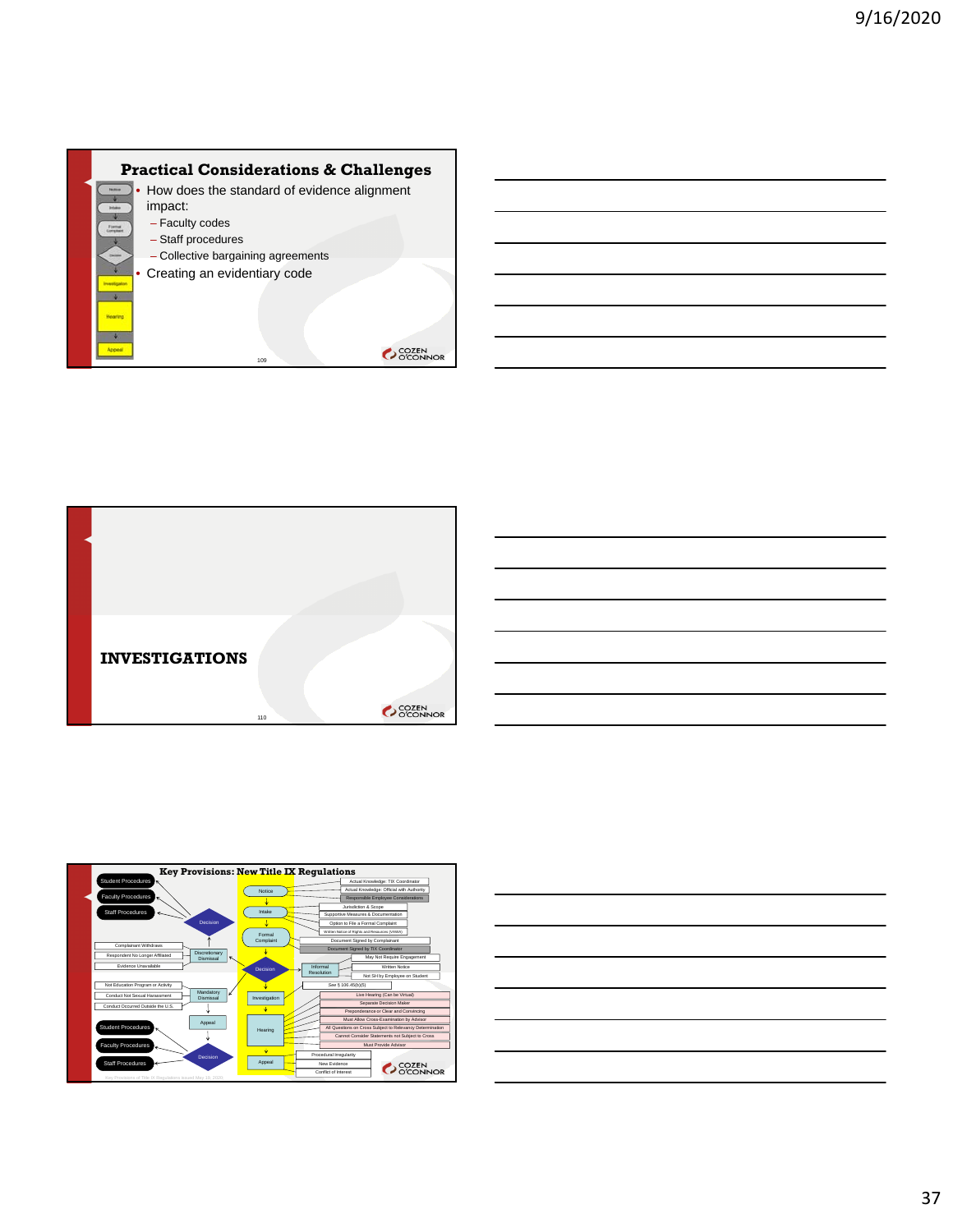





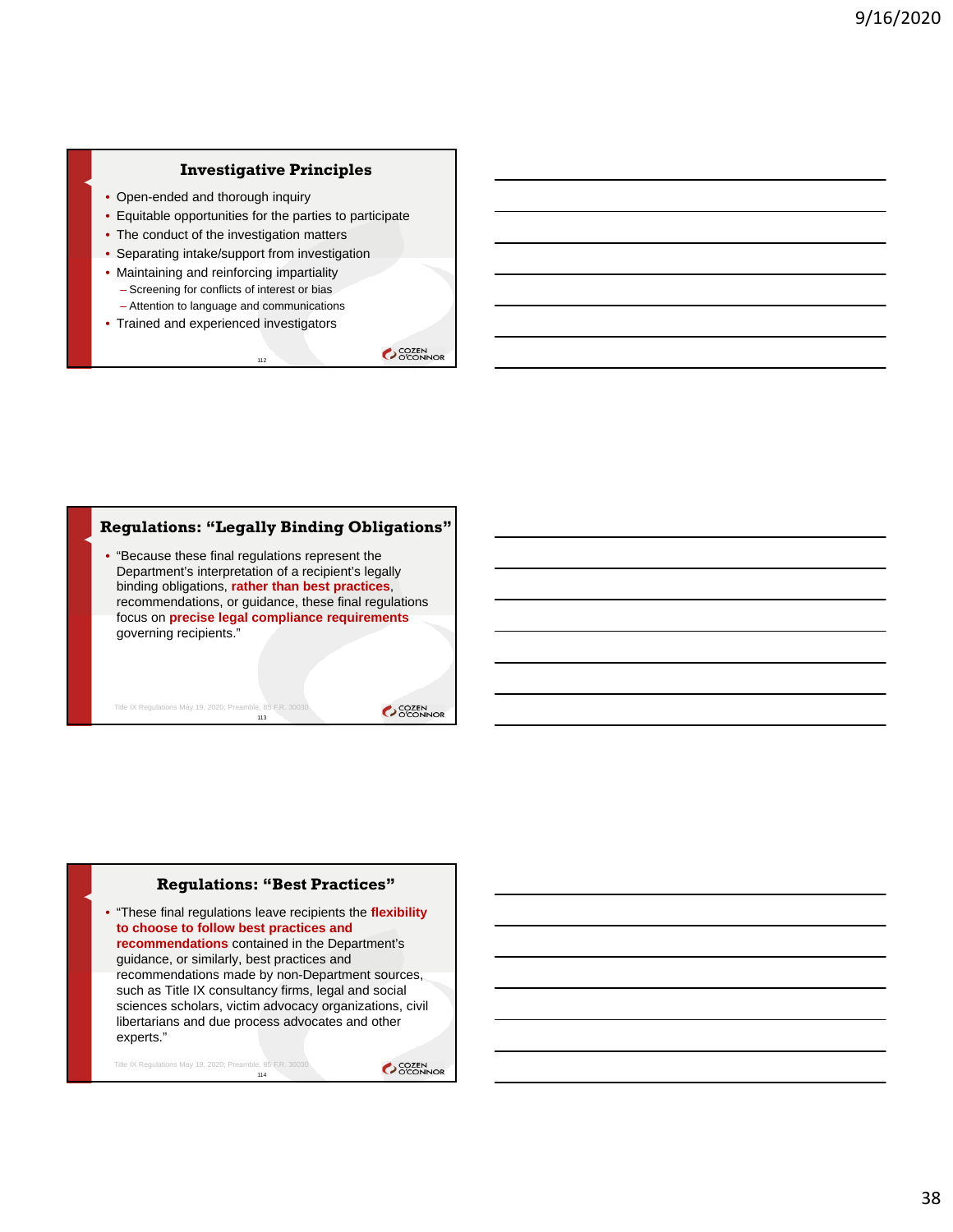## **Investigative Principles**

- Open-ended and thorough inquiry
- Equitable opportunities for the parties to participate

112

- The conduct of the investigation matters
- Separating intake/support from investigation
- Maintaining and reinforcing impartiality
	- Screening for conflicts of interest or bias
	- Attention to language and communications
- Trained and experienced investigators

**COZEN** 

### **Regulations: "Legally Binding Obligations"**

• "Because these final regulations represent the Department's interpretation of a recipient's legally binding obligations, **rather than best practices**, recommendations, or guidance, these final regulations focus on **precise legal compliance requirements** governing recipients."

113

Title IX Regulations May 19, 2020; Preamble, 85 F.R. 30030

SCOZEN<br>COCONNOR

#### **Regulations: "Best Practices"**

• "These final regulations leave recipients the **flexibility to choose to follow best practices and recommendations** contained in the Department's guidance, or similarly, best practices and recommendations made by non-Department sources, such as Title IX consultancy firms, legal and social sciences scholars, victim advocacy organizations, civil libertarians and due process advocates and other experts."

114 Title IX Regulations May 19, 2020; Preamble, 85 F.R. 30030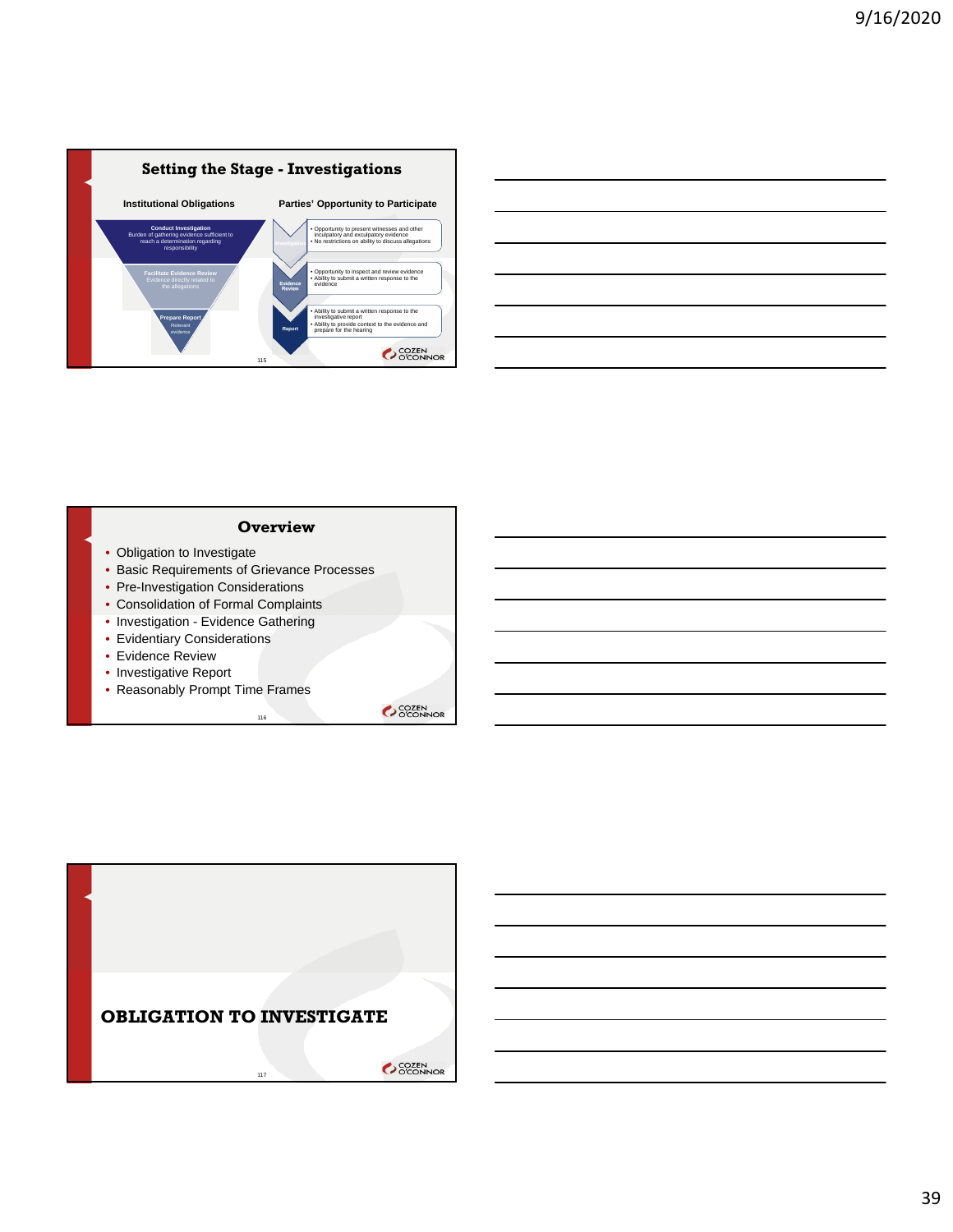



### **Overview**

- Obligation to Investigate
- Basic Requirements of Grievance Processes
- Pre-Investigation Considerations
- Consolidation of Formal Complaints
- Investigation Evidence Gathering
- Evidentiary Considerations
- Evidence Review
- Investigative Report
- Reasonably Prompt Time Frames

116

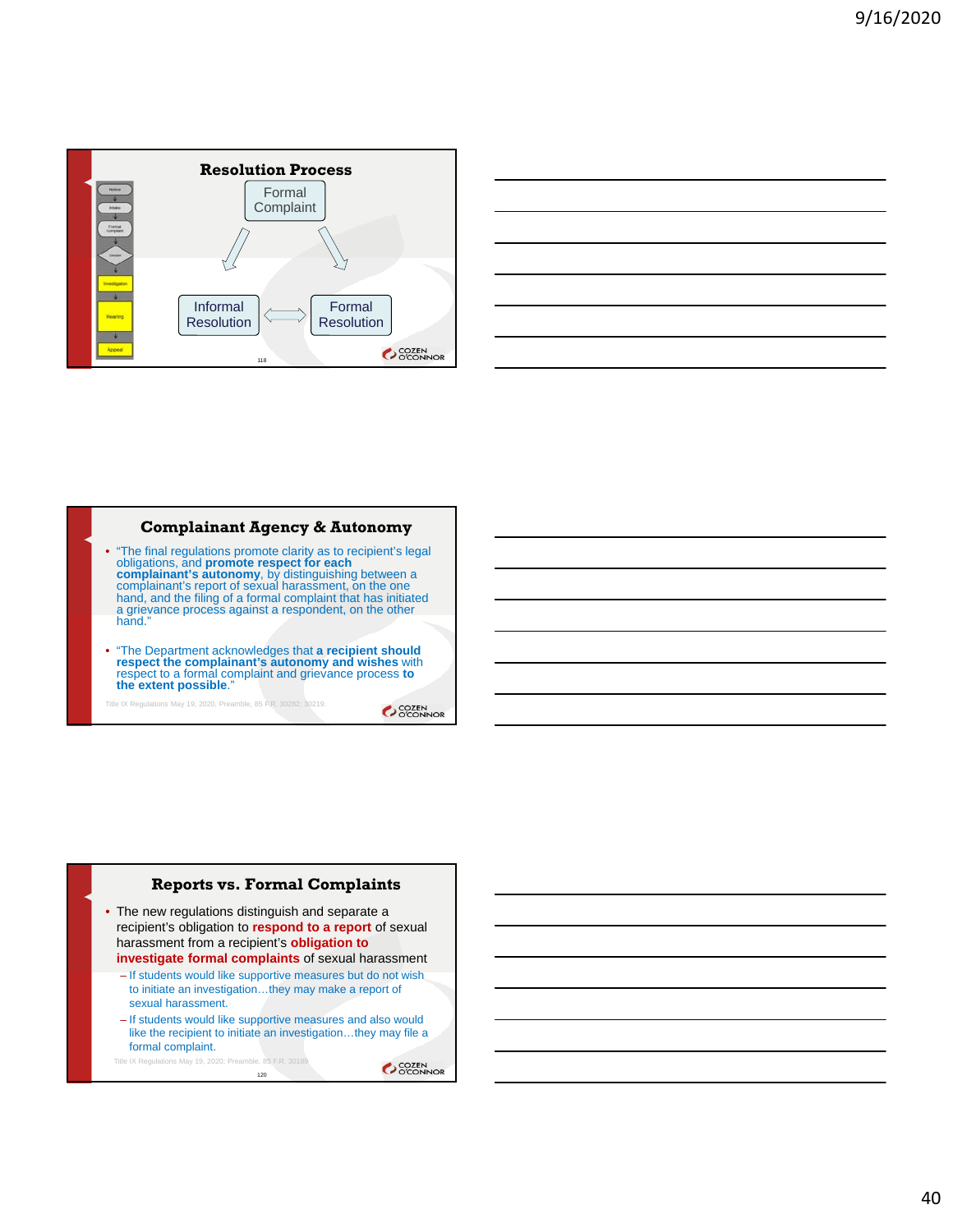

# **Complainant Agency & Autonomy**

- "The final regulations promote clarity as to recipient's legal<br>obligations, and **promote respect for each**<br>complainant's **autonomy**, by distinguishing between a<br>complainant's report of sexual harassment, on the one<br>hand,
- "The Department acknowledges that **a recipient should respect the complainant's autonomy and wishes** with respect to a formal complaint and grievance process **to the extent possible**."

Title IX Regulations May 19, 2020, Preamble, 85 F.R. 30282; 30219.

SCOZEN<br>OCONNOR

# **Reports vs. Formal Complaints**

- The new regulations distinguish and separate a recipient's obligation to **respond to a report** of sexual harassment from a recipient's **obligation to investigate formal complaints** of sexual harassment
	- If students would like supportive measures but do not wish to initiate an investigation…they may make a report of sexual harassment.
	- If students would like supportive measures and also would like the recipient to initiate an investigation…they may file a formal complaint.

120

Title IX Regulations May 19, 2020; Preamble, 85 F.R. 30189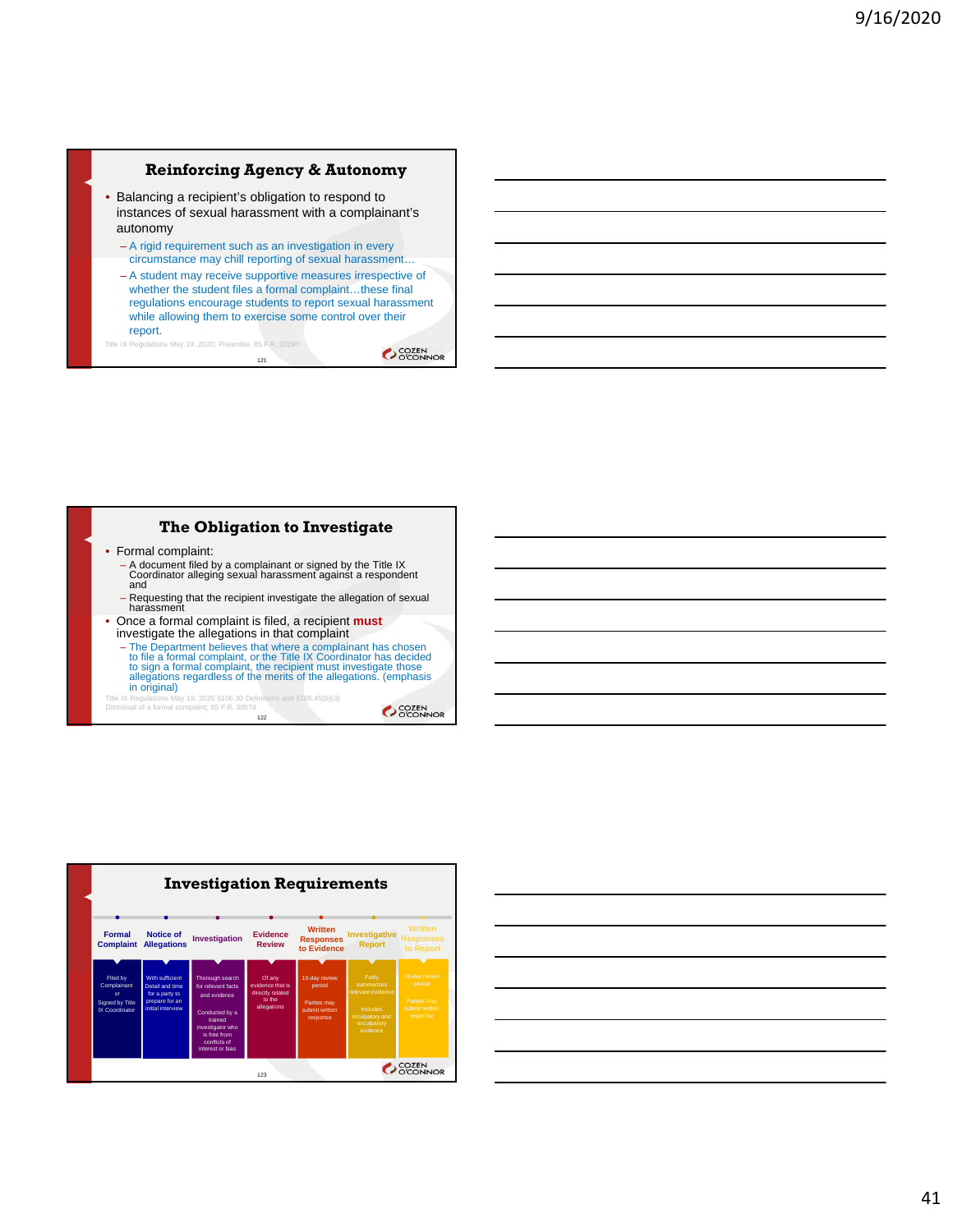# **Reinforcing Agency & Autonomy**

- Balancing a recipient's obligation to respond to instances of sexual harassment with a complainant's autonomy
	- A rigid requirement such as an investigation in every circumstance may chill reporting of sexual harassment…
	- A student may receive supportive measures irrespective of whether the student files a formal complaint…these final regulations encourage students to report sexual harassment while allowing them to exercise some control over their report.

121 Title IX Regulations May 19, 2020; Preamble, 85 F.R. 30190

**COZEN** 

# **The Obligation to Investigate**

- Formal complaint:
- A document filed by a complainant or signed by the Title IX Coordinator alleging sexual harassment against a respondent and
- Requesting that the recipient investigate the allegation of sexual harassment
- Once a formal complaint is filed, a recipient **must**  investigate the allegations in that complaint
	- The Department believes that where a complainant has chosen<br>to file a formal complaint, or the Title IX Coordinator has decided<br>to sign a formal complaint, the recipient must investigate those<br>allegations regardless of t in original)

Title IX Regulations May 19, 2020 §106.30 Definitions and §106.45(b)(3) Dismissal of a formal complaint; 85 F.R. 30574

122



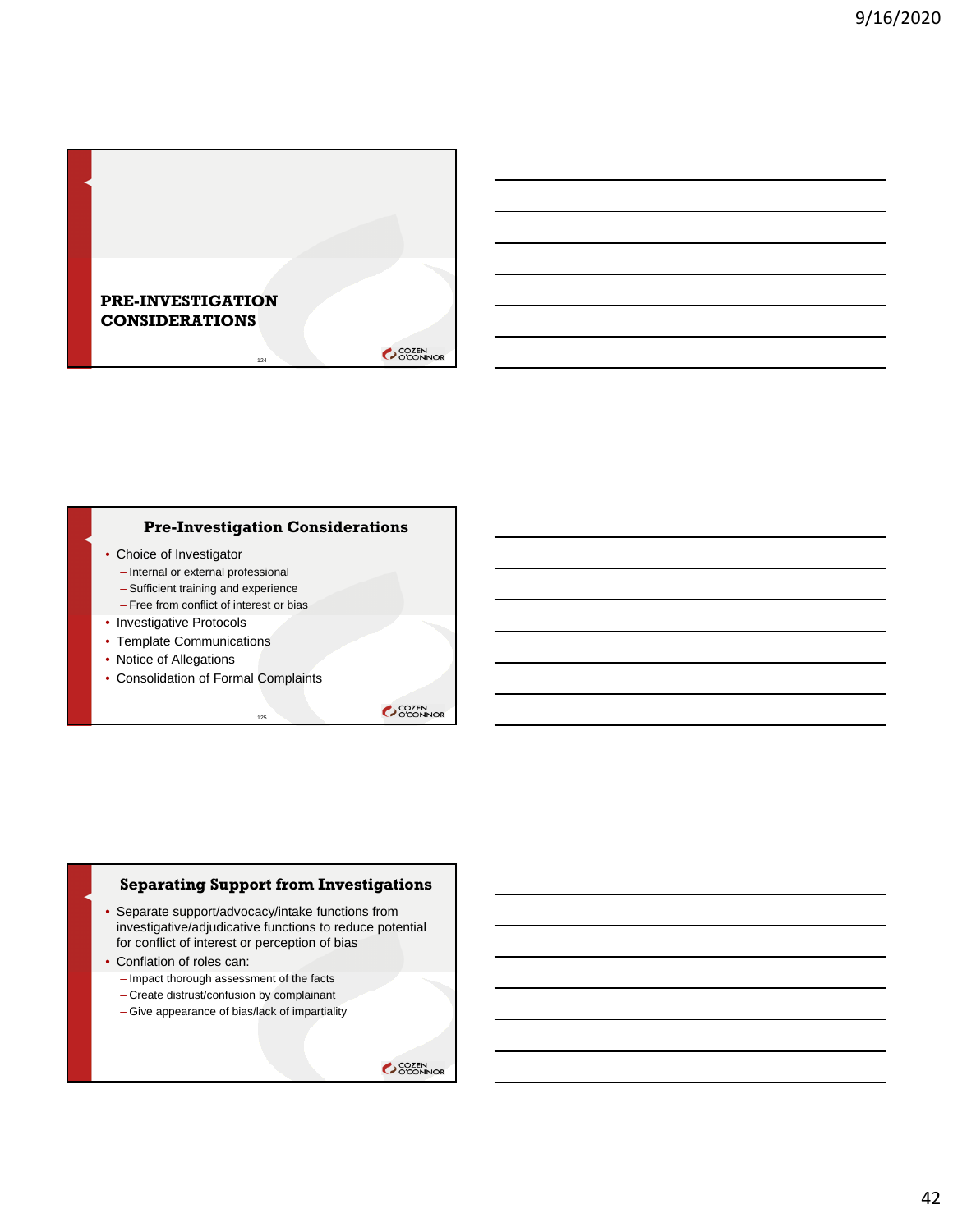

### **Pre-Investigation Considerations**

- Choice of Investigator
	- Internal or external professional
	- Sufficient training and experience
	- Free from conflict of interest or bias
- Investigative Protocols
- Template Communications
- Notice of Allegations
- Consolidation of Formal Complaints

SCOZEN<br>OCONNOR

### **Separating Support from Investigations**

• Separate support/advocacy/intake functions from investigative/adjudicative functions to reduce potential for conflict of interest or perception of bias

125

- Conflation of roles can:
	- Impact thorough assessment of the facts
	- Create distrust/confusion by complainant
	- Give appearance of bias/lack of impartiality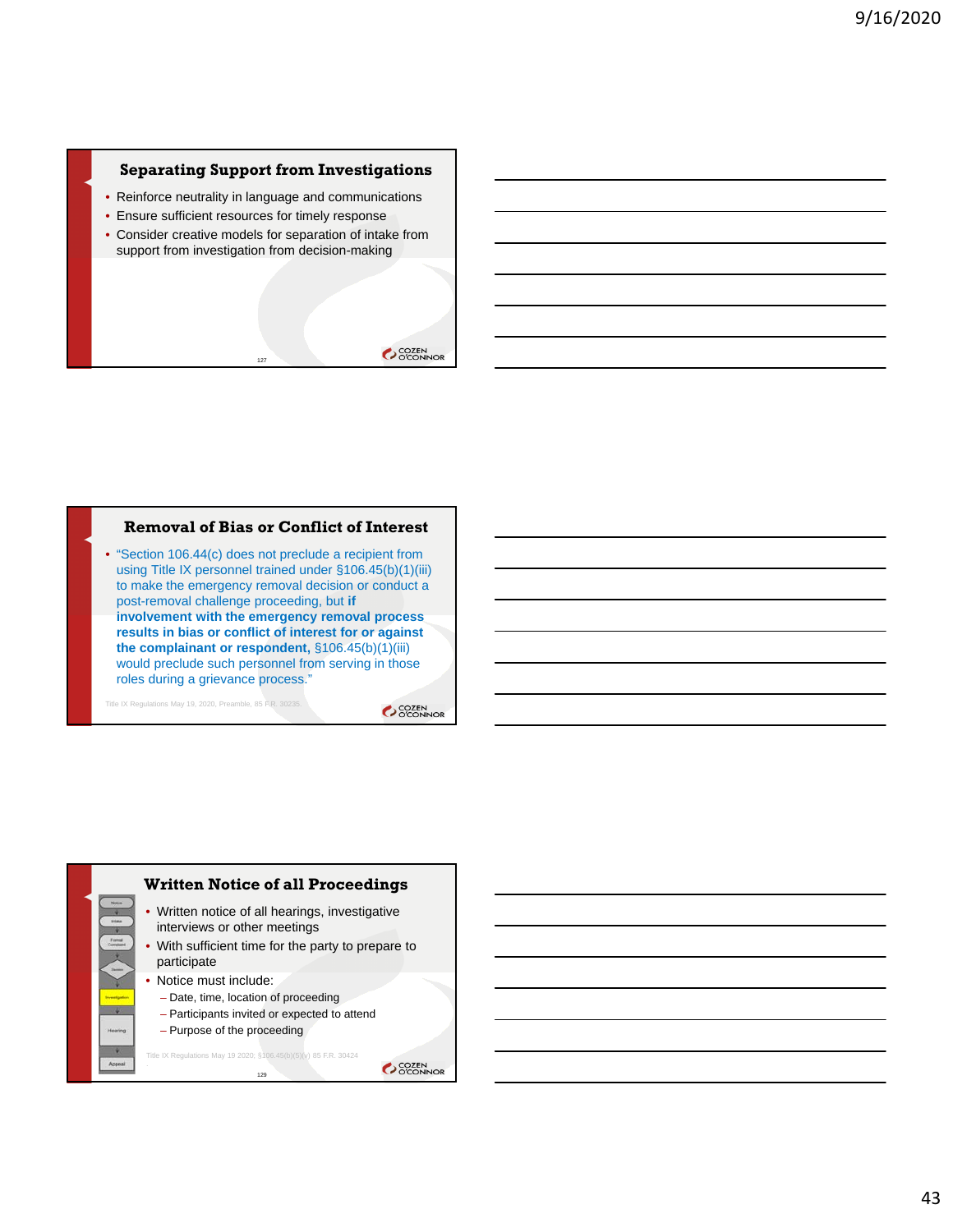### **Separating Support from Investigations**

- Reinforce neutrality in language and communications
- Ensure sufficient resources for timely response
- Consider creative models for separation of intake from support from investigation from decision-making

127



### **Removal of Bias or Conflict of Interest**

• "Section 106.44(c) does not preclude a recipient from using Title IX personnel trained under §106.45(b)(1)(iii) to make the emergency removal decision or conduct a post-removal challenge proceeding, but **if involvement with the emergency removal process results in bias or conflict of interest for or against the complainant or respondent,** §106.45(b)(1)(iii) would preclude such personnel from serving in those roles during a grievance process."

Title IX Regulations May 19, 2020, Preamble, 85 F.R. 30235.

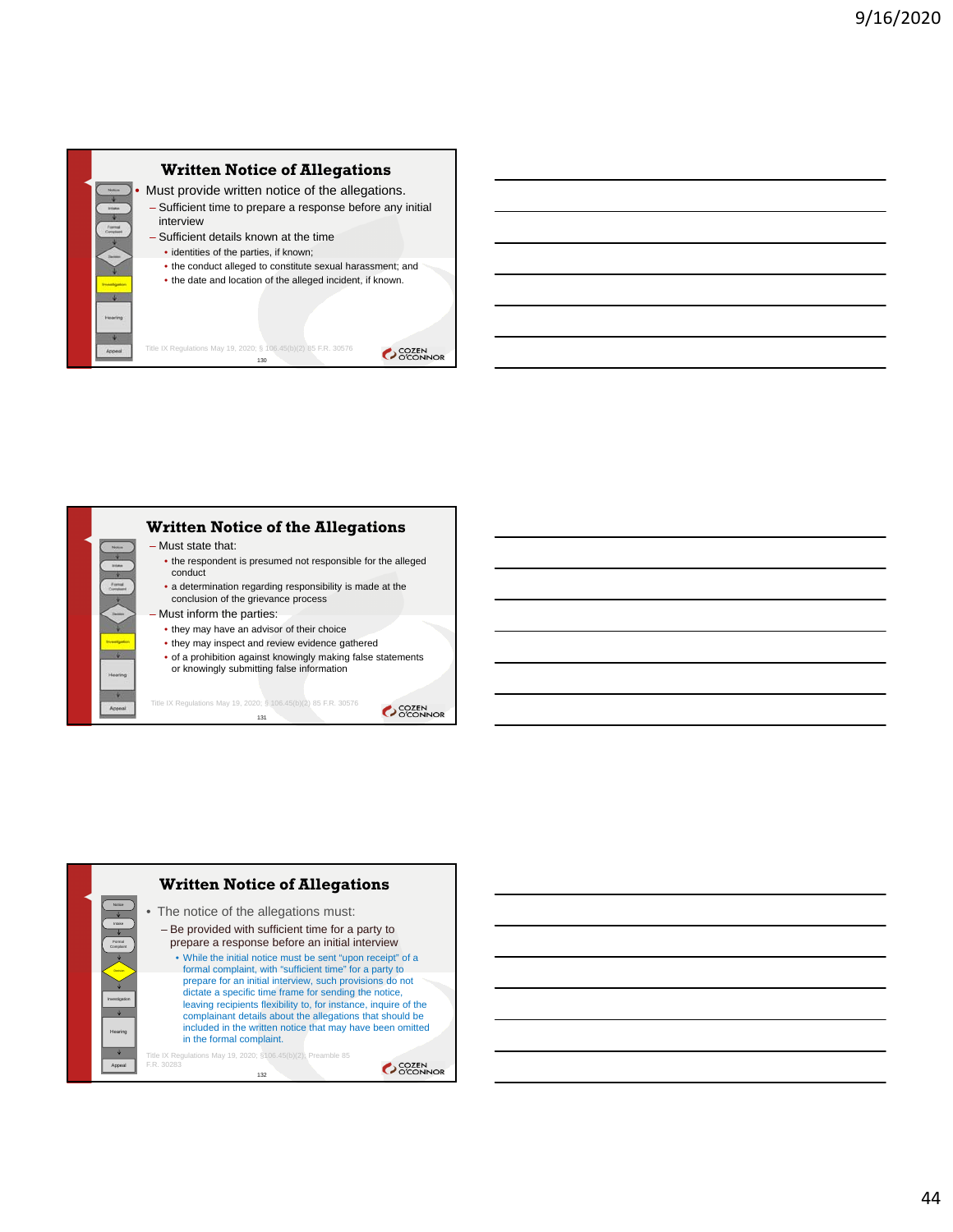

Must provide written notice of the allegations. – Sufficient time to prepare a response before any initial interview

- Sufficient details known at the time
- identities of the parties, if known;

Title IX Regulations May 19, 2020; § 106.45(b)(2) 85 F.R. 30576 130

• the conduct alleged to constitute sexual harassment; and • the date and location of the alleged incident, if known.

**COZEN** 

OCOZEN<br>OCONNOR

**Written Notice of the Allegations** – Must state that: • the respondent is presumed not responsible for the alleged conduct • a determination regarding responsibility is made at the conclusion of the grievance process – Must inform the parties: • they may have an advisor of their choice • they may inspect and review evidence gathered • of a prohibition against knowingly making false statements or knowingly submitting false information  $\frac{1}{2}$ 

Title IX Regulations May 19, 2020; § 106.45(b)(2) 85 F.R. 30576 131



44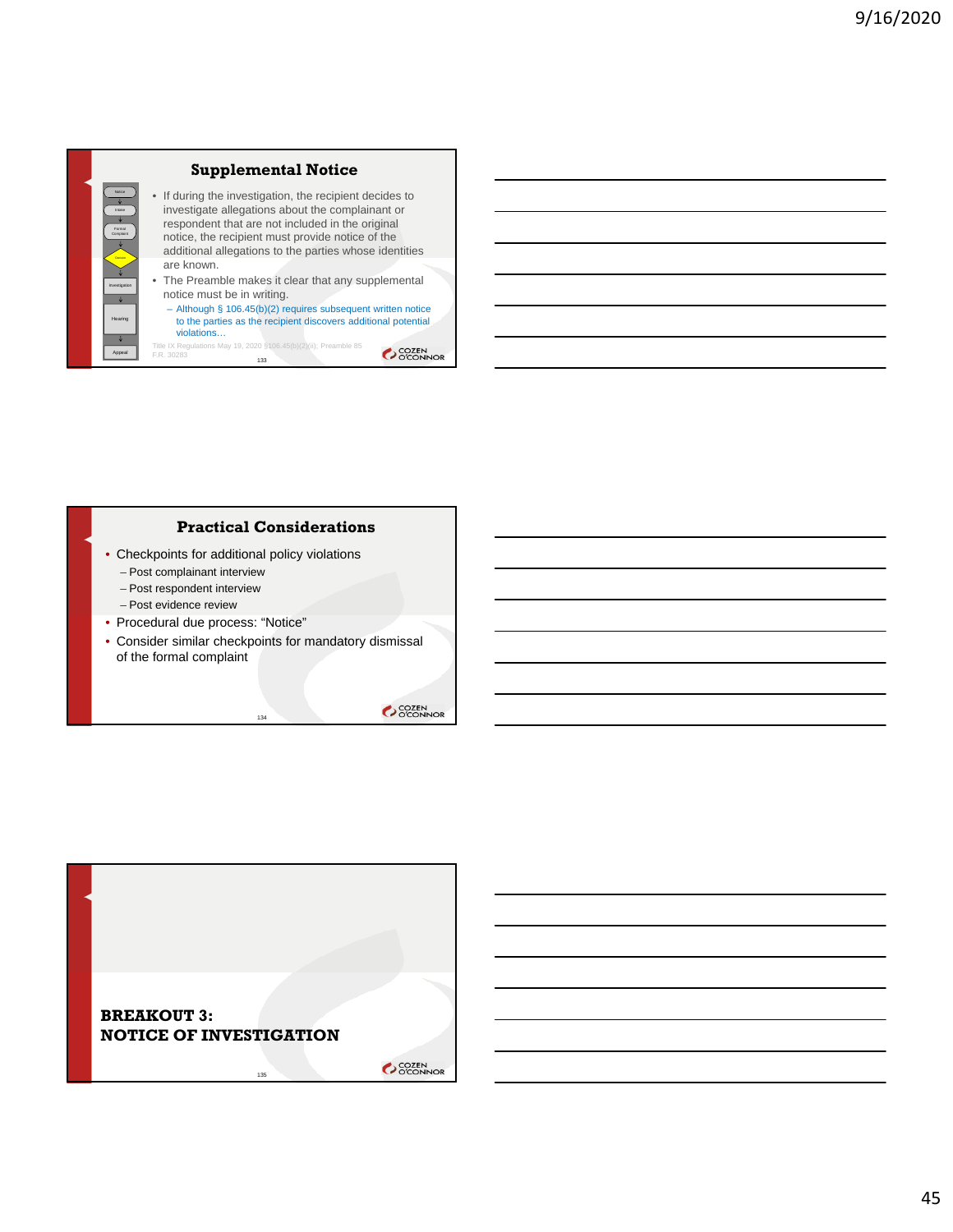

### **Practical Considerations**

- Checkpoints for additional policy violations
	- Post complainant interview
	- Post respondent interview
	- Post evidence review
- Procedural due process: "Notice"
- Consider similar checkpoints for mandatory dismissal of the formal complaint

134

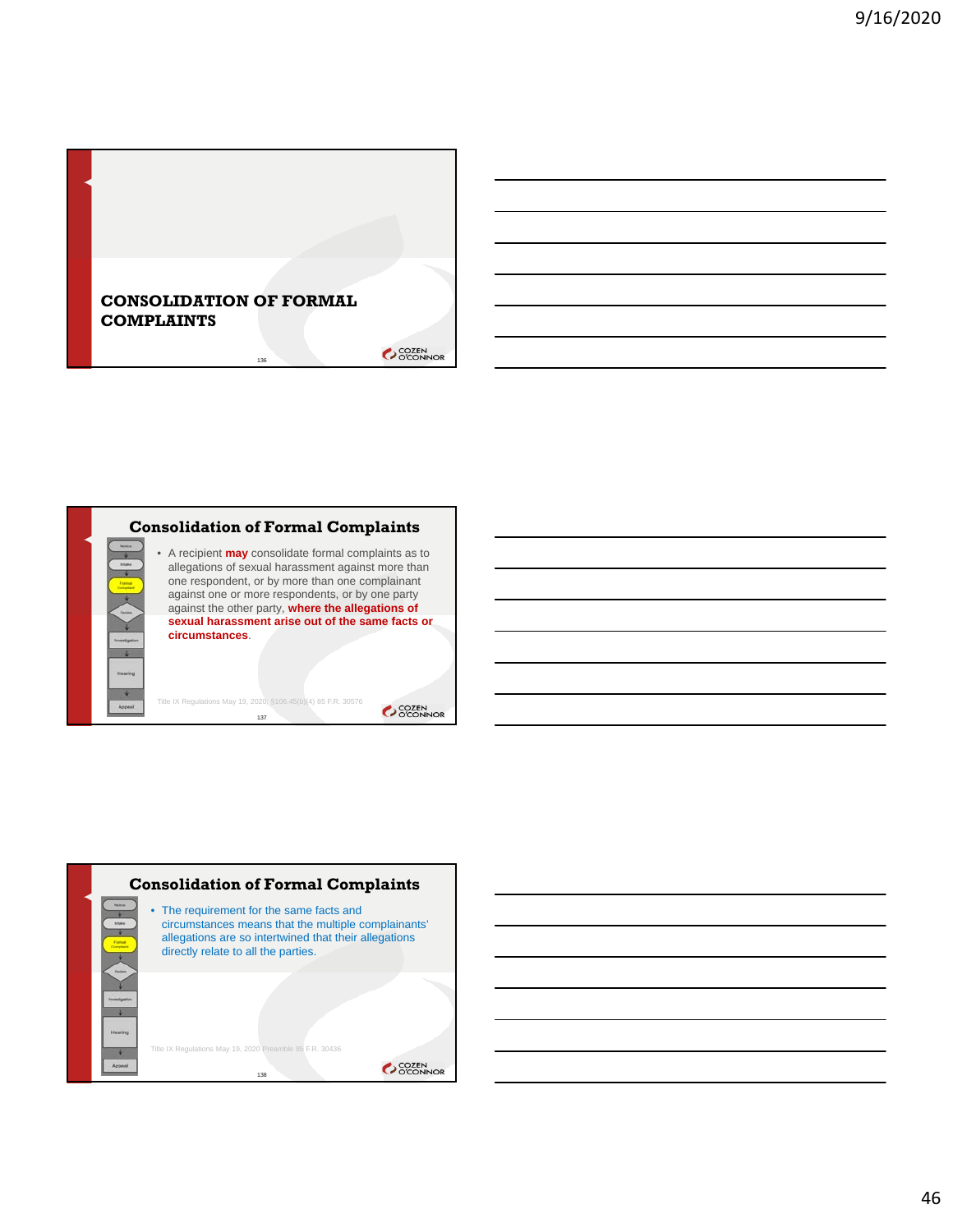



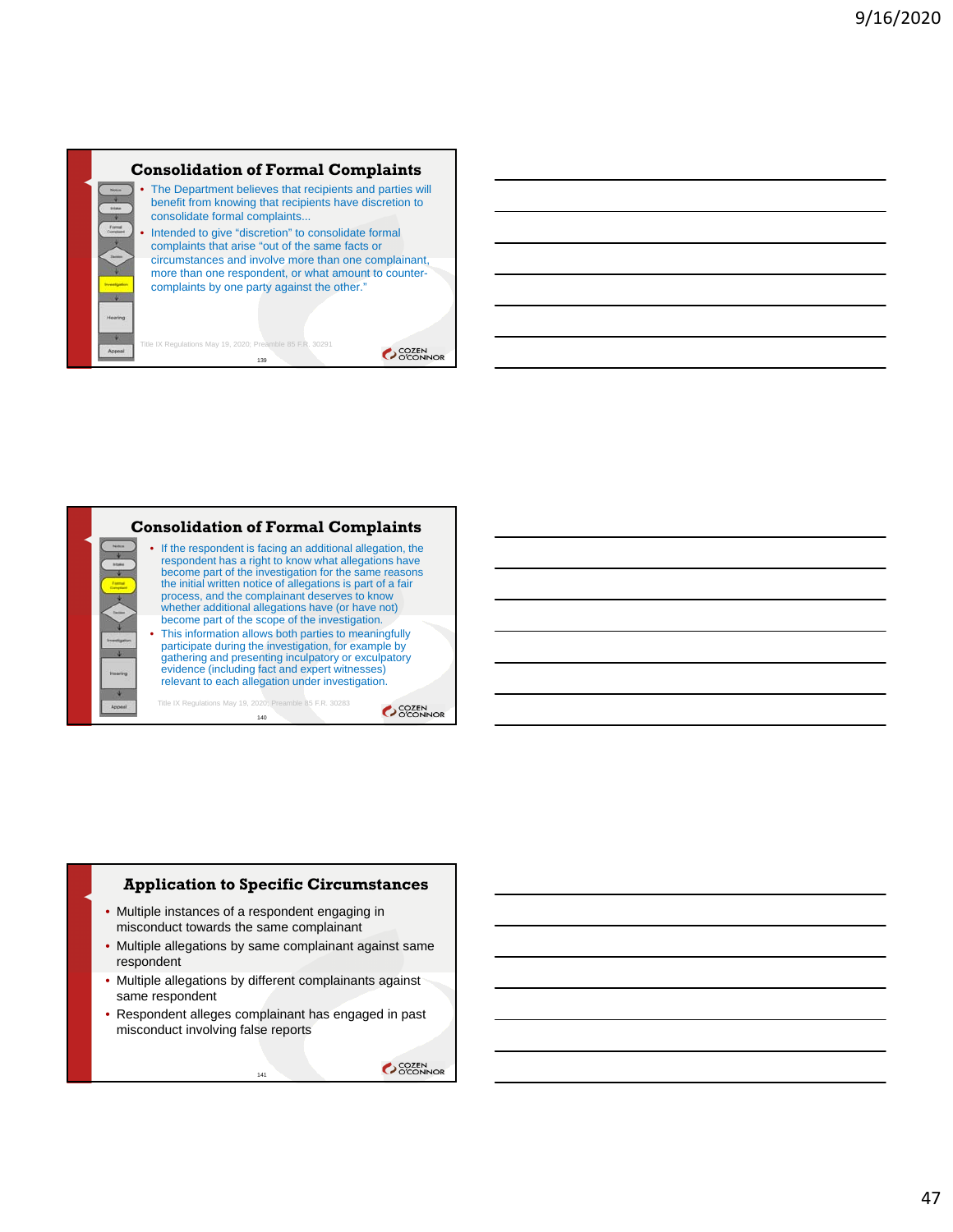



### **Application to Specific Circumstances**

- Multiple instances of a respondent engaging in misconduct towards the same complainant
- Multiple allegations by same complainant against same respondent
- Multiple allegations by different complainants against same respondent
- Respondent alleges complainant has engaged in past misconduct involving false reports

141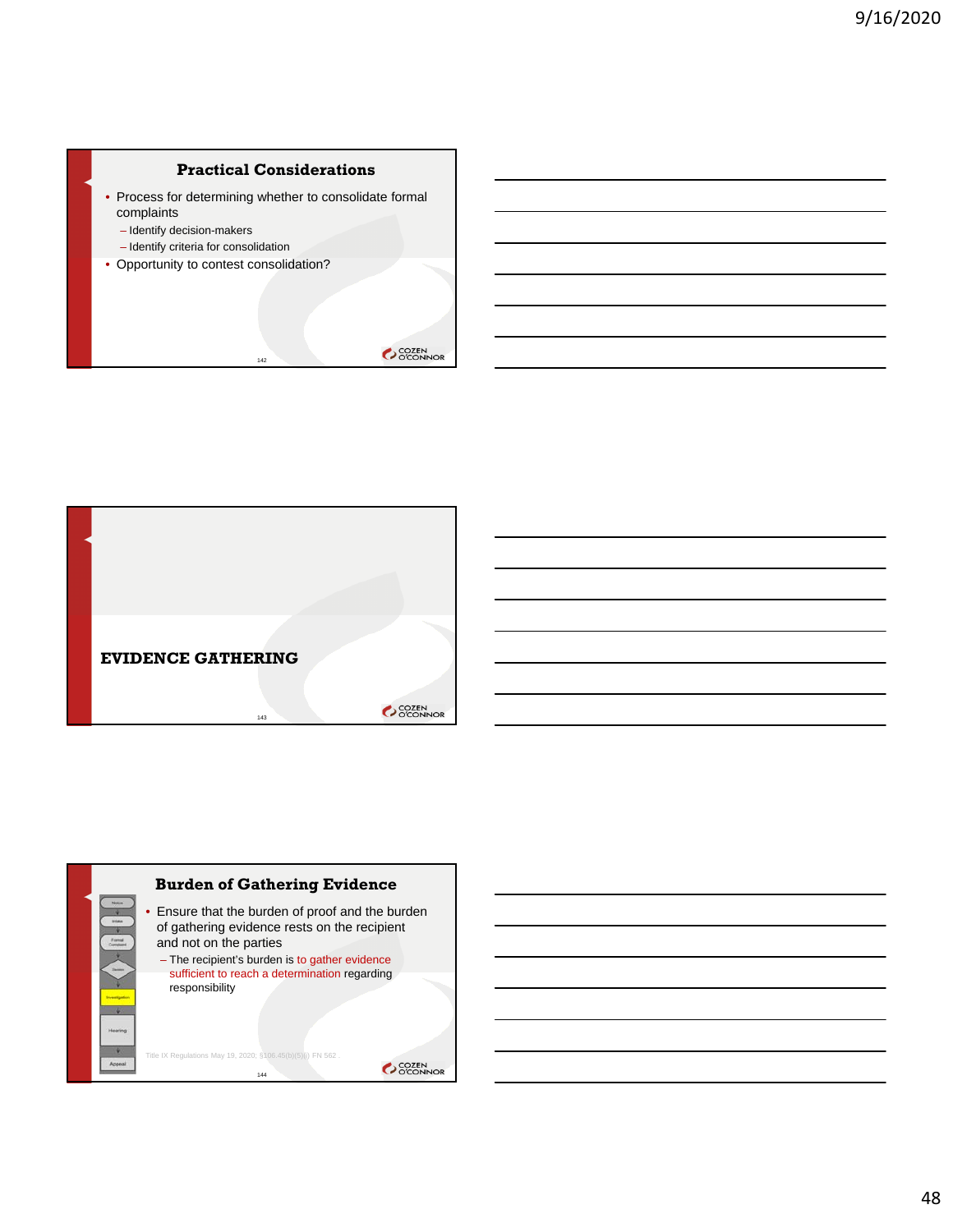### **Practical Considerations**

• Process for determining whether to consolidate formal complaints

142

- Identify decision-makers
- Identify criteria for consolidation
- Opportunity to contest consolidation?





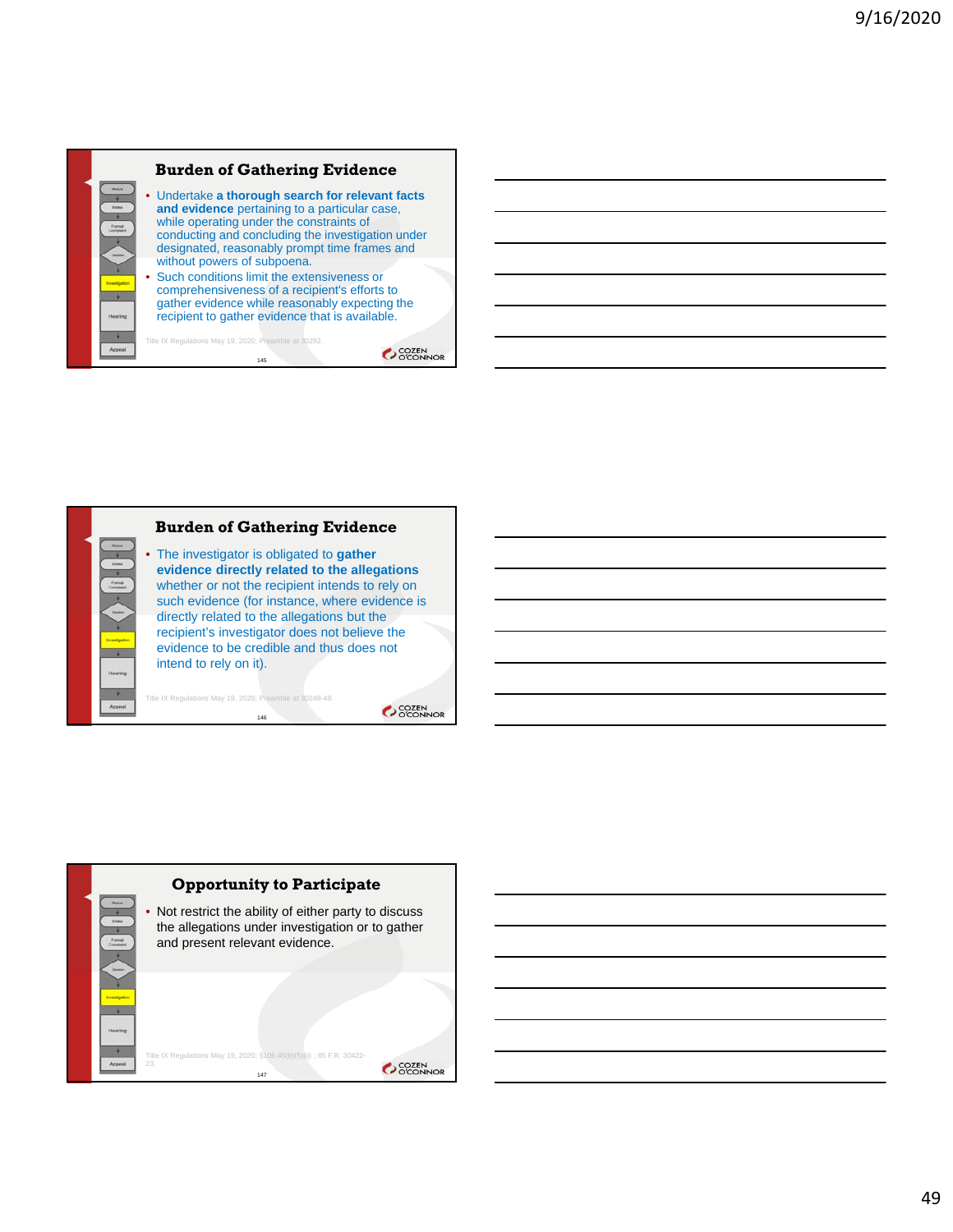



146

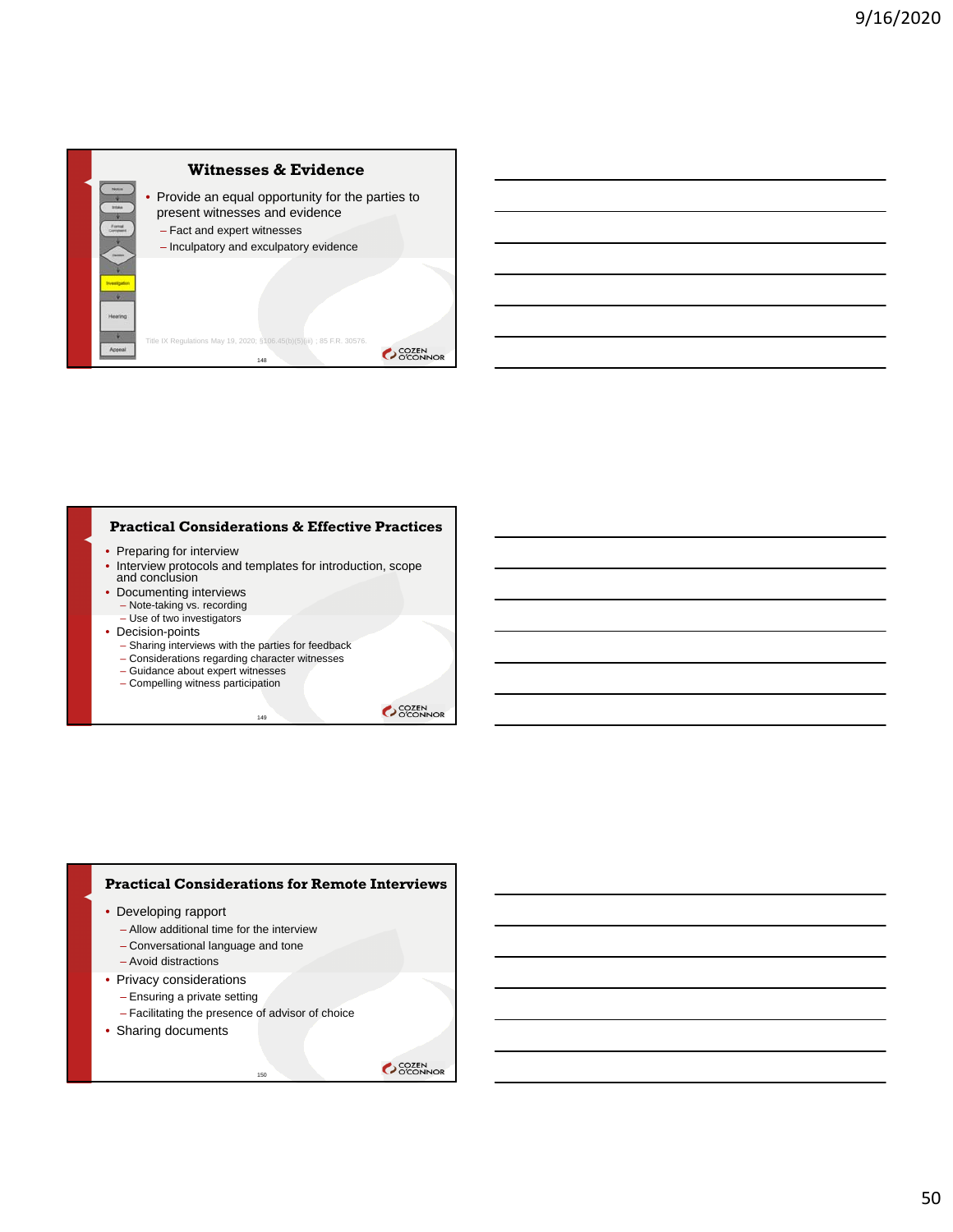

### **Practical Considerations & Effective Practices**

- Preparing for interview
- Interview protocols and templates for introduction, scope and conclusion

149

- Documenting interviews
	- Note-taking vs. recording – Use of two investigators
- Decision-points
	- Sharing interviews with the parties for feedback
	- Considerations regarding character witnesses
	- Guidance about expert witnesses
	- Compelling witness participation

SCOZEN<br>OCONNOR

#### **Practical Considerations for Remote Interviews**

- Developing rapport
	- Allow additional time for the interview
	- Conversational language and tone
	- Avoid distractions
- Privacy considerations
	- Ensuring a private setting
	- Facilitating the presence of advisor of choice

150

• Sharing documents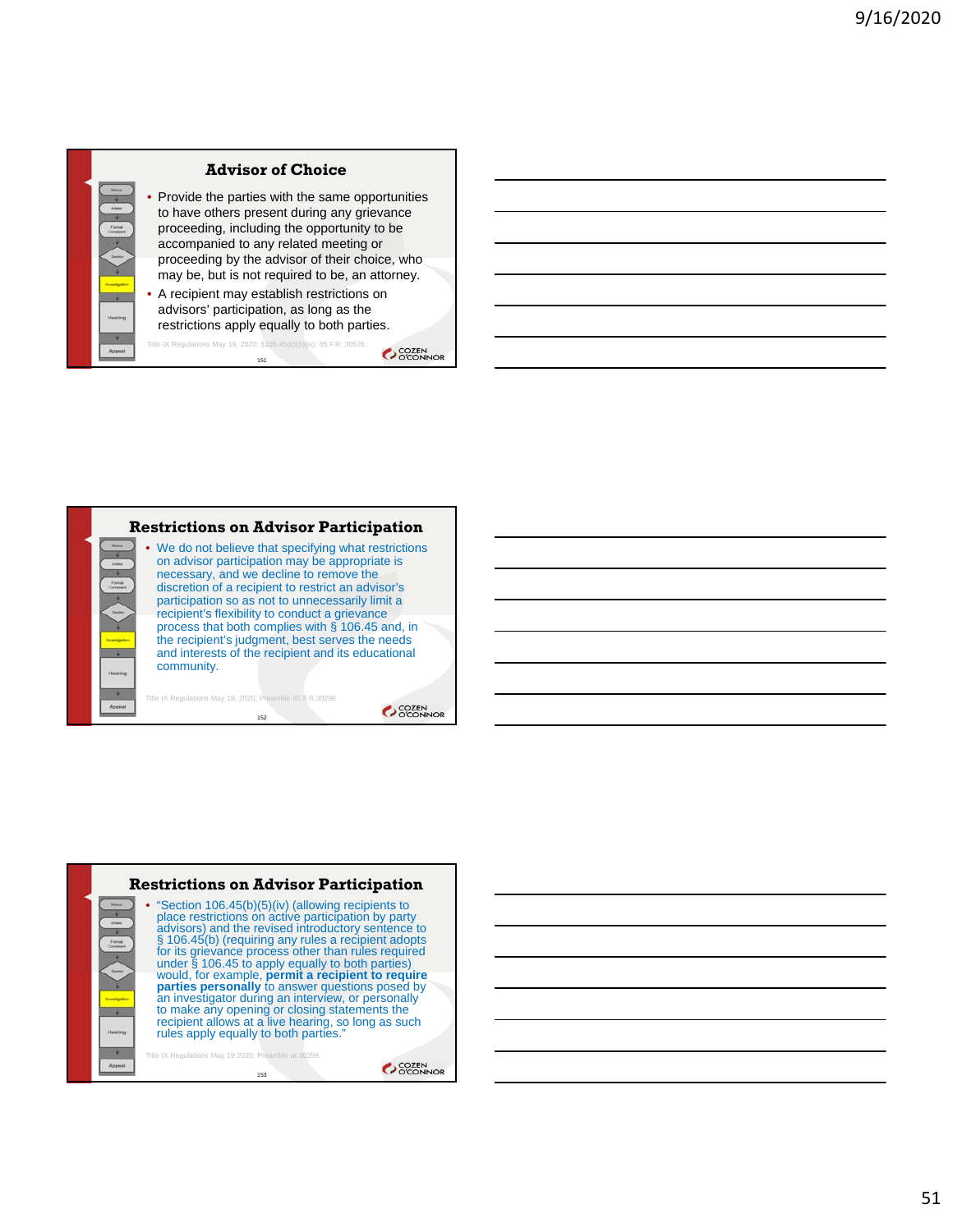





51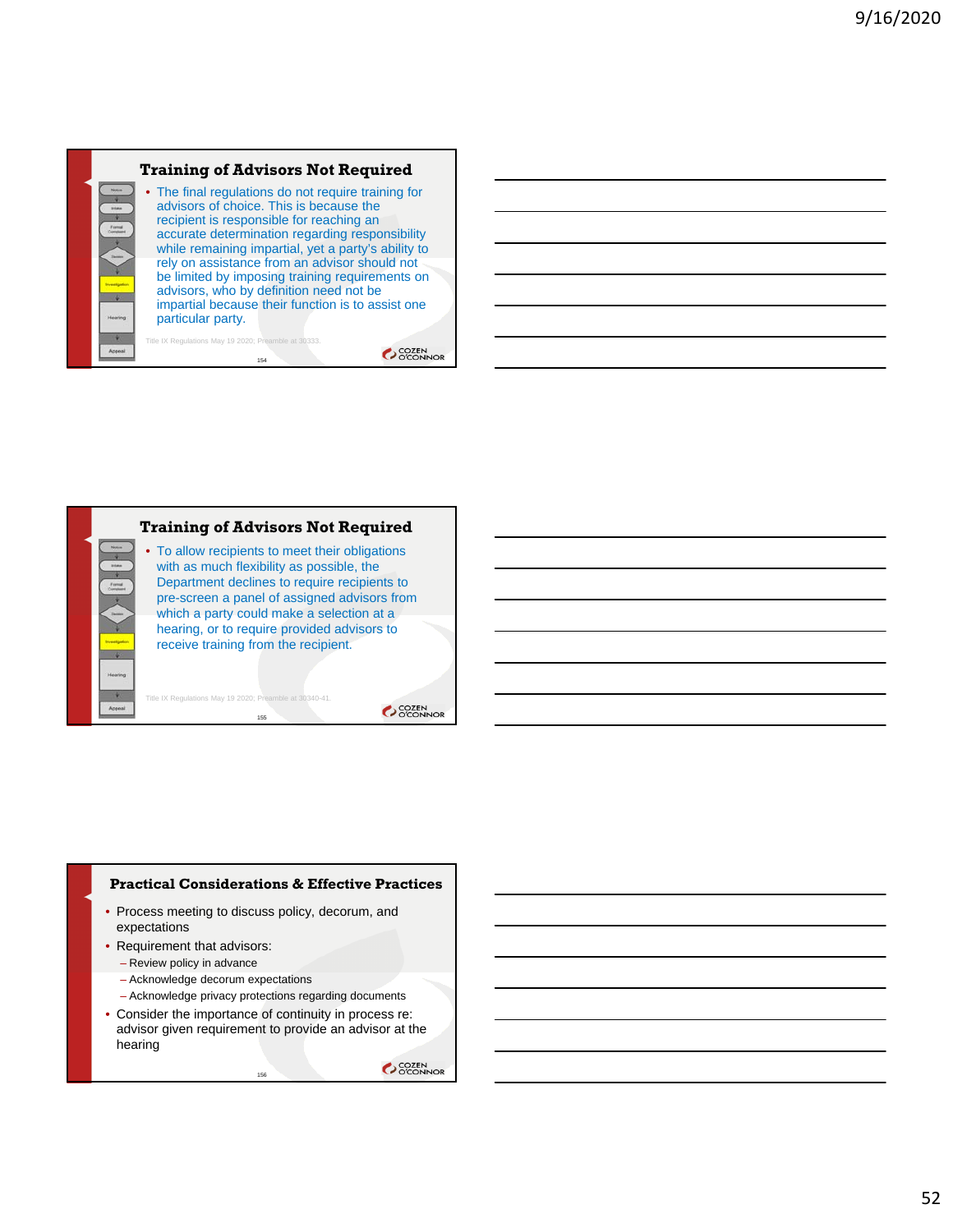

**COZEN** 



#### **Practical Considerations & Effective Practices**

- Process meeting to discuss policy, decorum, and expectations
- Requirement that advisors:
	- Review policy in advance
	- Acknowledge decorum expectations
	- Acknowledge privacy protections regarding documents
- Consider the importance of continuity in process re: advisor given requirement to provide an advisor at the hearing

156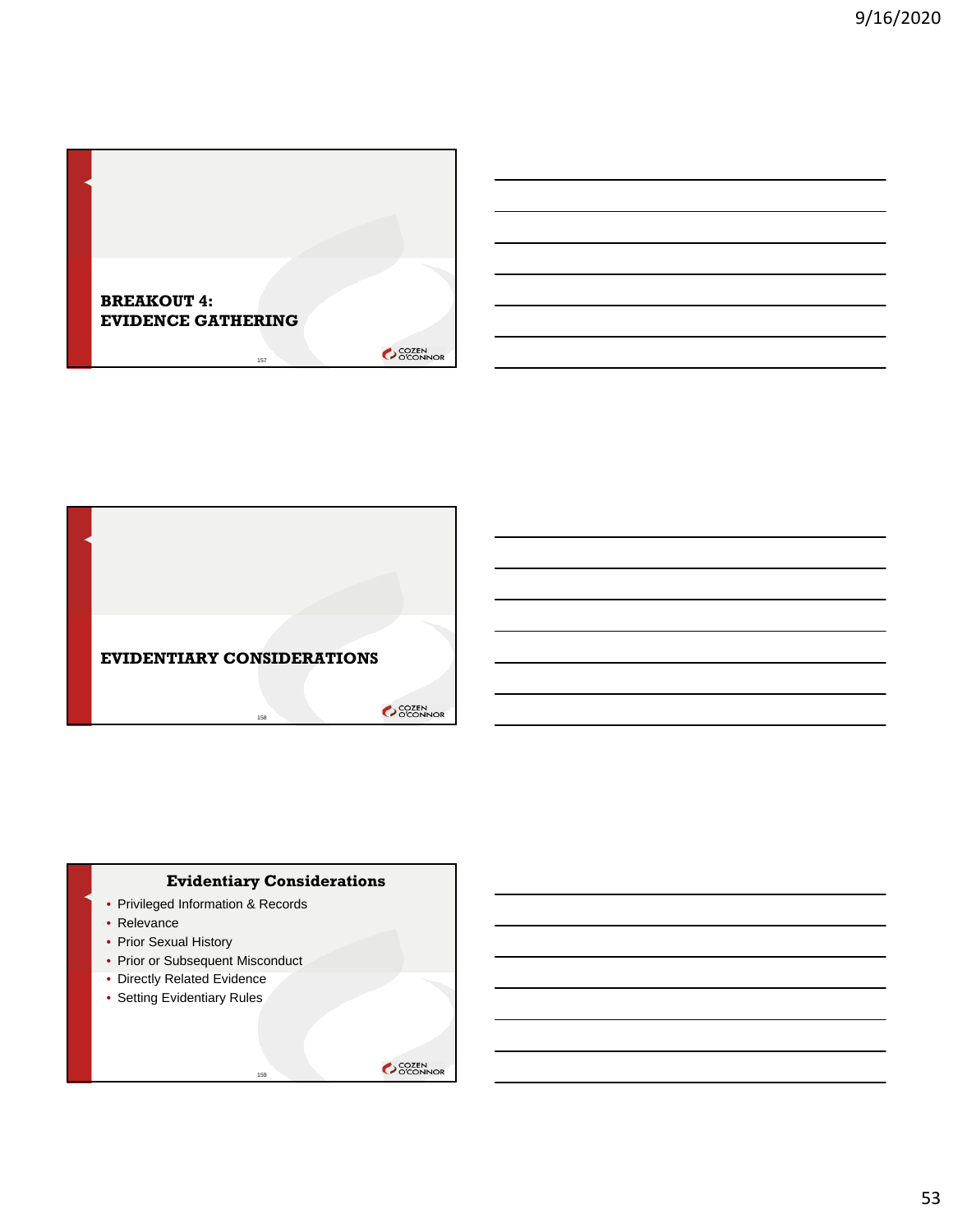



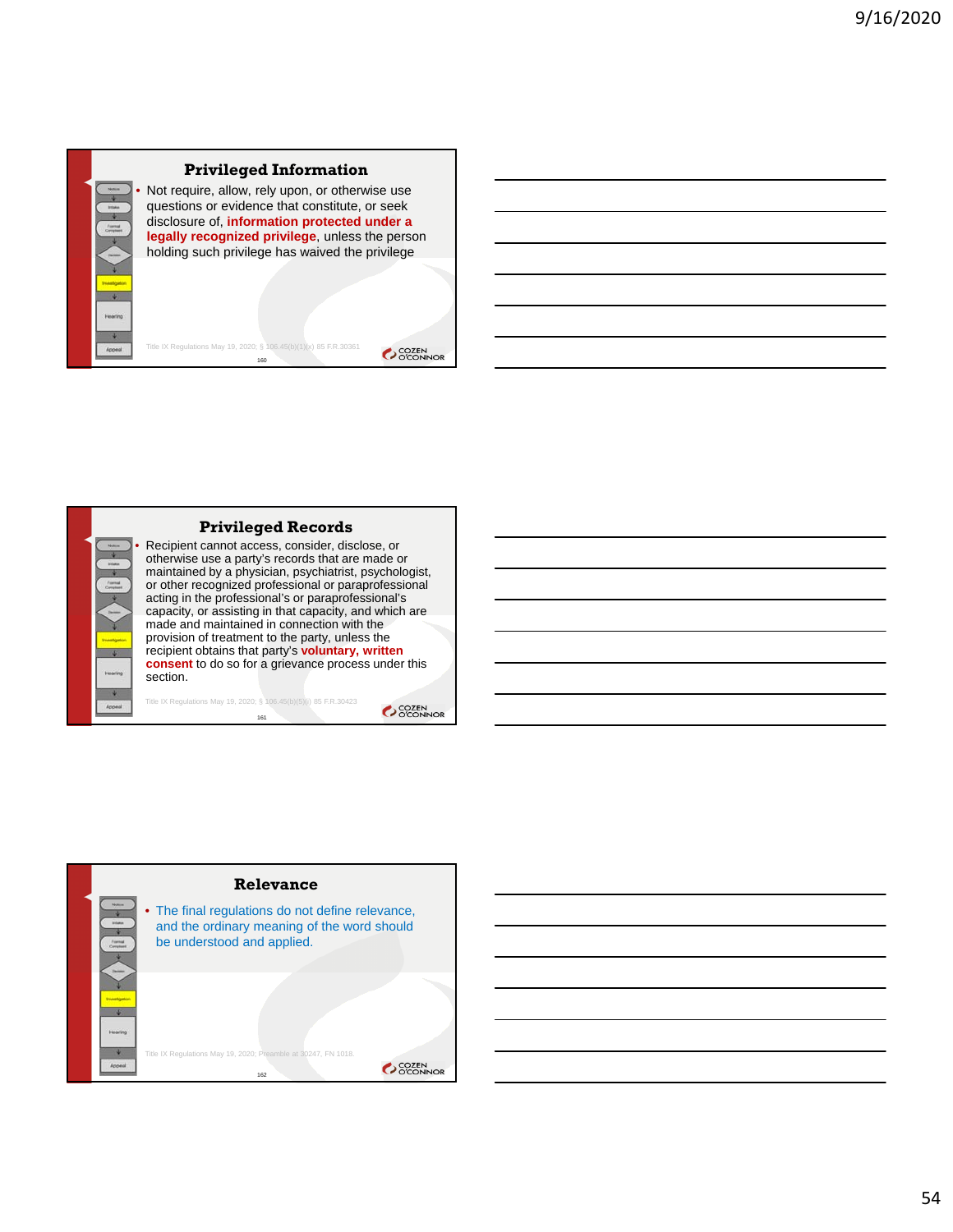

# **Privileged Information**

Not require, allow, rely upon, or otherwise use questions or evidence that constitute, or seek disclosure of, **information protected under a legally recognized privilege**, unless the person holding such privilege has waived the privilege

Title IX Regulations May 19, 2020; § 106.45(b)(1)(x) 85 F.R.30361 160

**Privileged Records**

• Recipient cannot access, consider, disclose, or otherwise use a party's records that are made or maintained by a physician, psychiatrist, psychologist, or other recognized professional or paraprofessional acting in the professional's or paraprofessional's capacity, or assisting in that capacity, and which are made and maintained in connection with the provision of treatment to the party, unless the recipient obtains that party's **voluntary, written consent** to do so for a grievance process under this section.

Title IX Regulations May 19, 2020; § 106.45(b)(5)(i) 85 F.R.30423 161

SCOZEN<br>OCONNOR

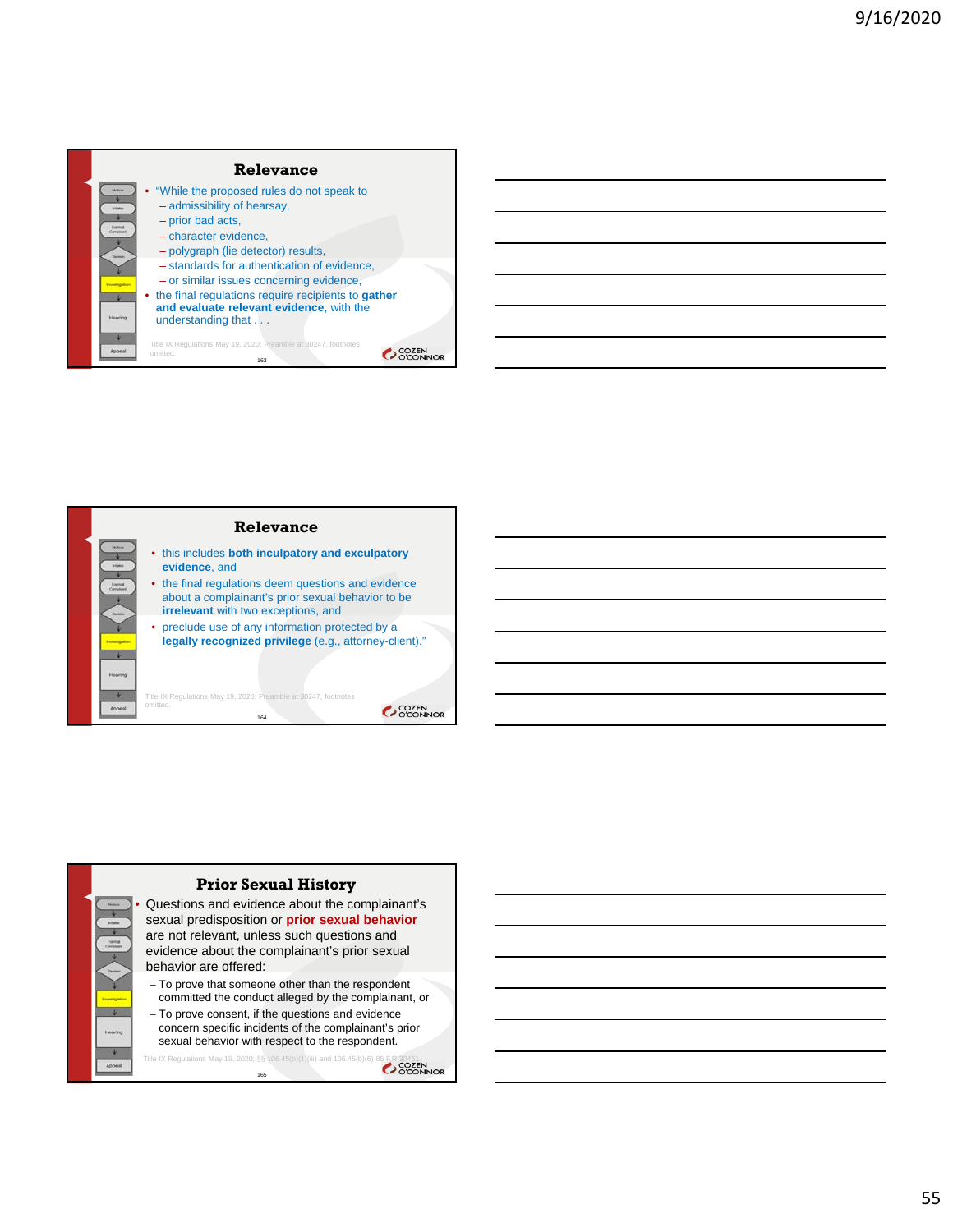



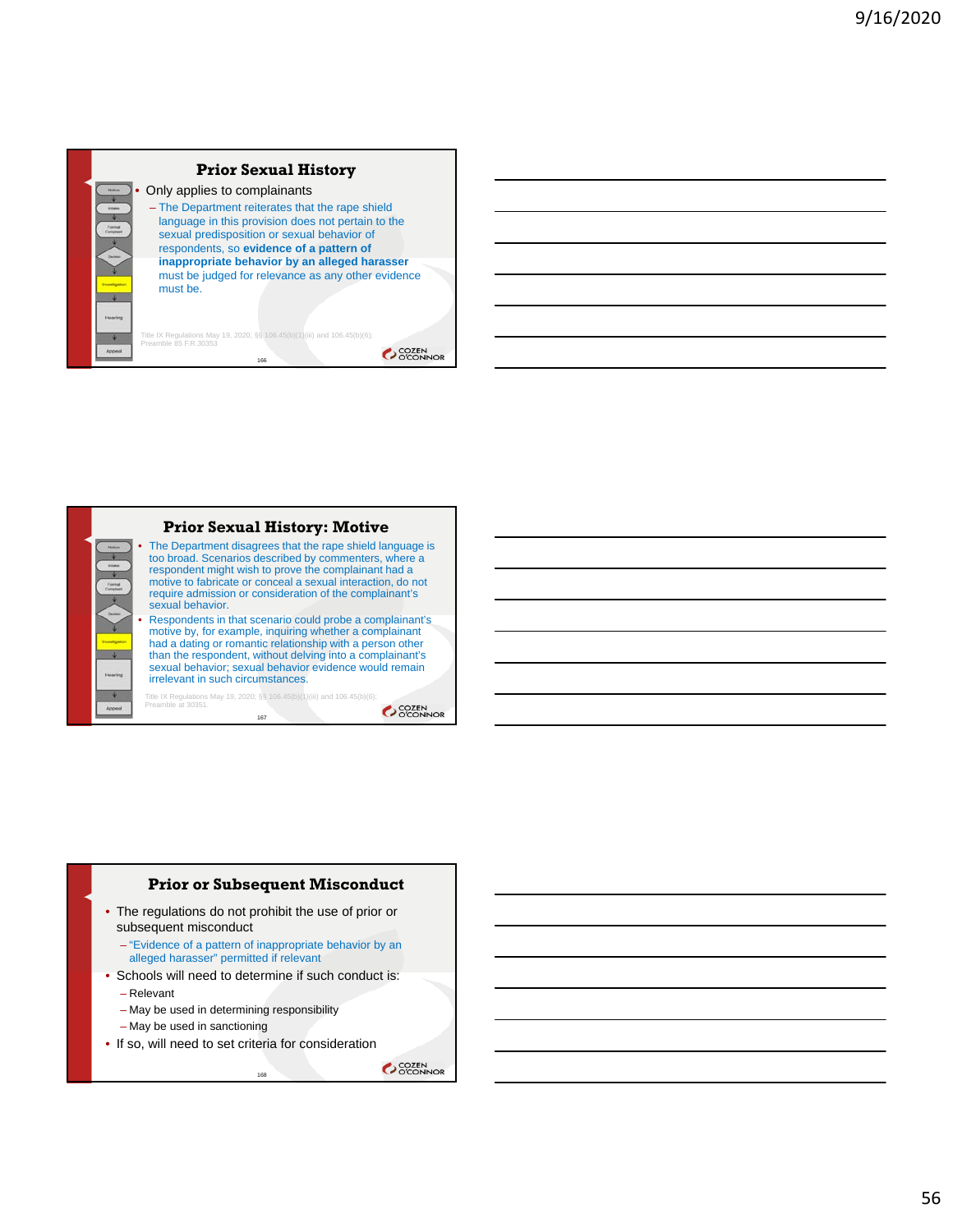# **Prior Sexual History**

• Only applies to complainants – The Department reiterates that the rape shield language in this provision does not pertain to the sexual predisposition or sexual behavior of respondents, so **evidence of a pattern of inappropriate behavior by an alleged harasser**  must be judged for relevance as any other evidence must be. Title IX Regulations May 19, 2020; §§ 106.45(b)(1)(iii) and 106.45(b)(6); Preamble 85 F.R.30353

166

**COZEN** 



#### **Prior Sexual History: Motive**

• The Department disagrees that the rape shield language is too broad. Scenarios described by commenters, where a respondent might wish to prove the complainant had a motive to fabricate or conceal a sexual interaction, do not require admission or consideration of the complainant's sexual behavior.

• Respondents in that scenario could probe a complainant's motive by, for example, inquiring whether a complainant had a dating or romantic relationship with a person other than the respondent, without delving into a complainant's sexual behavior; sexual behavior evidence would remain irrelevant in such circumstances.

Title IX Regulations May 19, 2020; §§ 106.45(b)(1)(iii) and 106.45(b)(6); Preamble at 30351.

167

SCOZEN<br>COCONNOR

# **Prior or Subsequent Misconduct**

- The regulations do not prohibit the use of prior or subsequent misconduct
	- "Evidence of a pattern of inappropriate behavior by an alleged harasser" permitted if relevant
- Schools will need to determine if such conduct is:
- Relevant
- May be used in determining responsibility
- May be used in sanctioning
- If so, will need to set criteria for consideration

168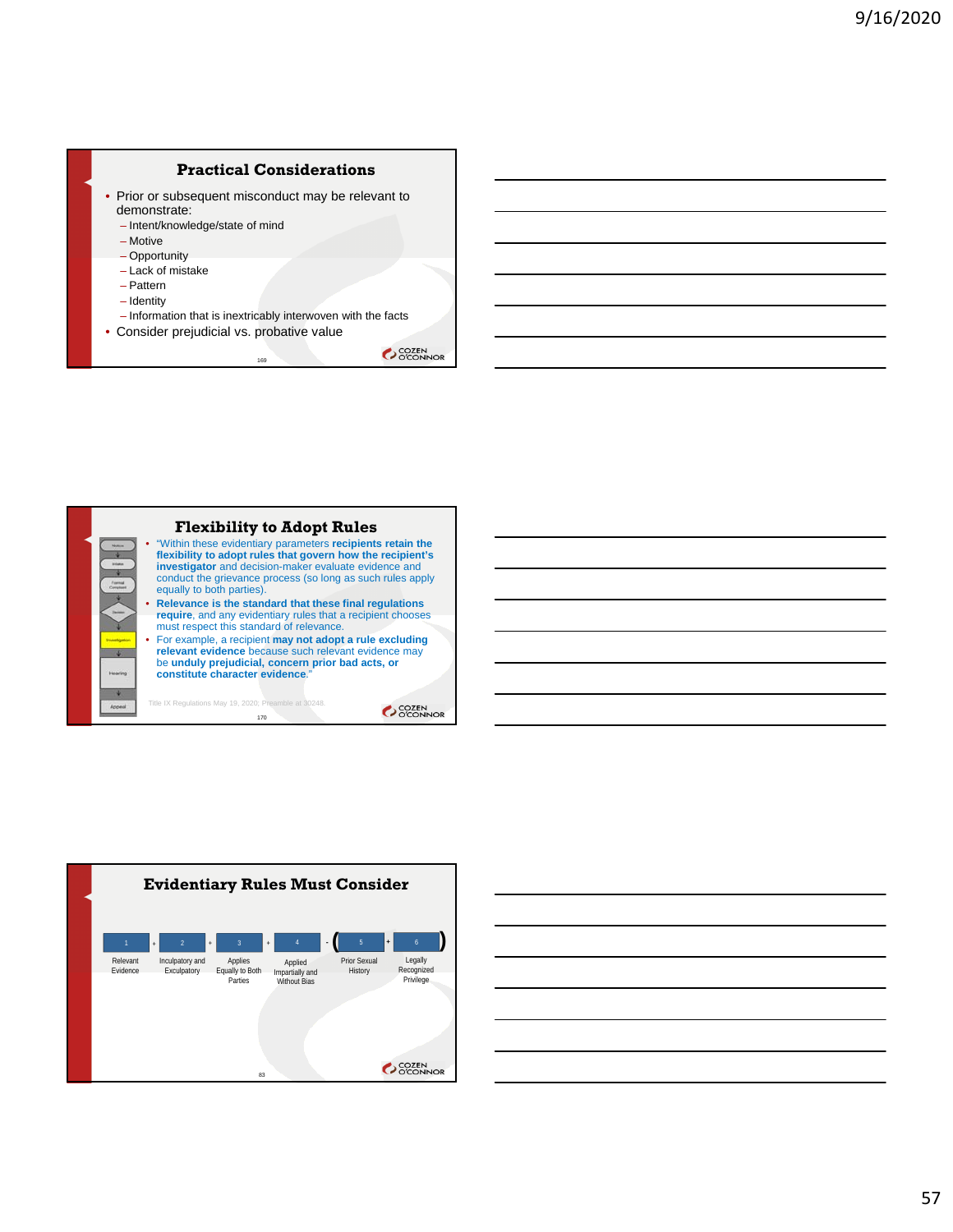### **Practical Considerations**

- Prior or subsequent misconduct may be relevant to demonstrate:
	- Intent/knowledge/state of mind
	- Motive
	- Opportunity
	- Lack of mistake – Pattern
	-
	- Identity
- Information that is inextricably interwoven with the facts • Consider prejudicial vs. probative value

169





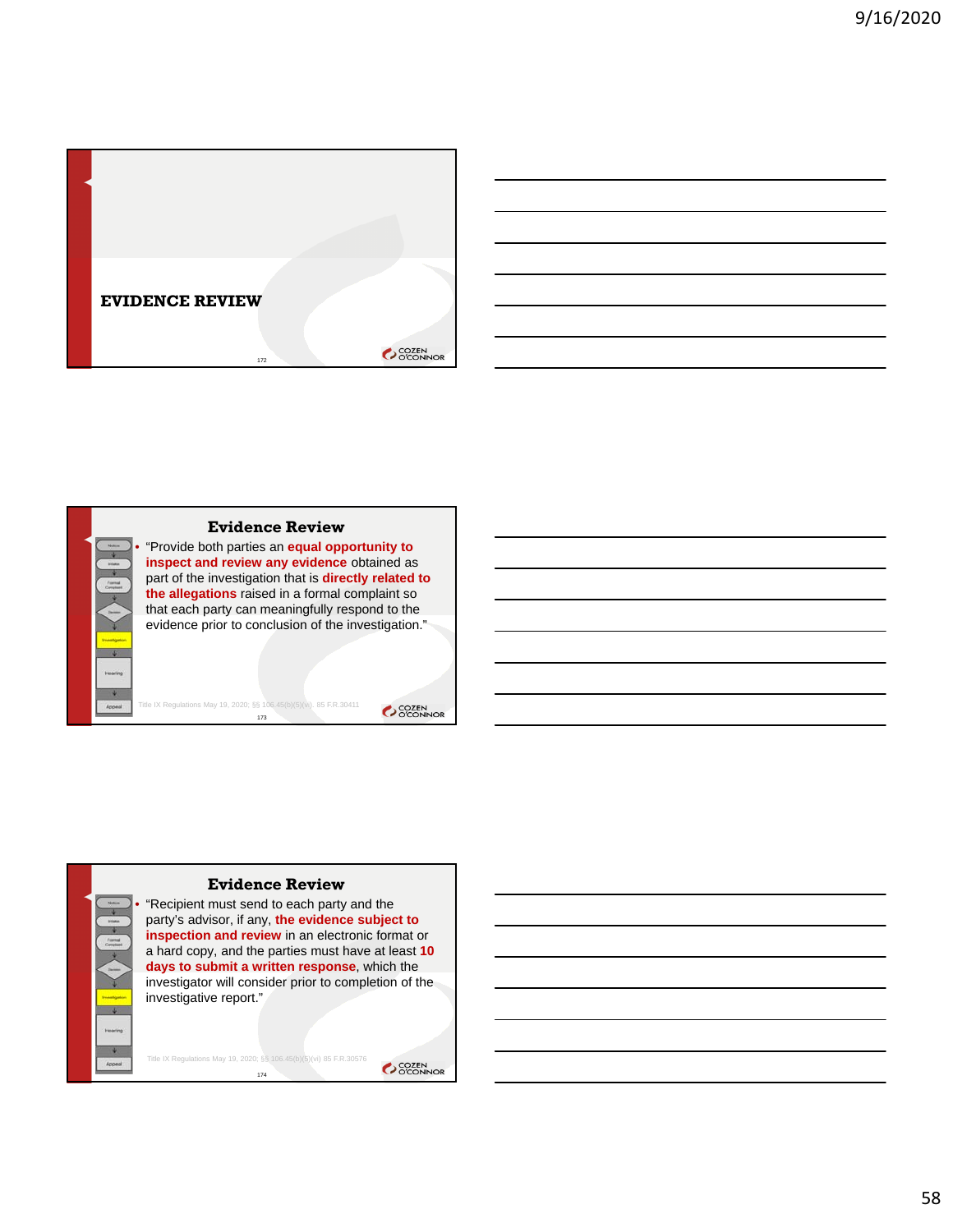





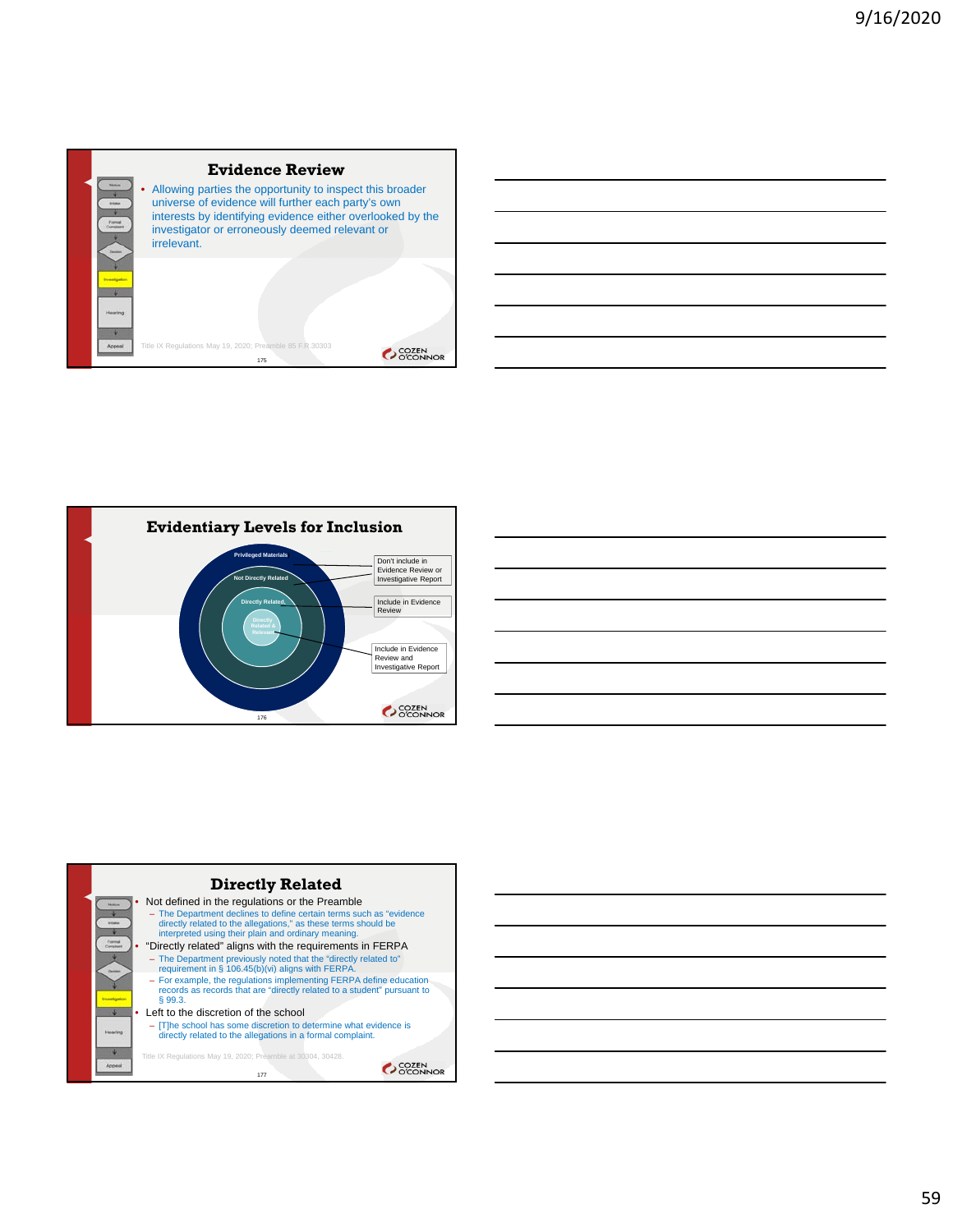







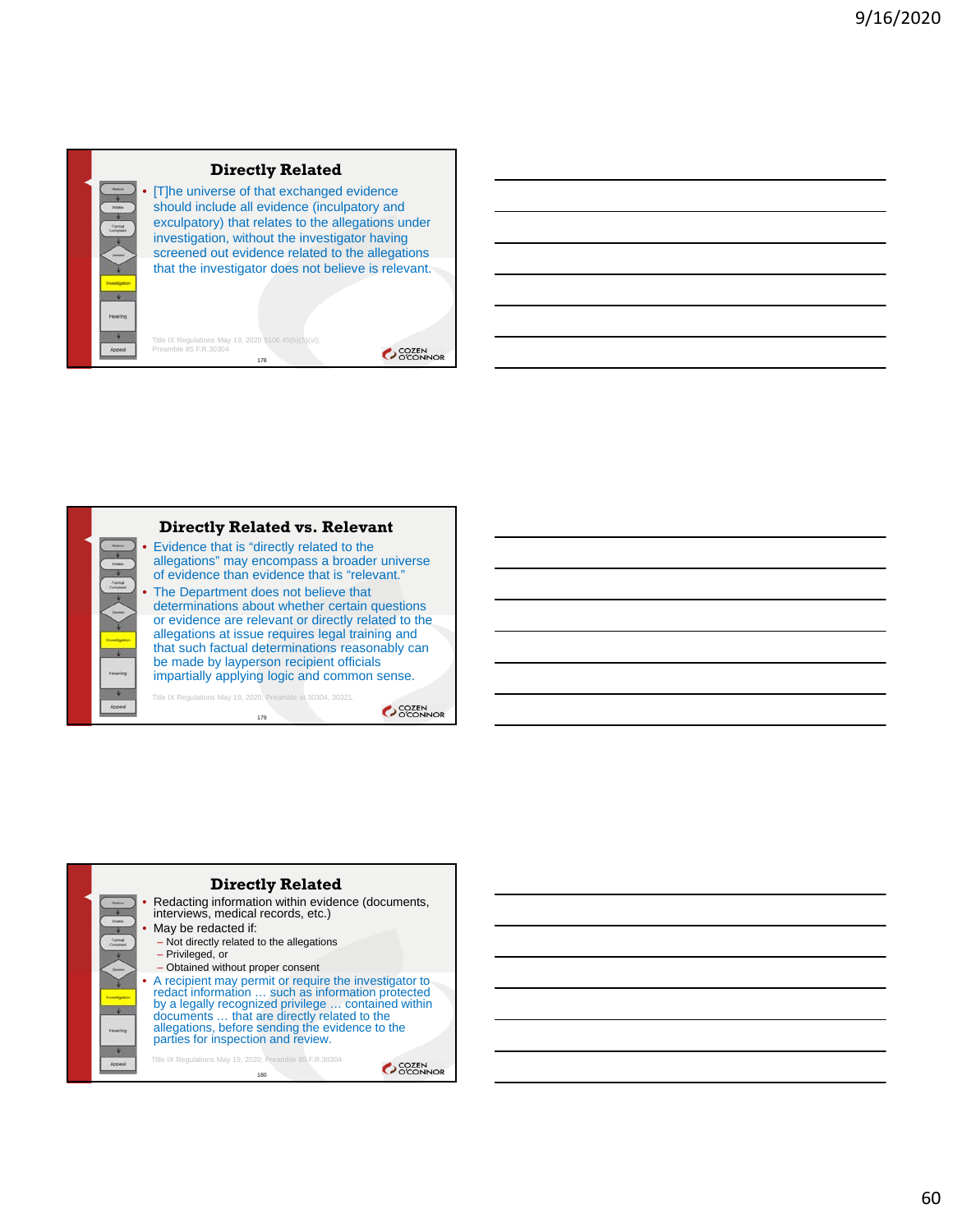

### **Directly Related**

[T]he universe of that exchanged evidence should include all evidence (inculpatory and exculpatory) that relates to the allegations under investigation, without the investigator having screened out evidence related to the allegations that the investigator does not believe is relevant.

178 Title IX Regulations May 19, 2020 §106.45(b)(5)(vi); Preamble 85 F.R.30304



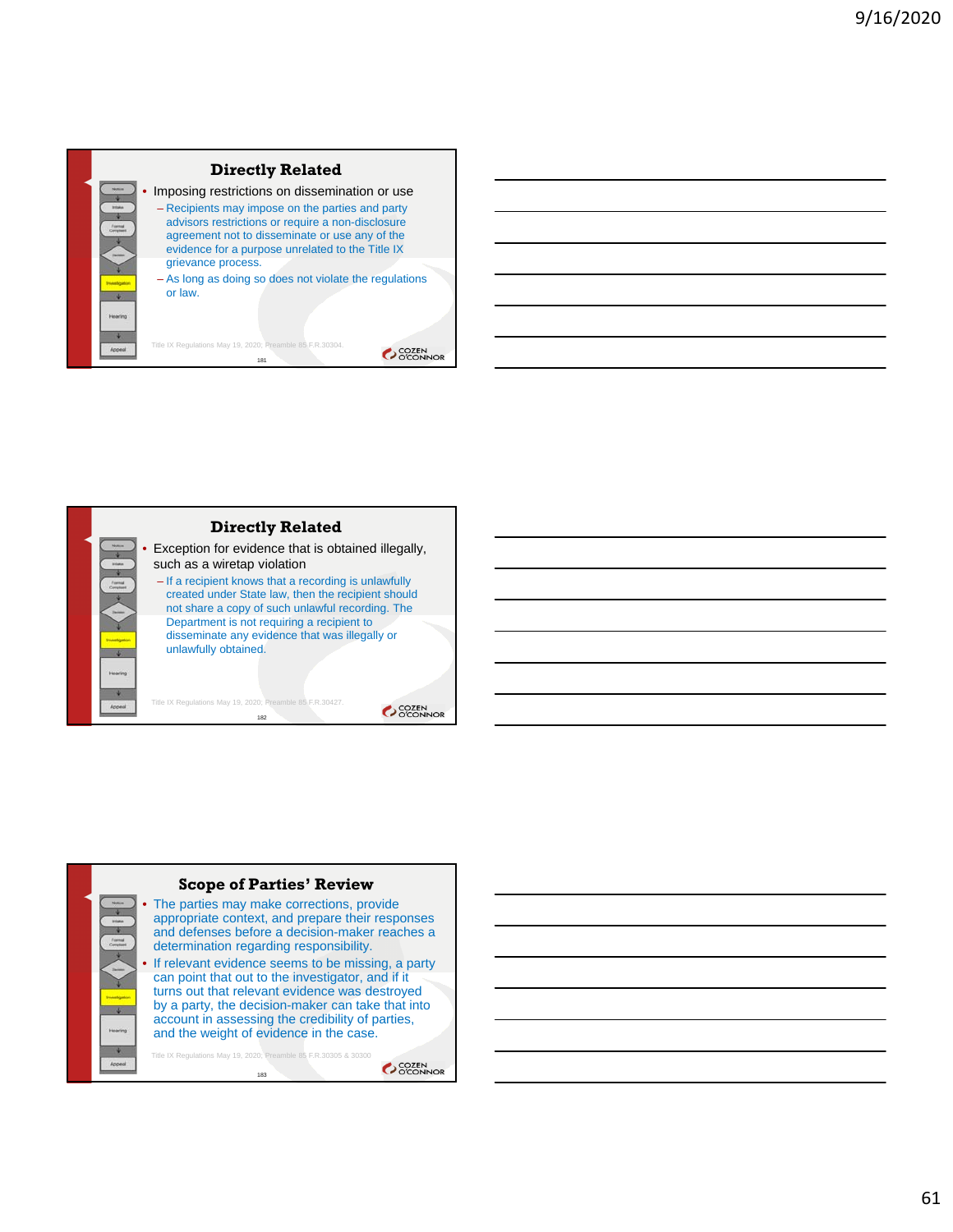





61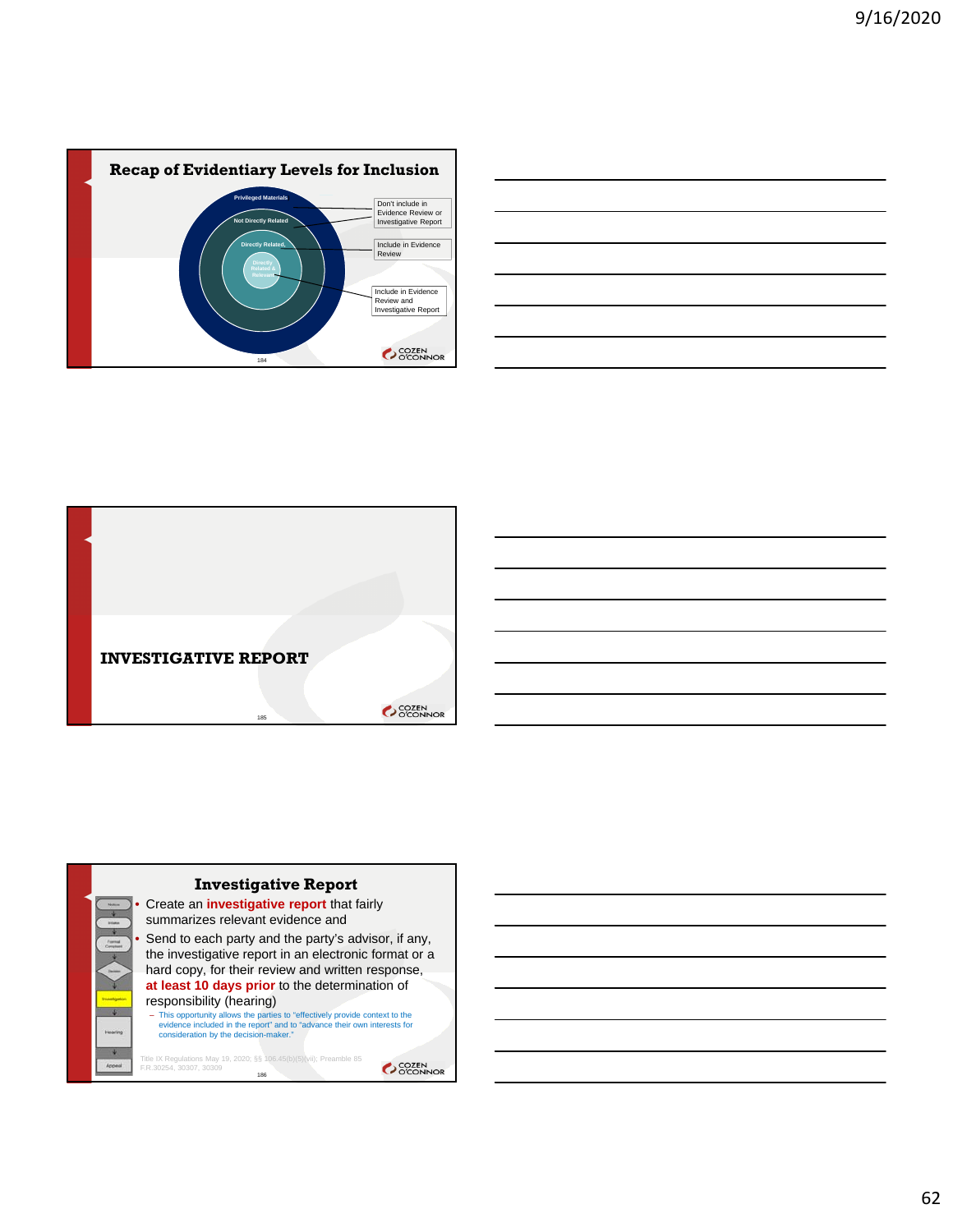





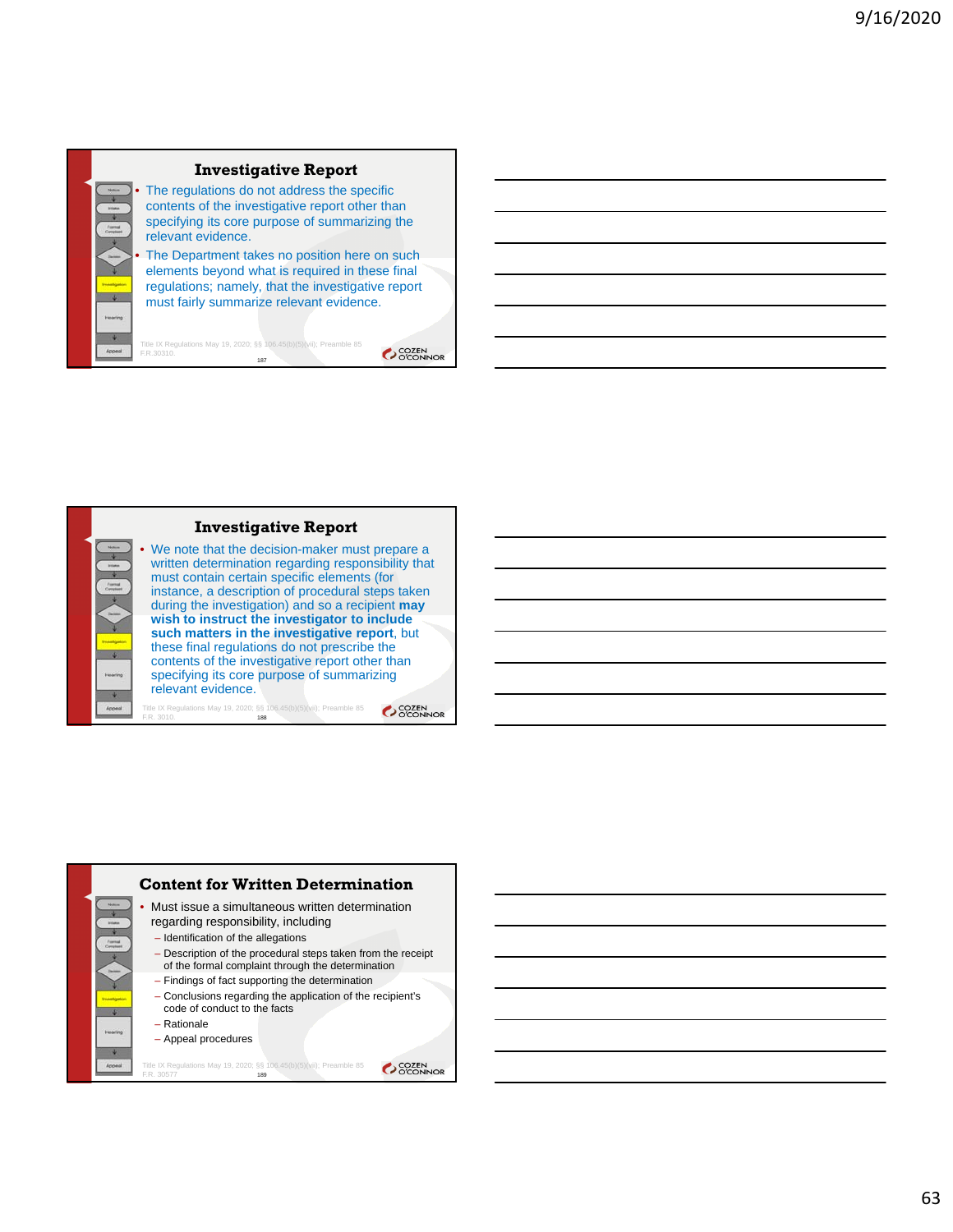# **Investigative Report**

The regulations do not address the specific contents of the investigative report other than specifying its core purpose of summarizing the relevant evidence.

The Department takes no position here on such elements beyond what is required in these final regulations; namely, that the investigative report must fairly summarize relevant evidence.

Title IX Regulations May 19, 2020; §§ 106.45(b)(5)(vii); Preamble 85 F.R.30310. 187

SCOZEN<br>OCONNOR



We note that the decision-maker must prepare a written determination regarding responsibility that must contain certain specific elements (for instance, a description of procedural steps taken during the investigation) and so a recipient **may** 

**such matters in the investigative report**, but these final regulations do not prescribe the contents of the investigative report other than specifying its core purpose of summarizing relevant evidence.

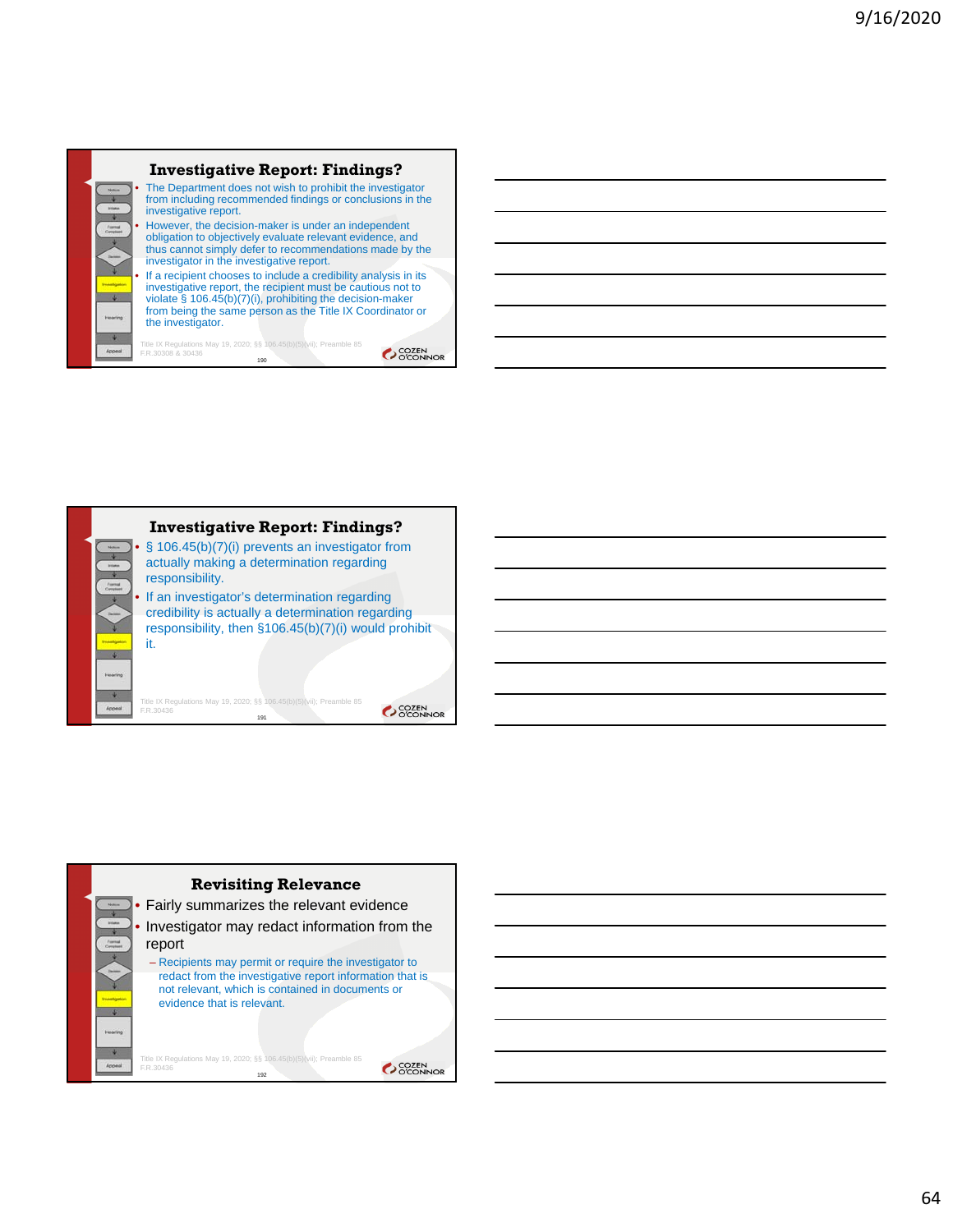

#### **Investigative Report: Findings?** • The Department does not wish to prohibit the investigator from including recommended findings or conclusions in the investigative report. • However, the decision-maker is under an independent obligation to objectively evaluate relevant evidence, and thus cannot simply defer to recommendations made by the investigator in the investigative report. If a recipient chooses to include a credibility analysis in its

investigative report, the recipient must be cautious not to violate § 106.45(b)(7)(i), prohibiting the decision-maker from being the same person as the Title IX Coordinator or the investigator.

Title IX Regulations May 19, 2020; §§ 106.45(b)(5)(vii); Preamble 85 F.R.30308 & 30436 190



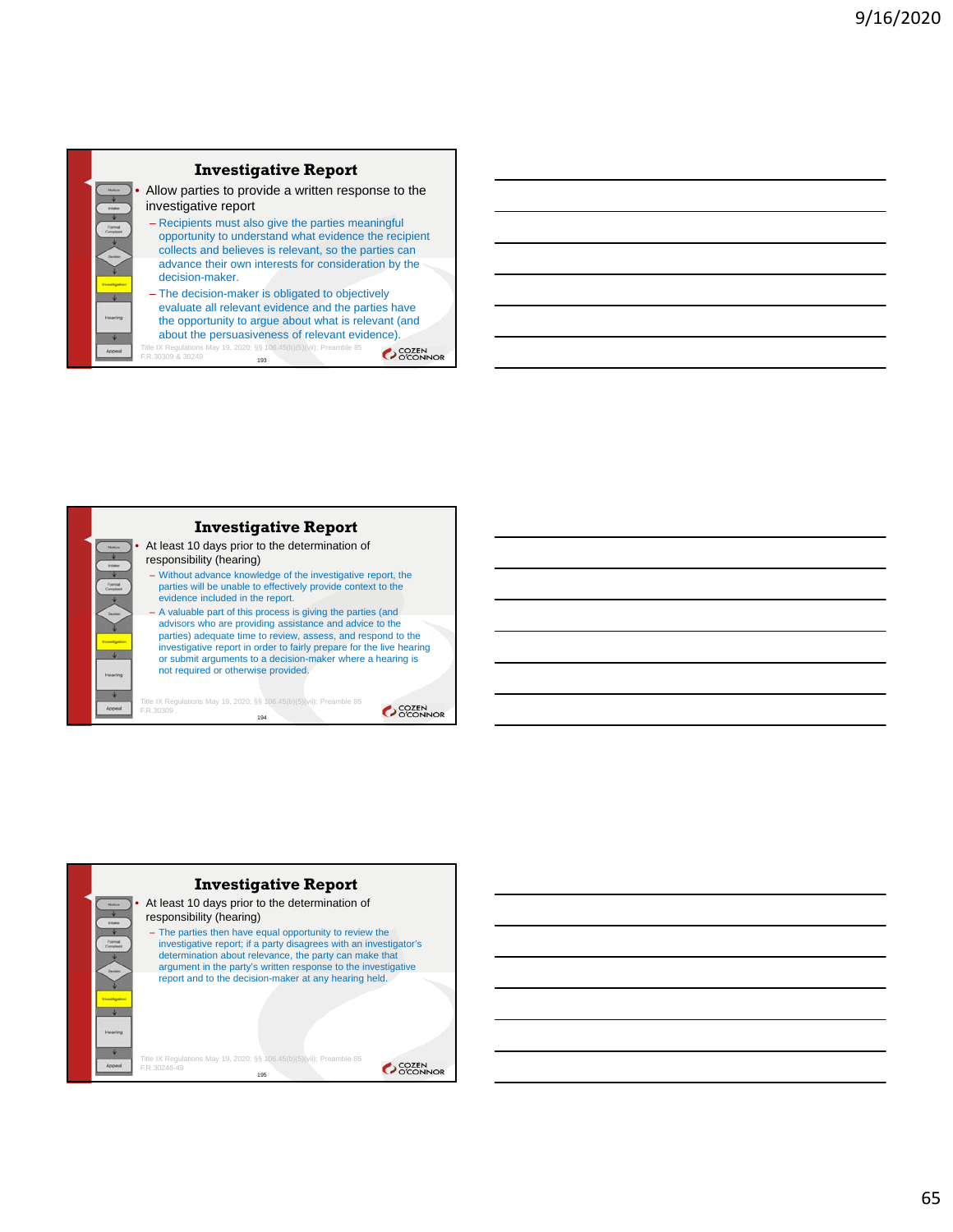



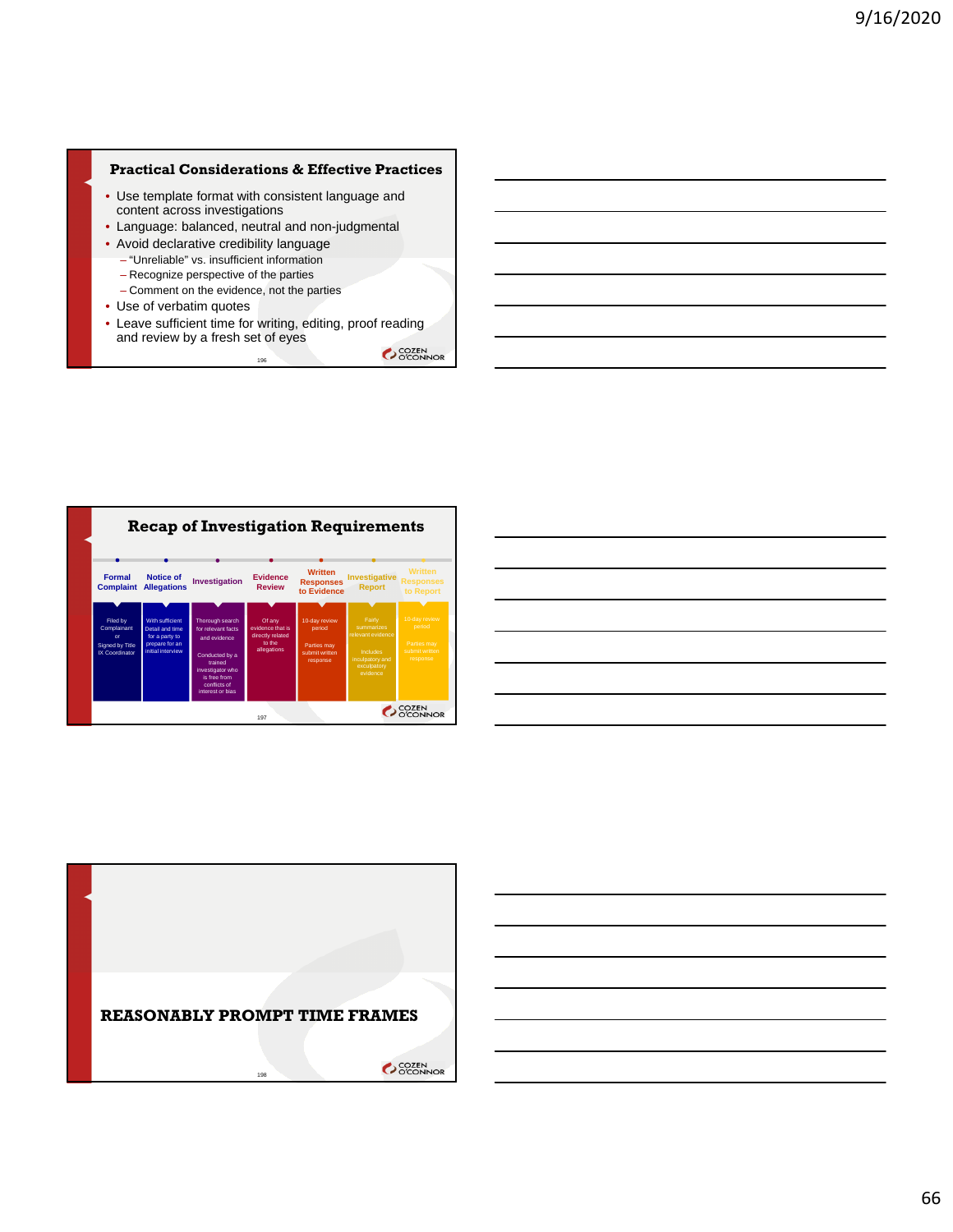### **Practical Considerations & Effective Practices**

- Use template format with consistent language and content across investigations
- Language: balanced, neutral and non-judgmental
- Avoid declarative credibility language
	- "Unreliable" vs. insufficient information
	- Recognize perspective of the parties
	- Comment on the evidence, not the parties
- Use of verbatim quotes
- Leave sufficient time for writing, editing, proof reading and review by a fresh set of eyes 196





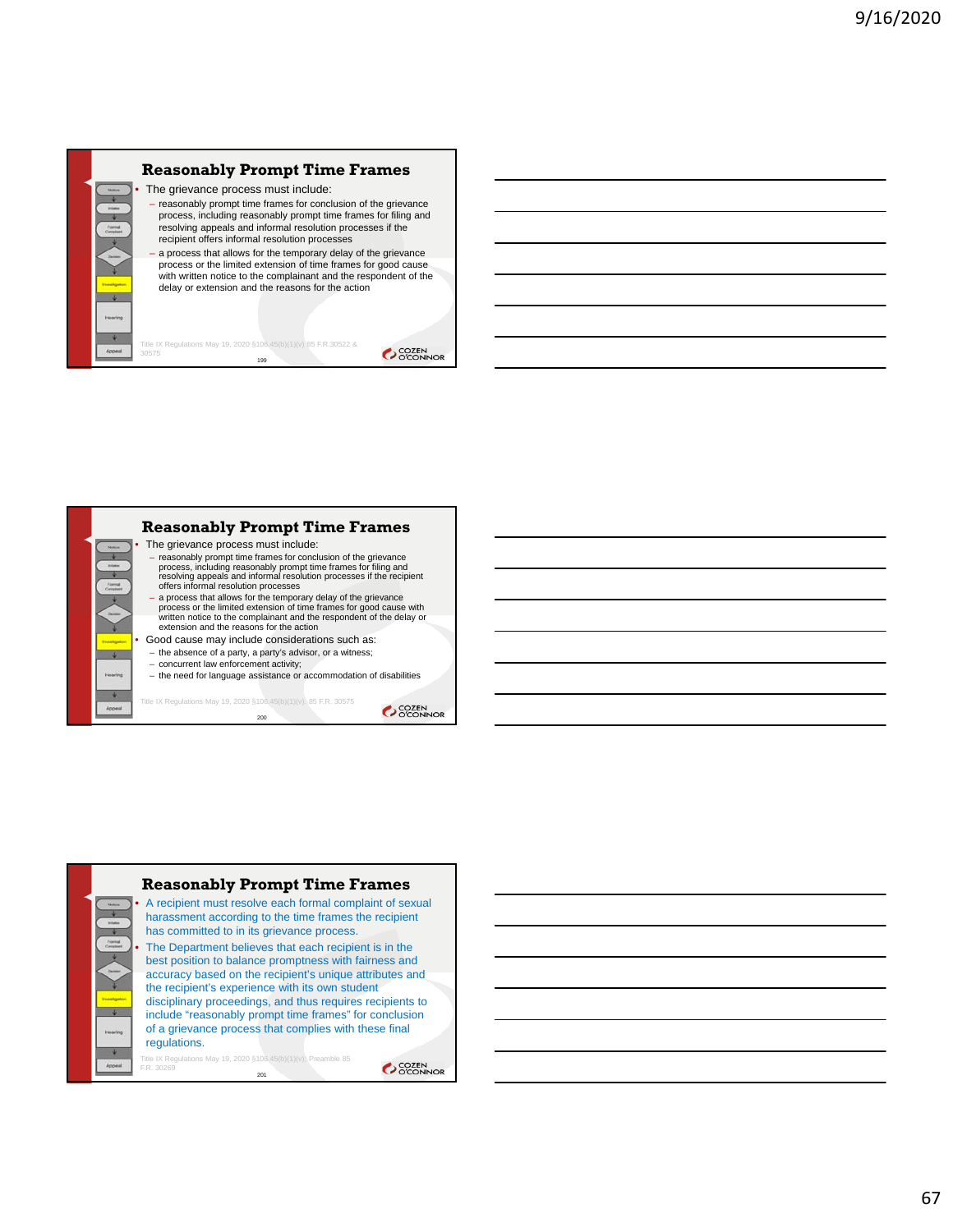# **Reasonably Prompt Time Frames**

- The grievance process must include: reasonably prompt time frames for conclusion of the grievance process, including reasonably prompt time frames for filing and resolving appeals and informal resolution processes if the recipient offers informal resolution processes
- a process that allows for the temporary delay of the grievance process or the limited extension of time frames for good cause with written notice to the complainant and the respondent of the delay or extension and the reasons for the action

**Reasonably Prompt Time Frames**

The grievance process must include:

Title IX Regulations May 19, 2020 §106.45(b)(1)(v) 85 F.R.30522 & 30575 199

- reasonably prompt time frames for conclusion of the grievance<br>process, including reasonably prompt time frames for filing and<br>resolving appeals and informal resolution processes if the recipient<br>offers informal resolutio
- a process that allows for the temporary delay of the grievance process or the limited extension of time frames for good cause with written notice to the complainant and the respondent of the delay or extension and the reasons for the action
- Good cause may include considerations such as:
- the absence of a party, a party's advisor, or a witness; – concurrent law enforcement activity;

Title IX Regulations May 19, 2020 §106.45(b)(1)(v). 85 F.R. 30575 200

– the need for language assistance or accommodation of disabilities

**COZEN** 

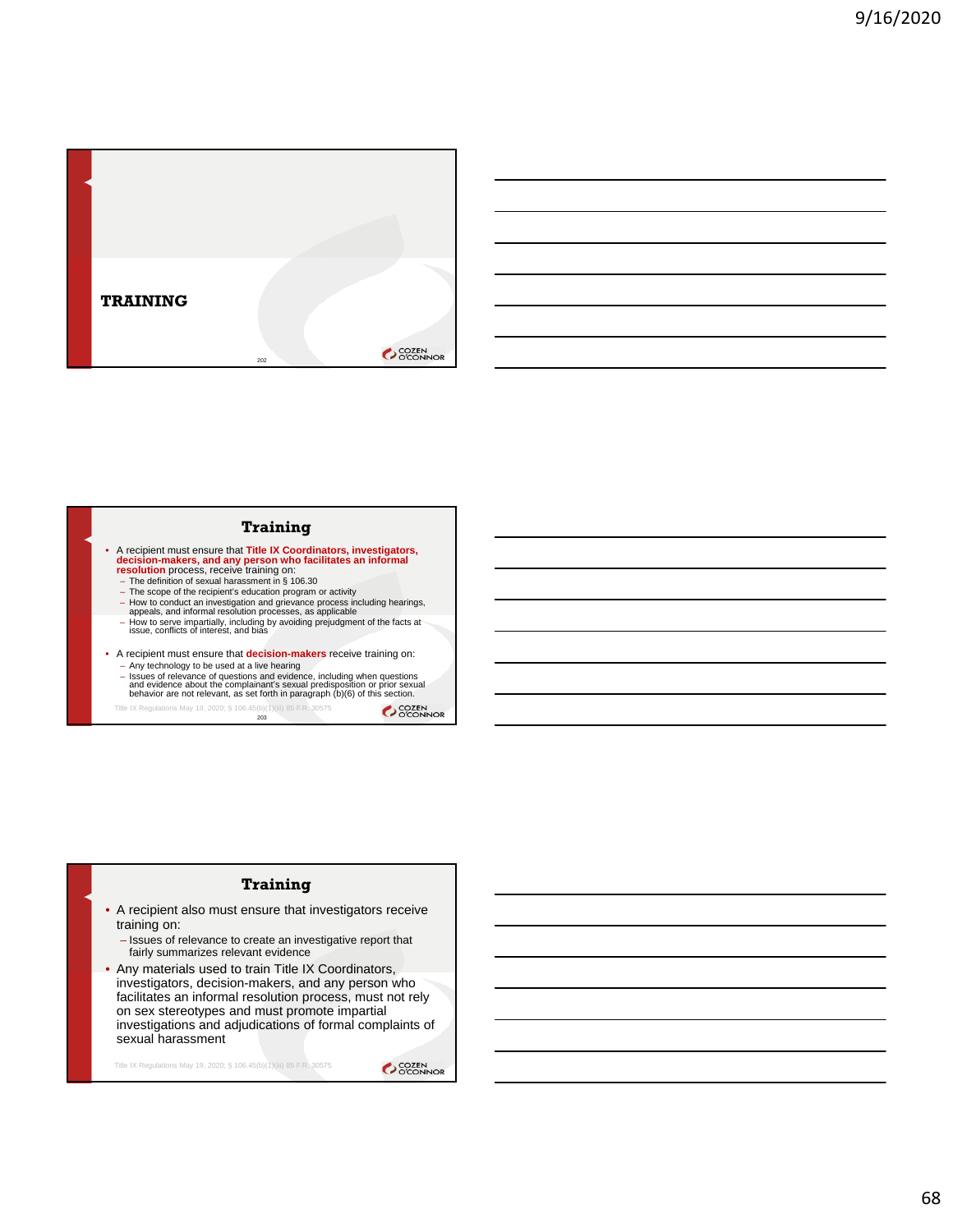

#### **Training**

- A recipient must ensure that **Title IX Coordinators, investigators, decision-makers, and any person who facilitates an informal resolution process, receive training on:<br>**  $-$  **The definition of sexual harassment in § 106.** 
	-
	-
	- How to conduct an investigation and grievance process including hearings, appeals, and informal resolution processes, as applicable
	- How to serve impartially, including by avoiding prejudgment of the facts at issue, conflicts of interest, and bias
- A recipient must ensure that **decision-makers** receive training on:
	- Any technology to be used at a live hearing<br>- Issues of relevance of questions and evidence, including when questions<br>- and evidence about the complainant's sexual predisposition or prior sexual<br>- behavior are not releva

203 Title IX Regulations May 19, 2020; § 106.45(b)(1)(iii) 85 F.R. 30575

SCOZEN<br>OCONNOR

### **Training**

• A recipient also must ensure that investigators receive training on:

– Issues of relevance to create an investigative report that fairly summarizes relevant evidence

• Any materials used to train Title IX Coordinators, investigators, decision-makers, and any person who facilitates an informal resolution process, must not rely on sex stereotypes and must promote impartial investigations and adjudications of formal complaints of sexual harassment

Title IX Regulations May 19, 2020; § 106.45(b)(1)(iii) 85 F.R. 30575

OCCEN COZEN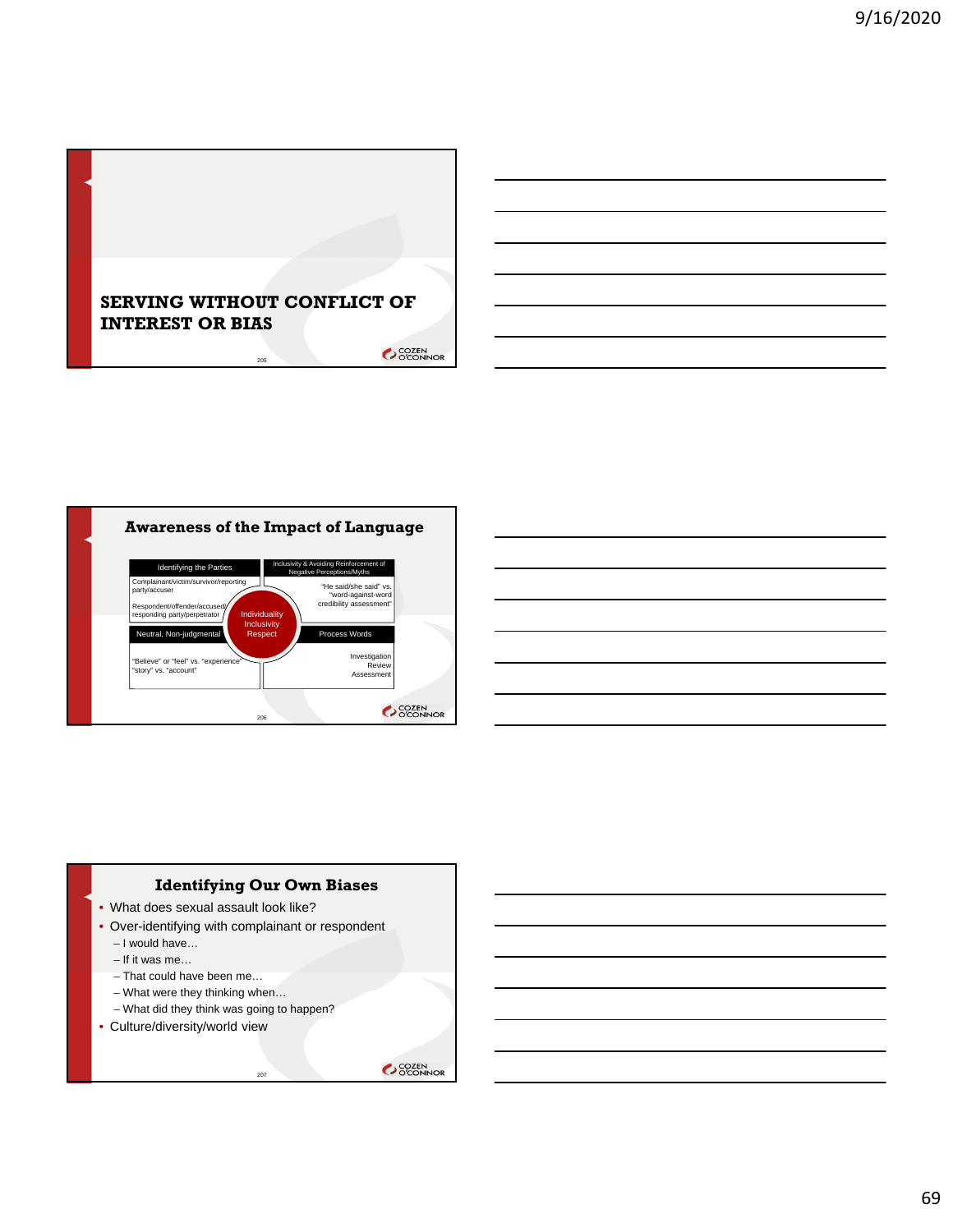







69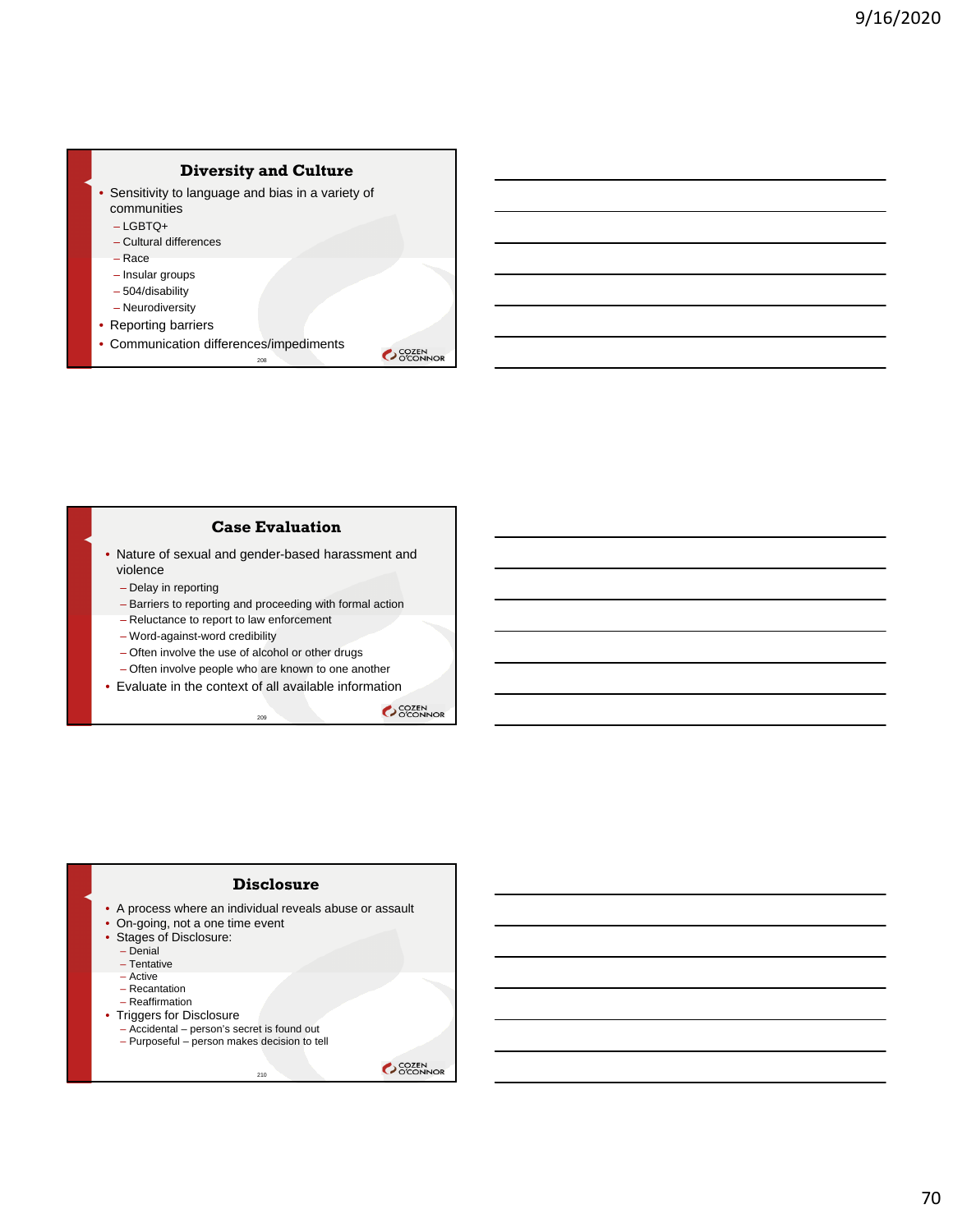

#### **Case Evaluation**

• Nature of sexual and gender-based harassment and violence

- Delay in reporting
- Barriers to reporting and proceeding with formal action

– Reluctance to report to law enforcement

- Word-against-word credibility
- Often involve the use of alcohol or other drugs
- Often involve people who are known to one another
- Evaluate in the context of all available information 209

SCOZEN<br>COCONNOR



• A process where an individual reveals abuse or assault

210

- On-going, not a one time event
- Stages of Disclosure:
	- Denial
	- Tentative
	- Active
	- Recantation
	- Reaffirmation
- Triggers for Disclosure
	- Accidental person's secret is found out – Purposeful – person makes decision to tell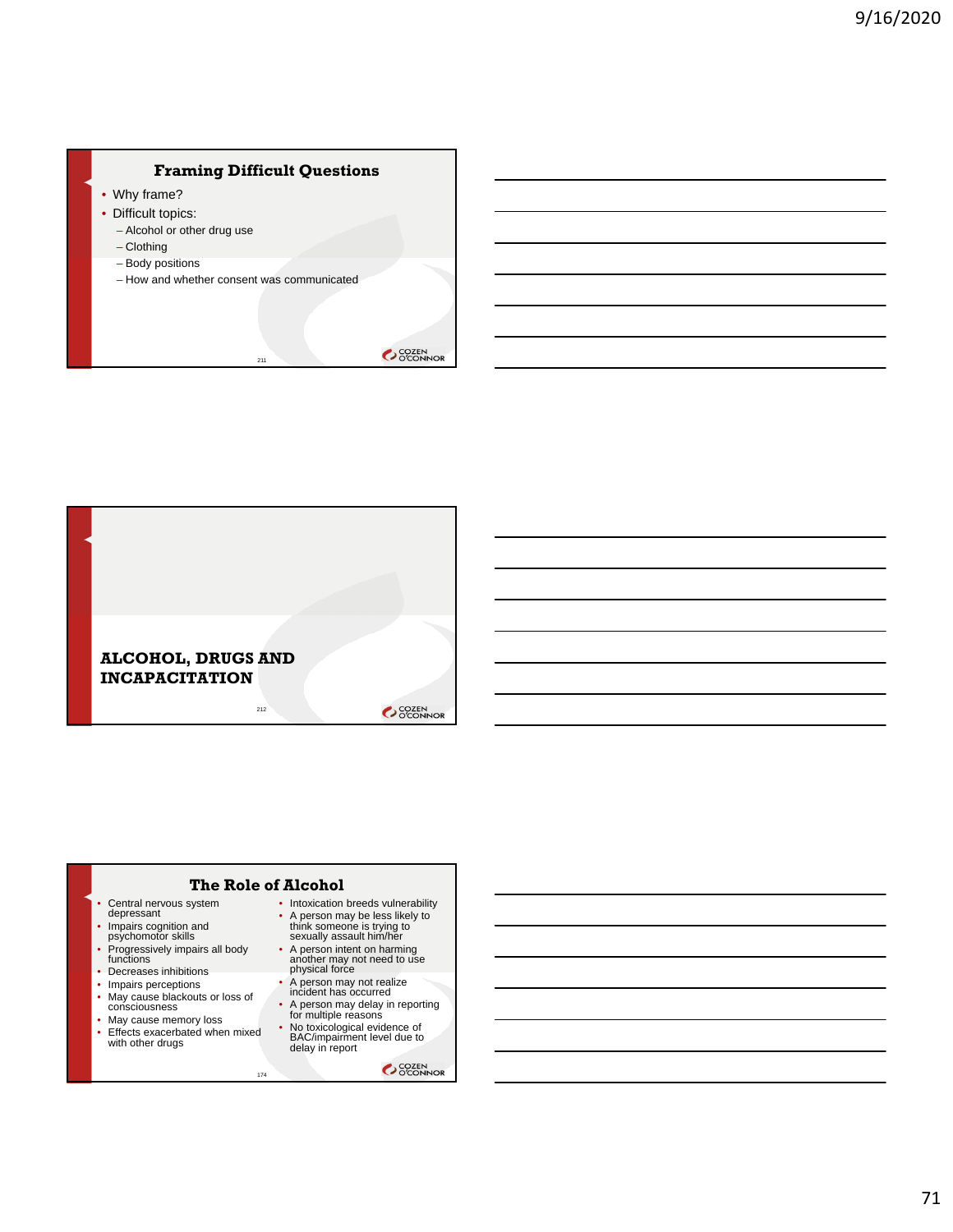# **Framing Difficult Questions**

211

- Why frame?
- Difficult topics:
	- Alcohol or other drug use
	- Clothing
	- Body positions
	- How and whether consent was communicated

OCOZEN<br>OCONNOR



# **The Role of Alcohol**

174

- Central nervous system depressant
- Impairs cognition and psychomotor skills
- Progressively impairs all body functions
- Decreases inhibitions
- Impairs perceptions
- May cause blackouts or loss of consciousness
- May cause memory loss
- Effects exacerbated when mixed with other drugs
- Intoxication breeds vulnerability<br>• A person may be less likely to • A person may be less likely to think someone is trying to sexually assault him/her
- A person intent on harming another may not need to use physical force
- A person may not realize incident has occurred
- A person may delay in reporting for multiple reasons
- No toxicological evidence of BAC/impairment level due to delay in report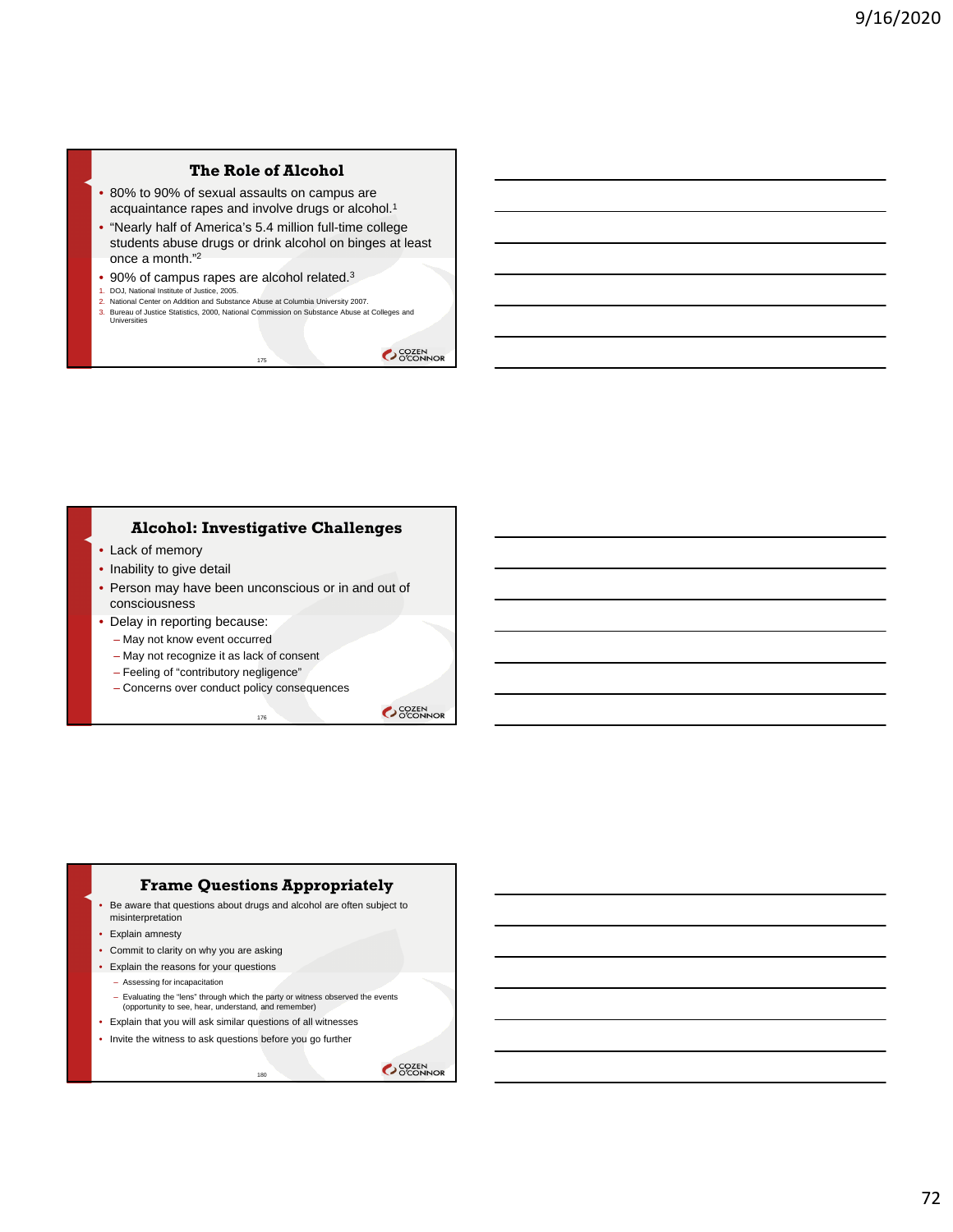# **The Role of Alcohol**

- 80% to 90% of sexual assaults on campus are acquaintance rapes and involve drugs or alcohol.1
- "Nearly half of America's 5.4 million full-time college students abuse drugs or drink alcohol on binges at least once a month."2
- 90% of campus rapes are alcohol related.<sup>3</sup>
- 1. DOJ, National Institute of Justice, 2005. 2. National Center on Addition and Substance Abuse at Columbia University 2007.
- 3. Bureau of Justice Statistics, 2000, National Commission on Substance Abuse at Colleges and Universities

175

OCOZEN<br>OCONNOR

#### **Alcohol: Investigative Challenges**

- Lack of memory
- Inability to give detail
- Person may have been unconscious or in and out of consciousness

176

- Delay in reporting because:
	- May not know event occurred
	- May not recognize it as lack of consent
	- Feeling of "contributory negligence"
	- Concerns over conduct policy consequences

SCOZEN<br>OCONNOR

# **Frame Questions Appropriately**

- Be aware that questions about drugs and alcohol are often subject to misinterpretation
- Explain amnesty
- Commit to clarity on why you are asking
- Explain the reasons for your questions
	- Assessing for incapacitation
	- Evaluating the "lens" through which the party or witness observed the events (opportunity to see, hear, understand, and remember)

190<sup>1</sup>

- Explain that you will ask similar questions of all witnesses
- Invite the witness to ask questions before you go further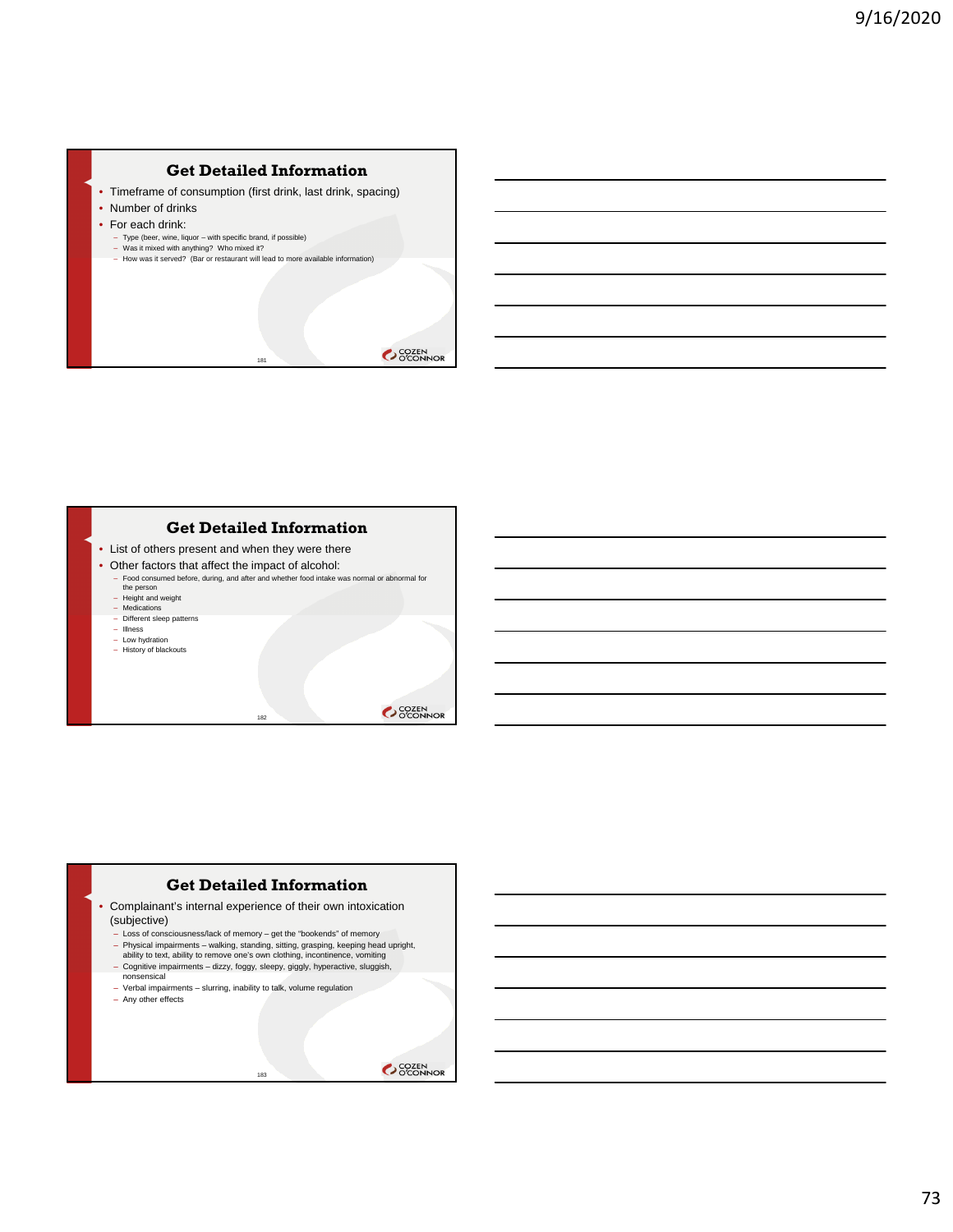

181



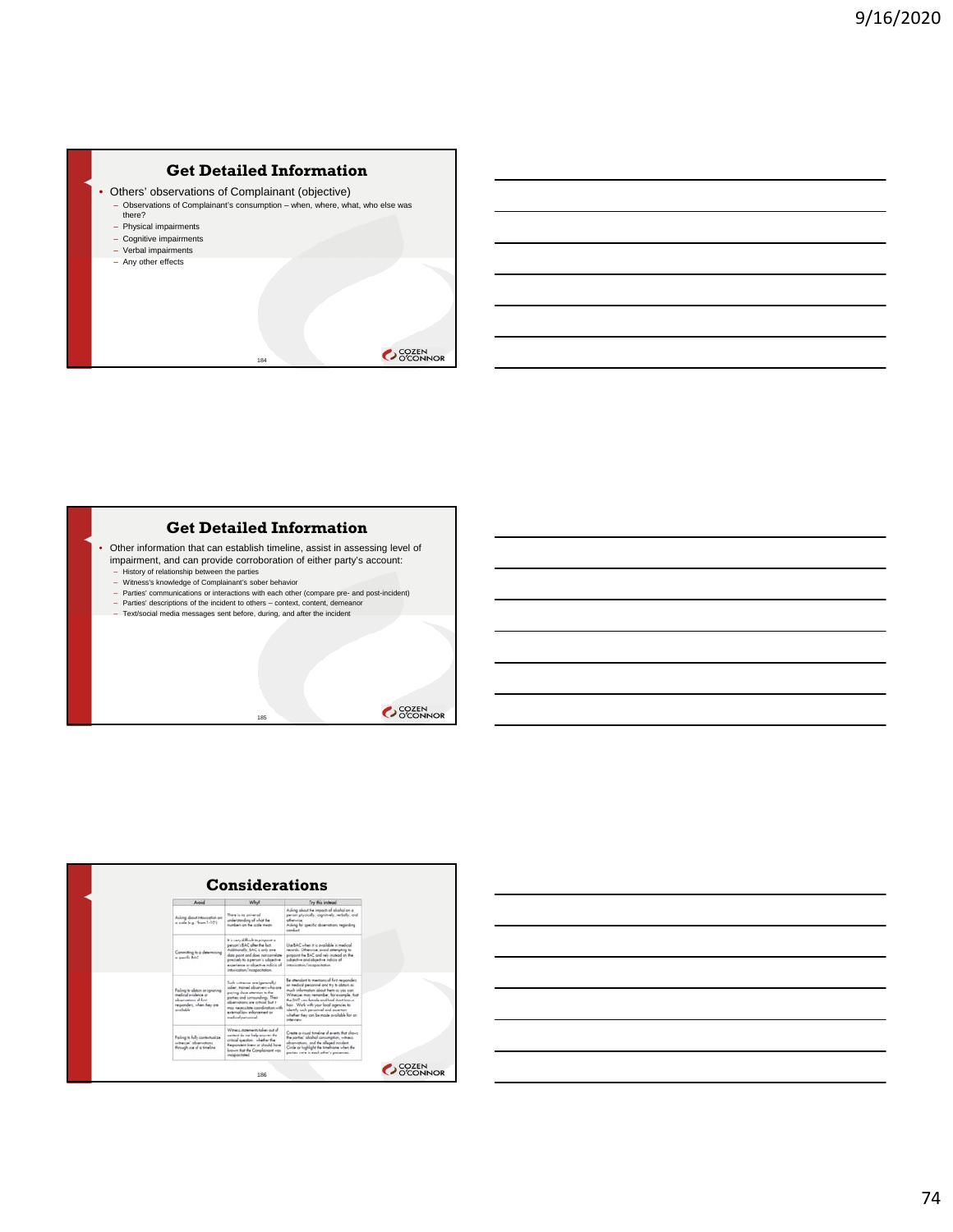# **Get Detailed Information**

- Others' observations of Complainant (objective)
	- Observations of Complainant's consumption when, where, what, who else was there?

184

- Physical impairments
- Cognitive impairments
- Verbal impairments
- Any other effects





185





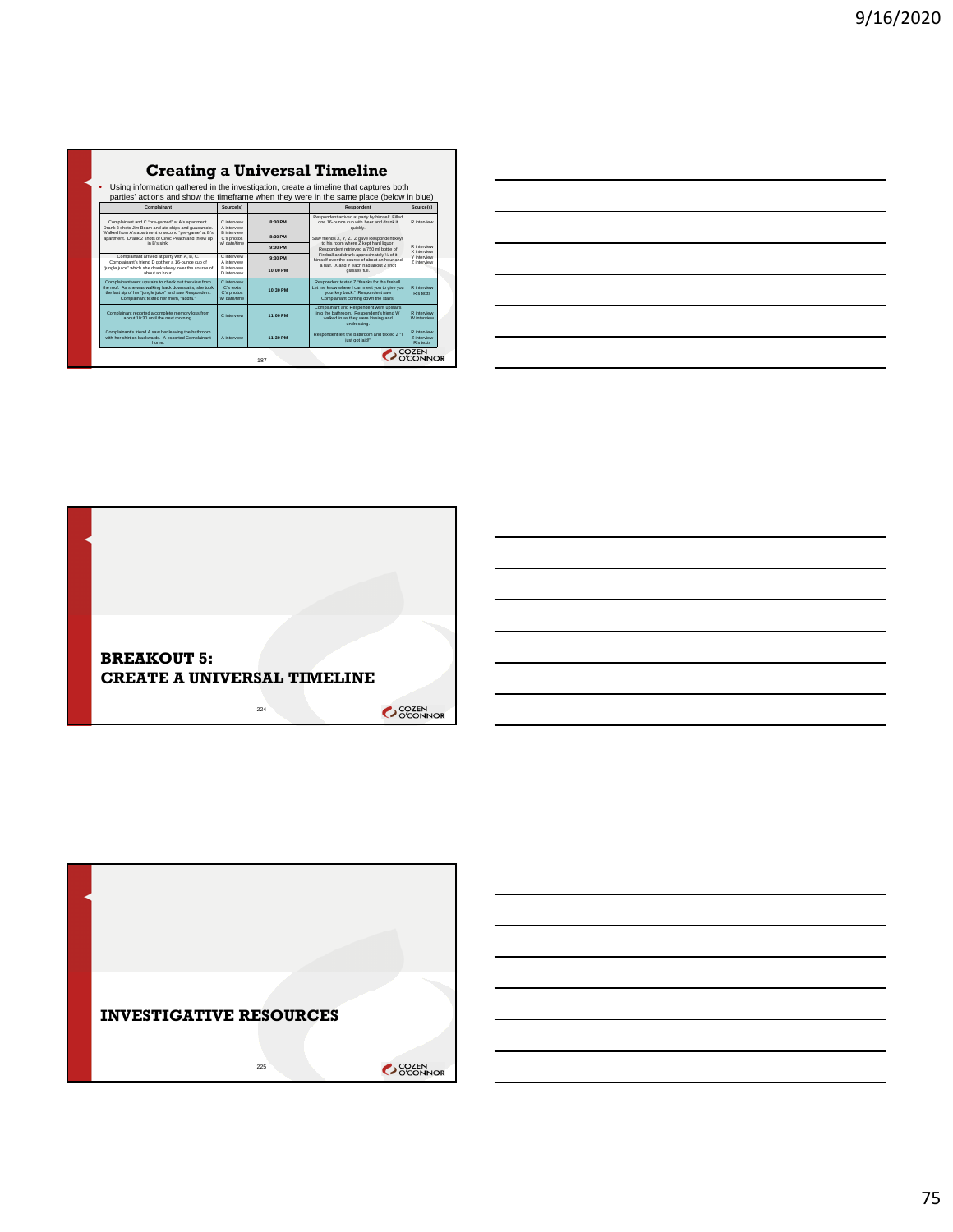| <b>Creating a Universal Timeline</b> |  |  |
|--------------------------------------|--|--|
|--------------------------------------|--|--|

• Using information gathered in the investigation, create a timeline that captures both parties' actions and show the timeframe when they were in the same place (below in blue)  $\overline{\phantom{a}}$  Source(s) Complainant and C "pre-gamed" at A's apartment. Drank 3 shots Jim Beam and ate chips and guacamole. Walked from A's apartment to second "pre-game" at B's apartment. Drank 2 shots of Ciroc Peach and threw up in B's sink. C interview A interview B interview C's photos w/ date/time **8:00 PM** Respondent arrived at party by himself. Filled one 16-ounce cup with beer and drank it quickly. R interview **8:30 PM** Saw friends X, Y, Z. Z gave Respondent keys<br>
to his room where Z kept hard liquor. Respondent retrieved a 750 ml bottle of Fireball and drank approximately ¼ of it himself over the course of about an hour and a half. X and Y each had about 2 shot glasses full. R interview X interview Y interview Z interview **9:00 PM** Complainant arrived at party with A, B, C. Complainant's friend D got her a 16-ounce cup of "jungle juice" which she drank slowly over the course of about an hour. C interview A interview B interview D interview **9:30 PM 10:00 PM** Complainant went upstairs to check out the view from the roof. As she was walking back downstairs, she took the last sip of her "jungle juice" and saw Respondent. Complainant texted her mom, "addfa." C interview C's texts C's photos w/ date/time **10:30 PM** Respondent texted Z "thanks for the fireball. Let me know where I can meet you to give you your key back." Respondent saw Complainant coming down the stairs. R interview R's texts

A interview **11:30 PM** Respondent left the bathroom and texted Z "I

187

Complainant and Respondent went upstairs into the bathroom. Respondent's friend W walked in as they were kissing and undressing.

just got laid!"

R interview W interview

R interview Z interview R's texts

Complainant reported a complete memory loss from

Complainant's friend A saw her leaving the bathroom with her shirt on backwards. A escorted Complainant home.

about 10:30 until the next morning. C interview **11:00 PM**

| ______ |
|--------|
|        |
|        |
|        |
| ____   |
|        |
|        |
|        |
|        |
|        |
|        |



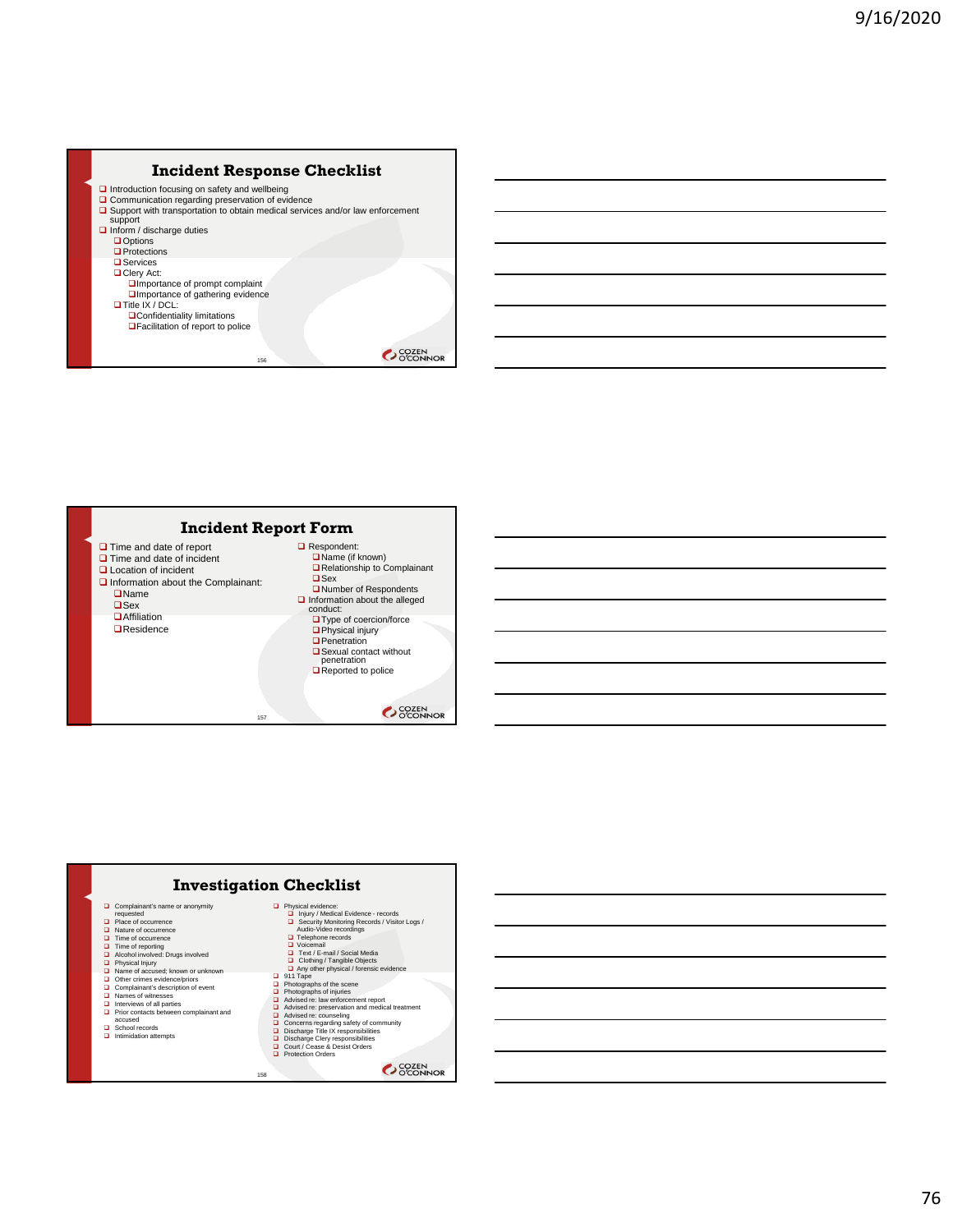





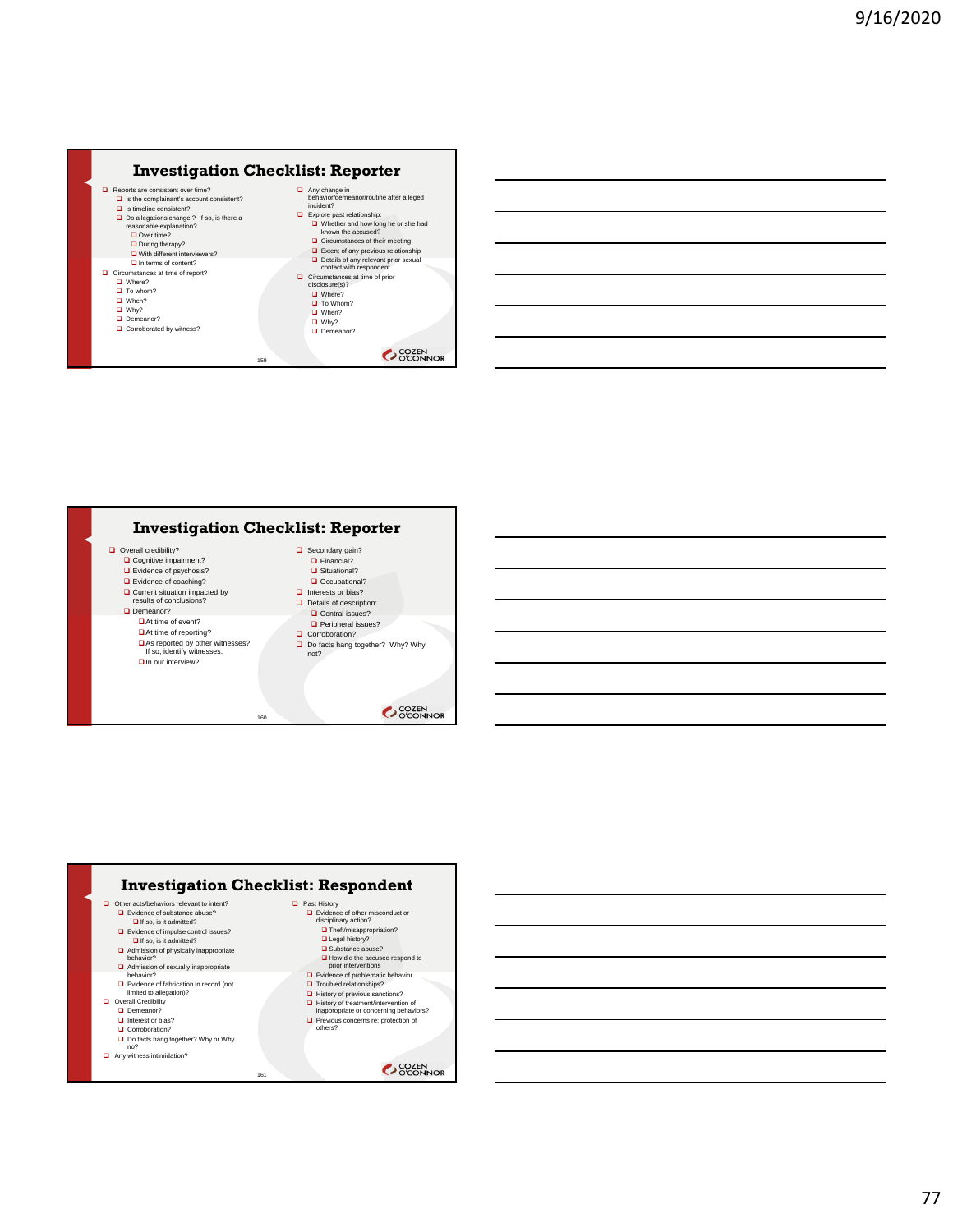





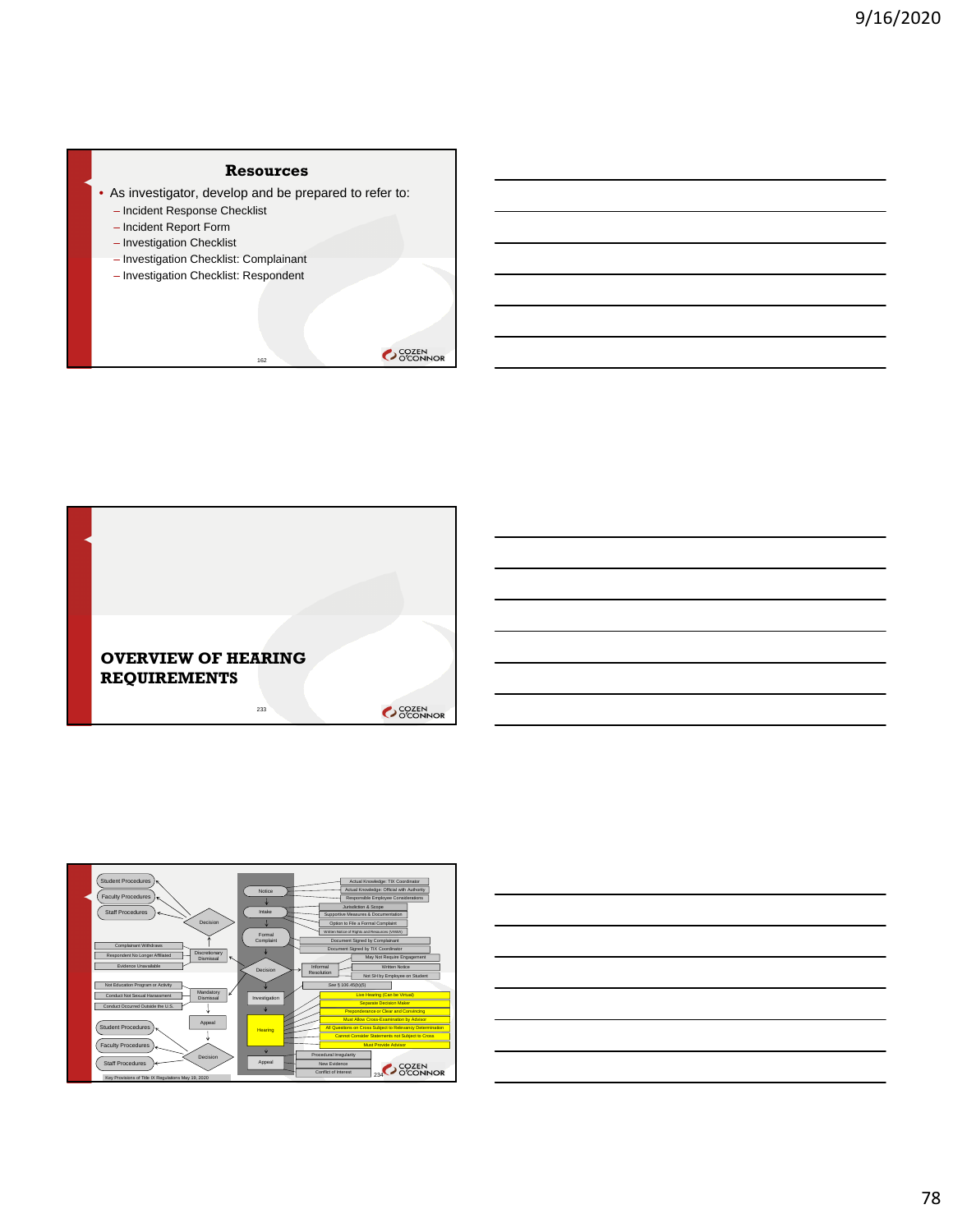## **Resources**

• As investigator, develop and be prepared to refer to:

162

- Incident Response Checklist
- Incident Report Form
- Investigation Checklist
- Investigation Checklist: Complainant
- Investigation Checklist: Respondent







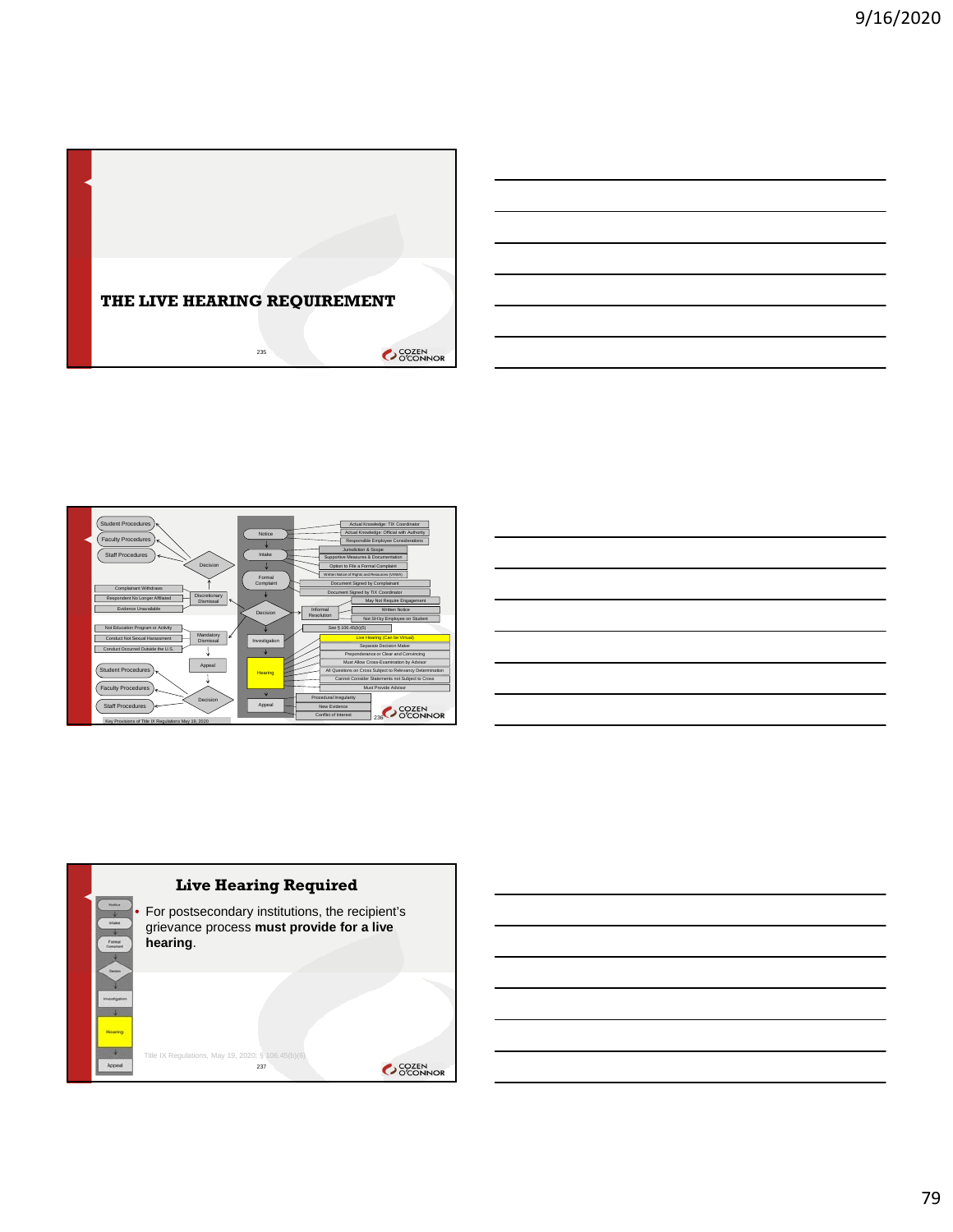





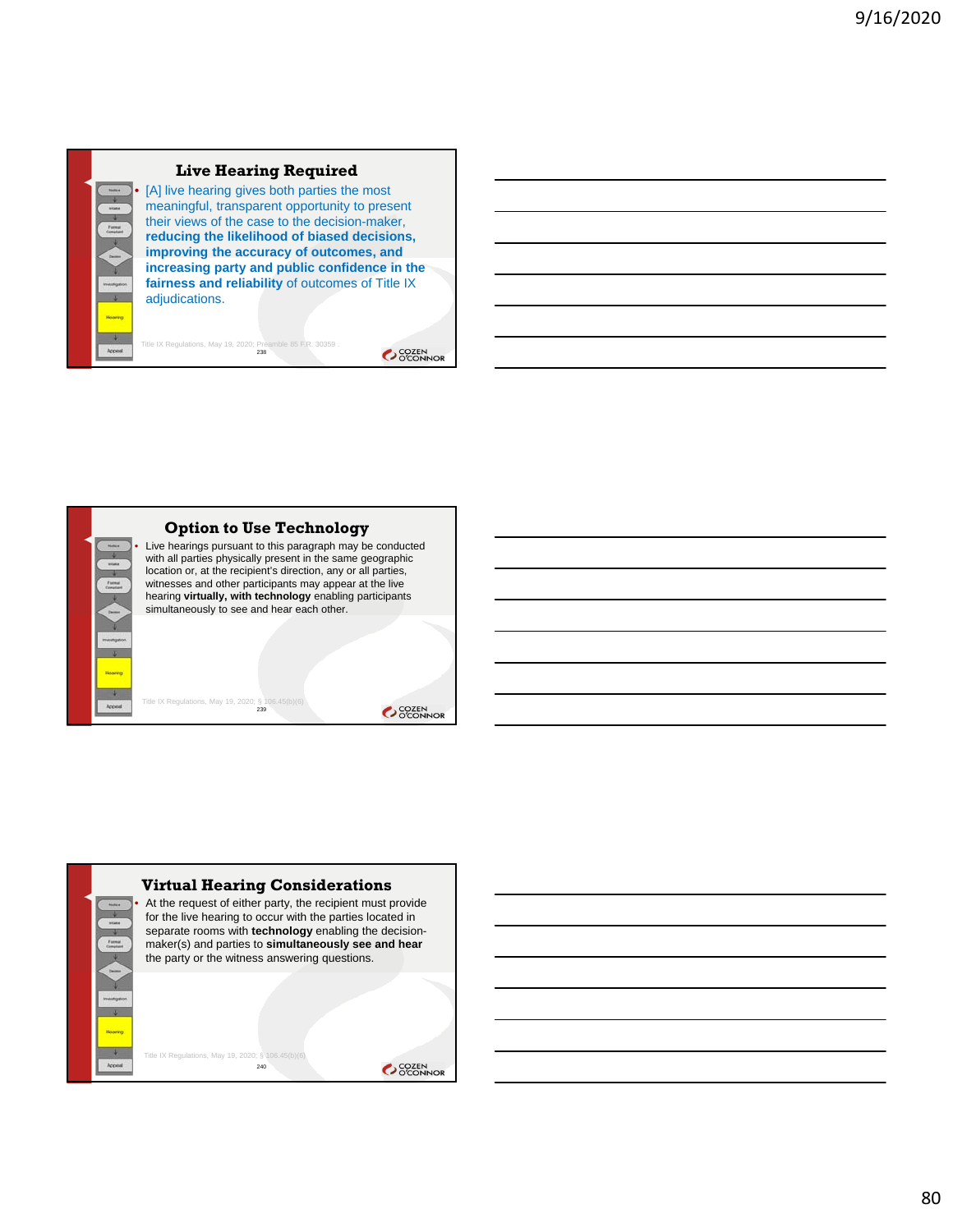#### **Live Hearing Required** [A] live hearing gives both parties the most meaningful, transparent opportunity to present their views of the case to the decision-maker, **reducing the likelihood of biased decisions, improving the accuracy of outcomes, and increasing party and public confidence in the fairness and reliability** of outcomes of Title IX adjudications.

Title IX Regulations, May 19, 2020; Preamble 85 F.R. 30359 . 238





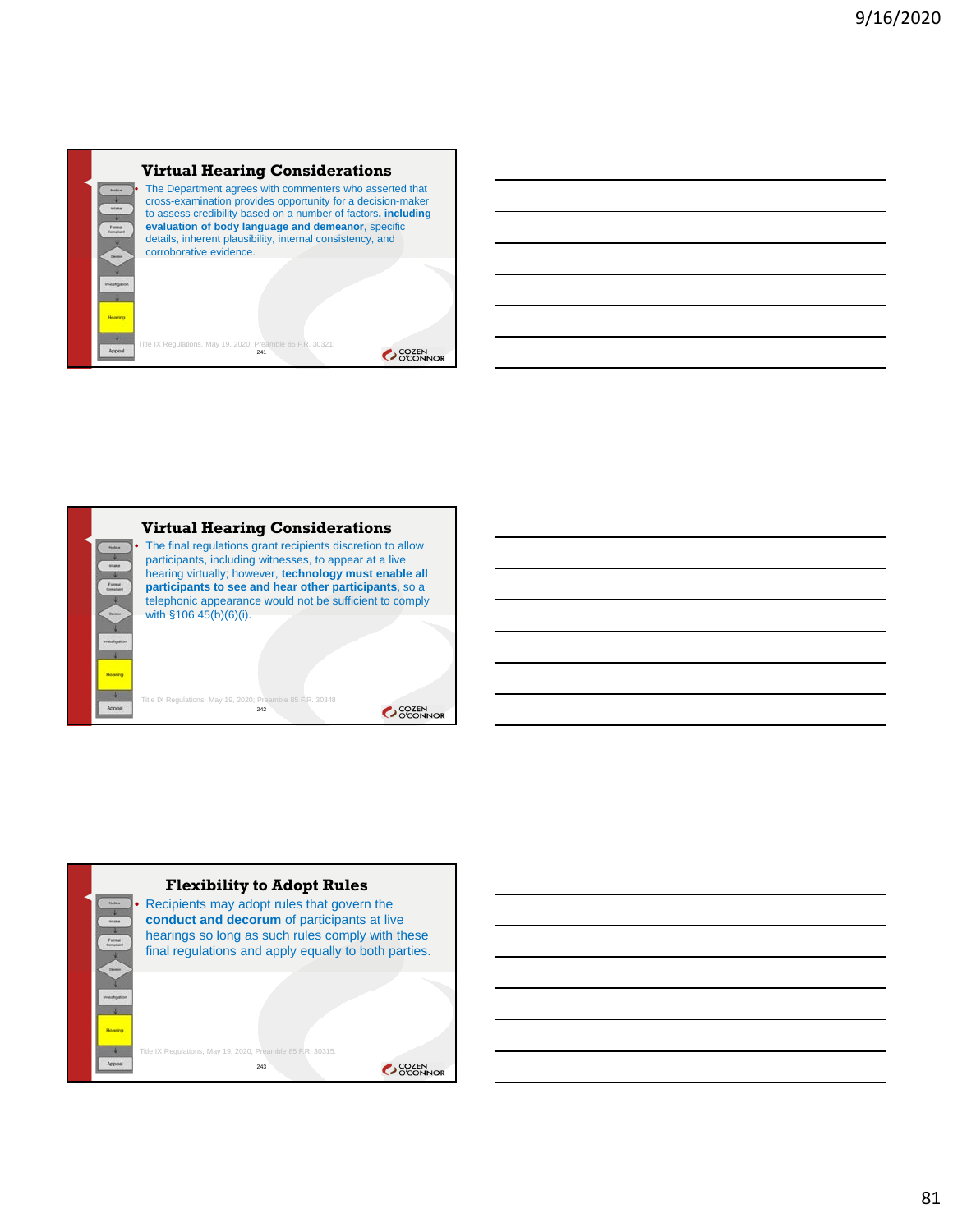#### **Virtual Hearing Considerations** The Department agrees with commenters who asserted that cross-examination provides opportunity for a decision-maker to assess credibility based on a number of factors**, including evaluation of body language and demeanor**, specific

Title IX Regulations, May 19, 2020; Preamble 85 F.R. 30321;<br>241

details, inherent plausibility, internal consistency, and corroborative evidence.



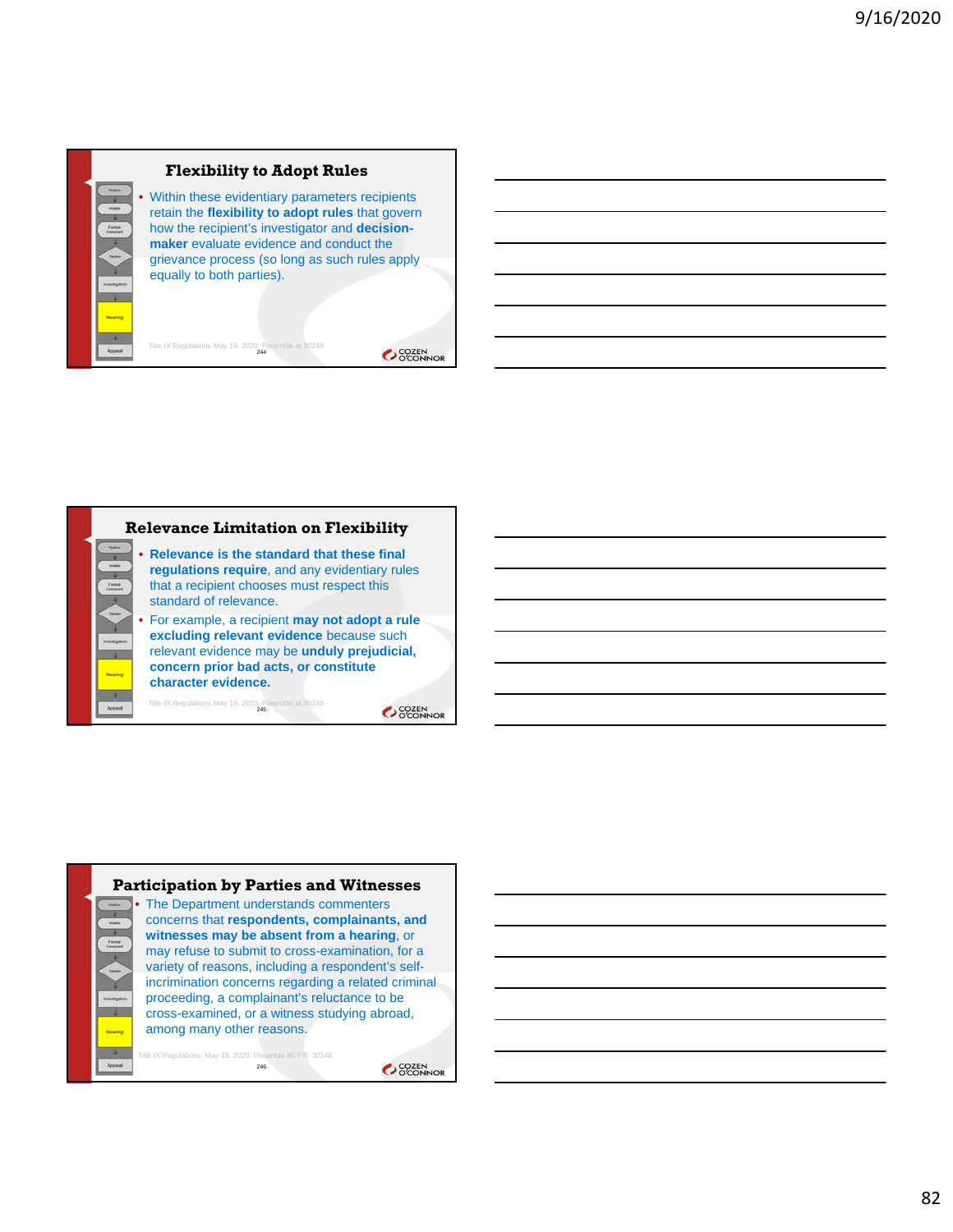

Title IX Regulations May 19, 2020; Preamble at 30248

Within these evidentiary parameters recipients retain the **flexibility to adopt rules** that govern how the recipient's investigator and **decisionmaker** evaluate evidence and conduct the grievance process (so long as such rules apply equally to both parties).

OCOZEN<br>OCONNOR





246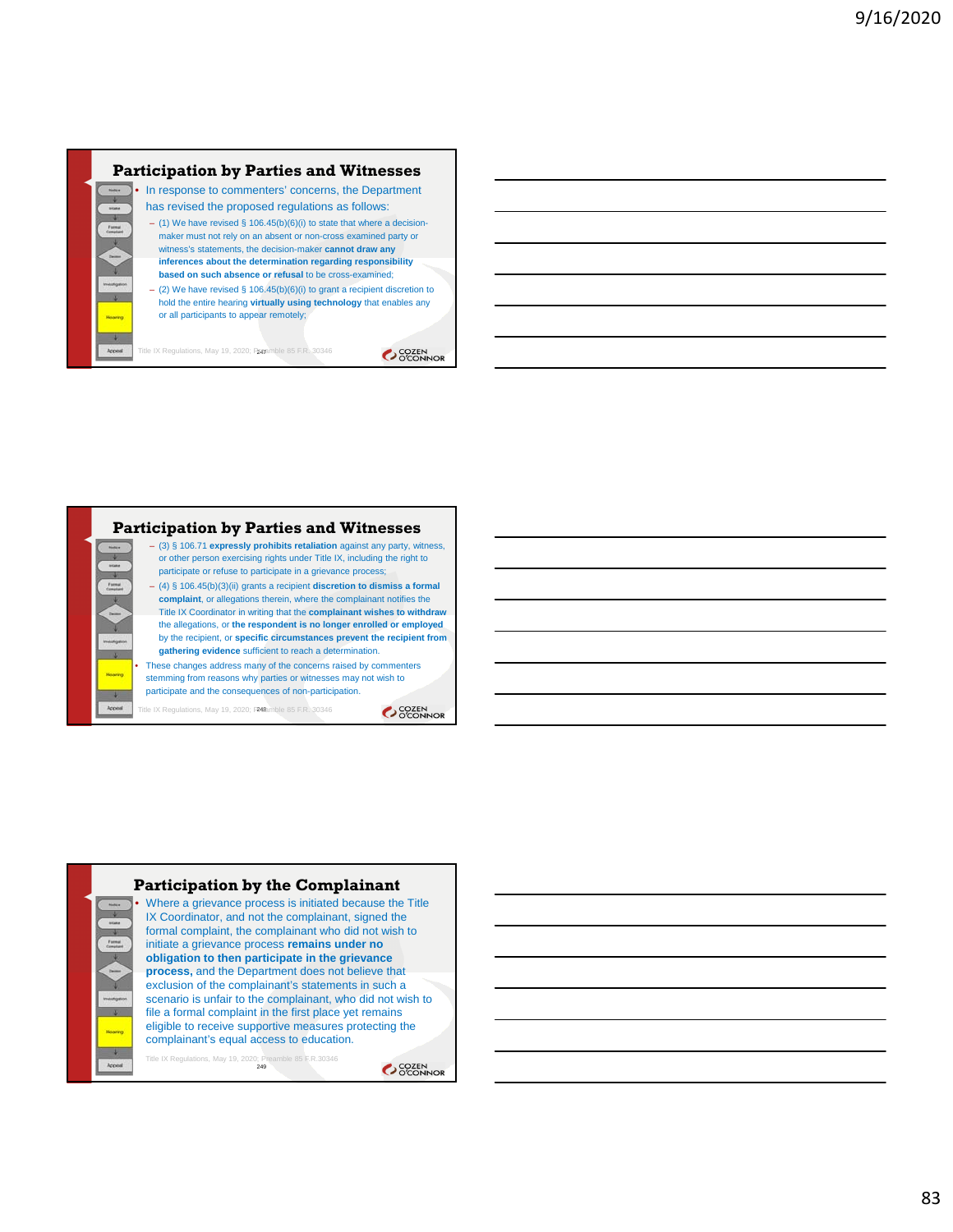#### **Participation by Parties and Witnesses** • In response to commenters' concerns, the Department

has revised the proposed regulations as follows:

- (1) We have revised § 106.45(b)(6)(i) to state that where a decisionmaker must not rely on an absent or non-cross examined party or witness's statements, the decision-maker **cannot draw any inferences about the determination regarding responsibility based on such absence or refusal** to be cross-examined;
- (2) We have revised § 106.45(b)(6)(i) to grant a recipient discretion to hold the entire hearing **virtually using technology** that enables any or all participants to appear remotely;

Title IX Regulations, May 19, 2020; Pamemble 85 F.R. 30346

OCOZEN<br>OCONNOR

#### **Participation by Parties and Witnesses** – (3) § 106.71 **expressly prohibits retaliation** against any party, witness, or other person exercising rights under Title IX, including the right to participate or refuse to participate in a grievance process; – (4) § 106.45(b)(3)(ii) grants a recipient **discretion to dismiss a formal complaint**, or allegations therein, where the complainant notifies the Title IX Coordinator in writing that the **complainant wishes to withdraw**  the allegations, or **the respondent is no longer enrolled or employed**  by the recipient, or **specific circumstances prevent the recipient from gathering evidence** sufficient to reach a determination. • These changes address many of the concerns raised by commenters stemming from reasons why parties or witnesses may not wish to participate and the consequences of non-participation. Title IX Regulations, May 19, 2020; P<sup>248</sup>amble 85 F.R. 30346

OCOZEN<br>OCONNOR



83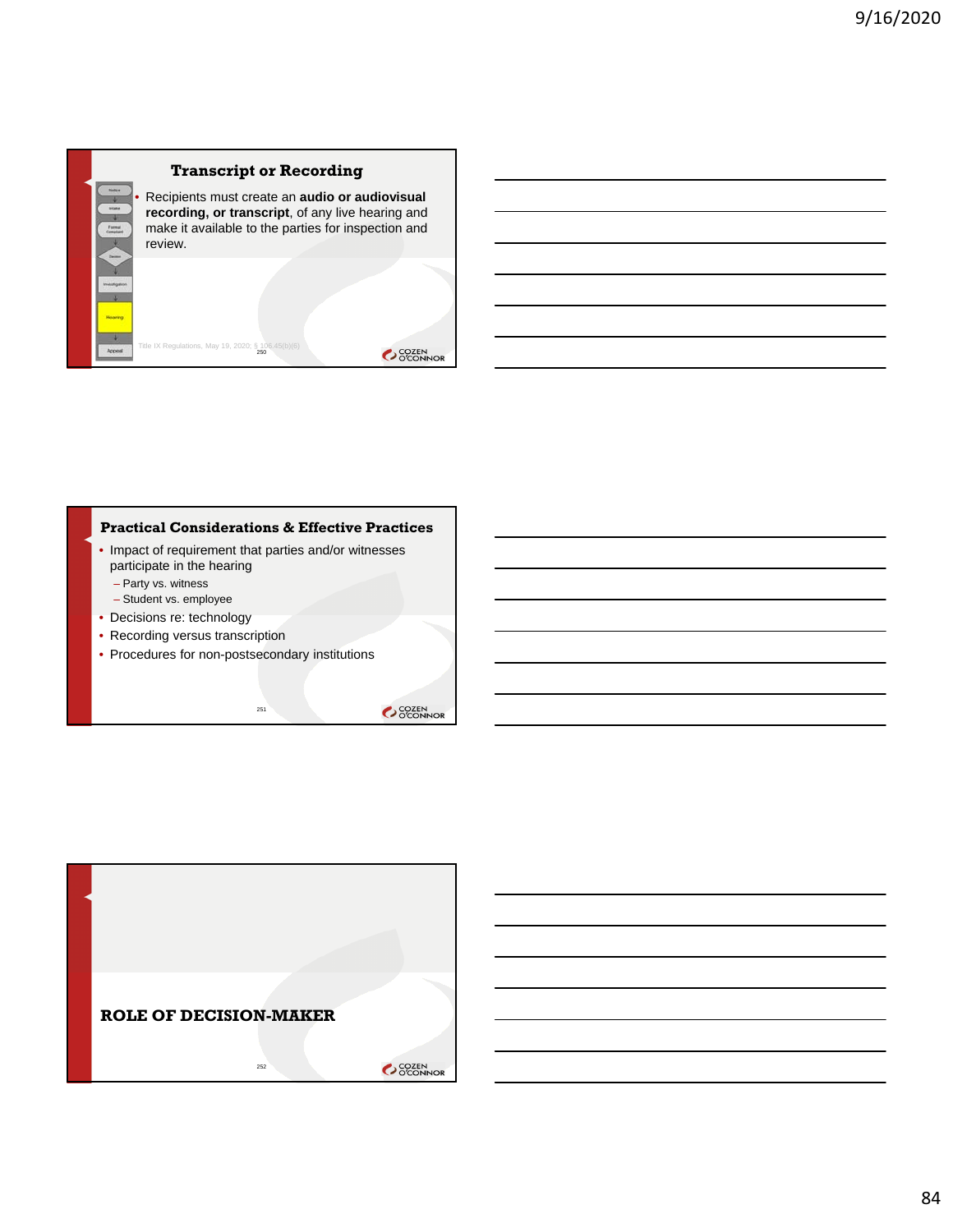## **Transcript or Recording**

• Recipients must create an **audio or audiovisual recording, or transcript**, of any live hearing and make it available to the parties for inspection and review.

# Title IX Regulations, May 19, 2020;  $\S$ 10

#### **Practical Considerations & Effective Practices**

- Impact of requirement that parties and/or witnesses participate in the hearing – Party vs. witness
	- Student vs. employee
- Decisions re: technology
- Recording versus transcription
- Procedures for non-postsecondary institutions

251

SCOZEN<br>OCONNOR

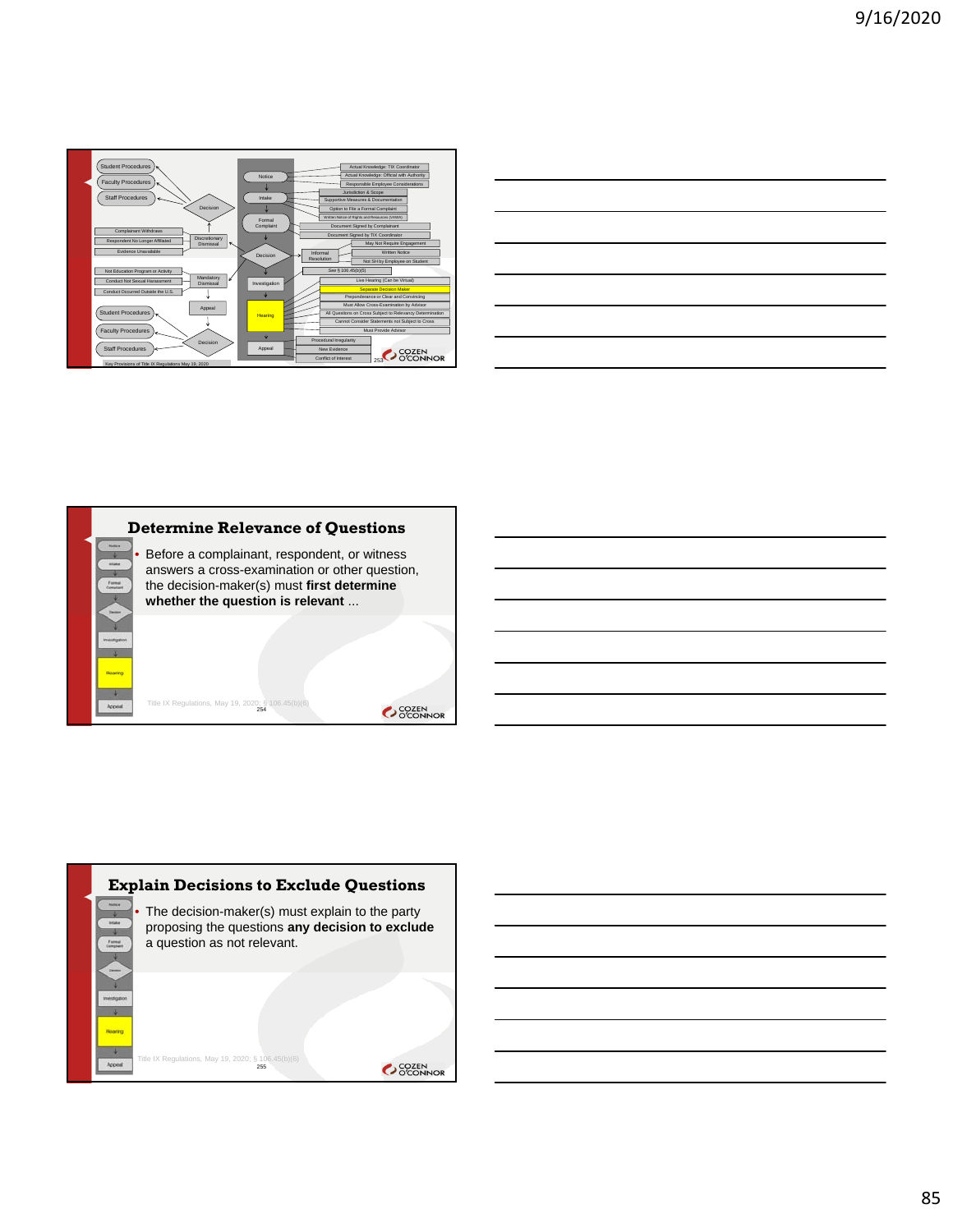

| <u> 1989 - Johann Stoff, deutscher Stoffen und der Stoffen und der Stoffen und der Stoffen und der Stoffen und der</u>                                               |  |  |
|----------------------------------------------------------------------------------------------------------------------------------------------------------------------|--|--|
| ,我们也不会有一个人的事情。""我们的人们,我们也不会有一个人的人,我们也不会有一个人的人,我们也不会有一个人的人,我们也不会有一个人的人,我们也不会有一个人的<br>第一百一十一章 我们的人,我们的人们的人们,我们的人们的人们的人们,我们的人们的人们的人们,我们的人们的人们的人们,我们的人们的人们的人们,我们的人们的人们,我 |  |  |
|                                                                                                                                                                      |  |  |
|                                                                                                                                                                      |  |  |
|                                                                                                                                                                      |  |  |



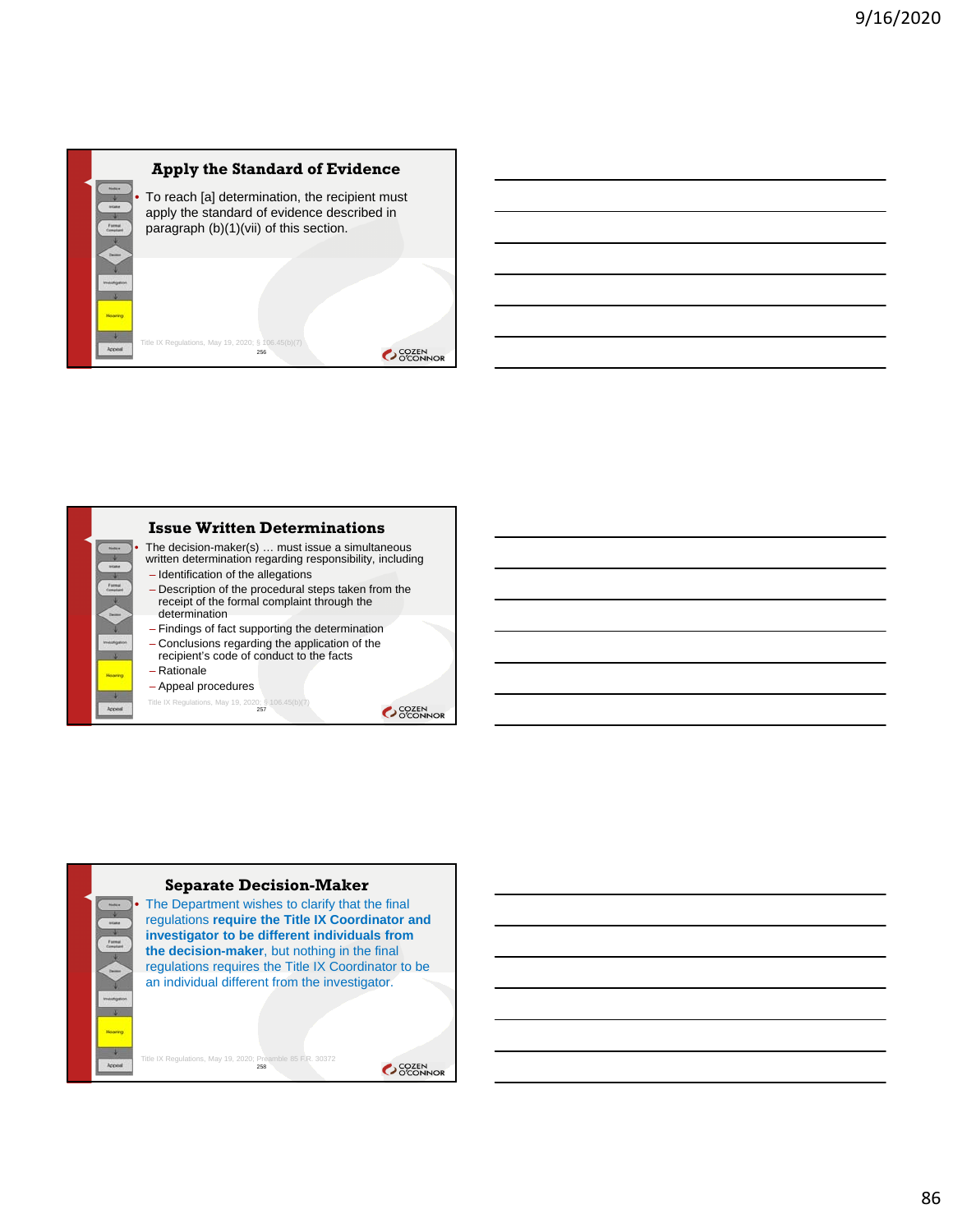



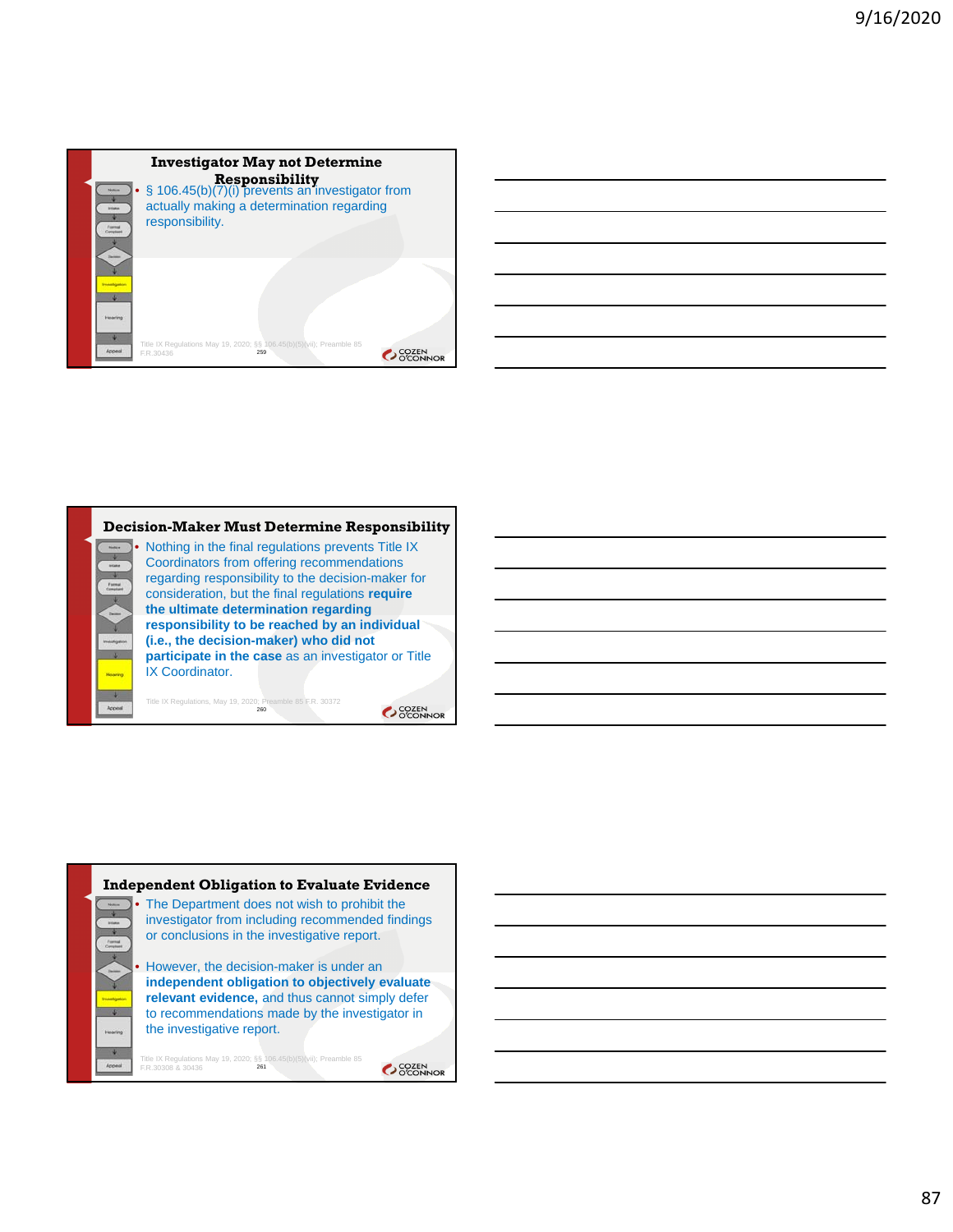



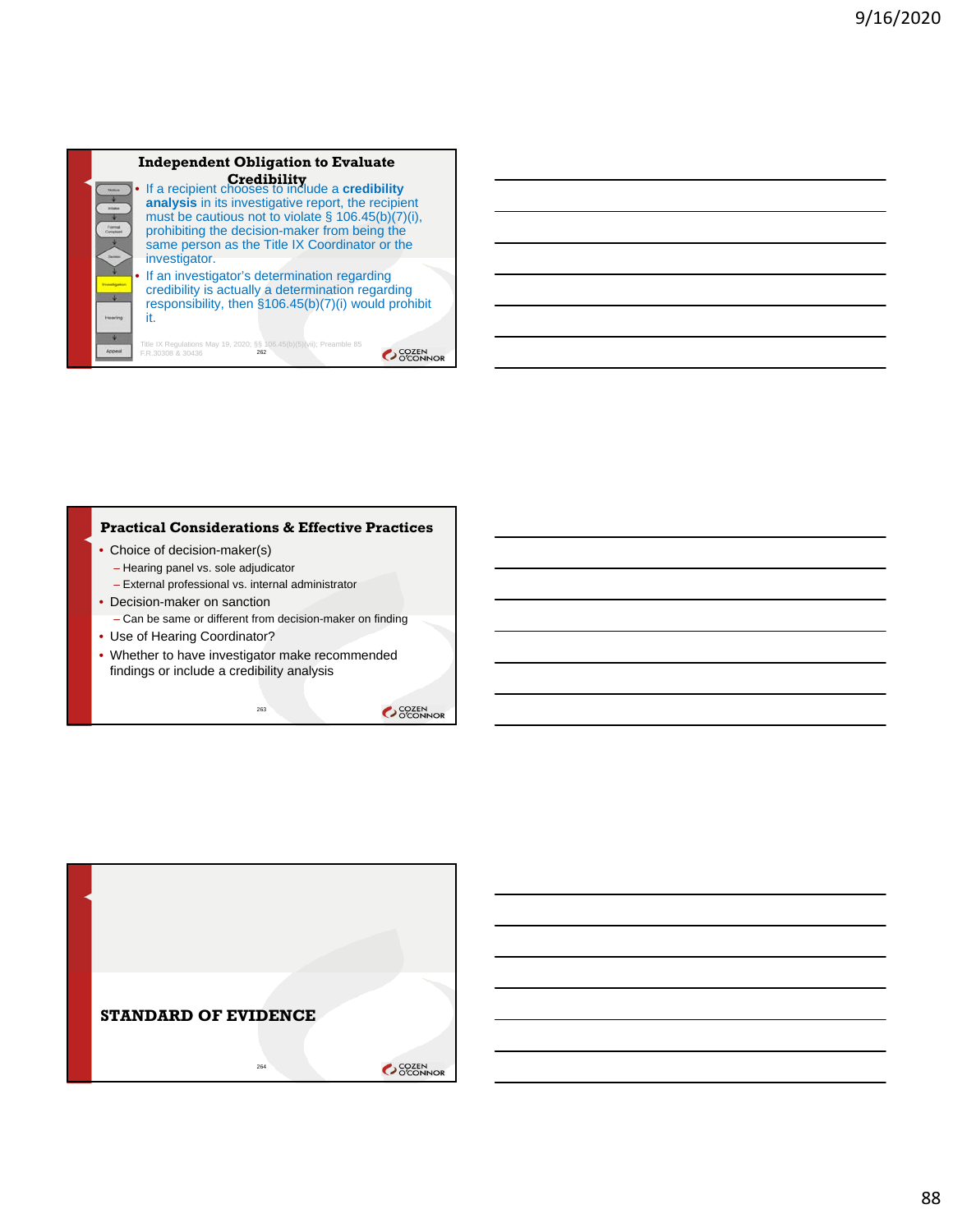

#### **Practical Considerations & Effective Practices**

- Choice of decision-maker(s) – Hearing panel vs. sole adjudicator
	- External professional vs. internal administrator
- Decision-maker on sanction – Can be same or different from decision-maker on finding
- Use of Hearing Coordinator?
- Whether to have investigator make recommended findings or include a credibility analysis

263

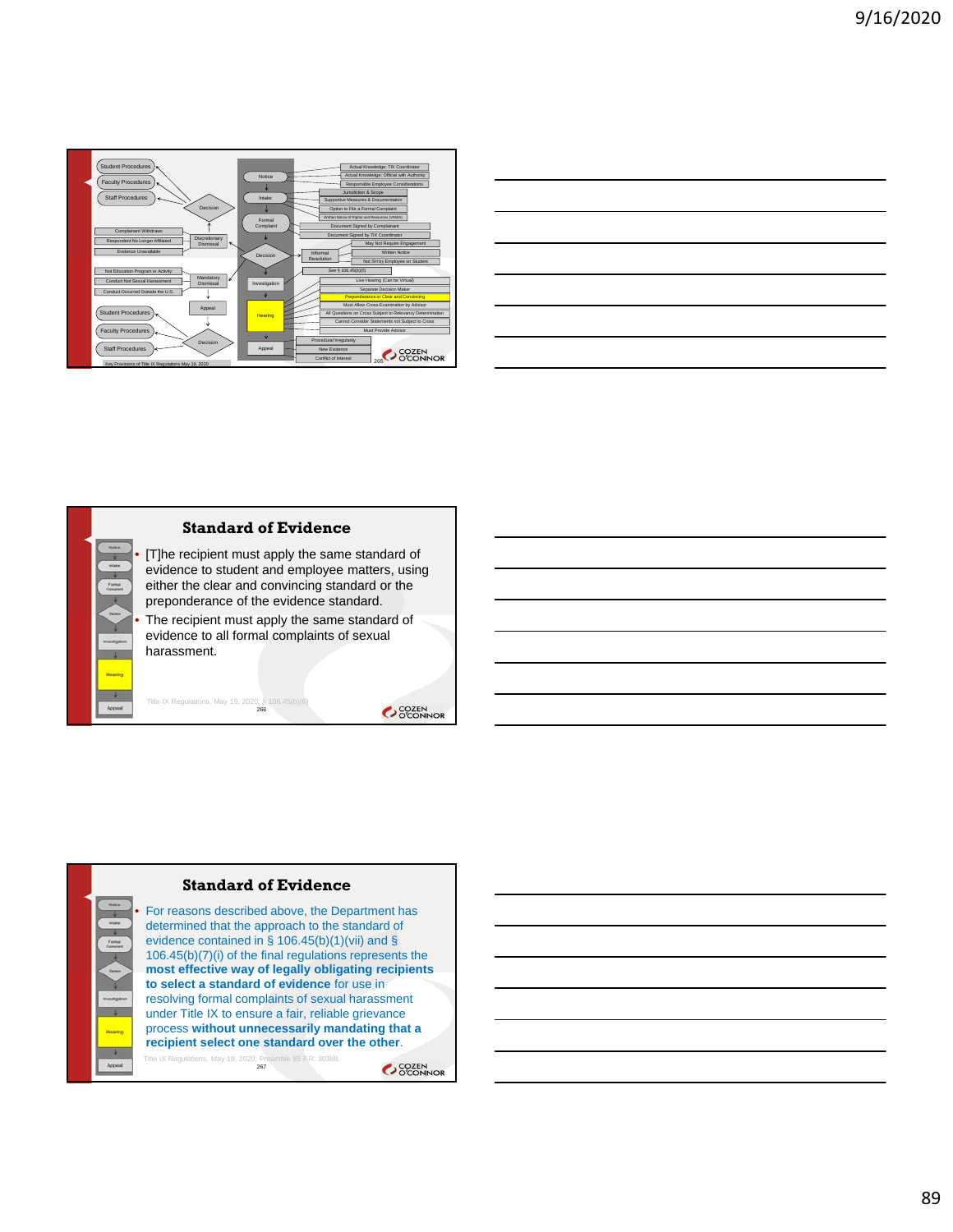

| and the control of the control of the control of the control of the control of the control of the control of the |                                                                                                                      |  |  |
|------------------------------------------------------------------------------------------------------------------|----------------------------------------------------------------------------------------------------------------------|--|--|
|                                                                                                                  |                                                                                                                      |  |  |
|                                                                                                                  | <u> 1989 - Andrea Santa Andrea Andrea Andrea Andrea Andrea Andrea Andrea Andrea Andrea Andrea Andrea Andrea Andr</u> |  |  |
|                                                                                                                  |                                                                                                                      |  |  |
|                                                                                                                  |                                                                                                                      |  |  |
|                                                                                                                  |                                                                                                                      |  |  |





process **without unnecessarily mandating that a recipient select one standard over the other**.

267 Title IX Regulations, May 19, 2020; Preamble 85 F.R. 30388.OCOZEN<br>OCONNOR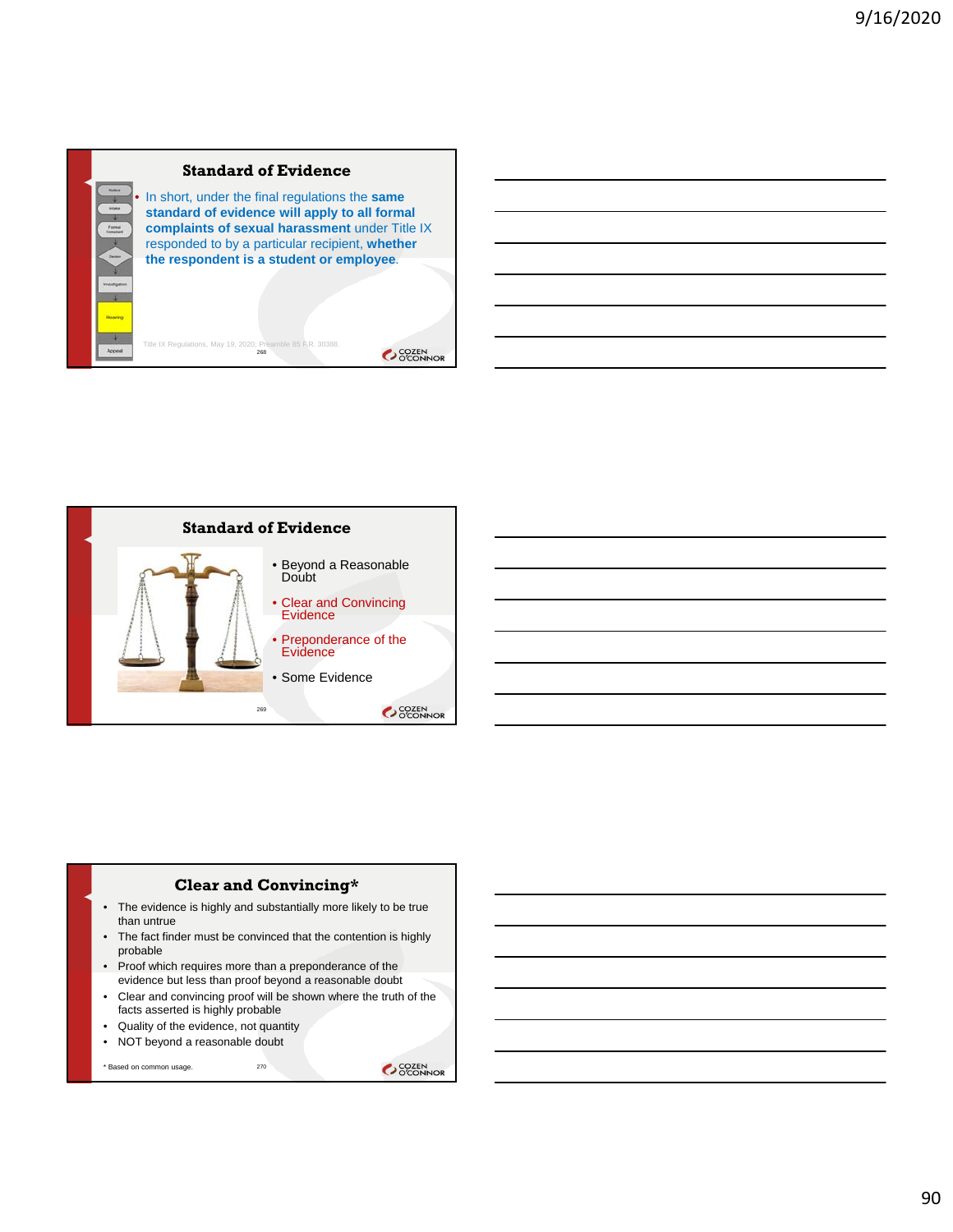## **Standard of Evidence**

Title IX Regulations, May 19, 2020; Preamble 85 F.R. 30388.<br>268

• In short, under the final regulations the **same standard of evidence will apply to all formal complaints of sexual harassment** under Title IX responded to by a particular recipient, **whether the respondent is a student or employee**.

SCOZEN<br>OCONNOR



#### **Clear and Convincing\***

- The evidence is highly and substantially more likely to be true than untrue
- The fact finder must be convinced that the contention is highly probable
- Proof which requires more than a preponderance of the evidence but less than proof beyond a reasonable doubt
- Clear and convincing proof will be shown where the truth of the facts asserted is highly probable
- Quality of the evidence, not quantity
- NOT beyond a reasonable doubt

\* Based on common usage.

270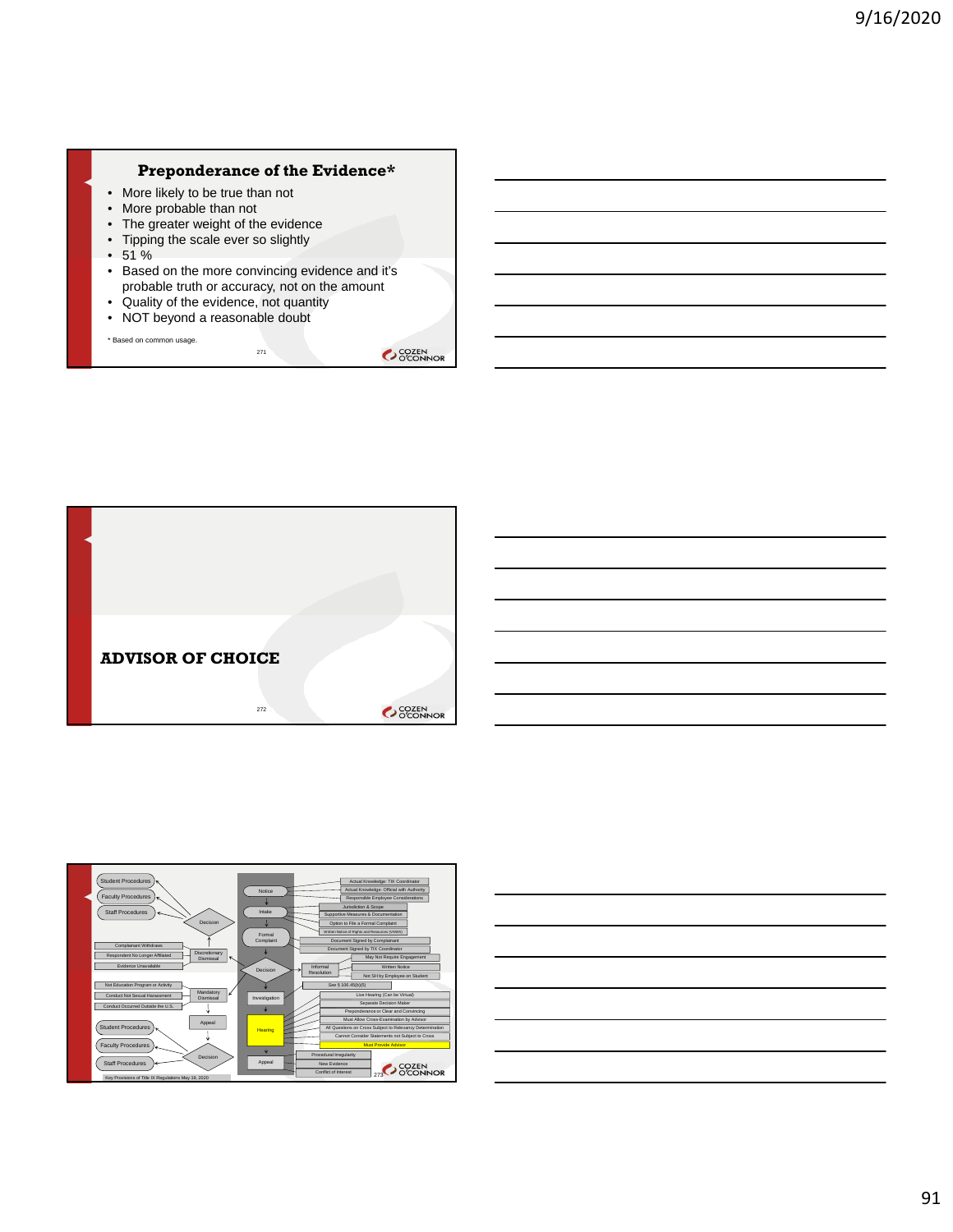## **Preponderance of the Evidence\***

- More likely to be true than not
- More probable than not
- The greater weight of the evidence
- Tipping the scale ever so slightly
- $51%$
- Based on the more convincing evidence and it's probable truth or accuracy, not on the amount

271

- Quality of the evidence, not quantity
- NOT beyond a reasonable doubt

\* Based on common usage.





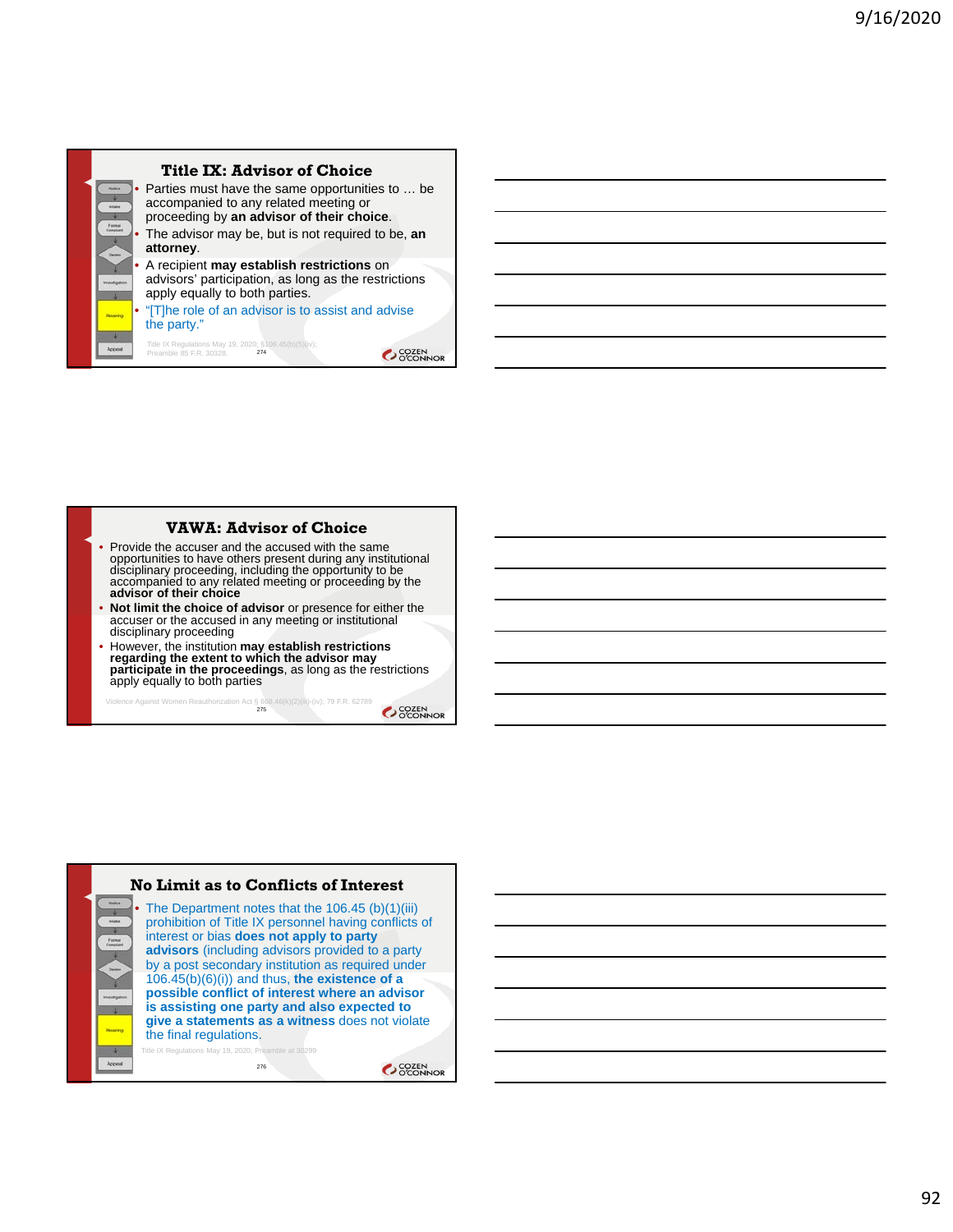

#### **VAWA: Advisor of Choice**

- Provide the accuser and the accused with the same opportunities to have others present during any institutional disciplinary proceeding, including the opportunity to be accompanied to any related meeting or proceeding by the **advisor of their choice**
- **Not limit the choice of advisor** or presence for either the accuser or the accused in any meeting or institutional disciplinary proceeding
- However, the institution **may establish restrictions regarding the extent to which the advisor may participate in the proceedings**, as long as the restrictions apply equally to both parties

Violence Against Women Reauthorization Act § 668.46(k)(2)(iii)-(iv); 79 F.R. 62789<br>275

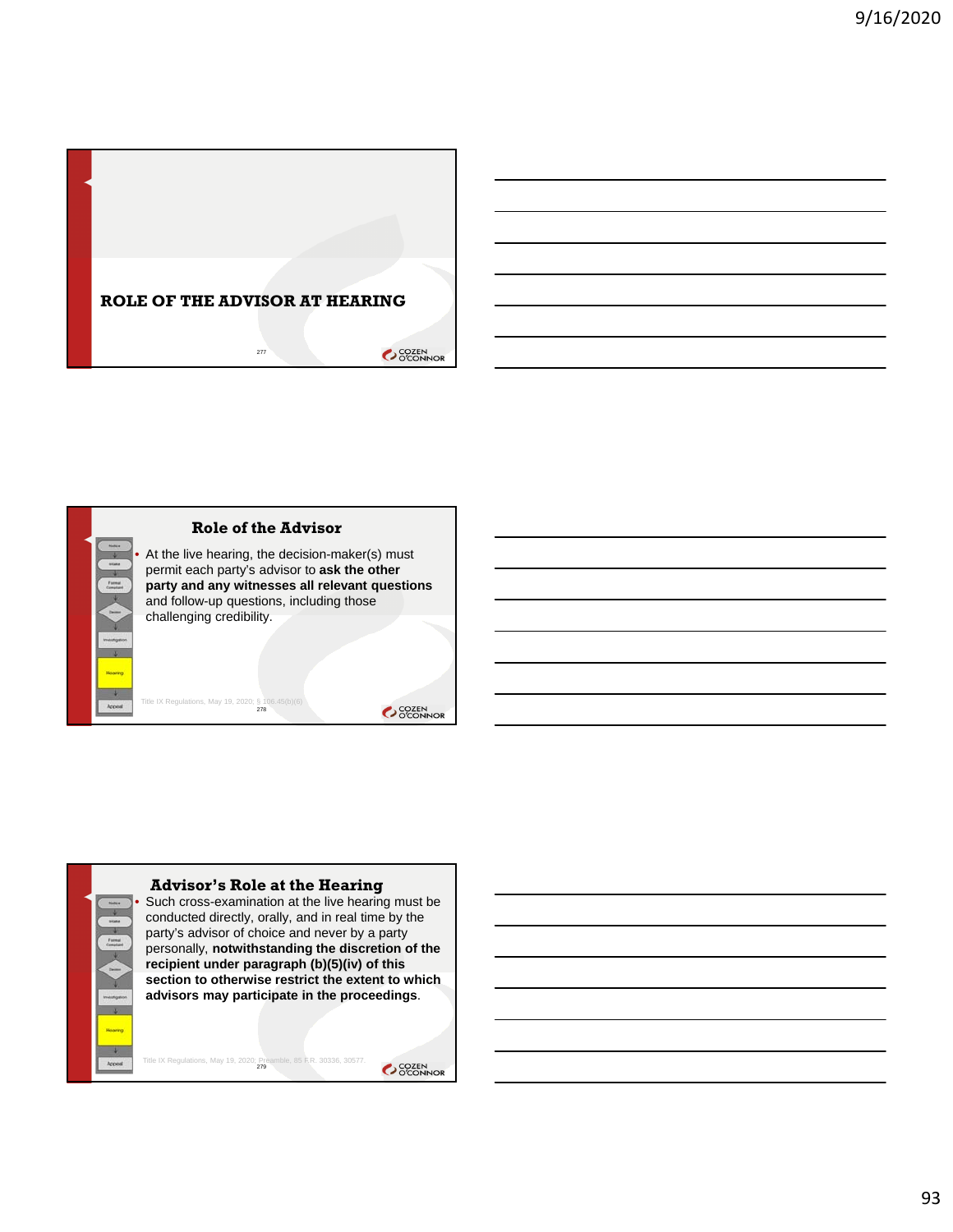





Such cross-examination at the live hearing must be conducted directly, orally, and in real time by the party's advisor of choice and never by a party personally, **notwithstanding the discretion of the recipient under paragraph (b)(5)(iv) of this section to otherwise restrict the extent to which advisors may participate in the proceedings**.

Title IX Regulations, May 19, 2020; Preamble, 85 F.R. 30336, 30577.

 $\overline{\phantom{0}}$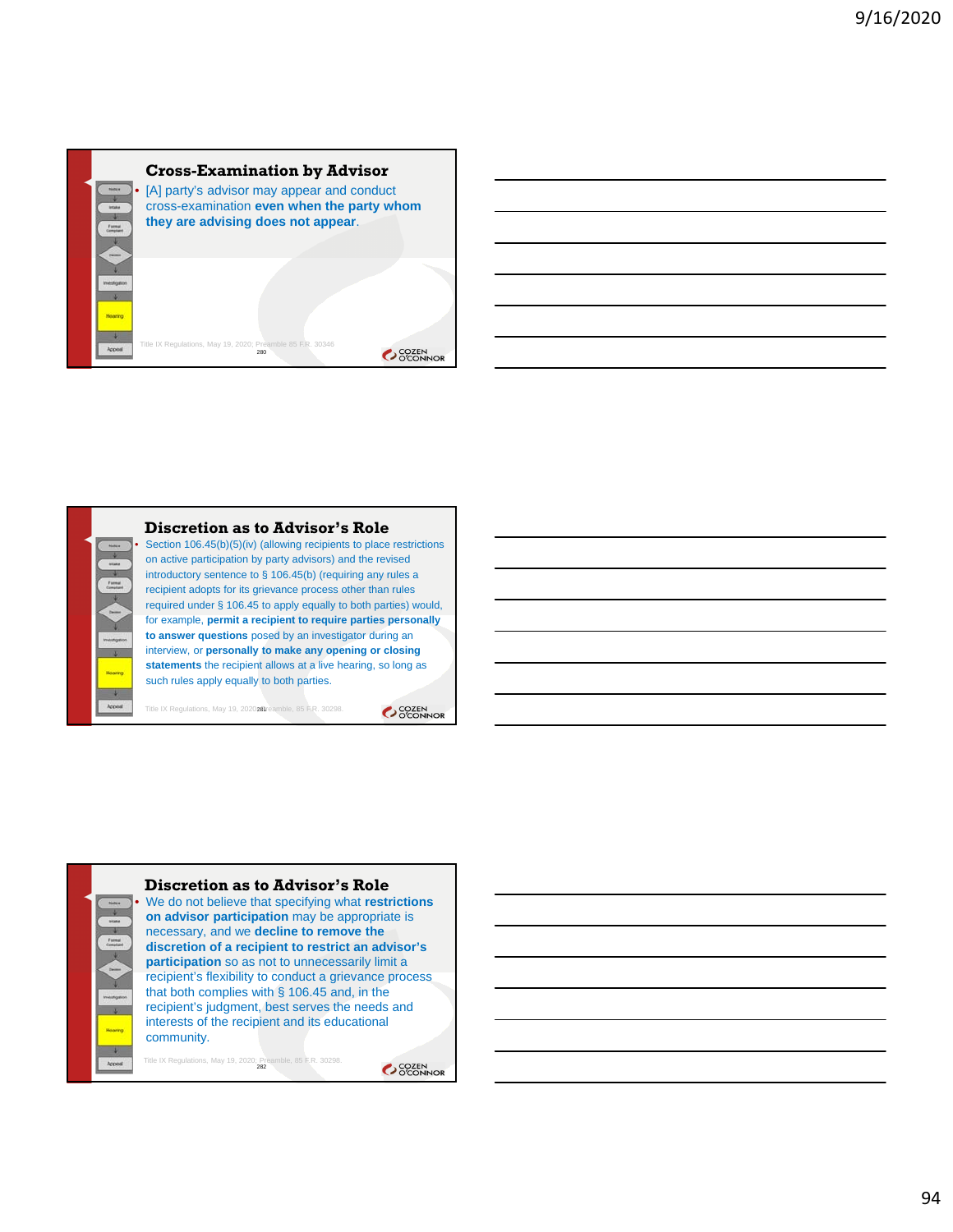

#### **Discretion as to Advisor's Role**

Section 106.45(b)(5)(iv) (allowing recipients to place restrictions on active participation by party advisors) and the revised introductory sentence to § 106.45(b) (requiring any rules a recipient adopts for its grievance process other than rules required under § 106.45 to apply equally to both parties) would, for example, **permit a recipient to require parties personally to answer questions** posed by an investigator during an interview, or **personally to make any opening or closing statements** the recipient allows at a live hearing, so long as such rules apply equally to both parties.

Title IX Regulations, May 19, 2020; Preamble, 85 F.R. 30298.

SCOZEN<br>OCONNOR



• We do not believe that specifying what **restrictions on advisor participation** may be appropriate is necessary, and we **decline to remove the discretion of a recipient to restrict an advisor's participation** so as not to unnecessarily limit a recipient's flexibility to conduct a grievance process that both complies with § 106.45 and, in the recipient's judgment, best serves the needs and interests of the recipient and its educational community.

Title IX Regulations, May 19, 2020; Preamble, 85 F.R. 30298.<br>282

 $\overline{\phantom{0}}$ 

OCCEN COZEN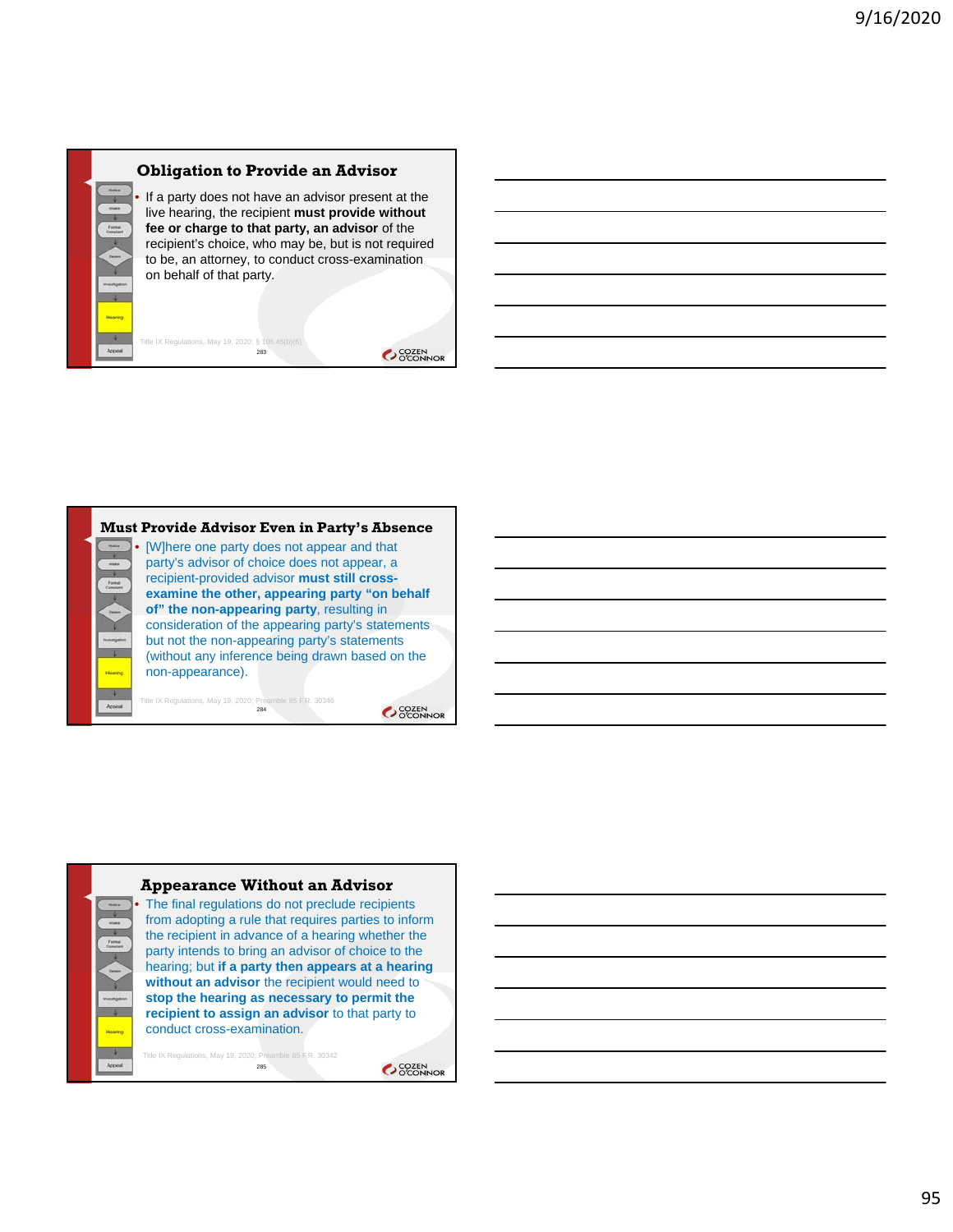

283

Title IX Regulations, May 19, 2020; §

If a party does not have an advisor present at the live hearing, the recipient **must provide without fee or charge to that party, an advisor** of the recipient's choice, who may be, but is not required to be, an attorney, to conduct cross-examination on behalf of that party.

OCOZEN<br>OCONNOR



### **Appearance Without an Advisor**

The final regulations do not preclude recipients from adopting a rule that requires parties to inform the recipient in advance of a hearing whether the party intends to bring an advisor of choice to the hearing; but **if a party then appears at a hearing without an advisor** the recipient would need to **stop the hearing as necessary to permit the recipient to assign an advisor** to that party to conduct cross-examination.

Title IX Regulations, May 19, 2020; Preamble 85 F.R. 30342 285

OCCEN COZEN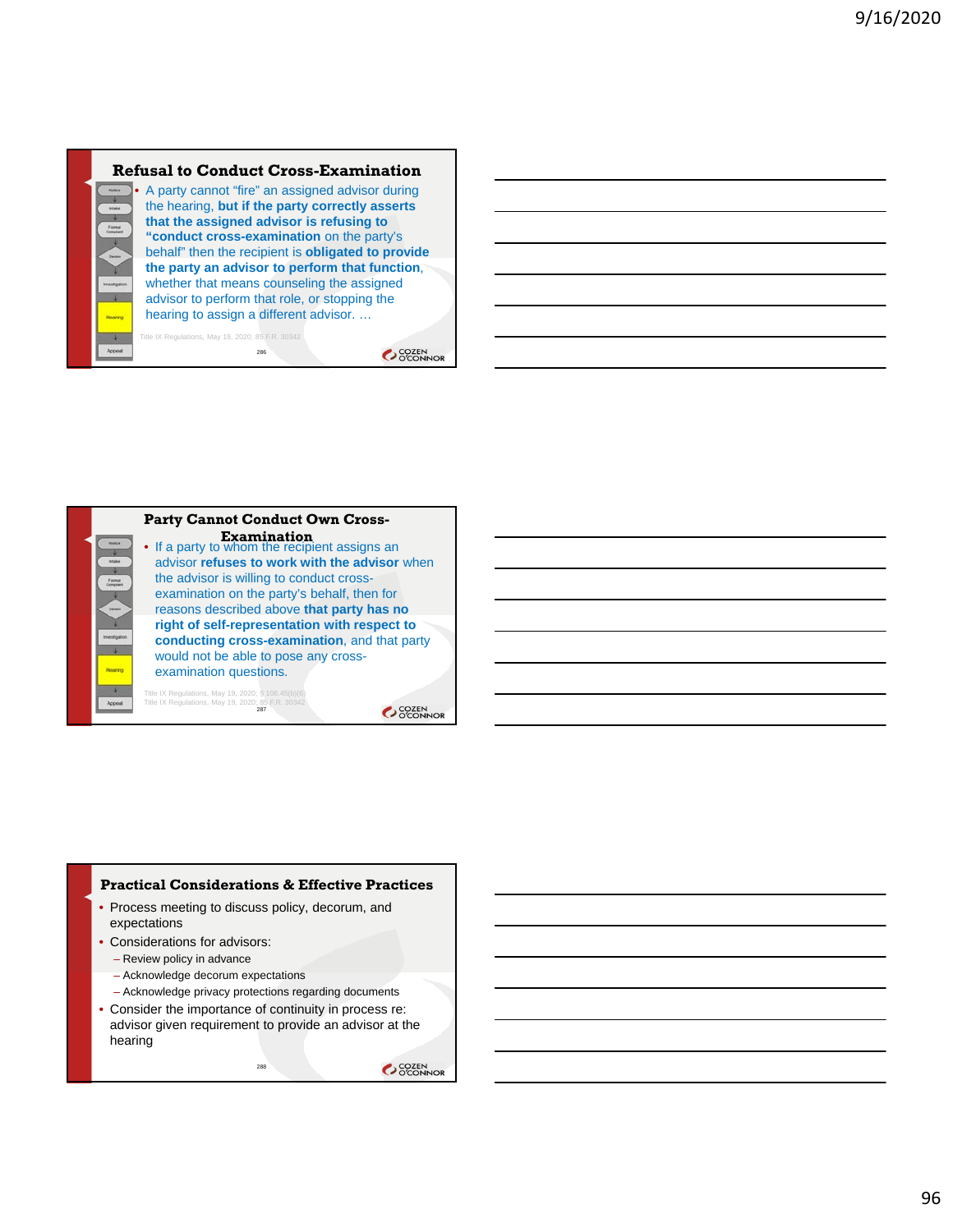

286

Title IX Regulations, May 19, 2020; 85 F.R. 30342

OCOZEN<br>OCONNOR



#### **Practical Considerations & Effective Practices**

- Process meeting to discuss policy, decorum, and expectations
- Considerations for advisors:
	- Review policy in advance
	- Acknowledge decorum expectations
	- Acknowledge privacy protections regarding documents
- Consider the importance of continuity in process re: advisor given requirement to provide an advisor at the hearing

288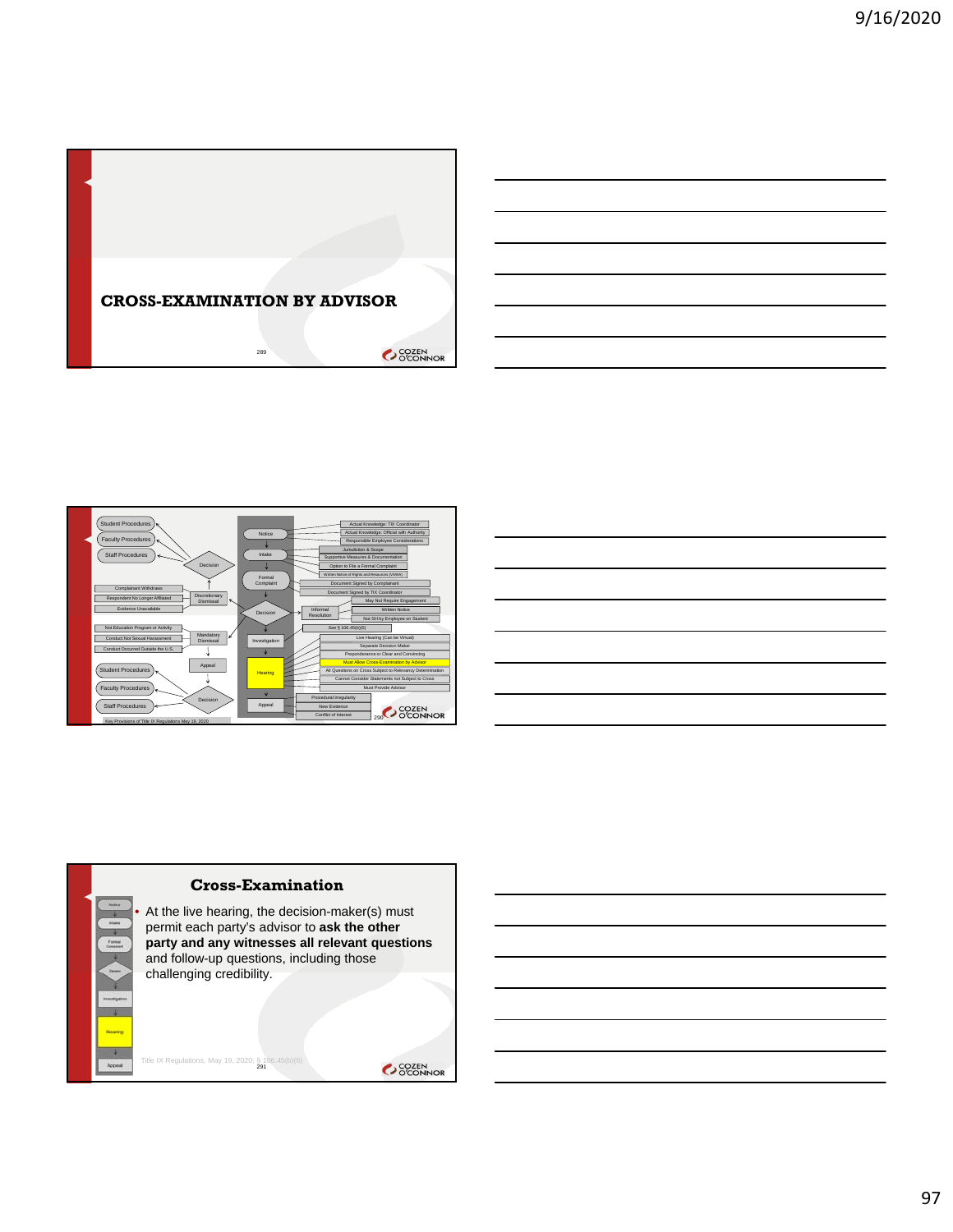





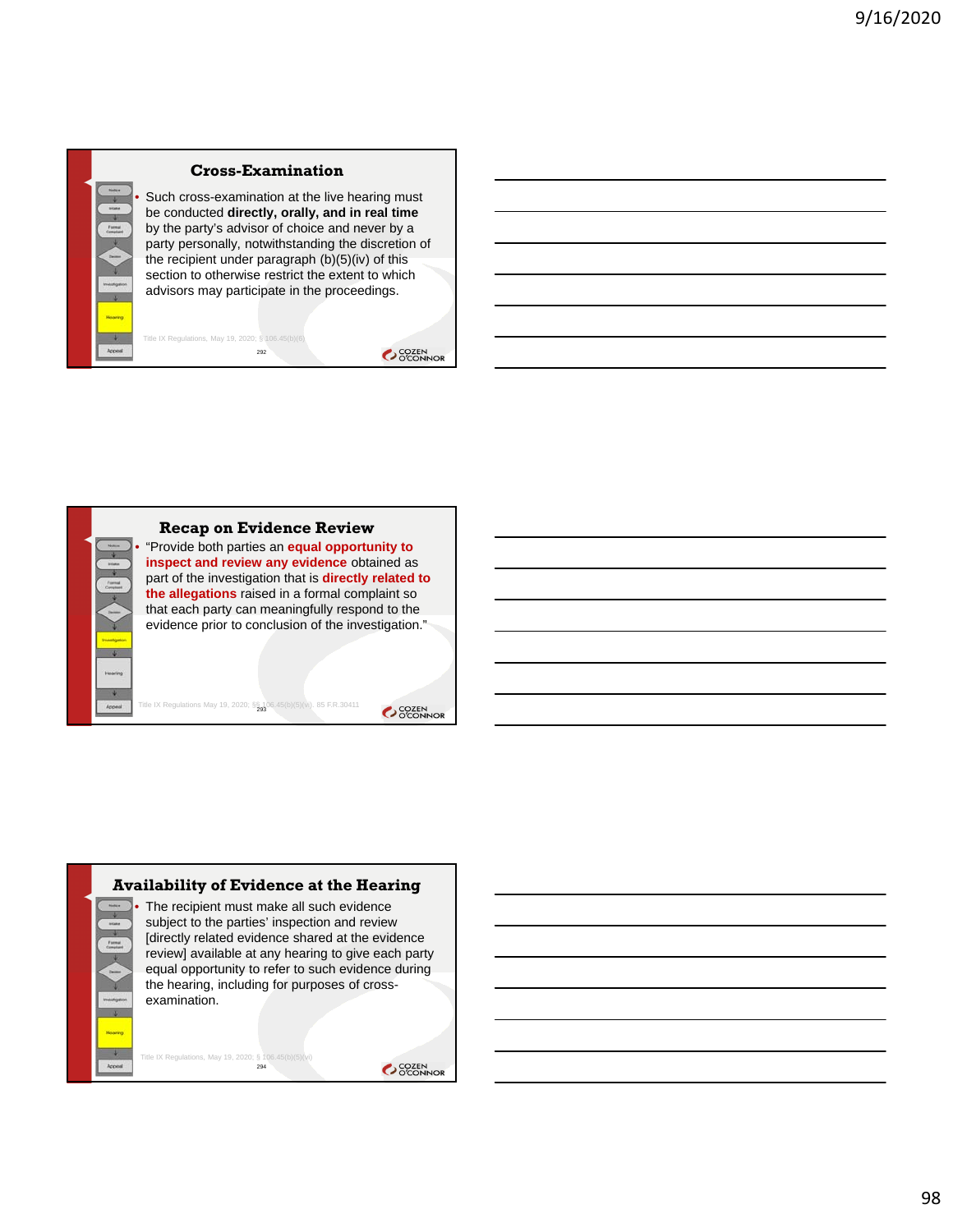

### **Cross-Examination**

Such cross-examination at the live hearing must be conducted **directly, orally, and in real time**  by the party's advisor of choice and never by a party personally, notwithstanding the discretion of the recipient under paragraph  $(b)(5)(iv)$  of this section to otherwise restrict the extent to which advisors may participate in the proceedings.

292 Title IX Regulations, May 19, 2020; § 106.45(b)(6)

OCOZEN<br>OCONNOR



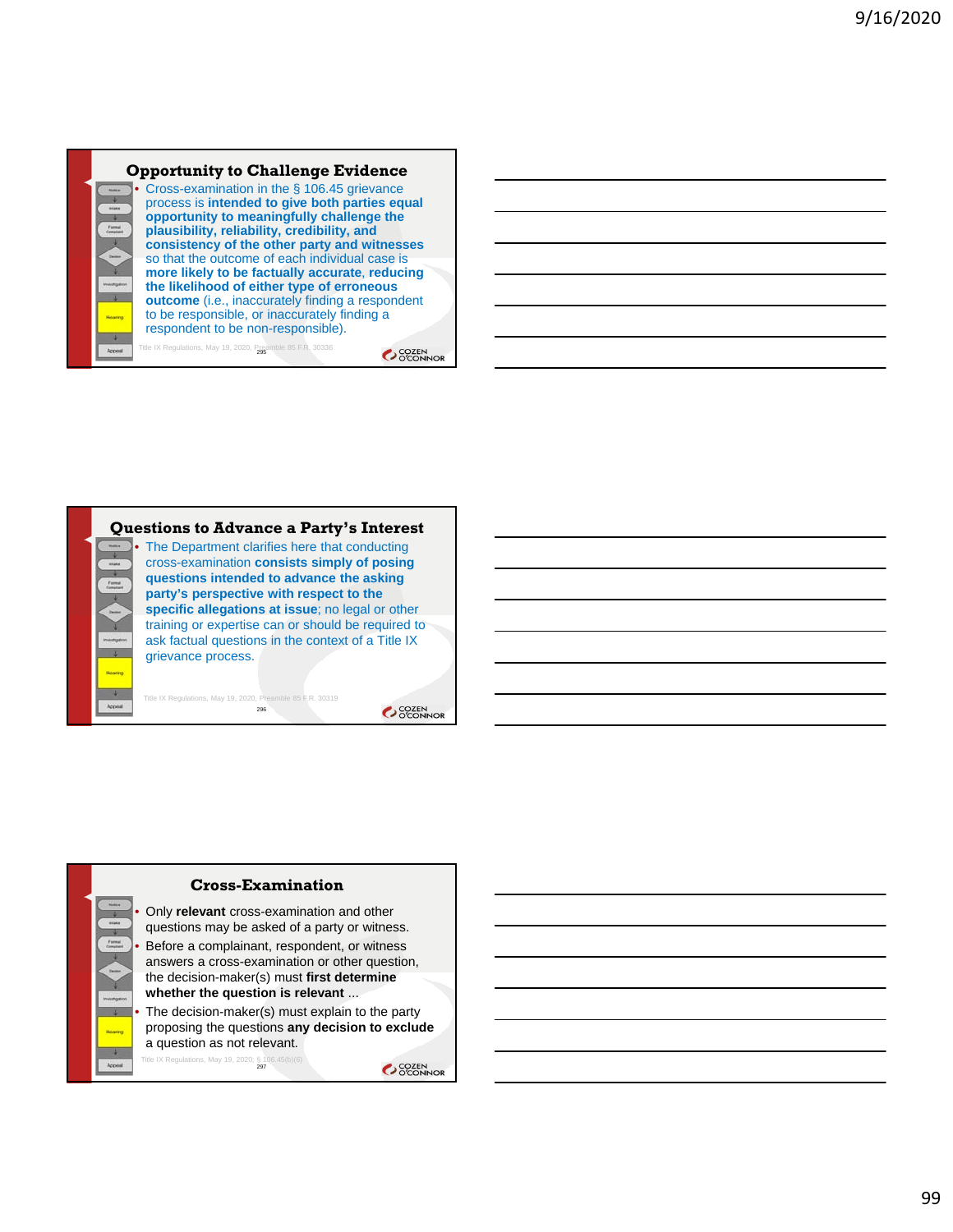

OCOZEN<br>OCONNOR



296

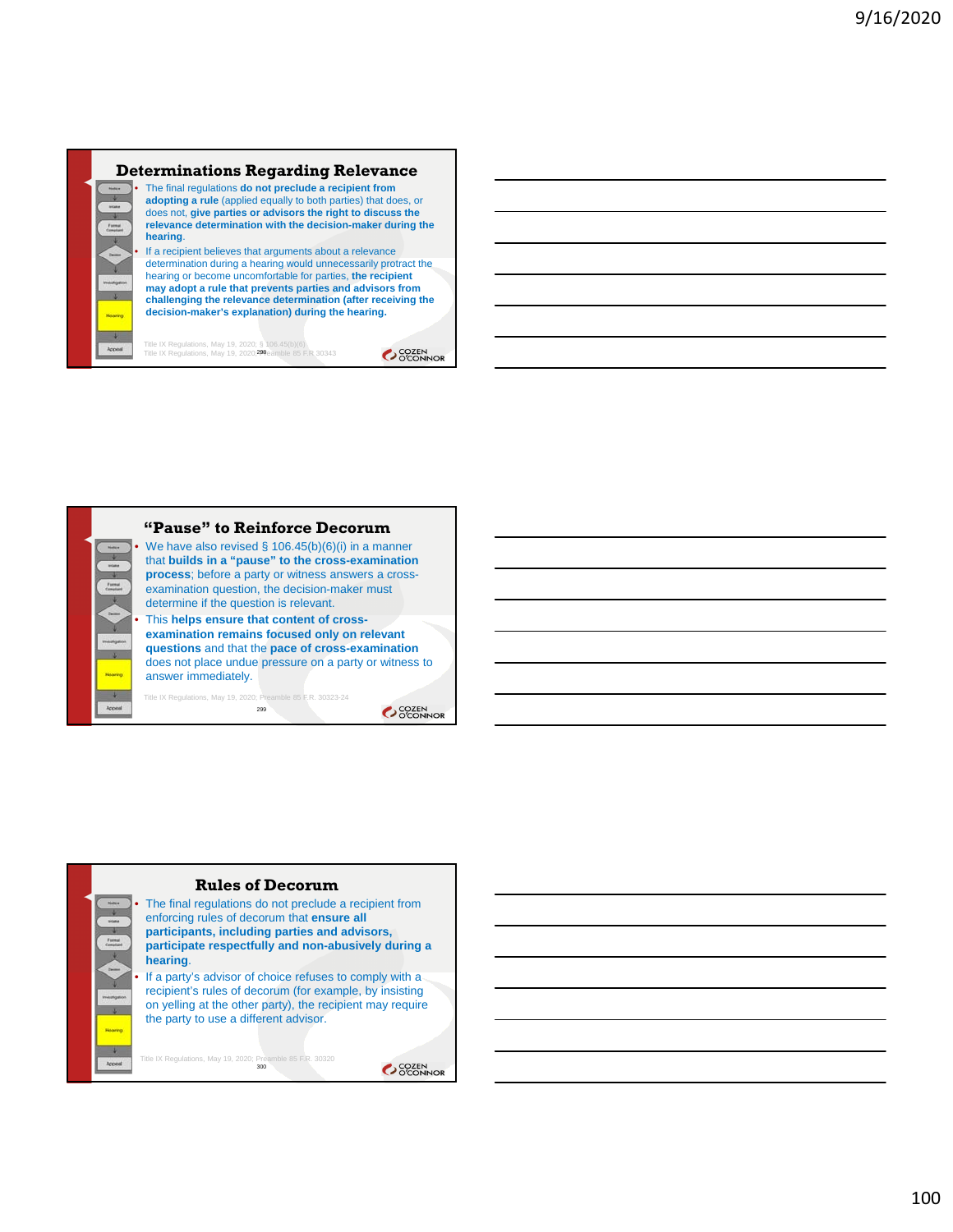#### **Determinations Regarding Relevance** • The final regulations **do not preclude a recipient from adopting a rule** (applied equally to both parties) that does, or does not, **give parties or advisors the right to discuss the relevance determination with the decision-maker during the hearing**. • If a recipient believes that arguments about a relevance determination during a hearing would unnecessarily protract the hearing or become uncomfortable for parties, **the recipient may adopt a rule that prevents parties and advisors from challenging the relevance determination (after receiving the decision-maker's explanation) during the hearing.**

Title IX Regulations, May 19, 2020; § 106.45(b)(6)<br>Title IX Regulations, May 19, 2020;**298**eamble 85 F.R 30343

OCOZEN<br>OCONNOR



**examination remains focused only on relevant questions** and that the **pace of cross-examination**  does not place undue pressure on a party or witness to

SCOZEN<br>OCONNOR



OCCEN COZEN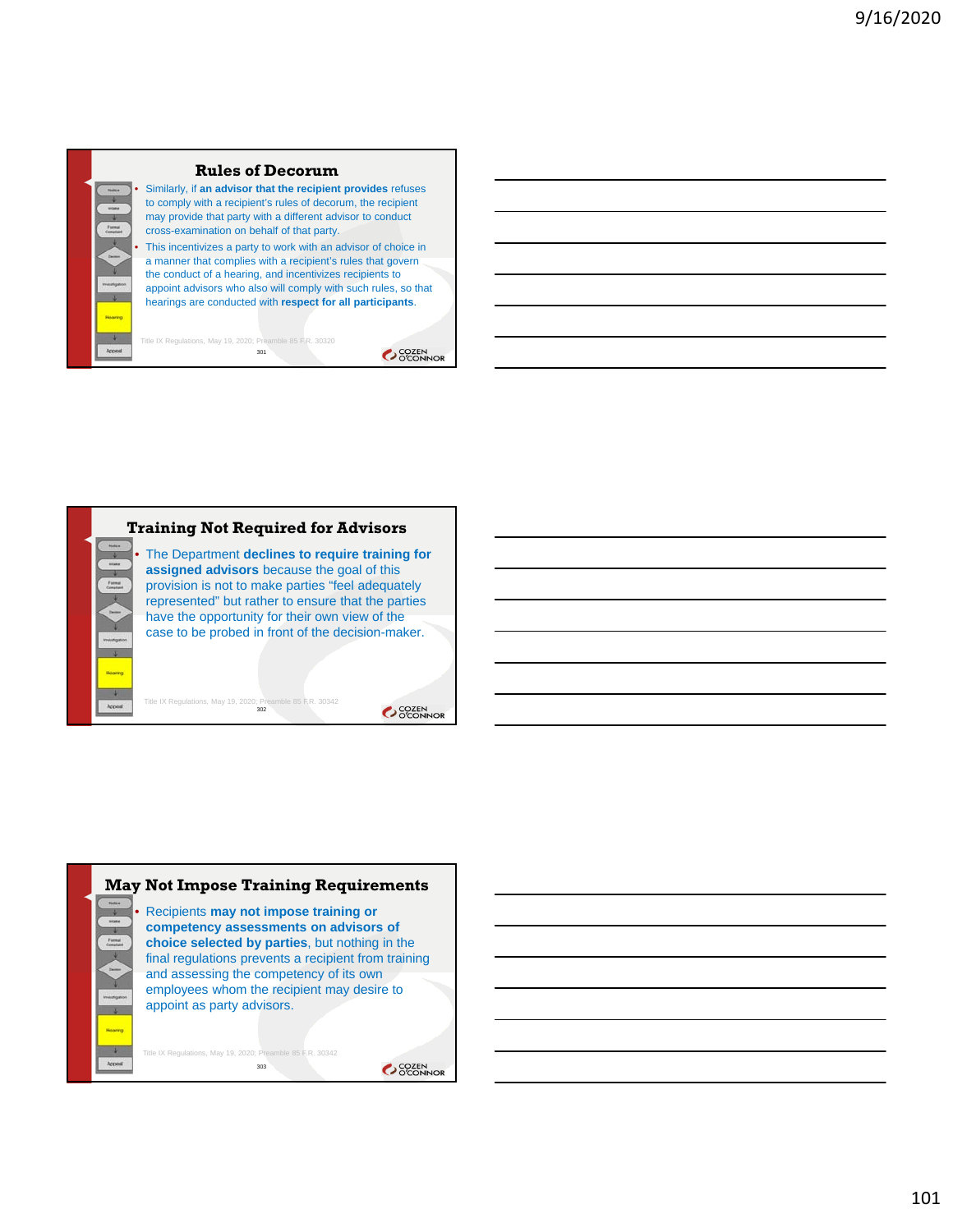

### **Rules of Decorum**

• Similarly, if **an advisor that the recipient provides** refuses to comply with a recipient's rules of decorum, the recipient may provide that party with a different advisor to conduct cross-examination on behalf of that party. This incentivizes a party to work with an advisor of choice in

a manner that complies with a recipient's rules that govern the conduct of a hearing, and incentivizes recipients to appoint advisors who also will comply with such rules, so that hearings are conducted with **respect for all participants**.

Title IX Regulations, May 19, 2020; Preamble 85 F.R. 30320 301





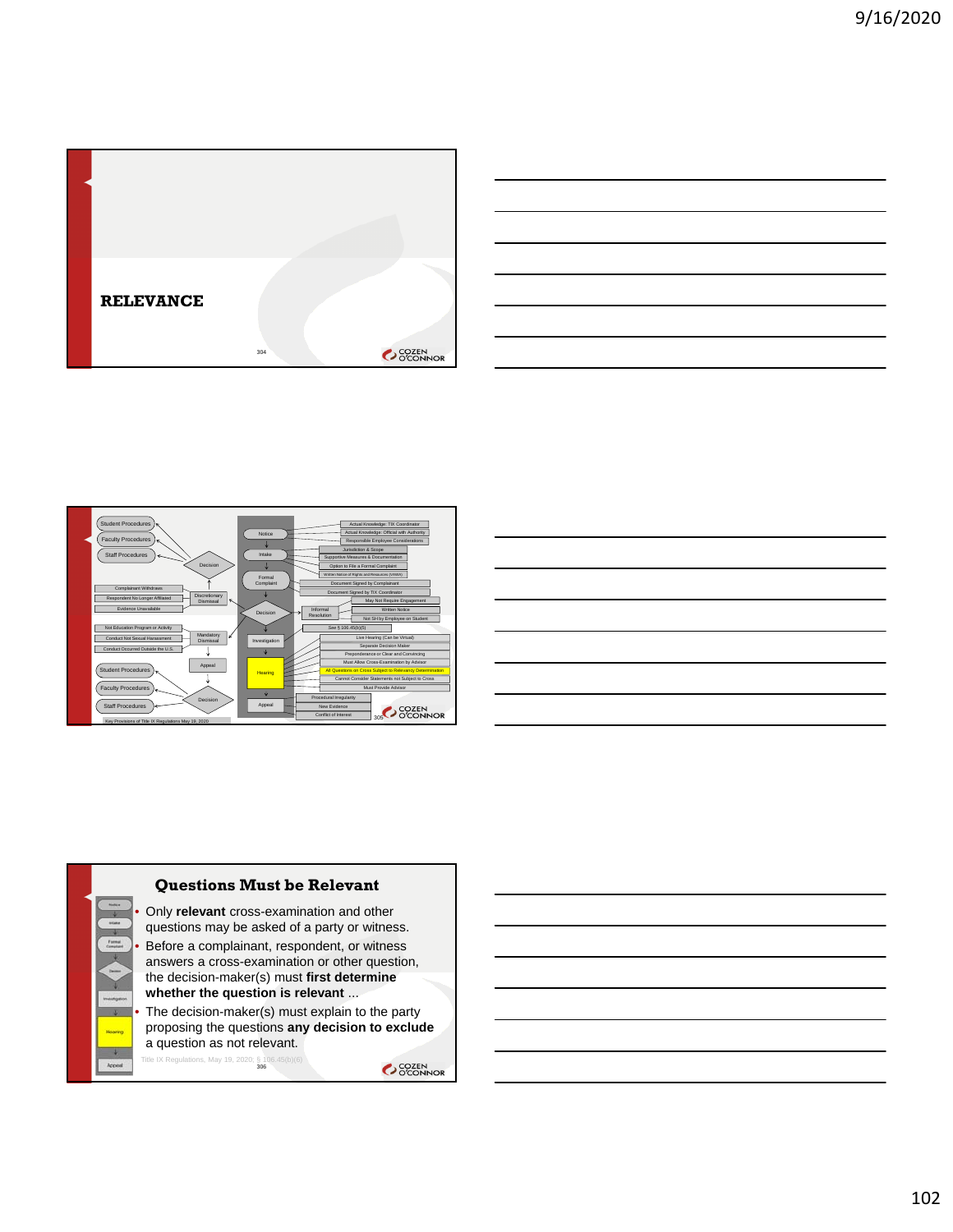

|                                                                                                                                                                                                                               |  | <u> 1989 - Andrea Andrew Maria (h. 1989).</u>                                                                         |
|-------------------------------------------------------------------------------------------------------------------------------------------------------------------------------------------------------------------------------|--|-----------------------------------------------------------------------------------------------------------------------|
|                                                                                                                                                                                                                               |  | <u> 1989 - Johann Harry Harry Harry Harry Harry Harry Harry Harry Harry Harry Harry Harry Harry Harry Harry Harry</u> |
|                                                                                                                                                                                                                               |  | <u> 1989 - Andrea Andrew Maria (h. 1989).</u>                                                                         |
|                                                                                                                                                                                                                               |  | <u> 1989 - Andrea Andrew Maria (h. 1989).</u>                                                                         |
|                                                                                                                                                                                                                               |  | <u> 1989 - Andrea Andrew Maria (h. 1989).</u>                                                                         |
|                                                                                                                                                                                                                               |  | <u> 1989 - Andrea Andrew Maria (h. 1989).</u>                                                                         |
| the control of the control of the control of the control of the control of the control of the control of the control of the control of the control of the control of the control of the control of the control of the control |  |                                                                                                                       |





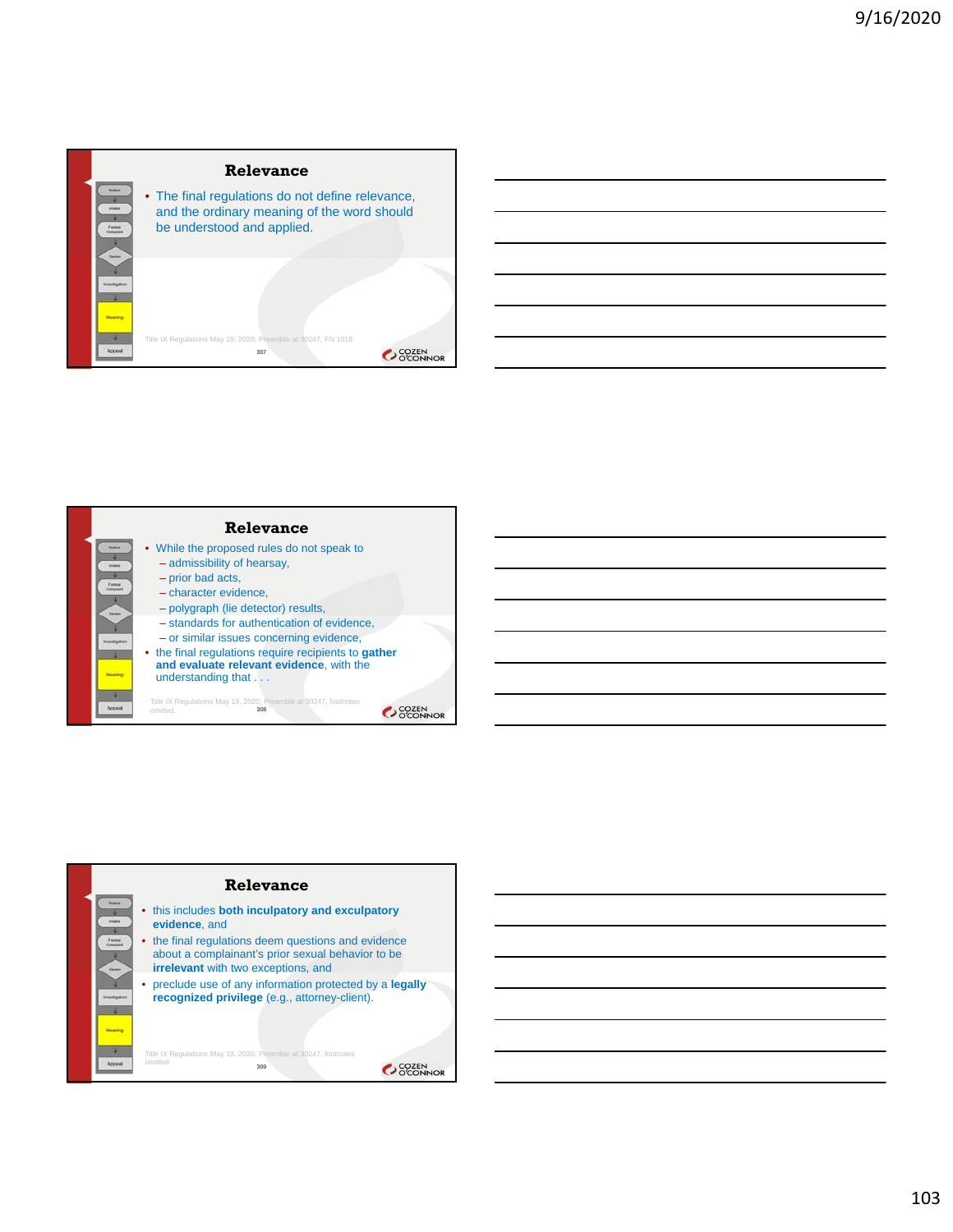



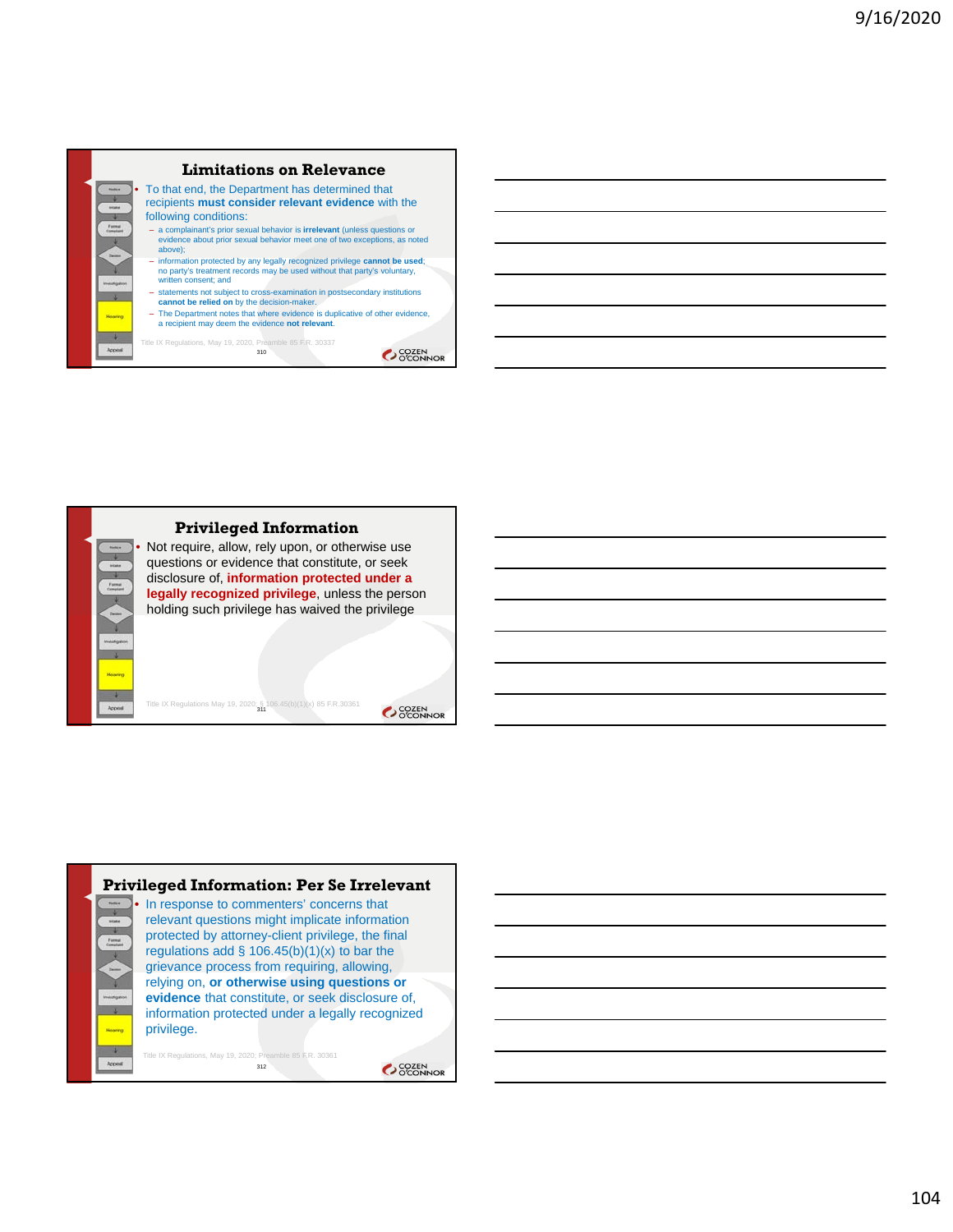





104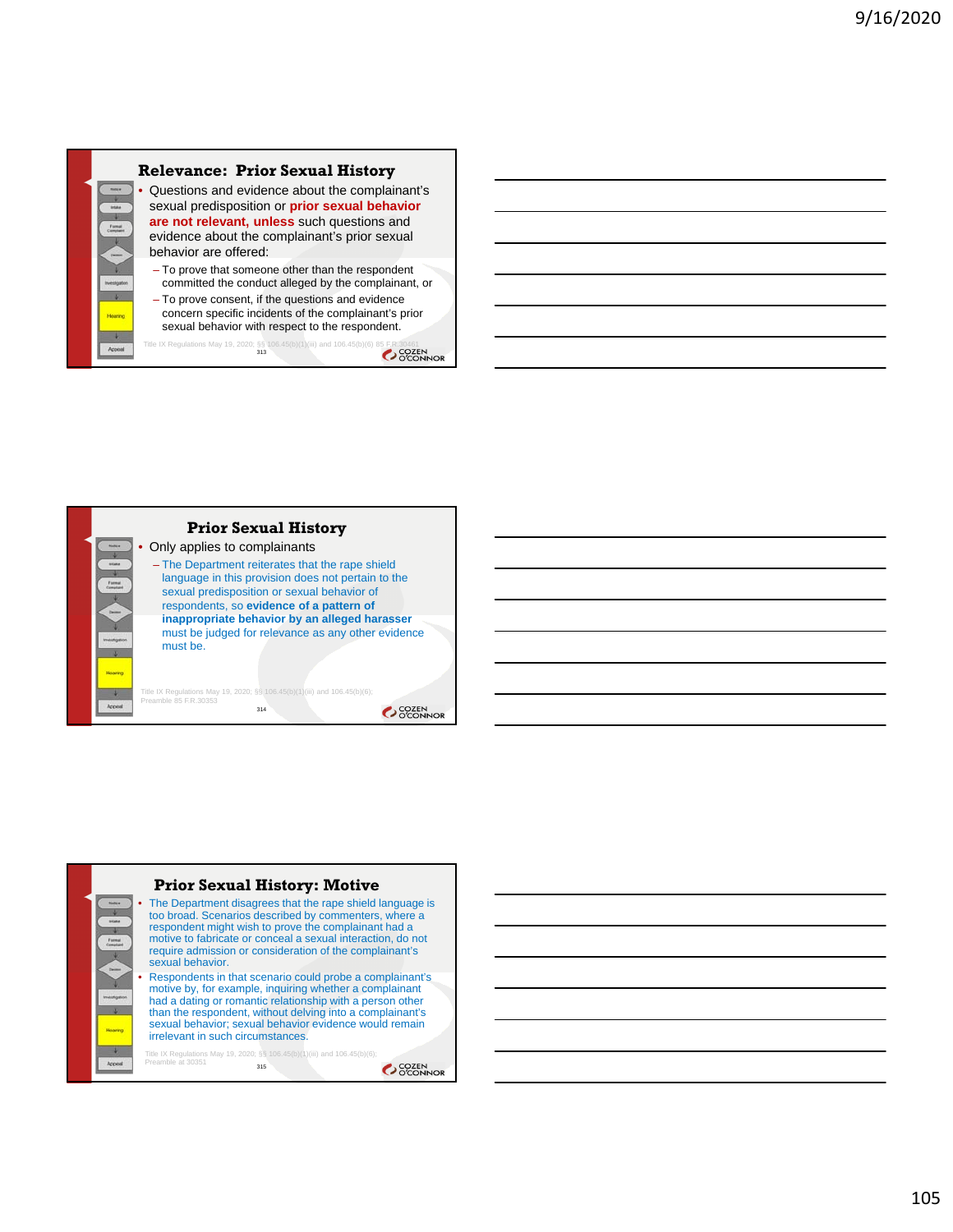

**Prior Sexual History** • Only applies to complainants – The Department reiterates that the rape shield language in this provision does not pertain to the sexual predisposition or sexual behavior of respondents, so **evidence of a pattern of inappropriate behavior by an alleged harasser**  must be judged for relevance as any other evidence must be. Title IX Regulations May 19, 2020; §§ 106.45(b)(1)(iii) and 106.45(b)(6); Preamble 85 F.R.30353 314 OCOZEN<br>OCONNOR

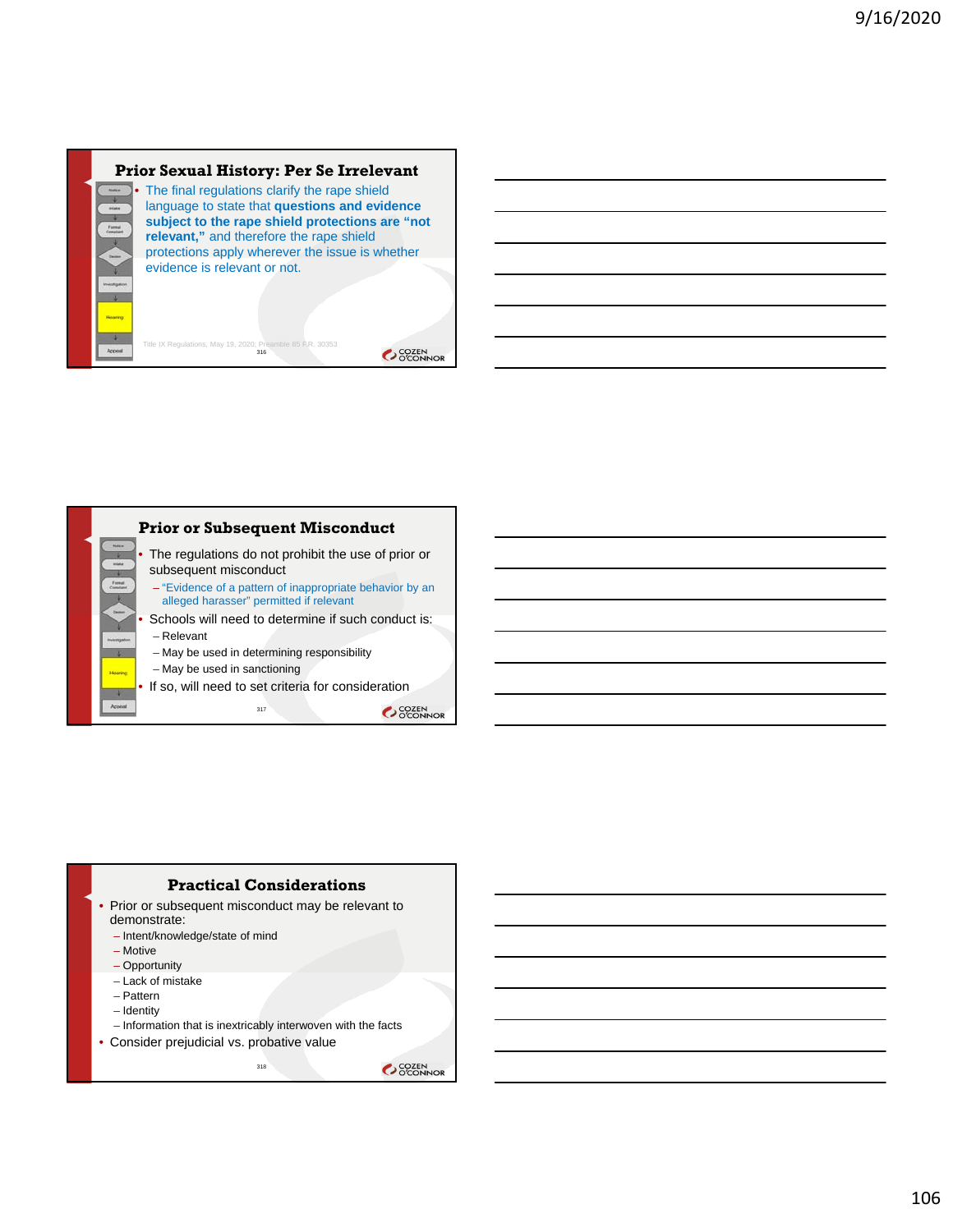

Title IX Regulations, May 19, 2020; Preamble 85 F.R. 30353<br>316

## **Prior Sexual History: Per Se Irrelevant**



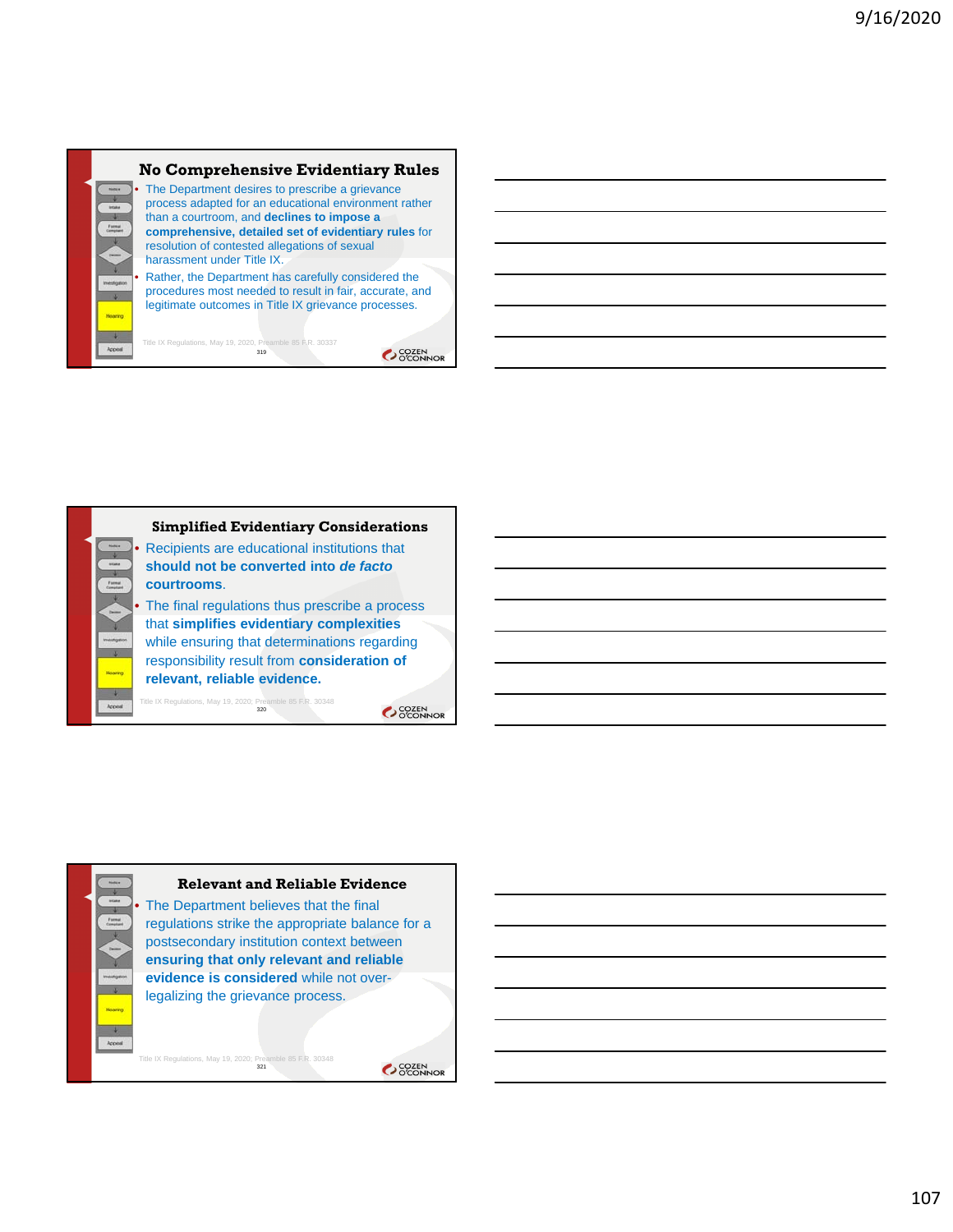

Title IX Regulations, May 19, 2020, Preamble 85 F.R. 30337<br>**319** 

OCOZEN<br>OCONNOR



**Relevant and Reliable Evidence**

The Department believes that the final regulations strike the appropriate balance for a postsecondary institution context between **ensuring that only relevant and reliable evidence is considered** while not overlegalizing the grievance process.

Title IX Regulations, May 19, 2020; Preamble 85 F.R. 30348<br>321

 $\rightarrow$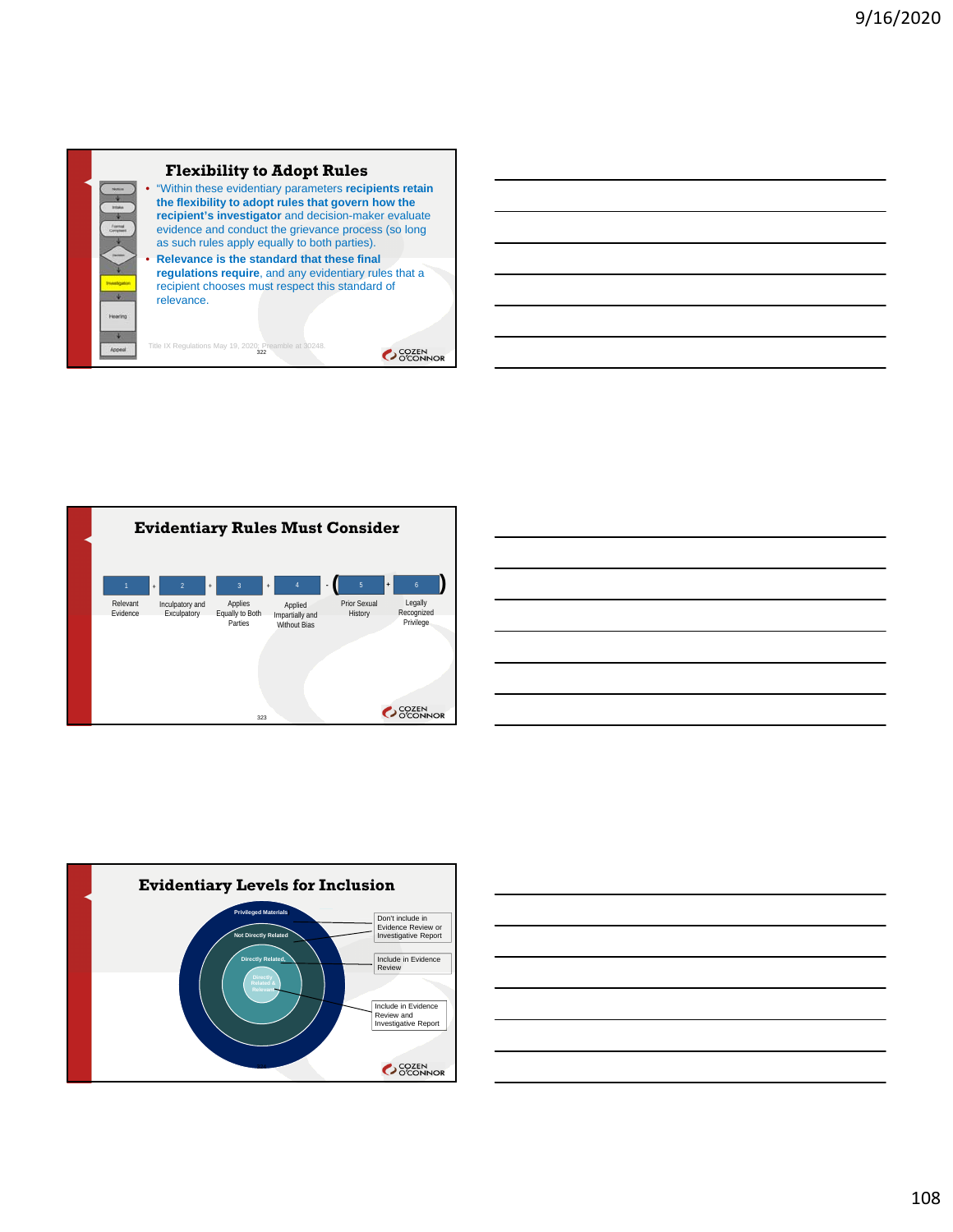







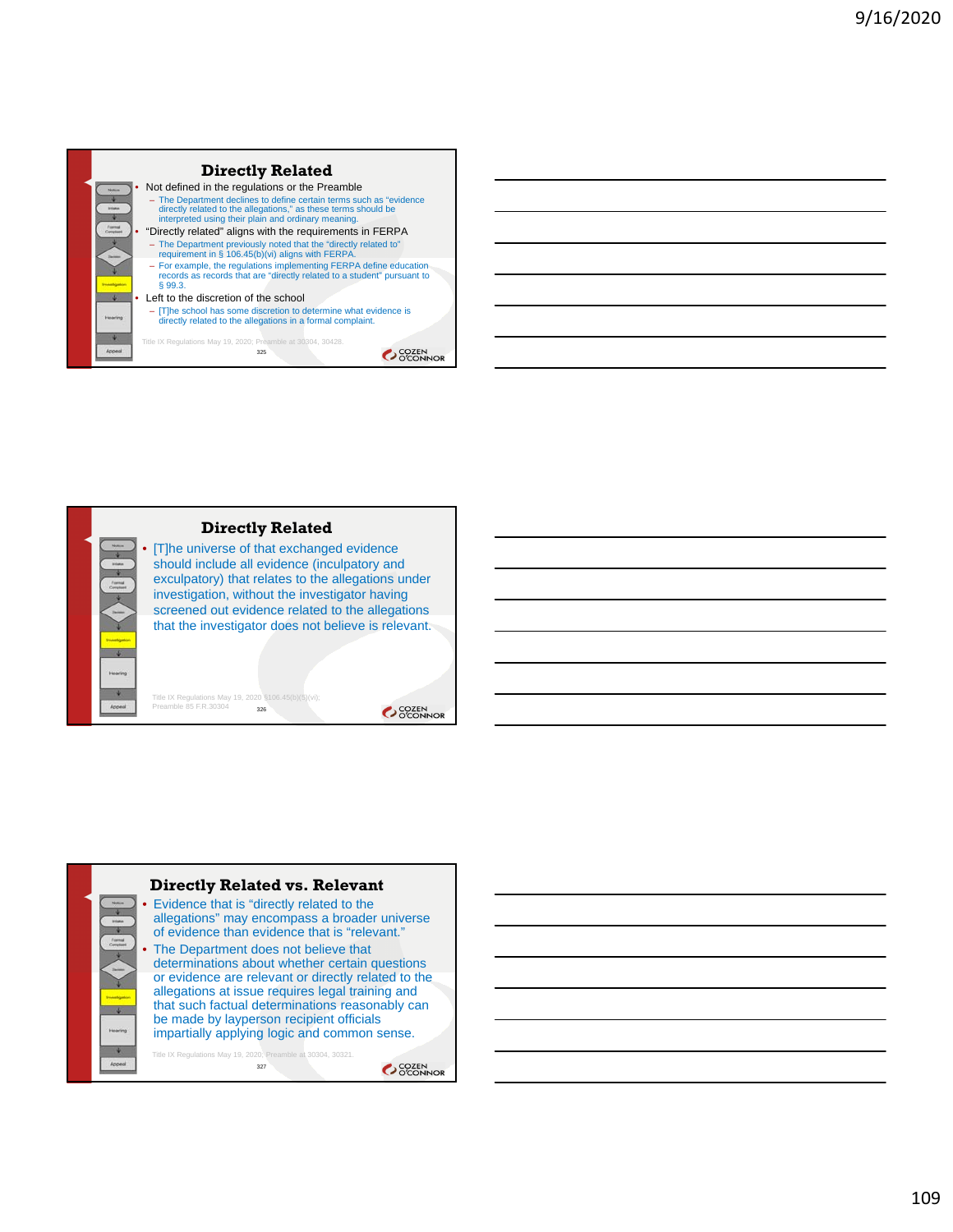



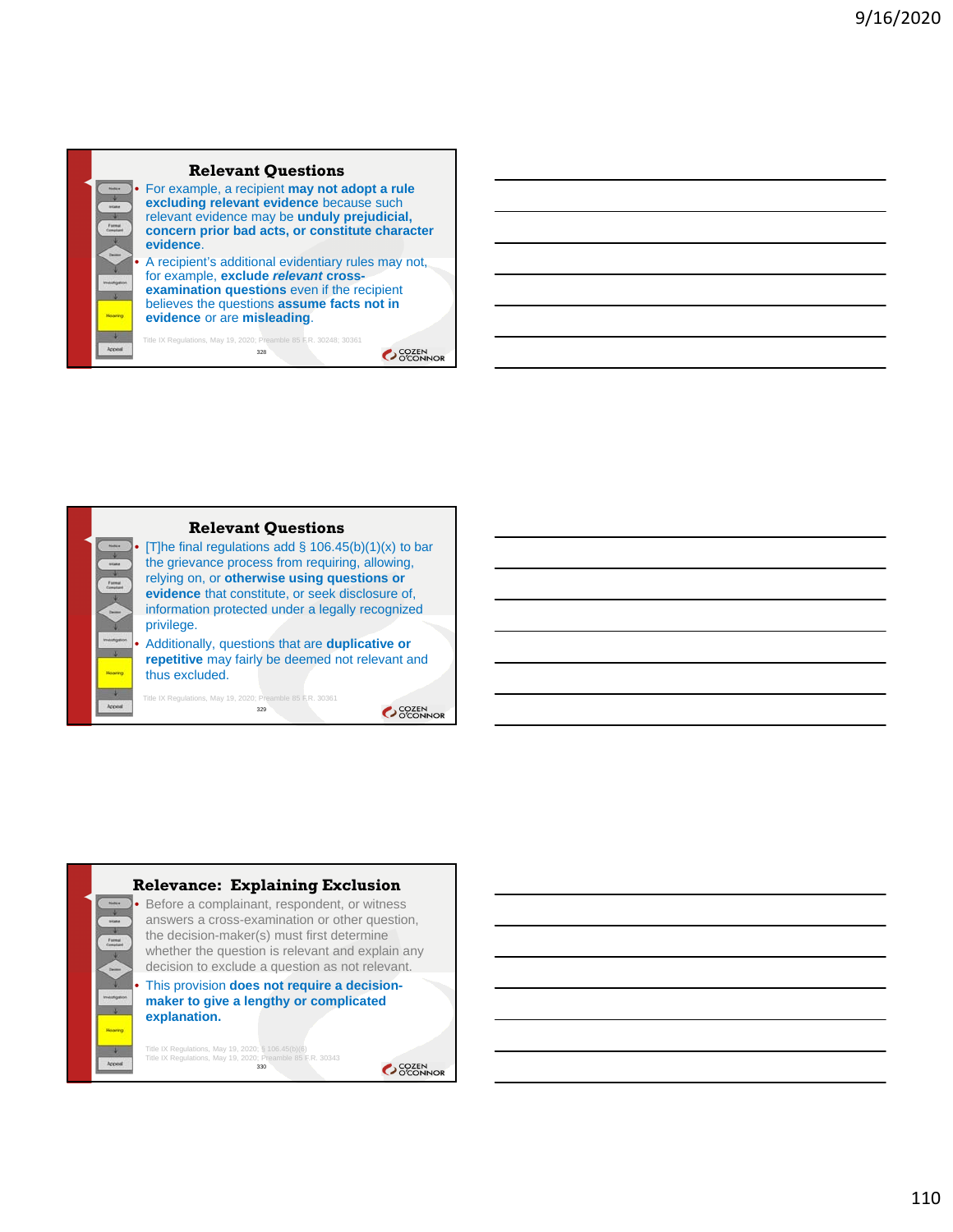

#### **Relevant Questions**

[T]he final regulations add  $\S$  106.45(b)(1)(x) to bar the grievance process from requiring, allowing, relying on, or **otherwise using questions or evidence** that constitute, or seek disclosure of, information protected under a legally recognized privilege.

• Additionally, questions that are **duplicative or repetitive** may fairly be deemed not relevant and thus excluded.

329

Title IX Regulations, May 19, 2020; Preamble 85 F.R. 30361

SCOZEN<br>OCONNOR



110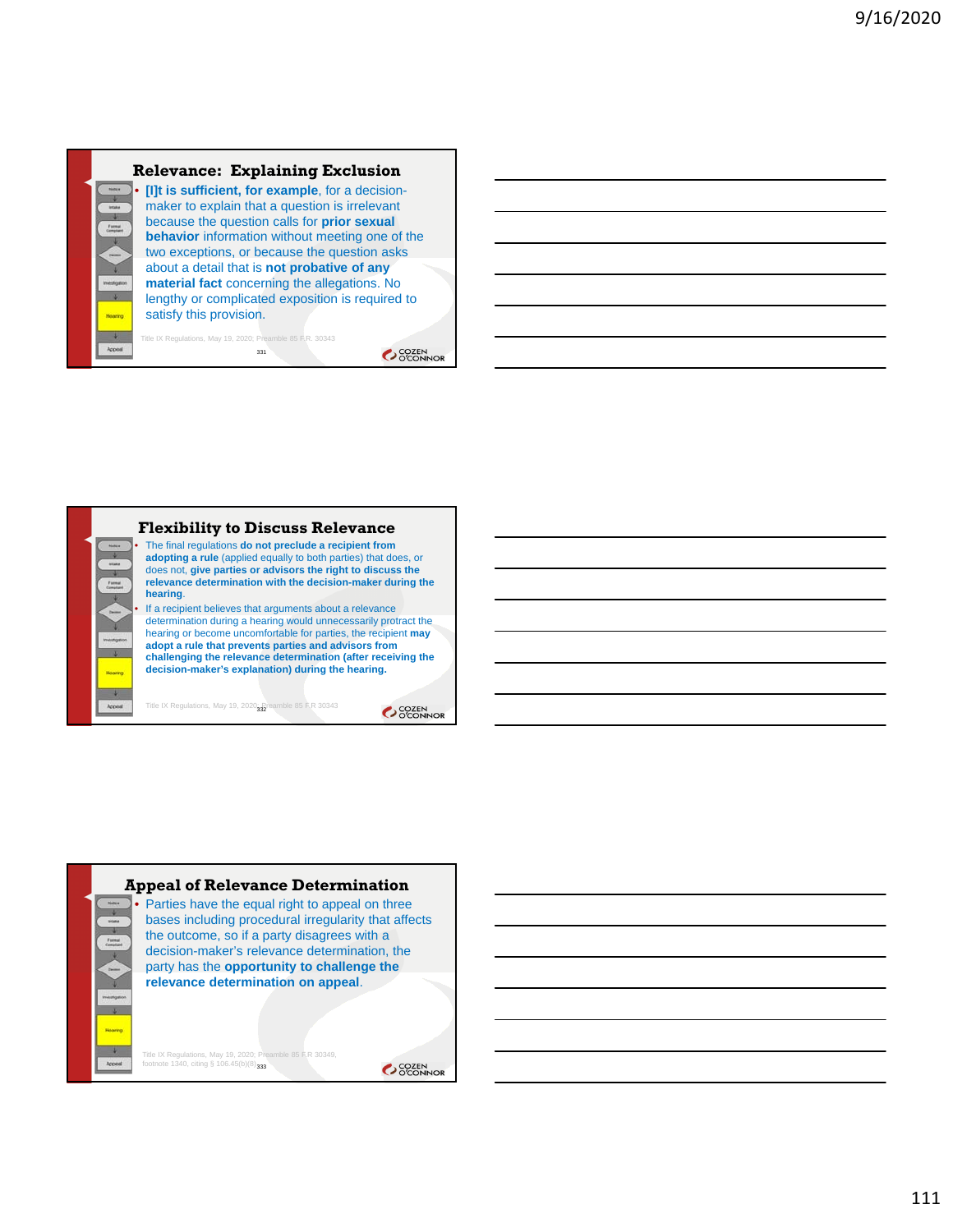



## **Flexibility to Discuss Relevance**

• The final regulations **do not preclude a recipient from adopting a rule** (applied equally to both parties) that does, or does not, **give parties or advisors the right to discuss the relevance determination with the decision-maker during the** 

If a recipient believes that arguments about a relevance determination during a hearing would unnecessarily protract the hearing or become uncomfortable for parties, the recipient **may adopt a rule that prevents parties and advisors from challenging the relevance determination (after receiving the decision-maker's explanation) during the hearing.** 

SCOZEN<br>OCONNOR

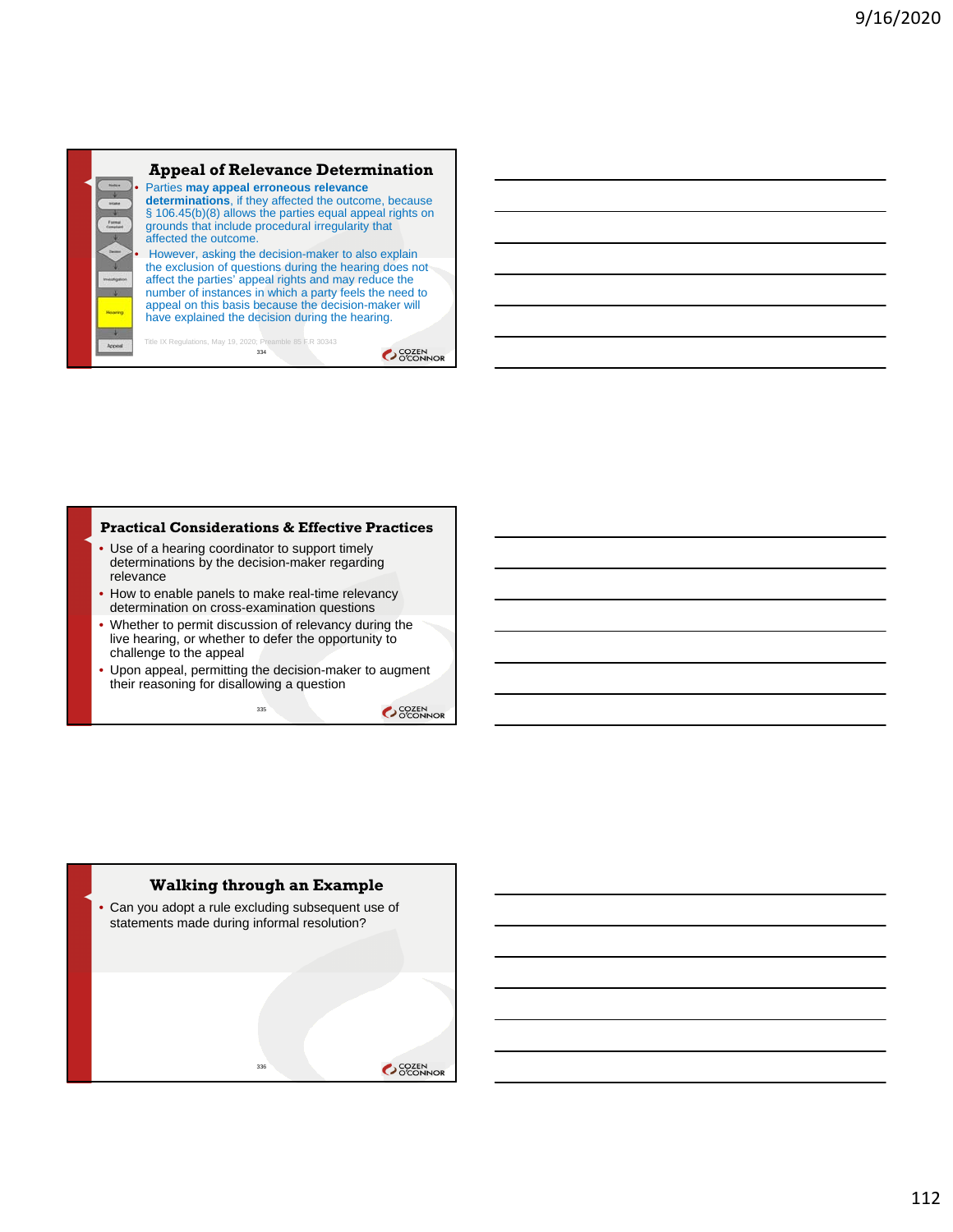

#### **Practical Considerations & Effective Practices**

- Use of a hearing coordinator to support timely determinations by the decision-maker regarding relevance
- How to enable panels to make real-time relevancy determination on cross-examination questions
- Whether to permit discussion of relevancy during the live hearing, or whether to defer the opportunity to challenge to the appeal
- Upon appeal, permitting the decision-maker to augment their reasoning for disallowing a question

335

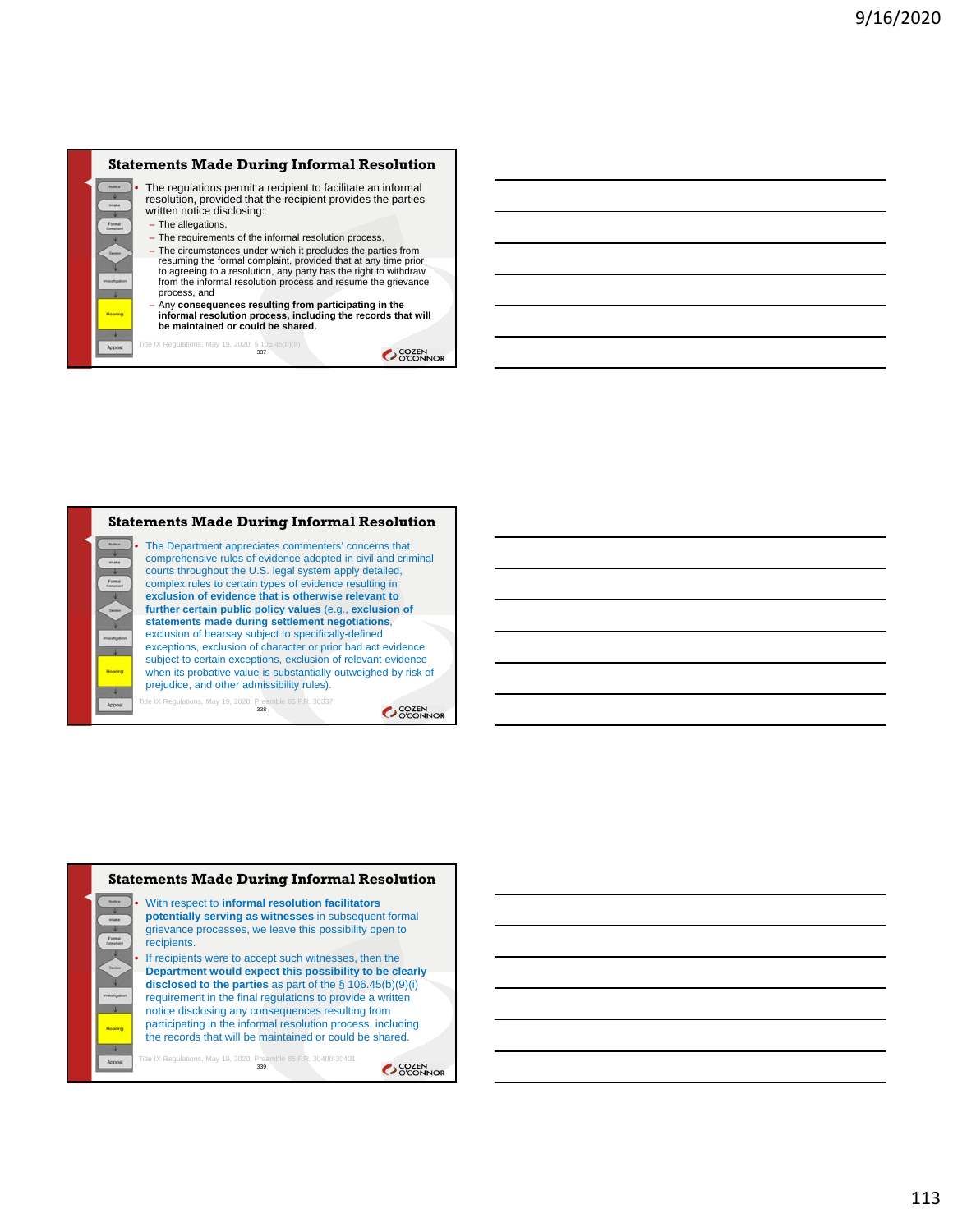





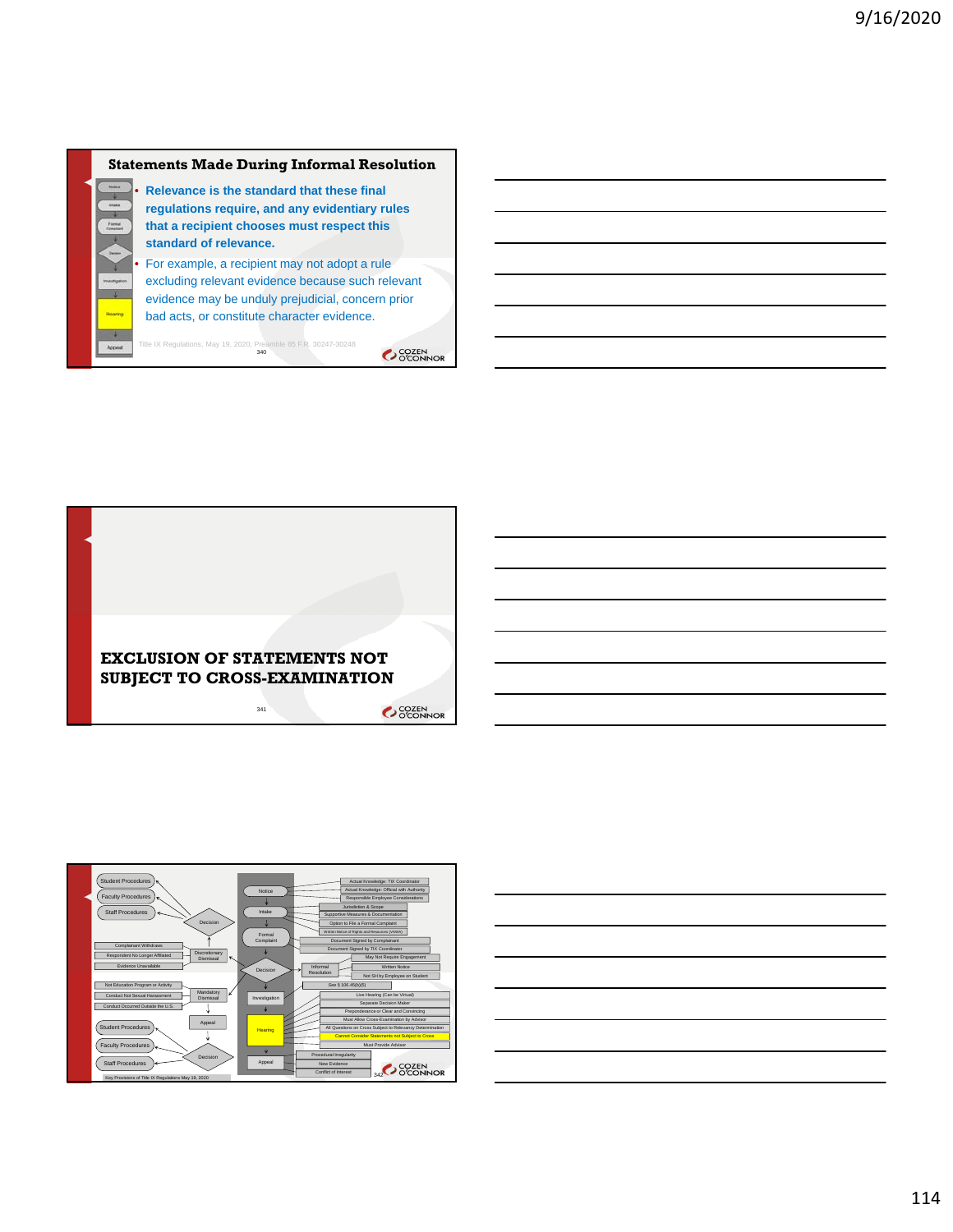#### **Statements Made During Informal Resolution**



• **Relevance is the standard that these final regulations require, and any evidentiary rules that a recipient chooses must respect this standard of relevance.**

• For example, a recipient may not adopt a rule excluding relevant evidence because such relevant evidence may be unduly prejudicial, concern prior bad acts, or constitute character evidence.

Title IX Regulations, May 19, 2020; Preamble 85 F.R. 30247-30248<br>340





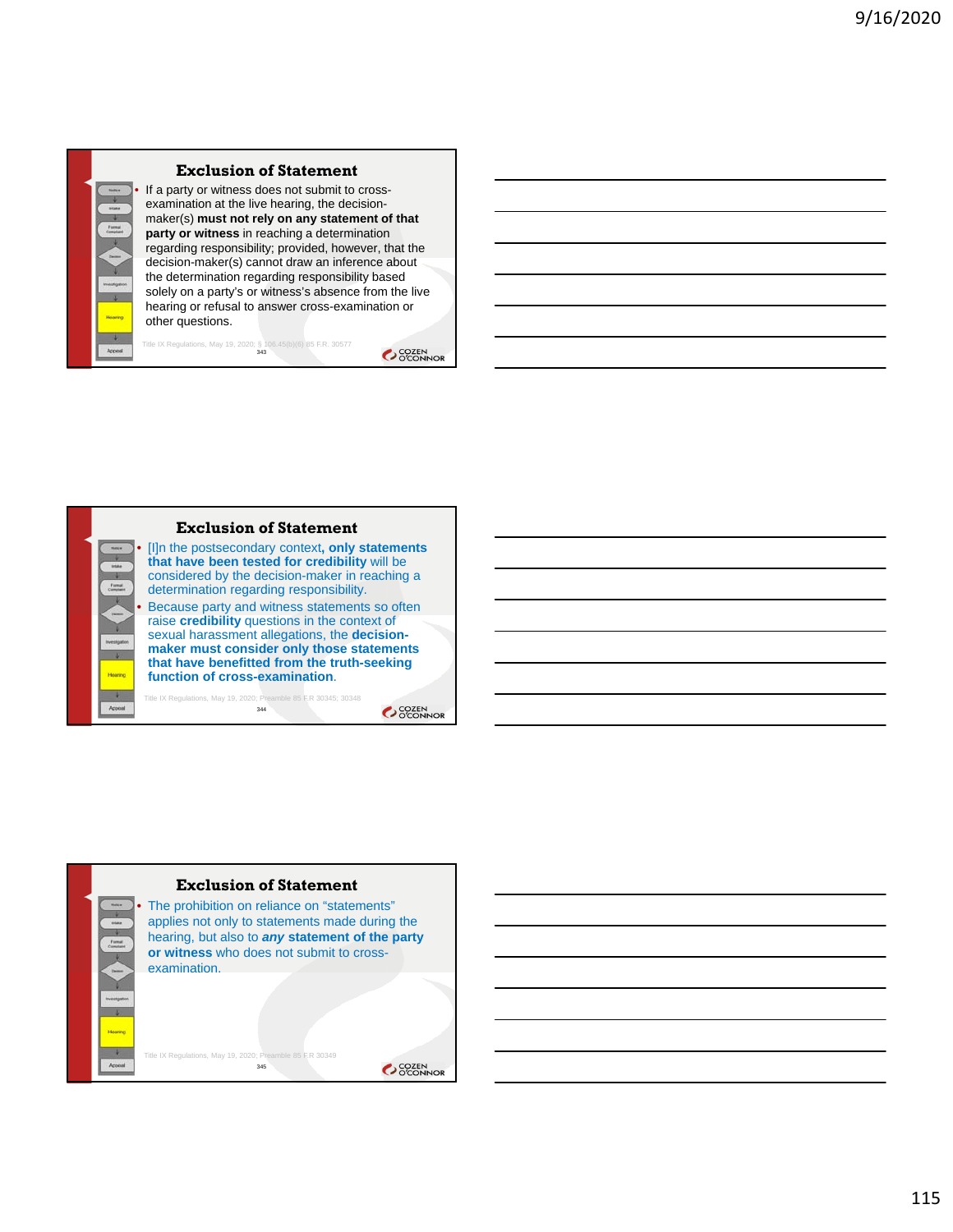

#### **Exclusion of Statement**

If a party or witness does not submit to crossexamination at the live hearing, the decisionmaker(s) **must not rely on any statement of that party or witness** in reaching a determination regarding responsibility; provided, however, that the decision-maker(s) cannot draw an inference about the determination regarding responsibility based solely on a party's or witness's absence from the live hearing or refusal to answer cross-examination or other questions.

Title IX Regulations, May 19, 2020; § 106.45(b)(6) 85 F.R. 30577<br>343





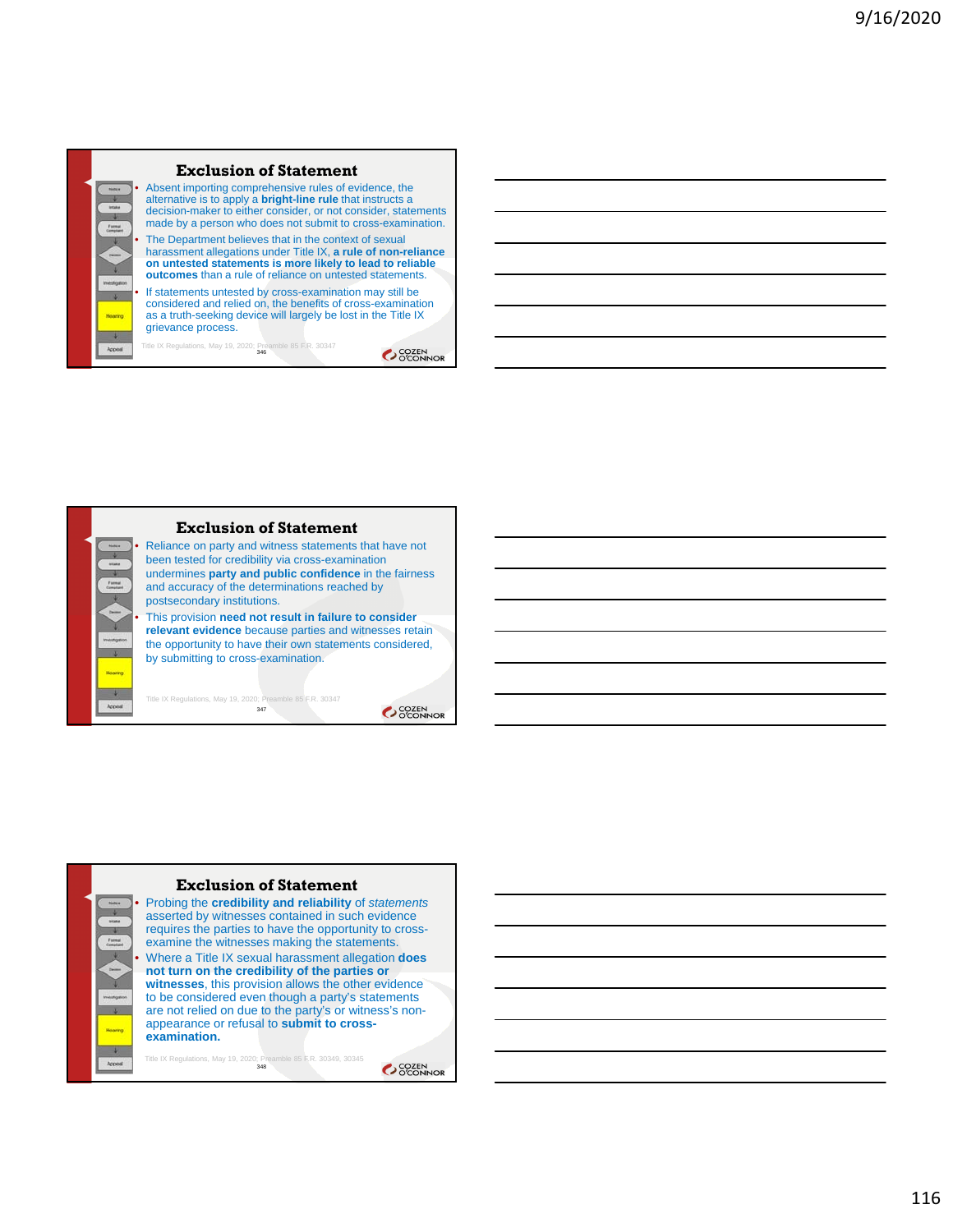



**Exclusion of Statement**

Reliance on party and witness statements that have not been tested for credibility via cross-examination undermines **party and public confidence** in the fairness and accuracy of the determinations reached by postsecondary institutions.

• This provision **need not result in failure to consider relevant evidence** because parties and witnesses retain the opportunity to have their own statements considered, by submitting to cross-examination.

347

OCOZEN<br>OCONNOR



OCCEN COZEN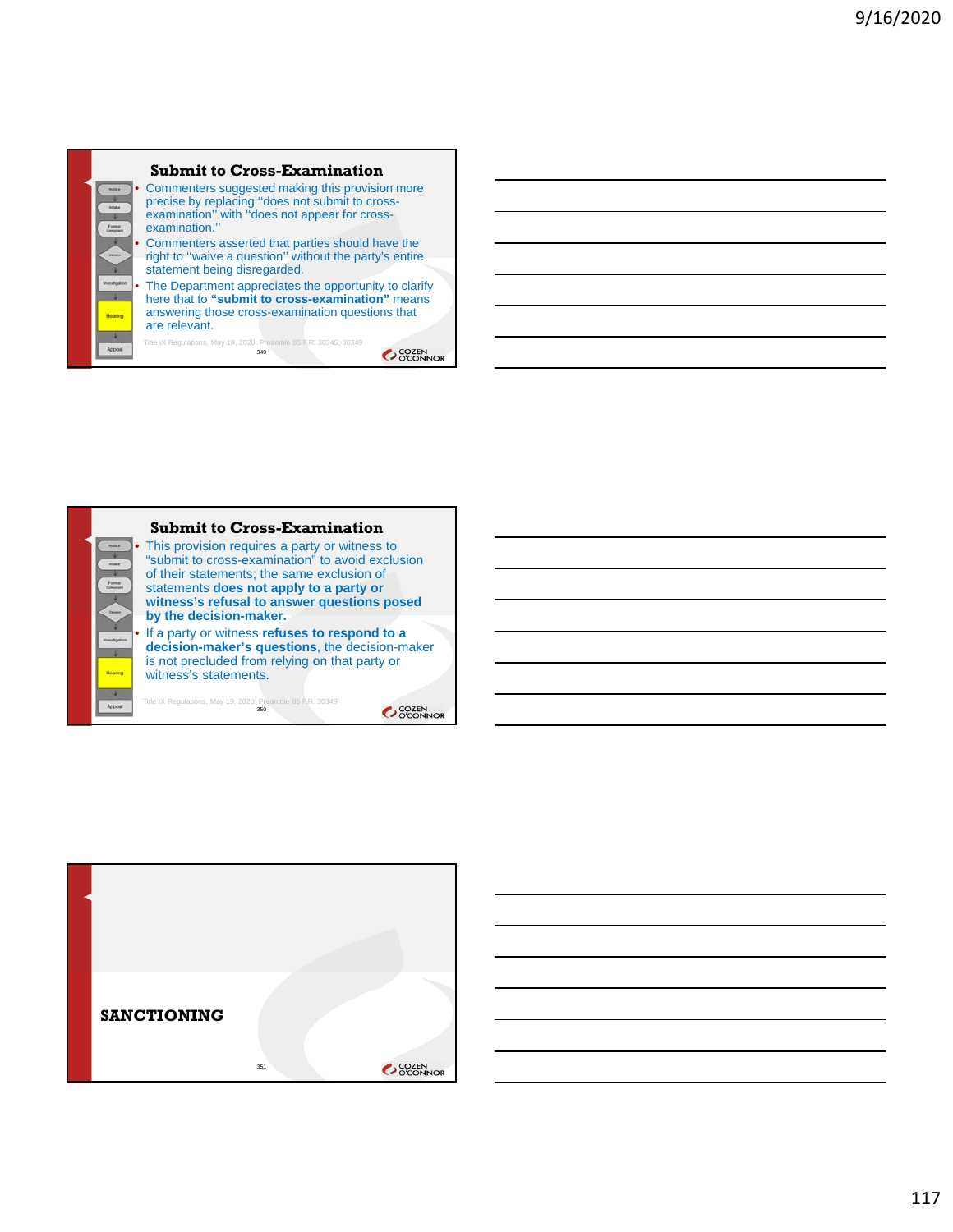

Title IX Regulations, May 19, 2020; Preamble 85 F.R. 30345; 30349<br>349 OCOZEN<br>OCONNOR



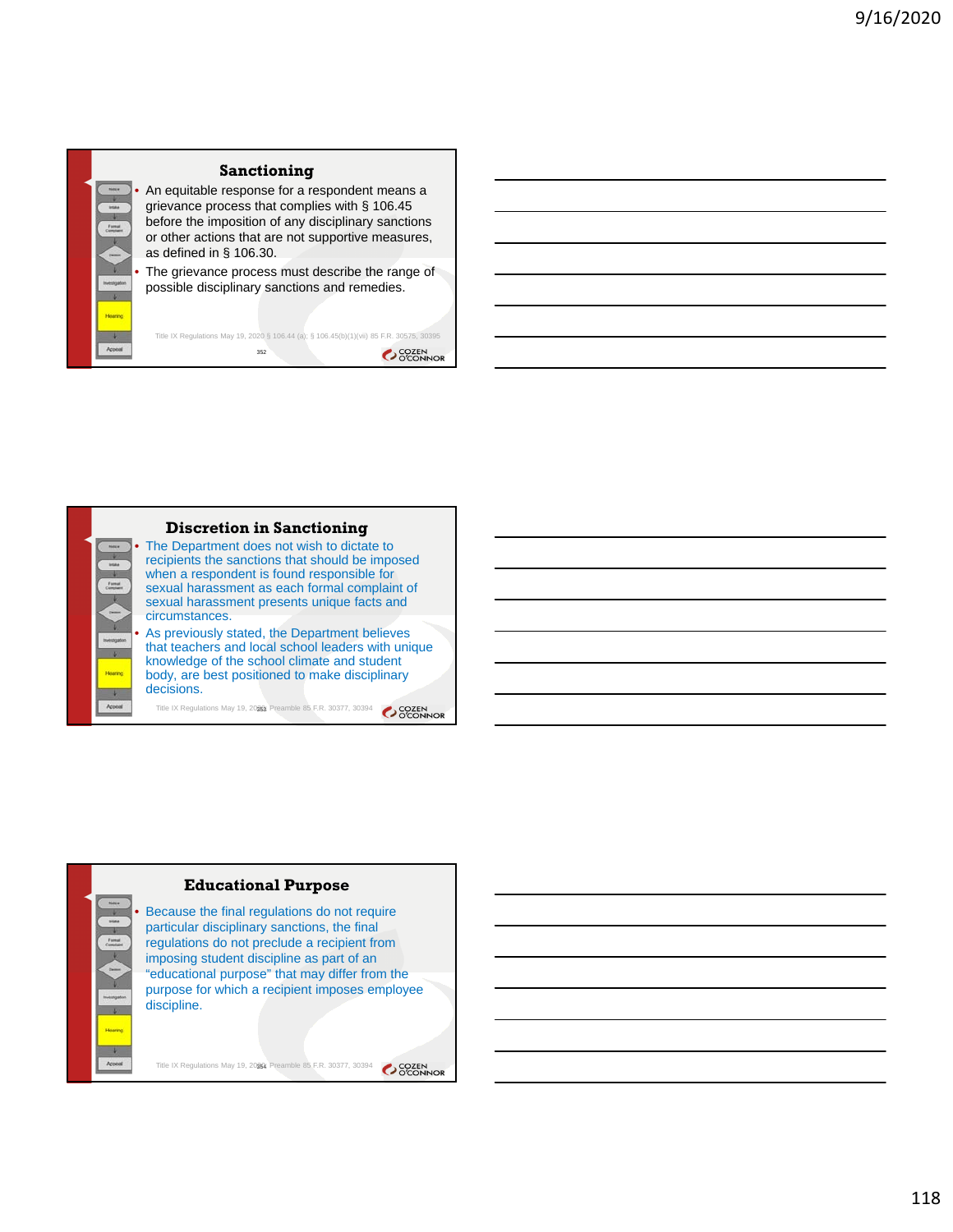

#### **Sanctioning**

• An equitable response for a respondent means a grievance process that complies with § 106.45 before the imposition of any disciplinary sanctions or other actions that are not supportive measures, as defined in § 106.30.

The grievance process must describe the range of possible disciplinary sanctions and remedies.

Title IX Regulations May 19, 2020 § 106.44 (a); § 106.45(b)(1)(vii) 85 F.R. 30575, 30395 352 **COZEN** 



 $\overline{1}$ 

#### **Discretion in Sanctioning**

The Department does not wish to dictate to recipients the sanctions that should be imposed when a respondent is found responsible for sexual harassment as each formal complaint of sexual harassment presents unique facts and circumstances.

• As previously stated, the Department believes that teachers and local school leaders with unique knowledge of the school climate and student body, are best positioned to make disciplinary decisions.

Title IX Regulations May 19, 2026; Preamble 85 F.R. 30377, 30394 35 COZEN



Title IX Regulations May 19, 2020; Preamble 85 F.R. 30377, 30394 354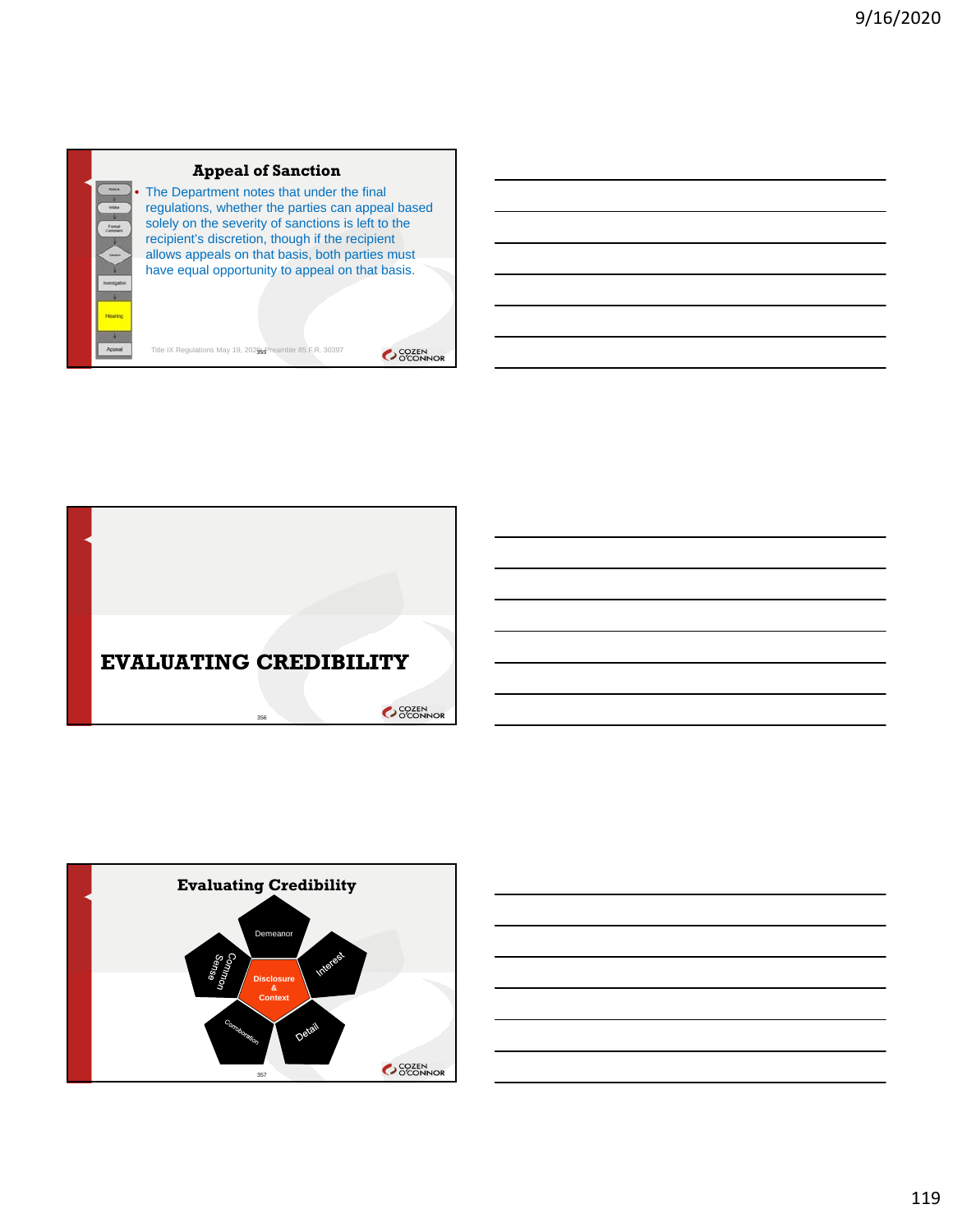

## **Appeal of Sanction**

The Department notes that under the final regulations, whether the parties can appeal based solely on the severity of sanctions is left to the recipient's discretion, though if the recipient allows appeals on that basis, both parties must have equal opportunity to appeal on that basis.

Title IX Regulations May 19, 202 $965$ Preamble 85 F.R. 30397





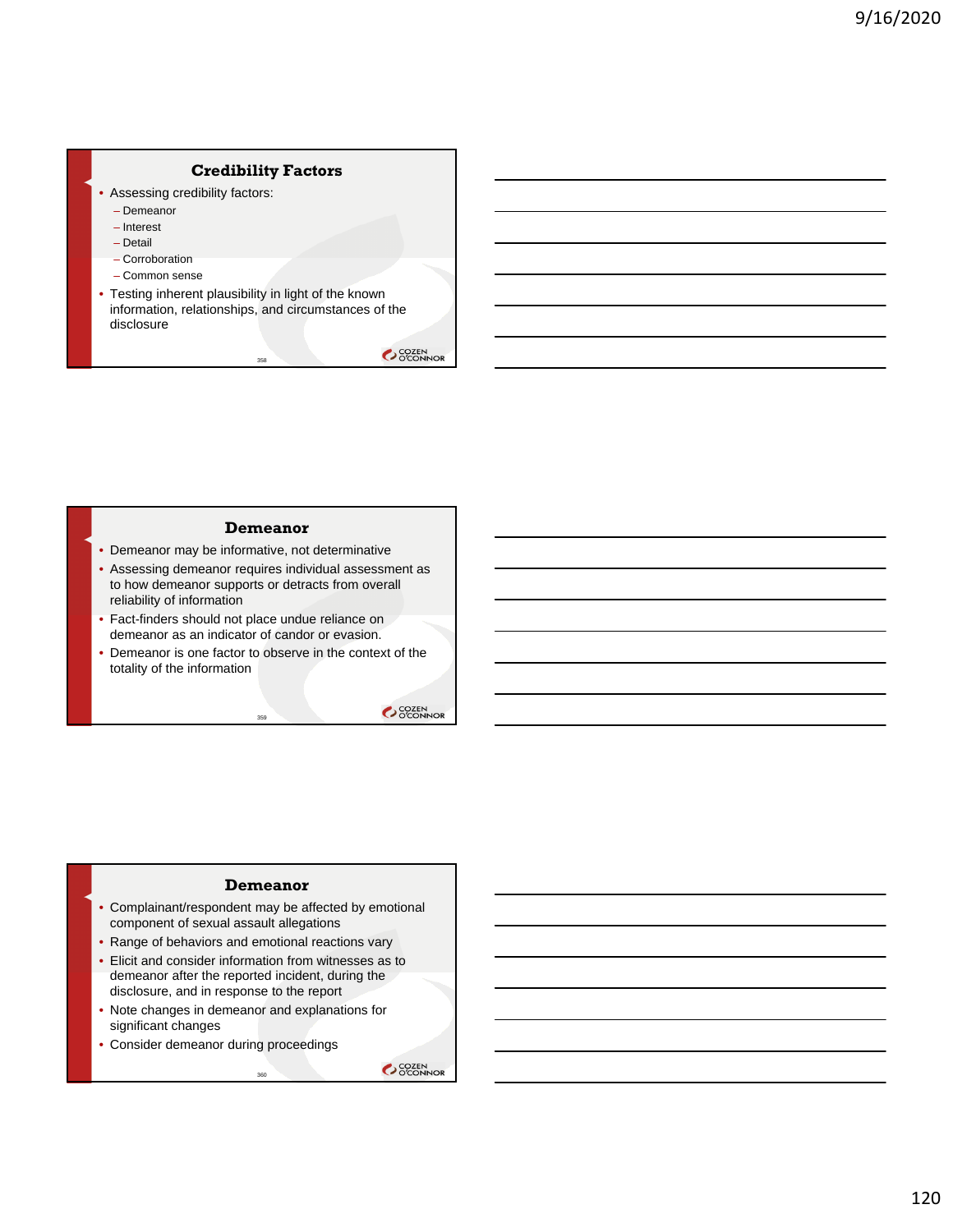## **Credibility Factors**

- Assessing credibility factors:
	- Demeanor
	- Interest
	- Detail
	- Corroboration
	- Common sense
- Testing inherent plausibility in light of the known information, relationships, and circumstances of the disclosure

358

OCOZEN<br>OCONNOR

#### **Demeanor**

- Demeanor may be informative, not determinative
- Assessing demeanor requires individual assessment as to how demeanor supports or detracts from overall reliability of information
- Fact-finders should not place undue reliance on demeanor as an indicator of candor or evasion.
- Demeanor is one factor to observe in the context of the totality of the information

359

OCOZEN<br>OCONNOR

#### **Demeanor**

- Complainant/respondent may be affected by emotional component of sexual assault allegations
- Range of behaviors and emotional reactions vary
- Elicit and consider information from witnesses as to demeanor after the reported incident, during the disclosure, and in response to the report
- Note changes in demeanor and explanations for significant changes

360

• Consider demeanor during proceedings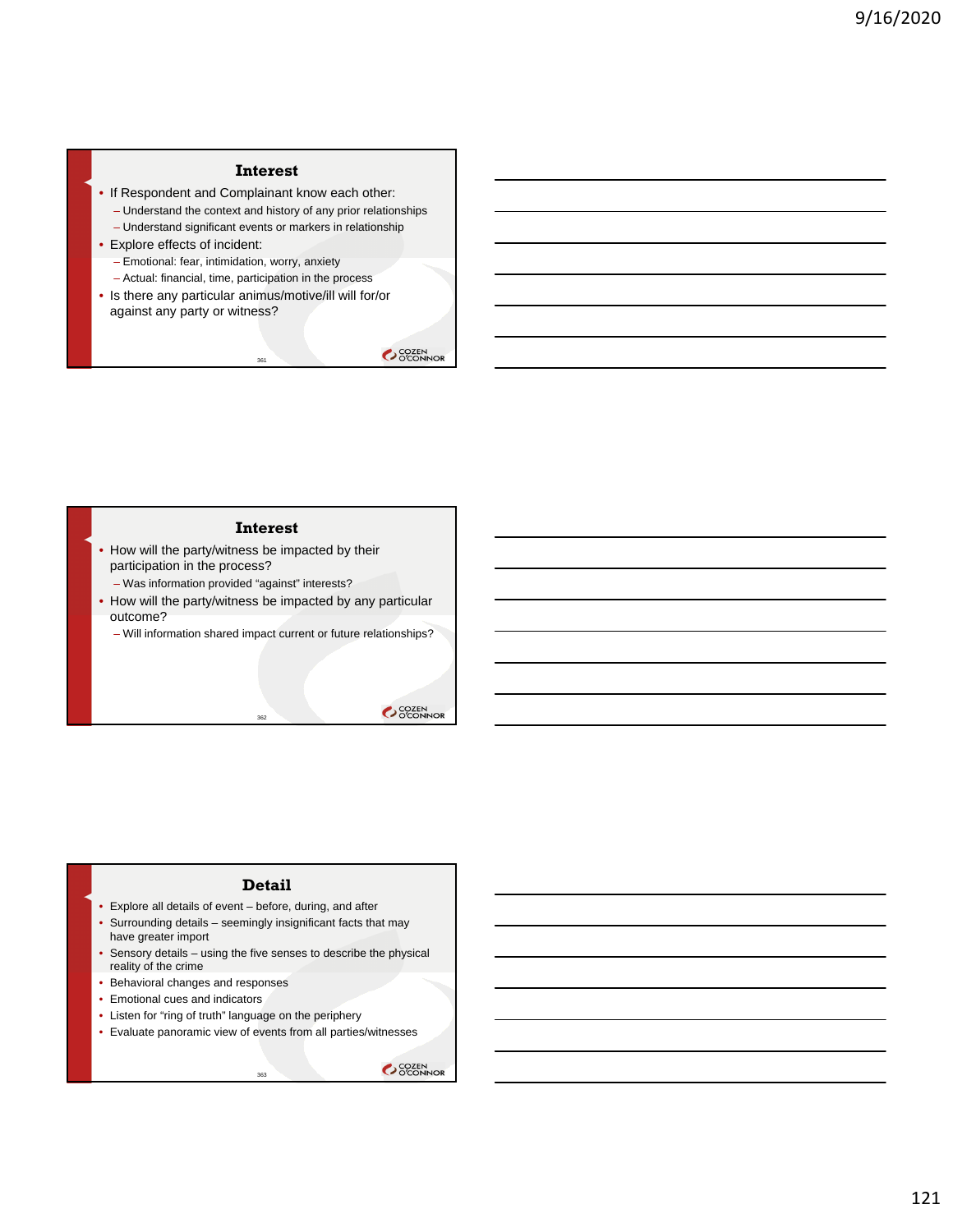## **Interest**

- If Respondent and Complainant know each other:
	- Understand the context and history of any prior relationships
	- Understand significant events or markers in relationship
- Explore effects of incident:
	- Emotional: fear, intimidation, worry, anxiety
	- Actual: financial, time, participation in the process
- Is there any particular animus/motive/ill will for/or against any party or witness?

361

SCOZEN<br>OCONNOR

#### **Interest**

- How will the party/witness be impacted by their participation in the process?
	- Was information provided "against" interests?
- How will the party/witness be impacted by any particular outcome?

362

– Will information shared impact current or future relationships?

OCOZEN<br>OCONNOR

#### **Detail**

- Explore all details of event before, during, and after
- Surrounding details seemingly insignificant facts that may have greater import
- Sensory details using the five senses to describe the physical reality of the crime
- Behavioral changes and responses
- Emotional cues and indicators
- Listen for "ring of truth" language on the periphery
- Evaluate panoramic view of events from all parties/witnesses

<sup>363</sup>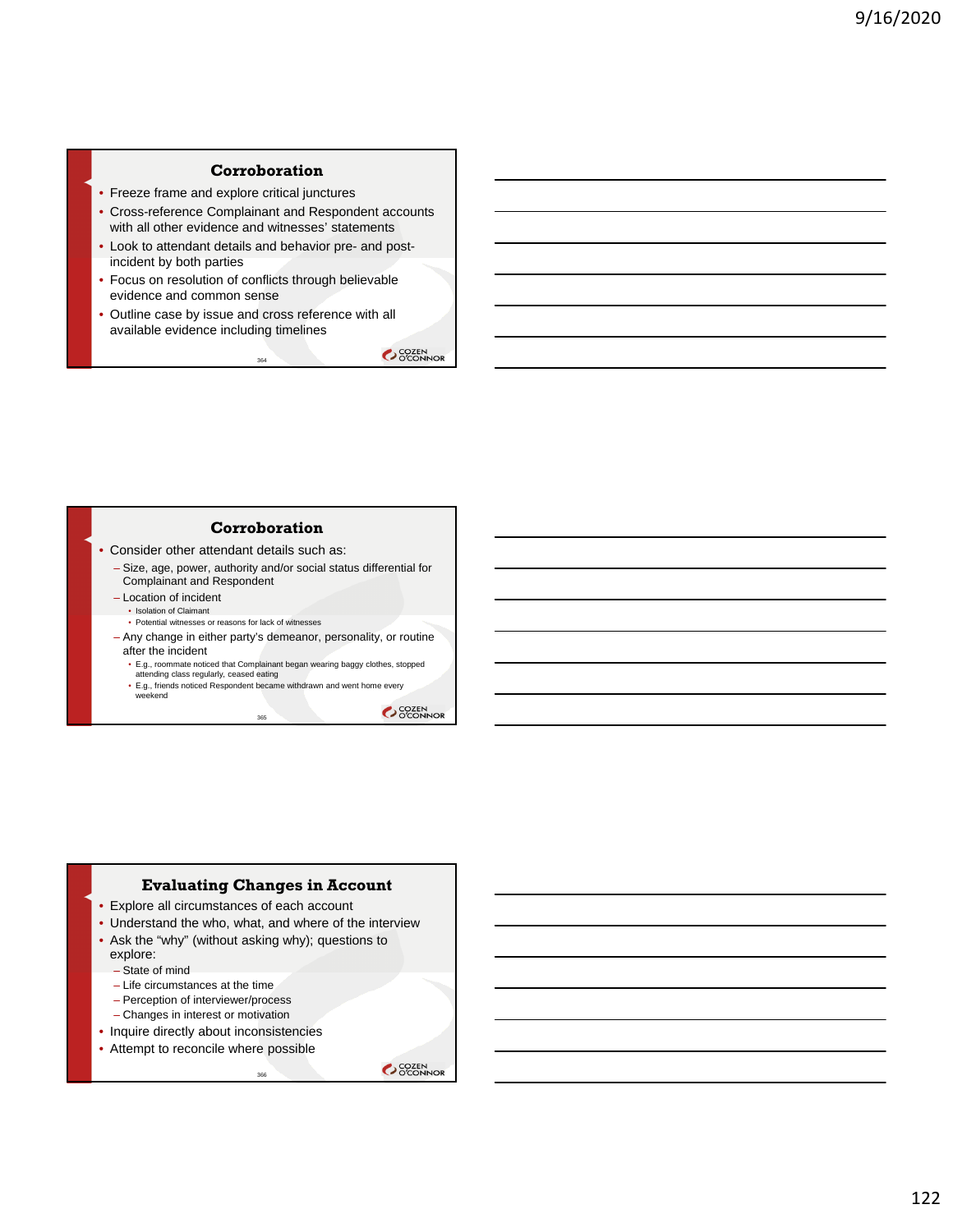## **Corroboration**

- Freeze frame and explore critical junctures
- Cross-reference Complainant and Respondent accounts with all other evidence and witnesses' statements
- Look to attendant details and behavior pre- and postincident by both parties
- Focus on resolution of conflicts through believable evidence and common sense
- Outline case by issue and cross reference with all available evidence including timelines

364

OCOZEN<br>OCONNOR

#### **Corroboration**

- Consider other attendant details such as:
	- Size, age, power, authority and/or social status differential for Complainant and Respondent
	- Location of incident • Isolation of Claimant
		- Potential witnesses or reasons for lack of witnesses
	- Any change in either party's demeanor, personality, or routine after the incident
		-
		- E.g., roommate noticed that Complainant began wearing baggy clothes, stopped attending class regularly, ceased eating • E.g., friends noticed Respondent became withdrawn and went home every weekend

365

OCOZEN<br>OCONNOR

## **Evaluating Changes in Account**

- Explore all circumstances of each account
- Understand the who, what, and where of the interview

.<br>366

- Ask the "why" (without asking why); questions to explore:
	- State of mind
	- Life circumstances at the time
	- Perception of interviewer/process
	- Changes in interest or motivation
- Inquire directly about inconsistencies
- Attempt to reconcile where possible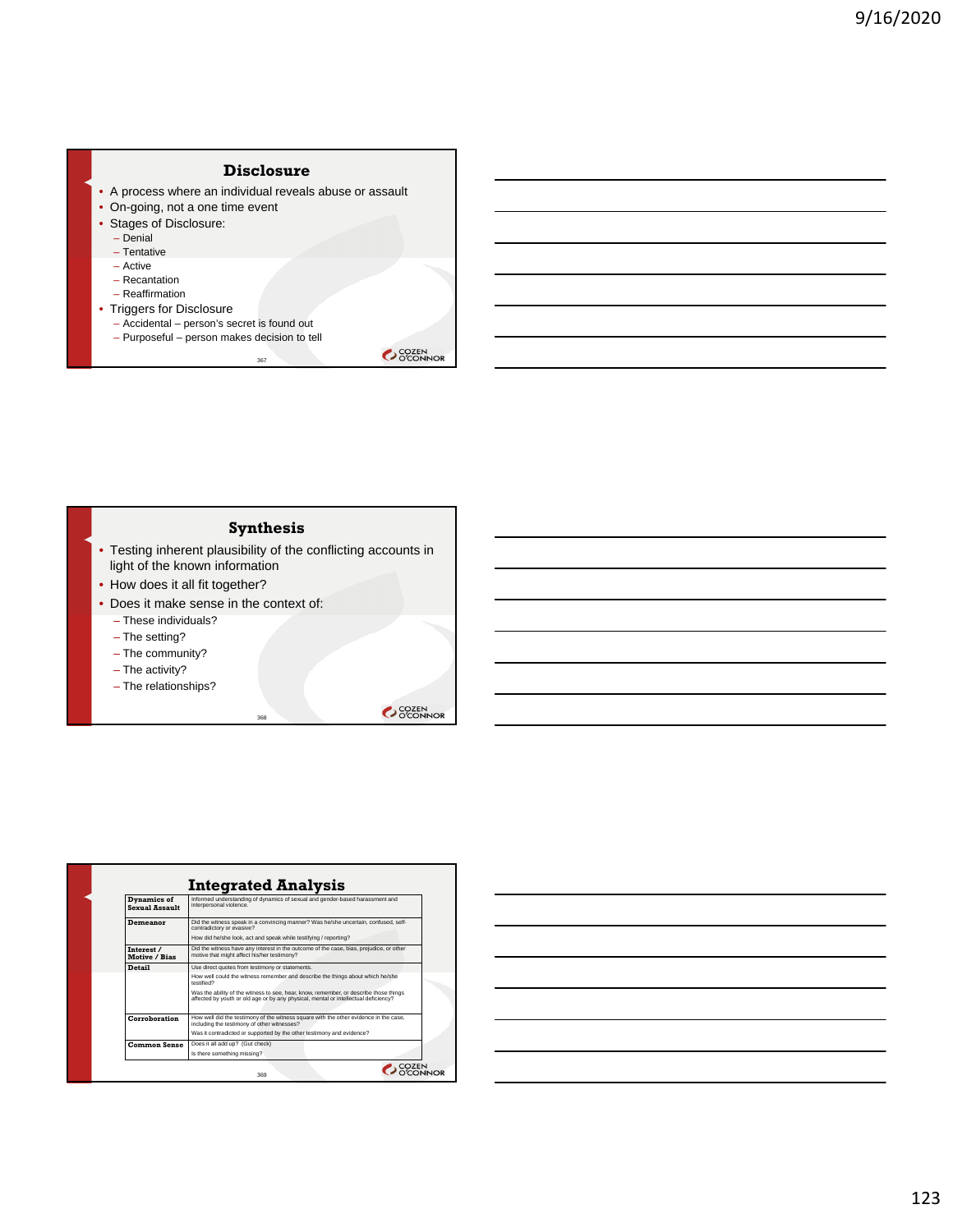

#### **Synthesis**

• Testing inherent plausibility of the conflicting accounts in light of the known information

368

- How does it all fit together?
- Does it make sense in the context of:
	- These individuals?
	- The setting?
	- The community?
	- The activity?
	- The relationships?

| Dynamics of<br><b>Sexual Assault</b> | Informed understanding of dynamics of sexual and gender-based harassment and<br>interpersonal violence.                                                                      |
|--------------------------------------|------------------------------------------------------------------------------------------------------------------------------------------------------------------------------|
| Demeanor                             | Did the witness speak in a convincing manner? Was he/she uncertain, confused, self-<br>contradictory or evasive?                                                             |
|                                      | How did he/she look, act and speak while testifying / reporting?                                                                                                             |
| Interest /<br>Motive / Bias          | Did the witness have any interest in the outcome of the case, bias, prejudice, or other<br>motive that might affect his/her testimony?                                       |
| <b>Detail</b>                        | Use direct quotes from testimony or statements.                                                                                                                              |
|                                      | How well could the witness remember and describe the things about which he/she<br>testified?                                                                                 |
|                                      | Was the ability of the witness to see, hear, know, remember, or describe those things<br>affected by youth or old age or by any physical, mental or intellectual deficiency? |
| Corroboration                        | How well did the testimony of the witness square with the other evidence in the case,<br>including the testimony of other witnesses?                                         |
|                                      | Was it contradicted or supported by the other testimony and evidence?                                                                                                        |
| <b>Common Sense</b>                  | Does it all add up? (Gut check)                                                                                                                                              |
|                                      | Is there something missing?                                                                                                                                                  |

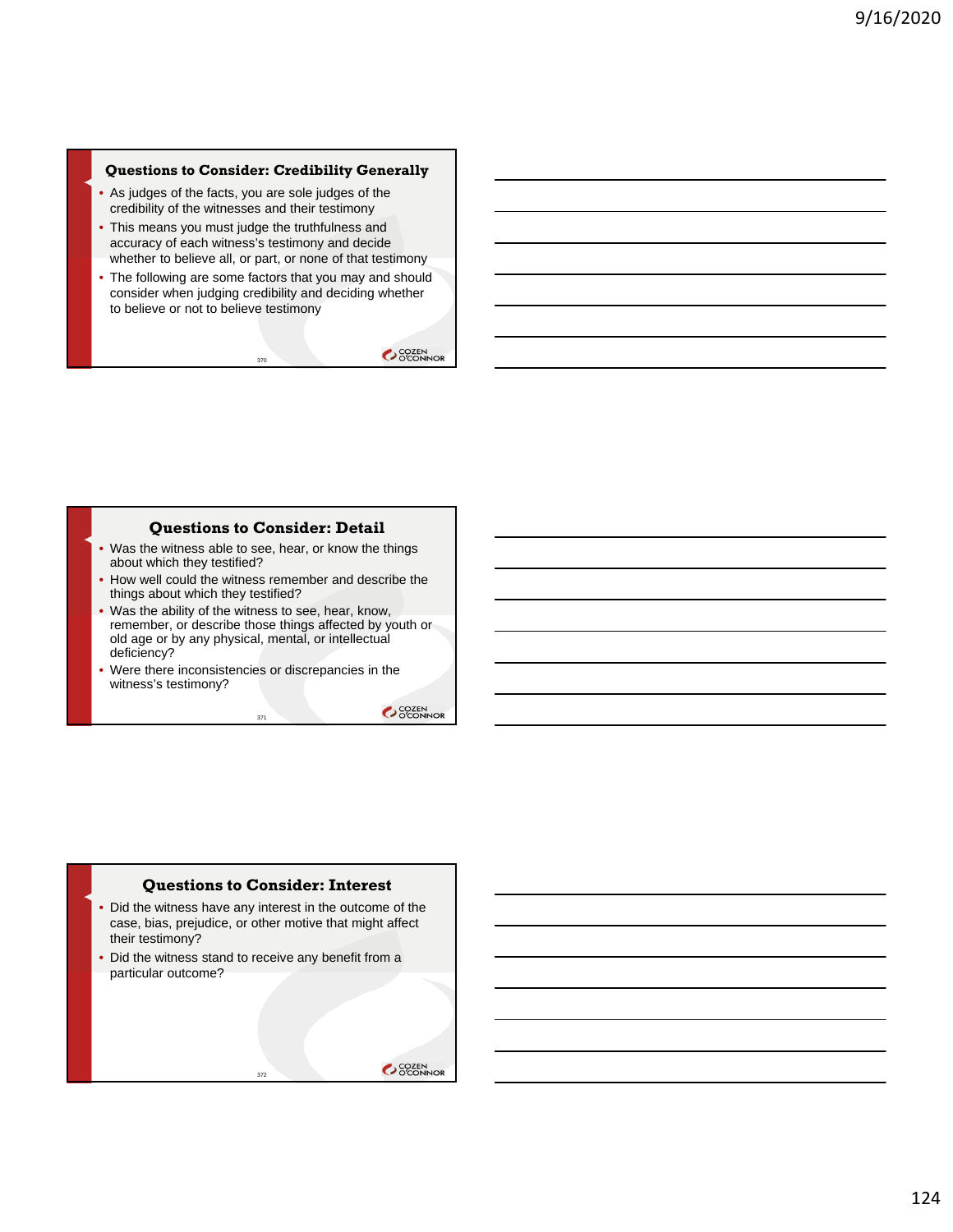#### **Questions to Consider: Credibility Generally**

- As judges of the facts, you are sole judges of the credibility of the witnesses and their testimony
- This means you must judge the truthfulness and accuracy of each witness's testimony and decide whether to believe all, or part, or none of that testimony
- The following are some factors that you may and should consider when judging credibility and deciding whether to believe or not to believe testimony

370

OCOZEN<br>OCONNOR

### **Questions to Consider: Detail**

- Was the witness able to see, hear, or know the things about which they testified?
- How well could the witness remember and describe the things about which they testified?
- Was the ability of the witness to see, hear, know, remember, or describe those things affected by youth or old age or by any physical, mental, or intellectual deficiency?
- Were there inconsistencies or discrepancies in the witness's testimony?

371

OCOZEN<br>OCONNOR

# **Questions to Consider: Interest**

• Did the witness have any interest in the outcome of the case, bias, prejudice, or other motive that might affect their testimony?

372

• Did the witness stand to receive any benefit from a particular outcome?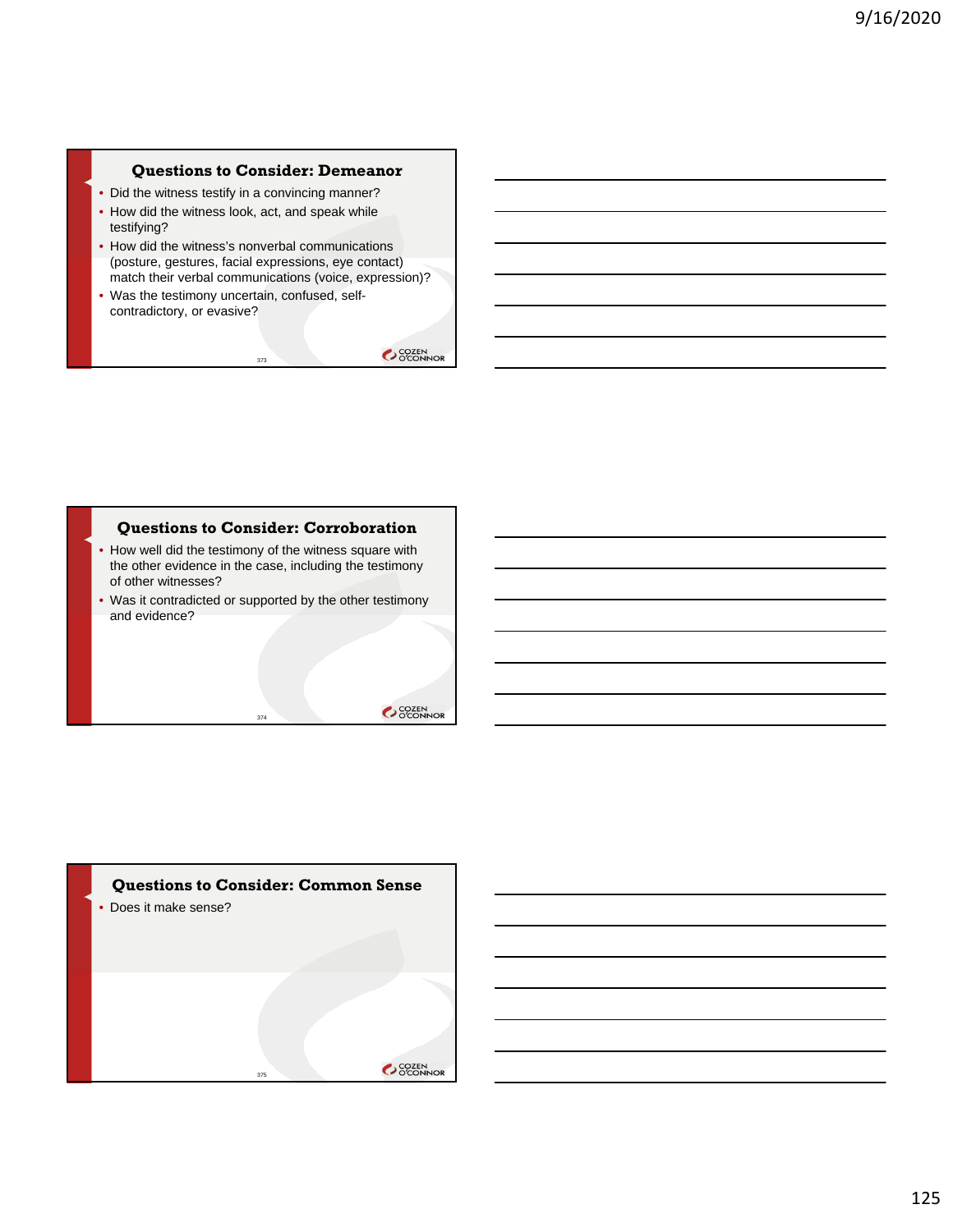## **Questions to Consider: Demeanor**

- Did the witness testify in a convincing manner?
- How did the witness look, act, and speak while testifying?
- How did the witness's nonverbal communications (posture, gestures, facial expressions, eye contact) match their verbal communications (voice, expression)?

373

• Was the testimony uncertain, confused, selfcontradictory, or evasive?

SCOZEN<br>O'CONNOR

#### **Questions to Consider: Corroboration**

- How well did the testimony of the witness square with the other evidence in the case, including the testimony of other witnesses?
- Was it contradicted or supported by the other testimony and evidence?

374

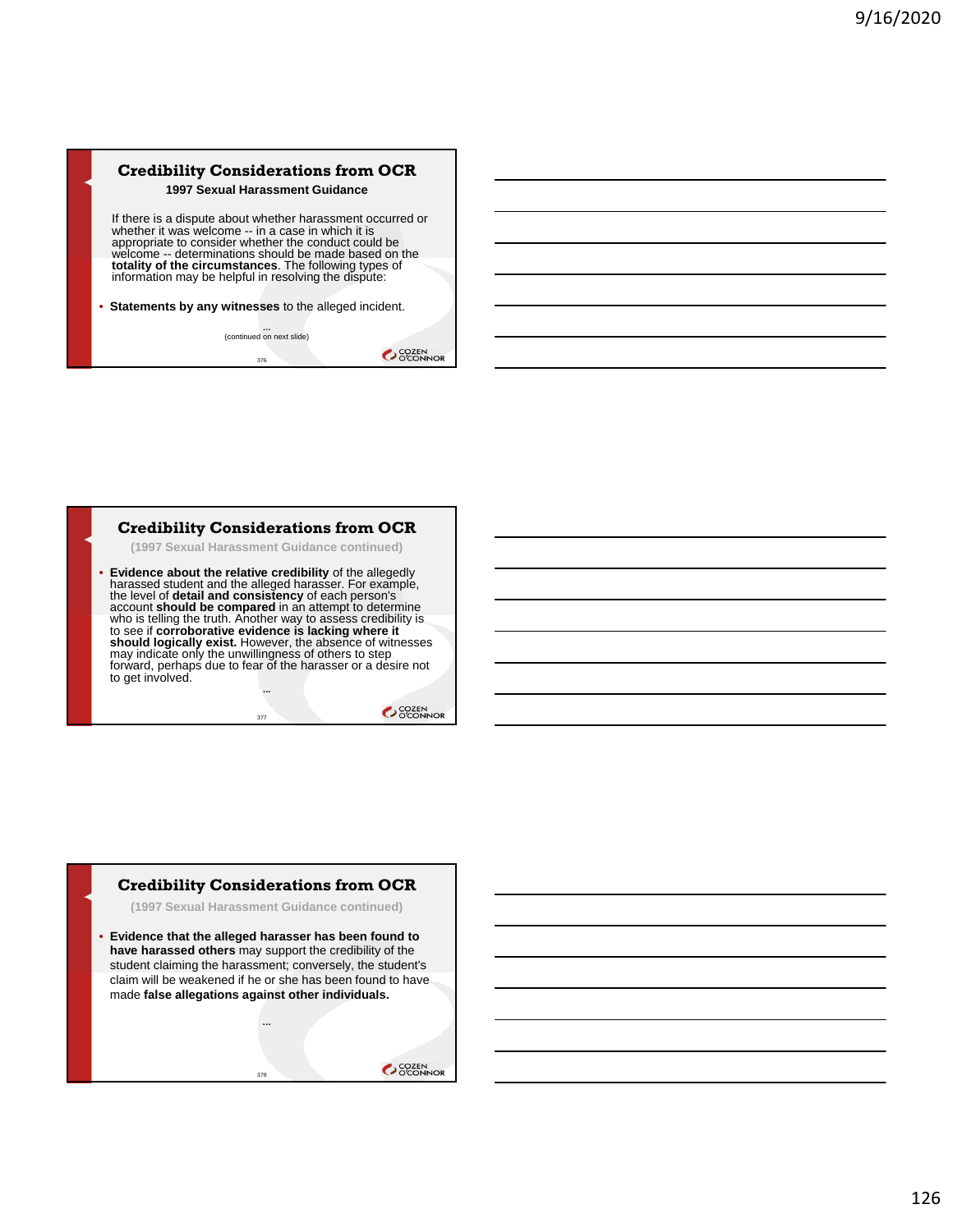## **Credibility Considerations from OCR 1997 Sexual Harassment Guidance**

If there is a dispute about whether harassment occurred or whether it was welcome -- in a case in which it is appropriate to consider whether the conduct could be welcome -- determinations should be made based on the **totality of the circumstances**. The following types of information may be helpful in resolving the dispute:

• **Statements by any witnesses** to the alleged incident.

**…** (continued on next slide) 376

OCOZEN<br>OCONNOR

#### **Credibility Considerations from OCR**

**(1997 Sexual Harassment Guidance continued)**

• **Evidence about the relative credibility** of the allegedly harassed student and the alleged harasser. For example, the level of **detail and consistency** of each person's account **should be compared** in an attempt to determine who is telling the truth. Another way to assess credibility is to see if **corroborative evidence is lacking where it**<br>**should logically exist.** However, the absence of witnesses<br>may indicate only the unwillingness of others to step<br>forward, perhaps due to fear of the harasser or a des to get involved.

> **...** 377

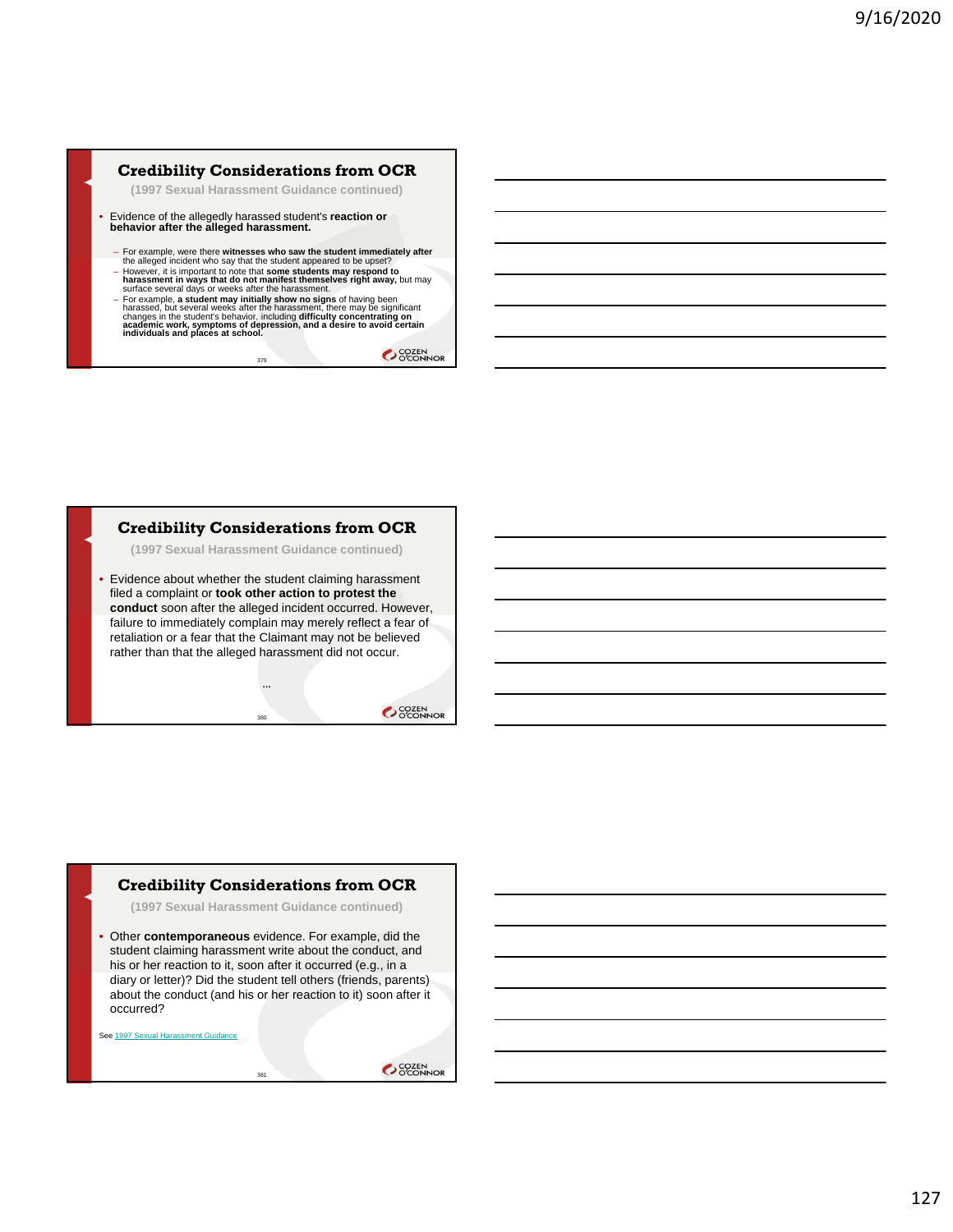## **Credibility Considerations from OCR**

**(1997 Sexual Harassment Guidance continued)**

- Evidence of the allegedly harassed student's **reaction or behavior after the alleged harassment.**
	-
	- For example, were there **witnesses who saw the student immediately after**<br>the alleged incident who say that the student appeared to be upset?<br>- However, it is important to note that some students may respond to **harassment in ways that do not manifest themselves right away,** but may surface several days or weeks after the harassment.
	- For example, a student may initially show no signs of having been<br>harassed, but several weeks after the harassment, there may be significant<br>changes in the student's behavior, including difficulty concentrating on<br>academ

379

OCOZEN<br>OCONNOR

# **Credibility Considerations from OCR**

**(1997 Sexual Harassment Guidance continued)**

• Evidence about whether the student claiming harassment filed a complaint or **took other action to protest the conduct** soon after the alleged incident occurred. However, failure to immediately complain may merely reflect a fear of retaliation or a fear that the Claimant may not be believed rather than that the alleged harassment did not occur.

380

OCOZEN<br>OCONNOR

## **Credibility Considerations from OCR**

**(1997 Sexual Harassment Guidance continued)**

• Other **contemporaneous** evidence. For example, did the student claiming harassment write about the conduct, and his or her reaction to it, soon after it occurred (e.g., in a diary or letter)? Did the student tell others (friends, parents) about the conduct (and his or her reaction to it) soon after it occurred?

381

See 1997 Sexual Harassment Guidance

OCCIEN<br>OCCONNOR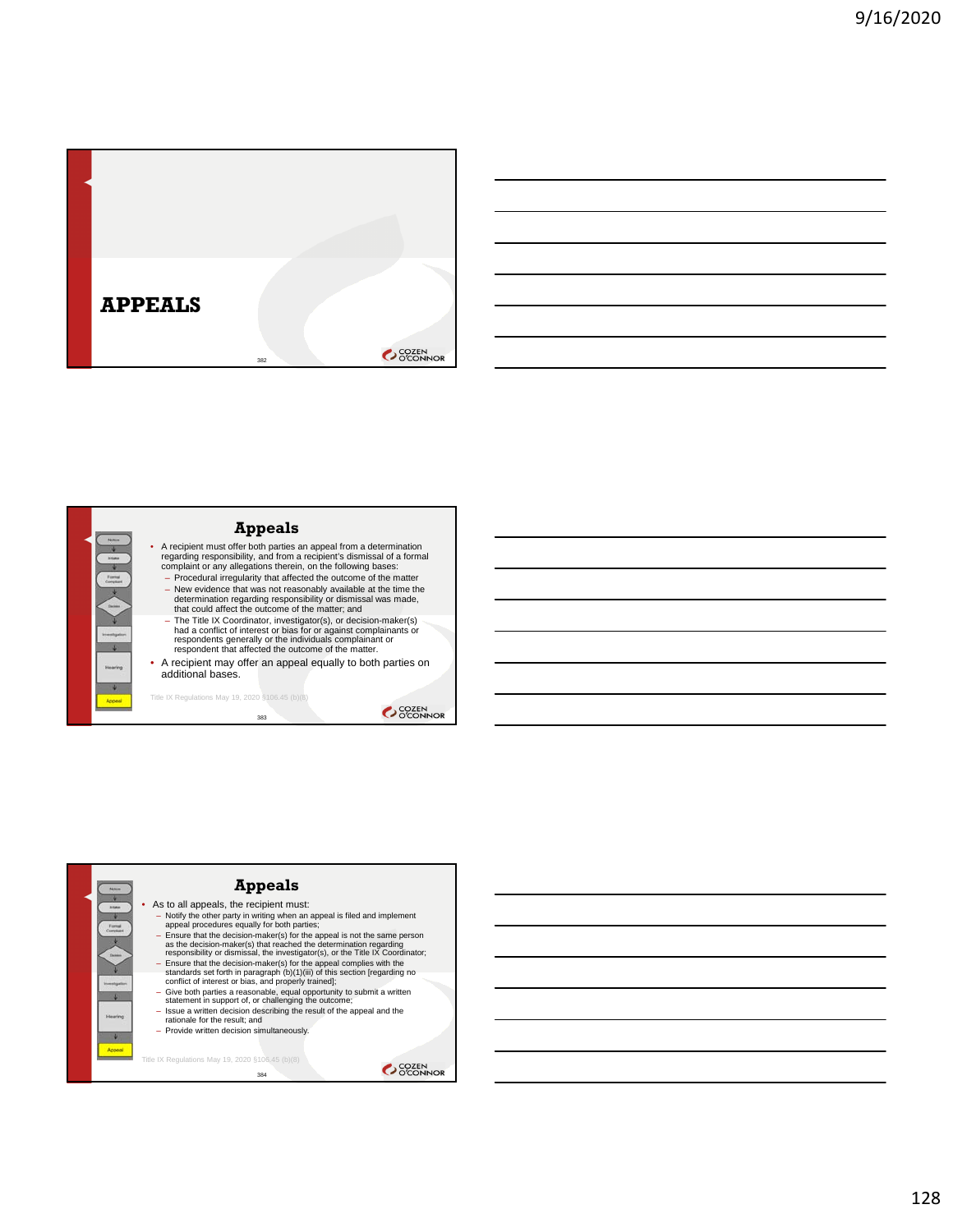